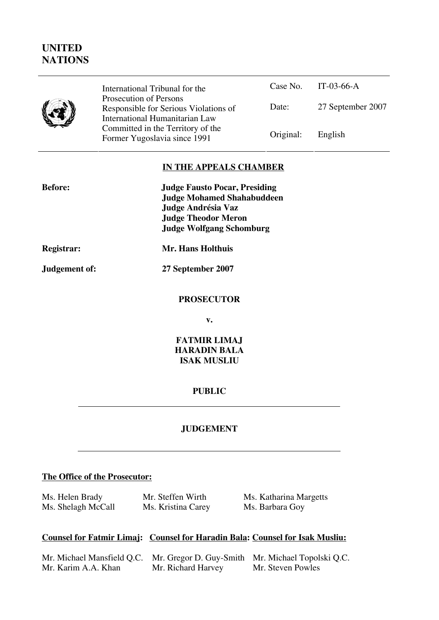# **UNITED NATIONS**

|--|

Case No. IT-03-66-A Date: 27 September 2007 International Tribunal for the Prosecution of Persons Responsible for Serious Violations of International Humanitarian Law Committed in the Territory of the Former Yugoslavia since 1991 Original: English

## **IN THE APPEALS CHAMBER**

| <b>Before:</b>    | <b>Judge Fausto Pocar, Presiding</b> |  |  |
|-------------------|--------------------------------------|--|--|
|                   | <b>Judge Mohamed Shahabuddeen</b>    |  |  |
|                   | Judge Andrésia Vaz                   |  |  |
|                   | <b>Judge Theodor Meron</b>           |  |  |
|                   | <b>Judge Wolfgang Schomburg</b>      |  |  |
| <b>Registrar:</b> | Mr. Hans Holthuis                    |  |  |
| Judgement of:     | 27 September 2007                    |  |  |
|                   | <b>PROSECUTOR</b>                    |  |  |
|                   | v.                                   |  |  |
|                   |                                      |  |  |

**FATMIR LIMAJ HARADIN BALA ISAK MUSLIU** 

#### **PUBLIC**

## **JUDGEMENT**

#### **The Office of the Prosecutor:**

Ms. Helen Brady Ms. Shelagh McCall Mr. Steffen Wirth Ms. Kristina Carey Ms. Katharina Margetts Ms. Barbara Goy

### **Counsel for Fatmir Limaj: Counsel for Haradin Bala: Counsel for Isak Musliu:**

| Mr. Michael Mansfield Q.C. Mr. Gregor D. Guy-Smith Mr. Michael Topolski Q.C. |                    |                   |
|------------------------------------------------------------------------------|--------------------|-------------------|
| Mr. Karim A.A. Khan                                                          | Mr. Richard Harvey | Mr. Steven Powles |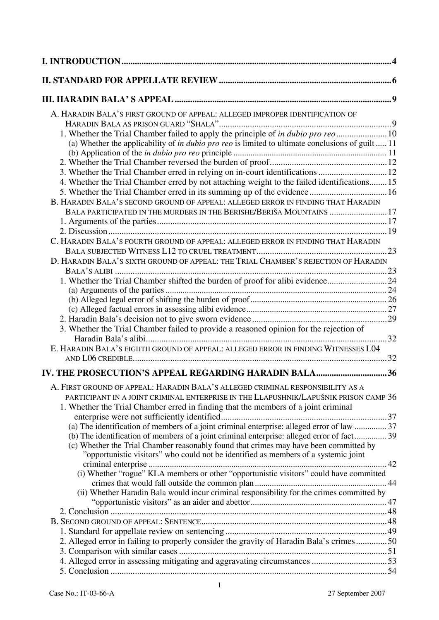| A. HARADIN BALA'S FIRST GROUND OF APPEAL: ALLEGED IMPROPER IDENTIFICATION OF                                                                                                 |  |
|------------------------------------------------------------------------------------------------------------------------------------------------------------------------------|--|
| 1. Whether the Trial Chamber failed to apply the principle of in dubio pro reo 10                                                                                            |  |
| (a) Whether the applicability of in dubio pro reo is limited to ultimate conclusions of guilt  11                                                                            |  |
|                                                                                                                                                                              |  |
|                                                                                                                                                                              |  |
| 3. Whether the Trial Chamber erred in relying on in-court identifications  12                                                                                                |  |
| 4. Whether the Trial Chamber erred by not attaching weight to the failed identifications 15                                                                                  |  |
|                                                                                                                                                                              |  |
| B. HARADIN BALA'S SECOND GROUND OF APPEAL: ALLEGED ERROR IN FINDING THAT HARADIN                                                                                             |  |
| BALA PARTICIPATED IN THE MURDERS IN THE BERISHE/BERIŠA MOUNTAINS  17                                                                                                         |  |
|                                                                                                                                                                              |  |
|                                                                                                                                                                              |  |
| C. HARADIN BALA'S FOURTH GROUND OF APPEAL: ALLEGED ERROR IN FINDING THAT HARADIN                                                                                             |  |
|                                                                                                                                                                              |  |
| D. HARADIN BALA'S SIXTH GROUND OF APPEAL: THE TRIAL CHAMBER'S REJECTION OF HARADIN                                                                                           |  |
|                                                                                                                                                                              |  |
| 1. Whether the Trial Chamber shifted the burden of proof for alibi evidence24                                                                                                |  |
|                                                                                                                                                                              |  |
|                                                                                                                                                                              |  |
|                                                                                                                                                                              |  |
|                                                                                                                                                                              |  |
| 3. Whether the Trial Chamber failed to provide a reasoned opinion for the rejection of                                                                                       |  |
| E. HARADIN BALA'S EIGHTH GROUND OF APPEAL: ALLEGED ERROR IN FINDING WITNESSES L04                                                                                            |  |
|                                                                                                                                                                              |  |
| IV. THE PROSECUTION'S APPEAL REGARDING HARADIN BALA36                                                                                                                        |  |
| A. FIRST GROUND OF APPEAL: HARADIN BALA'S ALLEGED CRIMINAL RESPONSIBILITY AS A                                                                                               |  |
| PARTICIPANT IN A JOINT CRIMINAL ENTERPRISE IN THE LLAPUSHNIK/LAPUŠNIK PRISON CAMP 36                                                                                         |  |
| 1. Whether the Trial Chamber erred in finding that the members of a joint criminal                                                                                           |  |
|                                                                                                                                                                              |  |
| (a) The identification of members of a joint criminal enterprise: alleged error of law  37                                                                                   |  |
| (b) The identification of members of a joint criminal enterprise: alleged error of fact 39                                                                                   |  |
| (c) Whether the Trial Chamber reasonably found that crimes may have been committed by<br>"opportunistic visitors" who could not be identified as members of a systemic joint |  |
|                                                                                                                                                                              |  |
| (i) Whether "rogue" KLA members or other "opportunistic visitors" could have committed                                                                                       |  |
|                                                                                                                                                                              |  |
| (ii) Whether Haradin Bala would incur criminal responsibility for the crimes committed by                                                                                    |  |
|                                                                                                                                                                              |  |
|                                                                                                                                                                              |  |
|                                                                                                                                                                              |  |
|                                                                                                                                                                              |  |
| 2. Alleged error in failing to properly consider the gravity of Haradin Bala's crimes50                                                                                      |  |
|                                                                                                                                                                              |  |
|                                                                                                                                                                              |  |
|                                                                                                                                                                              |  |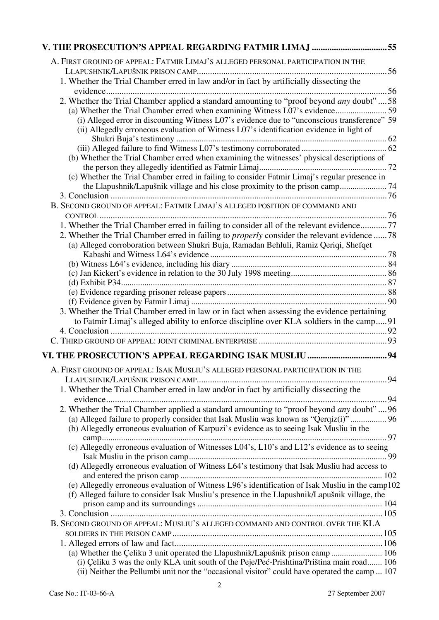| V. THE PROSECUTION'S APPEAL REGARDING FATMIR LIMAJ 55                                               |
|-----------------------------------------------------------------------------------------------------|
| A. FIRST GROUND OF APPEAL: FATMIR LIMAJ'S ALLEGED PERSONAL PARTICIPATION IN THE                     |
|                                                                                                     |
| 1. Whether the Trial Chamber erred in law and/or in fact by artificially dissecting the             |
|                                                                                                     |
| 2. Whether the Trial Chamber applied a standard amounting to "proof beyond any doubt"58             |
| (a) Whether the Trial Chamber erred when examining Witness L07's evidence 59                        |
| (i) Alleged error in discounting Witness L07's evidence due to "unconscious transference" 59        |
| (ii) Allegedly erroneous evaluation of Witness L07's identification evidence in light of            |
|                                                                                                     |
|                                                                                                     |
| (b) Whether the Trial Chamber erred when examining the witnesses' physical descriptions of          |
| (c) Whether the Trial Chamber erred in failing to consider Fatmir Limaj's regular presence in       |
| the Llapushnik/Lapušnik village and his close proximity to the prison camp 74                       |
|                                                                                                     |
| B. SECOND GROUND OF APPEAL: FATMIR LIMAJ'S ALLEGED POSITION OF COMMAND AND                          |
|                                                                                                     |
| 1. Whether the Trial Chamber erred in failing to consider all of the relevant evidence77            |
| 2. Whether the Trial Chamber erred in failing to <i>properly</i> consider the relevant evidence  78 |
| (a) Alleged corroboration between Shukri Buja, Ramadan Behluli, Ramiz Qeriqi, Shefqet               |
|                                                                                                     |
|                                                                                                     |
|                                                                                                     |
|                                                                                                     |
|                                                                                                     |
| 3. Whether the Trial Chamber erred in law or in fact when assessing the evidence pertaining         |
| to Fatmir Limaj's alleged ability to enforce discipline over KLA soldiers in the camp91             |
|                                                                                                     |
|                                                                                                     |
|                                                                                                     |
| A. FIRST GROUND OF APPEAL: ISAK MUSLIU'S ALLEGED PERSONAL PARTICIPATION IN THE                      |
|                                                                                                     |
| 1. Whether the Trial Chamber erred in law and/or in fact by artificially dissecting the             |
|                                                                                                     |
| 2. Whether the Trial Chamber applied a standard amounting to "proof beyond any doubt"96             |
| (a) Alleged failure to properly consider that Isak Musliu was known as "Qerqiz(i)"  96              |
| (b) Allegedly erroneous evaluation of Karpuzi's evidence as to seeing Isak Musliu in the            |
| (c) Allegedly erroneous evaluation of Witnesses L04's, L10's and L12's evidence as to seeing        |
|                                                                                                     |
| (d) Allegedly erroneous evaluation of Witness L64's testimony that Isak Musliu had access to        |
|                                                                                                     |
| (e) Allegedly erroneous evaluation of Witness L96's identification of Isak Musliu in the camp102    |
| (f) Alleged failure to consider Isak Musliu's presence in the Llapushnik/Lapušnik village, the      |
|                                                                                                     |
|                                                                                                     |
| B. SECOND GROUND OF APPEAL: MUSLIU'S ALLEGED COMMAND AND CONTROL OVER THE KLA                       |
|                                                                                                     |
| (a) Whether the Çeliku 3 unit operated the Llapushnik/Lapušnik prison camp 106                      |
| (i) Çeliku 3 was the only KLA unit south of the Peje/Peć-Prishtina/Priština main road 106           |
| (ii) Neither the Pellumbi unit nor the "occasional visitor" could have operated the camp  107       |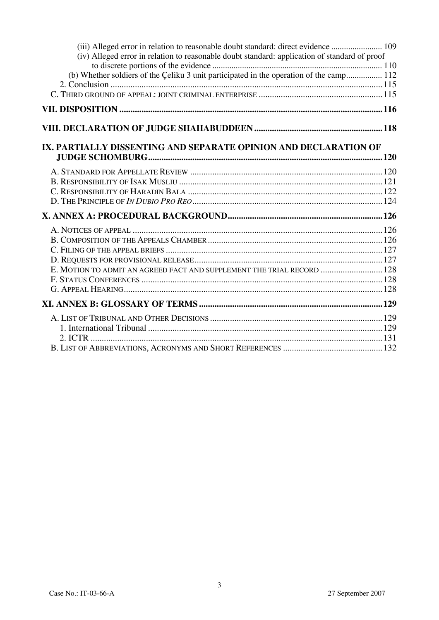| (iv) Alleged error in relation to reasonable doubt standard: application of standard of proof<br>(b) Whether soldiers of the Çeliku 3 unit participated in the operation of the camp 112<br>IX. PARTIALLY DISSENTING AND SEPARATE OPINION AND DECLARATION OF<br>E. MOTION TO ADMIT AN AGREED FACT AND SUPPLEMENT THE TRIAL RECORD  128 | (iii) Alleged error in relation to reasonable doubt standard: direct evidence  109 |  |
|----------------------------------------------------------------------------------------------------------------------------------------------------------------------------------------------------------------------------------------------------------------------------------------------------------------------------------------|------------------------------------------------------------------------------------|--|
|                                                                                                                                                                                                                                                                                                                                        |                                                                                    |  |
|                                                                                                                                                                                                                                                                                                                                        |                                                                                    |  |
|                                                                                                                                                                                                                                                                                                                                        |                                                                                    |  |
|                                                                                                                                                                                                                                                                                                                                        |                                                                                    |  |
|                                                                                                                                                                                                                                                                                                                                        |                                                                                    |  |
|                                                                                                                                                                                                                                                                                                                                        |                                                                                    |  |
|                                                                                                                                                                                                                                                                                                                                        |                                                                                    |  |
|                                                                                                                                                                                                                                                                                                                                        |                                                                                    |  |
|                                                                                                                                                                                                                                                                                                                                        |                                                                                    |  |
|                                                                                                                                                                                                                                                                                                                                        |                                                                                    |  |
|                                                                                                                                                                                                                                                                                                                                        |                                                                                    |  |
|                                                                                                                                                                                                                                                                                                                                        |                                                                                    |  |
|                                                                                                                                                                                                                                                                                                                                        |                                                                                    |  |
|                                                                                                                                                                                                                                                                                                                                        |                                                                                    |  |
|                                                                                                                                                                                                                                                                                                                                        |                                                                                    |  |
|                                                                                                                                                                                                                                                                                                                                        |                                                                                    |  |
|                                                                                                                                                                                                                                                                                                                                        |                                                                                    |  |
|                                                                                                                                                                                                                                                                                                                                        |                                                                                    |  |
|                                                                                                                                                                                                                                                                                                                                        |                                                                                    |  |
|                                                                                                                                                                                                                                                                                                                                        |                                                                                    |  |
|                                                                                                                                                                                                                                                                                                                                        |                                                                                    |  |
|                                                                                                                                                                                                                                                                                                                                        |                                                                                    |  |
|                                                                                                                                                                                                                                                                                                                                        |                                                                                    |  |
|                                                                                                                                                                                                                                                                                                                                        |                                                                                    |  |
|                                                                                                                                                                                                                                                                                                                                        |                                                                                    |  |
|                                                                                                                                                                                                                                                                                                                                        |                                                                                    |  |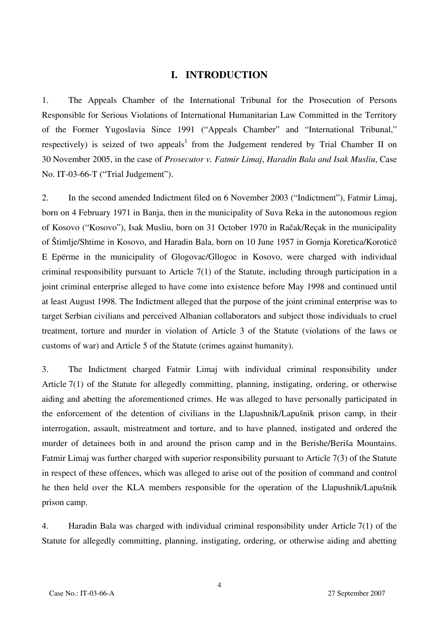## **I. INTRODUCTION**

1. The Appeals Chamber of the International Tribunal for the Prosecution of Persons Responsible for Serious Violations of International Humanitarian Law Committed in the Territory of the Former Yugoslavia Since 1991 ("Appeals Chamber" and "International Tribunal," respectively) is seized of two appeals<sup>1</sup> from the Judgement rendered by Trial Chamber II on 30 November 2005, in the case of *Prosecutor v. Fatmir Limaj*, *Haradin Bala and Isak Musliu*, Case No. IT-03-66-T ("Trial Judgement").

2. In the second amended Indictment filed on 6 November 2003 ("Indictment"), Fatmir Limaj, born on 4 February 1971 in Banja, then in the municipality of Suva Reka in the autonomous region of Kosovo ("Kosovo"), Isak Musliu, born on 31 October 1970 in Račak/Reçak in the municipality of Štimlje/Shtime in Kosovo, and Haradin Bala, born on 10 June 1957 in Gornja Koretica/Koroticë E Epërme in the municipality of Glogovac/Gllogoc in Kosovo, were charged with individual criminal responsibility pursuant to Article 7(1) of the Statute, including through participation in a joint criminal enterprise alleged to have come into existence before May 1998 and continued until at least August 1998. The Indictment alleged that the purpose of the joint criminal enterprise was to target Serbian civilians and perceived Albanian collaborators and subject those individuals to cruel treatment, torture and murder in violation of Article 3 of the Statute (violations of the laws or customs of war) and Article 5 of the Statute (crimes against humanity).

3. The Indictment charged Fatmir Limaj with individual criminal responsibility under Article 7(1) of the Statute for allegedly committing, planning, instigating, ordering, or otherwise aiding and abetting the aforementioned crimes. He was alleged to have personally participated in the enforcement of the detention of civilians in the Llapushnik/Lapušnik prison camp, in their interrogation, assault, mistreatment and torture, and to have planned, instigated and ordered the murder of detainees both in and around the prison camp and in the Berishe/Beriša Mountains. Fatmir Limaj was further charged with superior responsibility pursuant to Article 7(3) of the Statute in respect of these offences, which was alleged to arise out of the position of command and control he then held over the KLA members responsible for the operation of the Llapushnik/Lapušnik prison camp.

4. Haradin Bala was charged with individual criminal responsibility under Article 7(1) of the Statute for allegedly committing, planning, instigating, ordering, or otherwise aiding and abetting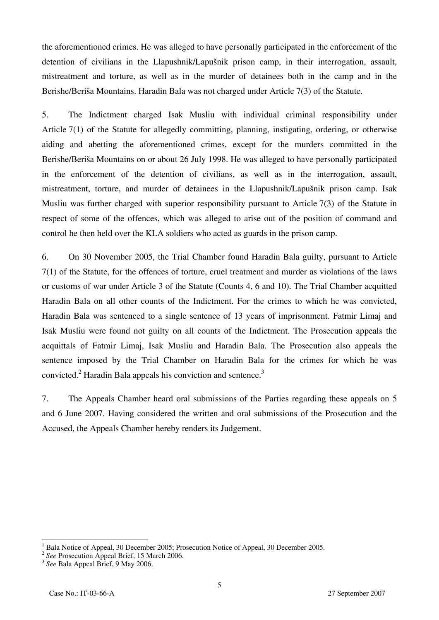the aforementioned crimes. He was alleged to have personally participated in the enforcement of the detention of civilians in the Llapushnik/Lapušnik prison camp, in their interrogation, assault, mistreatment and torture, as well as in the murder of detainees both in the camp and in the Berishe/Beriša Mountains. Haradin Bala was not charged under Article 7(3) of the Statute.

5. The Indictment charged Isak Musliu with individual criminal responsibility under Article 7(1) of the Statute for allegedly committing, planning, instigating, ordering, or otherwise aiding and abetting the aforementioned crimes, except for the murders committed in the Berishe/Beriša Mountains on or about 26 July 1998. He was alleged to have personally participated in the enforcement of the detention of civilians, as well as in the interrogation, assault, mistreatment, torture, and murder of detainees in the Llapushnik/Lapušnik prison camp. Isak Musliu was further charged with superior responsibility pursuant to Article 7(3) of the Statute in respect of some of the offences, which was alleged to arise out of the position of command and control he then held over the KLA soldiers who acted as guards in the prison camp.

6. On 30 November 2005, the Trial Chamber found Haradin Bala guilty, pursuant to Article 7(1) of the Statute, for the offences of torture, cruel treatment and murder as violations of the laws or customs of war under Article 3 of the Statute (Counts 4, 6 and 10). The Trial Chamber acquitted Haradin Bala on all other counts of the Indictment. For the crimes to which he was convicted, Haradin Bala was sentenced to a single sentence of 13 years of imprisonment. Fatmir Limaj and Isak Musliu were found not guilty on all counts of the Indictment. The Prosecution appeals the acquittals of Fatmir Limaj, Isak Musliu and Haradin Bala. The Prosecution also appeals the sentence imposed by the Trial Chamber on Haradin Bala for the crimes for which he was convicted.<sup>2</sup> Haradin Bala appeals his conviction and sentence.<sup>3</sup>

7. The Appeals Chamber heard oral submissions of the Parties regarding these appeals on 5 and 6 June 2007. Having considered the written and oral submissions of the Prosecution and the Accused, the Appeals Chamber hereby renders its Judgement.

<sup>1</sup> <sup>1</sup> Bala Notice of Appeal, 30 December 2005; Prosecution Notice of Appeal, 30 December 2005.<br><sup>2</sup> *See* Prosecution Appeal Brief, 15 March 2006.<br><sup>3</sup> *See* Bala Appeal Brief, 9 May 2006.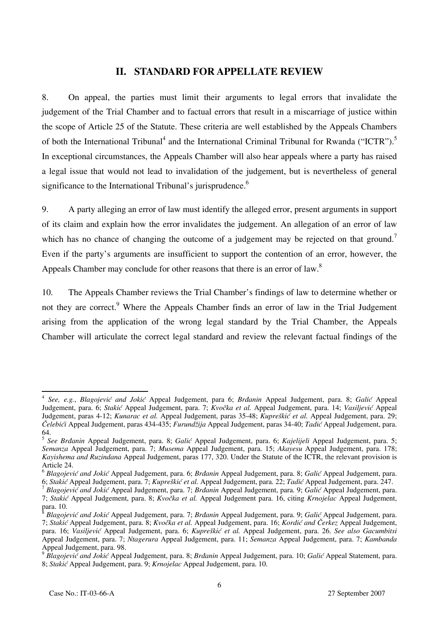## **II. STANDARD FOR APPELLATE REVIEW**

8. On appeal, the parties must limit their arguments to legal errors that invalidate the judgement of the Trial Chamber and to factual errors that result in a miscarriage of justice within the scope of Article 25 of the Statute. These criteria are well established by the Appeals Chambers of both the International Tribunal<sup>4</sup> and the International Criminal Tribunal for Rwanda ("ICTR").<sup>5</sup> In exceptional circumstances, the Appeals Chamber will also hear appeals where a party has raised a legal issue that would not lead to invalidation of the judgement, but is nevertheless of general significance to the International Tribunal's jurisprudence.<sup>6</sup>

9. A party alleging an error of law must identify the alleged error, present arguments in support of its claim and explain how the error invalidates the judgement. An allegation of an error of law which has no chance of changing the outcome of a judgement may be rejected on that ground.<sup>7</sup> Even if the party's arguments are insufficient to support the contention of an error, however, the Appeals Chamber may conclude for other reasons that there is an error of law.<sup>8</sup>

10. The Appeals Chamber reviews the Trial Chamber's findings of law to determine whether or not they are correct.<sup>9</sup> Where the Appeals Chamber finds an error of law in the Trial Judgement arising from the application of the wrong legal standard by the Trial Chamber, the Appeals Chamber will articulate the correct legal standard and review the relevant factual findings of the

 $\overline{\phantom{a}}$ <sup>4</sup> *See, e.g.*, *Blagojević and Jokić* Appeal Judgement, para 6; *Brđanin* Appeal Judgement, para. 8; *Galić* Appeal Judgement, para. 6; *Stakić* Appeal Judgement, para. 7; *Kvočka et al.* Appeal Judgement, para. 14; *Vasiljević* Appeal Judgement, paras 4-12; *Kunarac et al.* Appeal Judgement, paras 35-48; *Kupreškić et al.* Appeal Judgement, para. 29; *Čelebići* Appeal Judgement, paras 434-435; *Furundžija* Appeal Judgement, paras 34-40; *Tadić* Appeal Judgement, para. 64.

<sup>5</sup> *See Brđanin* Appeal Judgement, para. 8; *Galić* Appeal Judgement, para. 6; *Kajelijeli* Appeal Judgement, para. 5; *Semanza* Appeal Judgement, para. 7; *Musema* Appeal Judgement, para. 15; *Akayesu* Appeal Judgement, para. 178; *Kayishema and Ruzindana* Appeal Judgement, paras 177, 320. Under the Statute of the ICTR, the relevant provision is Article 24.

<sup>6</sup> *Blagojević and Jokić* Appeal Judgement, para. 6; *Brđanin* Appeal Judgement, para. 8; *Galić* Appeal Judgement, para.

<sup>&</sup>lt;sup>7</sup> Blagojević and Jokić Appeal Judgement, para. 7; Brdanin Appeal Judgement, para. 9; Galić Appeal Judgement, para. 7; *Stakić* Appeal Judgement, para. 8; *Kvočka et al.* Appeal Judgement para. 16, citing *Krnojelac* Appeal Judgement, para. 10.

<sup>8</sup> *Blagojević and Jokić* Appeal Judgement, para. 7; *Brđanin* Appeal Judgement, para. 9; *Galić* Appeal Judgement, para. 7; *Stakić* Appeal Judgement, para. 8; *Kvočka et al.* Appeal Judgement, para. 16; *Kordi} and ^erkez* Appeal Judgement, para. 16; *Vasiljević* Appeal Judgement, para. 6; *Kupreškić et al.* Appeal Judgement, para. 26. *See also Gacumbitsi*  Appeal Judgement, para. 7; *Ntagerura* Appeal Judgement, para. 11; *Semanza* Appeal Judgement, para. 7; *Kambanda*  Appeal Judgement, para. 98.

<sup>9</sup> *Blagojević and Jokić* Appeal Judgement, para. 8; *Brđanin* Appeal Judgement, para. 10; *Galić* Appeal Statement, para. 8; *Stakić* Appeal Judgement, para. 9; *Krnojelac* Appeal Judgement, para. 10.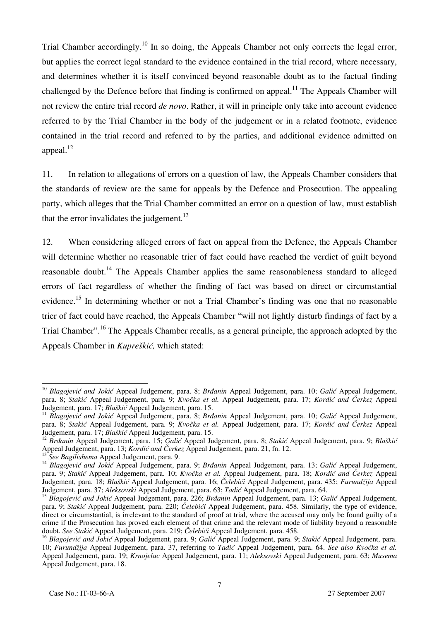Trial Chamber accordingly.<sup>10</sup> In so doing, the Appeals Chamber not only corrects the legal error, but applies the correct legal standard to the evidence contained in the trial record, where necessary, and determines whether it is itself convinced beyond reasonable doubt as to the factual finding challenged by the Defence before that finding is confirmed on appeal.<sup>11</sup> The Appeals Chamber will not review the entire trial record *de novo*. Rather, it will in principle only take into account evidence referred to by the Trial Chamber in the body of the judgement or in a related footnote, evidence contained in the trial record and referred to by the parties, and additional evidence admitted on appeal. $^{12}$ 

11. In relation to allegations of errors on a question of law, the Appeals Chamber considers that the standards of review are the same for appeals by the Defence and Prosecution. The appealing party, which alleges that the Trial Chamber committed an error on a question of law, must establish that the error invalidates the judgement. $13$ 

12. When considering alleged errors of fact on appeal from the Defence, the Appeals Chamber will determine whether no reasonable trier of fact could have reached the verdict of guilt beyond reasonable doubt.<sup>14</sup> The Appeals Chamber applies the same reasonableness standard to alleged errors of fact regardless of whether the finding of fact was based on direct or circumstantial evidence.<sup>15</sup> In determining whether or not a Trial Chamber's finding was one that no reasonable trier of fact could have reached, the Appeals Chamber "will not lightly disturb findings of fact by a Trial Chamber".<sup>16</sup> The Appeals Chamber recalls, as a general principle, the approach adopted by the Appeals Chamber in *Kupreškić,* which stated:

<sup>10</sup> *Blagojević and Jokić* Appeal Judgement, para. 8; *Brđanin* Appeal Judgement, para. 10; *Galić* Appeal Judgement, para. 8; Stakić Appeal Judgement, para. 9; *Kvočka et al.* Appeal Judgement, para. 17; *Kordić and Čerkez* Appeal Judgement, para. 17; *Blaškić* Appeal Judgement, para. 15.

<sup>&</sup>lt;sup>11</sup> Blagojević and Jokić Appeal Judgement, para. 8; Brdanin Appeal Judgement, para. 10; Galić Appeal Judgement, para. 8; *Stakić* Appeal Judgement, para. 9; *Kvočka et al.* Appeal Judgement, para. 17; *Kordić and Čerkez* Appeal Judgement, para. 17; *Blaškić* Appeal Judgement, para. 15.

<sup>&</sup>lt;sup>12</sup> Brdanin Appeal Judgement, para. 15; Galić Appeal Judgement, para. 8; Stakić Appeal Judgement, para. 9; Blaškić<br>Appeal Judgement, para. 13; Kordić and Čerkez Appeal Judgement, para. 21, fn. 12.

<sup>&</sup>lt;sup>13</sup> See Bagilishema Appeal Judgement, para. 9.<br><sup>14</sup> Blagojević and Jokić Appeal Judgement, para. 9; Brdanin Appeal Judgement, para. 13; Galić Appeal Judgement, para. 9; Stakić Appeal Judgement, para. 10; *Kvočka et al.* Appeal Judgement, para. 18; *Kordić and Čerkez* Appeal Judgement, para. 18; *Blaškić* Appeal Judgement, para. 16; *Čelebići* Appeal Judgement, para. 435; *Furundžija* Appeal Judgement, para. 37; *Aleksovski* Appeal Judgement, para. 63; *Tadić* Appeal Judgement, para. 64.

<sup>15</sup> *Blagojević and Jokić* Appeal Judgement, para. 226; *Brđanin* Appeal Judgement, para. 13; *Galić* Appeal Judgement, para. 9; *Stakić* Appeal Judgement, para. 220; *Čelebići* Appeal Judgement, para. 458. Similarly, the type of evidence, direct or circumstantial, is irrelevant to the standard of proof at trial, where the accused may only be found guilty of a crime if the Prosecution has proved each element of that crime and the relevant mode of liability beyond a reasonable doubt. *See Stakić* Appeal Judgement, para. 219; *Čelebići* Appeal Judgement, para. 458.

<sup>16</sup> *Blagojević and Jokić* Appeal Judgement, para. 9; *Galić* Appeal Judgement, para. 9; *Stakić* Appeal Judgement, para. 10; *Furundžija* Appeal Judgement, para. 37, referring to *Tadić* Appeal Judgement, para. 64. *See also Kvočka et al.*  Appeal Judgement, para. 19; *Krnojelac* Appeal Judgement, para. 11; *Aleksovski* Appeal Judgement, para. 63; *Musema*  Appeal Judgement, para. 18.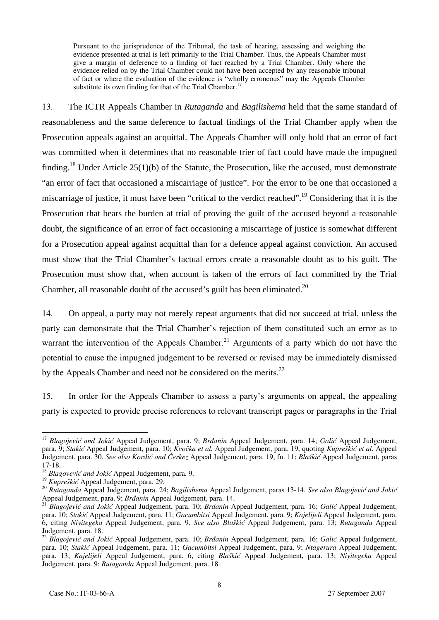Pursuant to the jurisprudence of the Tribunal, the task of hearing, assessing and weighing the evidence presented at trial is left primarily to the Trial Chamber. Thus, the Appeals Chamber must give a margin of deference to a finding of fact reached by a Trial Chamber. Only where the evidence relied on by the Trial Chamber could not have been accepted by any reasonable tribunal of fact or where the evaluation of the evidence is "wholly erroneous" may the Appeals Chamber substitute its own finding for that of the Trial Chamber.<sup>17</sup>

13. The ICTR Appeals Chamber in *Rutaganda* and *Bagilishema* held that the same standard of reasonableness and the same deference to factual findings of the Trial Chamber apply when the Prosecution appeals against an acquittal. The Appeals Chamber will only hold that an error of fact was committed when it determines that no reasonable trier of fact could have made the impugned finding.<sup>18</sup> Under Article 25(1)(b) of the Statute, the Prosecution, like the accused, must demonstrate "an error of fact that occasioned a miscarriage of justice". For the error to be one that occasioned a miscarriage of justice, it must have been "critical to the verdict reached".<sup>19</sup> Considering that it is the Prosecution that bears the burden at trial of proving the guilt of the accused beyond a reasonable doubt, the significance of an error of fact occasioning a miscarriage of justice is somewhat different for a Prosecution appeal against acquittal than for a defence appeal against conviction. An accused must show that the Trial Chamber's factual errors create a reasonable doubt as to his guilt. The Prosecution must show that, when account is taken of the errors of fact committed by the Trial Chamber, all reasonable doubt of the accused's guilt has been eliminated.<sup>20</sup>

14. On appeal, a party may not merely repeat arguments that did not succeed at trial, unless the party can demonstrate that the Trial Chamber's rejection of them constituted such an error as to warrant the intervention of the Appeals Chamber.<sup>21</sup> Arguments of a party which do not have the potential to cause the impugned judgement to be reversed or revised may be immediately dismissed by the Appeals Chamber and need not be considered on the merits. $^{22}$ 

15. In order for the Appeals Chamber to assess a party's arguments on appeal, the appealing party is expected to provide precise references to relevant transcript pages or paragraphs in the Trial

<sup>17</sup> *Blagojević and Jokić* Appeal Judgement, para. 9; *Brđanin* Appeal Judgement, para. 14; *Galić* Appeal Judgement, para. 9; *Stakić* Appeal Judgement, para. 10; *Kvočka et al.* Appeal Judgement, para. 19, quoting *Kupreškić et al.* Appeal Judgement, para. 30. *See also Kordi} and ^erkez* Appeal Judgement, para. 19, fn. 11; *Blaškić* Appeal Judgement, paras 17-18.

<sup>&</sup>lt;sup>18</sup> *Blagovević and Jokić* Appeal Judgement, para. 9.<br><sup>19</sup> *Kupreškić* Appeal Judgement, para. 29.

<sup>&</sup>lt;sup>20</sup> Rutaganda Appeal Judgement, para. 24; *Bagilishema* Appeal Judgement, paras 13-14. *See also Blagojević and Jokić*<br>Appeal Judgement, para. 9; *Brdanin* Appeal Judgement, para. 14.<br><sup>21</sup> *Rlagojević and Johić* A

*Blagojević and Jokić* Appeal Judgement, para. 10; *Brdanin* Appeal Judgement, para. 16; *Galić* Appeal Judgement, para. 10; *Stakić* Appeal Judgement, para. 11; *Gacumbitsi* Appeal Judgement, para. 9; *Kajelijeli* Appeal Judgement, para. 6, citing *Niyitegeka* Appeal Judgement, para. 9. *See also Blaškić* Appeal Judgement, para. 13; *Rutaganda* Appeal Judgement, para. 18.

<sup>22</sup> *Blagojević and Jokić* Appeal Judgement, para. 10; *Brđanin* Appeal Judgement, para. 16; *Galić* Appeal Judgement, para. 10; *Stakić* Appeal Judgement, para. 11; *Gacumbitsi* Appeal Judgement, para. 9; *Ntagerura* Appeal Judgement, para. 13; *Kajelijeli* Appeal Judgement, para. 6, citing *Blaškić* Appeal Judgement, para. 13; *Niyitegeka* Appeal Judgement, para. 9; *Rutaganda* Appeal Judgement, para. 18.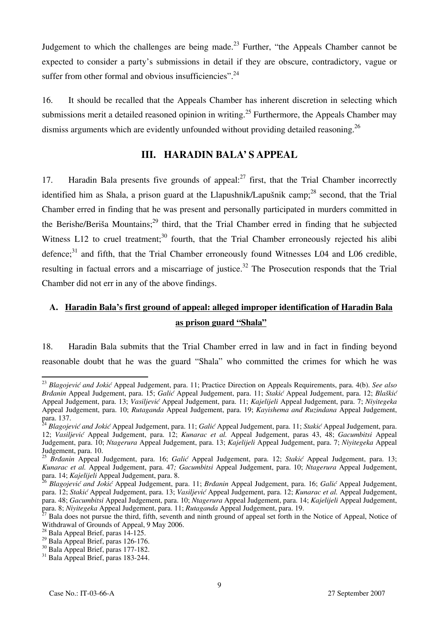Judgement to which the challenges are being made.<sup>23</sup> Further, "the Appeals Chamber cannot be expected to consider a party's submissions in detail if they are obscure, contradictory, vague or suffer from other formal and obvious insufficiencies".<sup>24</sup>

16. It should be recalled that the Appeals Chamber has inherent discretion in selecting which submissions merit a detailed reasoned opinion in writing.<sup>25</sup> Furthermore, the Appeals Chamber may dismiss arguments which are evidently unfounded without providing detailed reasoning.<sup>26</sup>

## **III. HARADIN BALA' S APPEAL**

17. Haradin Bala presents five grounds of appeal: $^{27}$  first, that the Trial Chamber incorrectly identified him as Shala, a prison guard at the Llapushnik/Lapušnik camp;<sup>28</sup> second, that the Trial Chamber erred in finding that he was present and personally participated in murders committed in the Berishe/Beriša Mountains;<sup>29</sup> third, that the Trial Chamber erred in finding that he subjected Witness L12 to cruel treatment;<sup>30</sup> fourth, that the Trial Chamber erroneously rejected his alibi defence; $31$  and fifth, that the Trial Chamber erroneously found Witnesses L04 and L06 credible, resulting in factual errors and a miscarriage of justice.<sup>32</sup> The Prosecution responds that the Trial Chamber did not err in any of the above findings.

## **A. Haradin Bala's first ground of appeal: alleged improper identification of Haradin Bala as prison guard "Shala"**

18. Haradin Bala submits that the Trial Chamber erred in law and in fact in finding beyond reasonable doubt that he was the guard "Shala" who committed the crimes for which he was

<sup>23</sup> *Blagojević and Jokić* Appeal Judgement, para. 11; Practice Direction on Appeals Requirements, para. 4(b). *See also Brđanin* Appeal Judgement, para. 15; *Galić* Appeal Judgement, para. 11; *Stakić* Appeal Judgement, para. 12; *Blaškić* Appeal Judgement, para. 13; *Vasiljević* Appeal Judgement, para. 11; *Kajelijeli* Appeal Judgement, para. 7; *Niyitegeka*  Appeal Judgement, para. 10; *Rutaganda* Appeal Judgement, para. 19; *Kayishema and Ruzindana* Appeal Judgement, para. 137.

<sup>24</sup> *Blagojević and Jokić* Appeal Judgement, para. 11; *Galić* Appeal Judgement, para. 11; *Stakić* Appeal Judgement, para. 12; *Vasiljević* Appeal Judgement, para. 12; *Kunarac et al.* Appeal Judgement, paras 43, 48; *Gacumbitsi* Appeal Judgement, para. 10; *Ntagerura* Appeal Judgement, para. 13; *Kajelijeli* Appeal Judgement, para. 7; *Niyitegeka* Appeal Judgement, para. 10.

<sup>25</sup> *Brđanin* Appeal Judgement, para. 16; *Galić* Appeal Judgement, para. 12; *Stakić* Appeal Judgement, para. 13; *Kunarac et al.* Appeal Judgement, para. 47*; Gacumbitsi* Appeal Judgement, para. 10; *Ntagerura* Appeal Judgement, para. 14; *Kajelijeli* Appeal Judgement, para. 8.

<sup>26</sup> *Blagojević and Jokić* Appeal Judgement, para. 11; *Brđanin* Appeal Judgement, para. 16; *Galić* Appeal Judgement, para. 12; *Stakić* Appeal Judgement, para. 13; *Vasiljević* Appeal Judgement, para. 12; *Kunarac et al.* Appeal Judgement, para. 48; *Gacumbitsi* Appeal Judgement, para. 10; *Ntagerura* Appeal Judgement, para. 14; *Kajelijeli* Appeal Judgement, para. 8; *Niyitegeka* Appeal Judgement, para. 11; *Rutaganda* Appeal Judgement, para. 14; *Najelijeli* Appeal Judgement, para. 18. 27 Bala does not pursue the third, fifth, seventh and ninth ground of appeal set forth in t

Withdrawal of Grounds of Appeal, 9 May 2006.

 $^{28}$  Bala Appeal Brief, paras 14-125.

 $^{29}$  Bala Appeal Brief, paras 126-176.

 $30$  Bala Appeal Brief, paras 177-182.

<sup>&</sup>lt;sup>31</sup> Bala Appeal Brief, paras 183-244.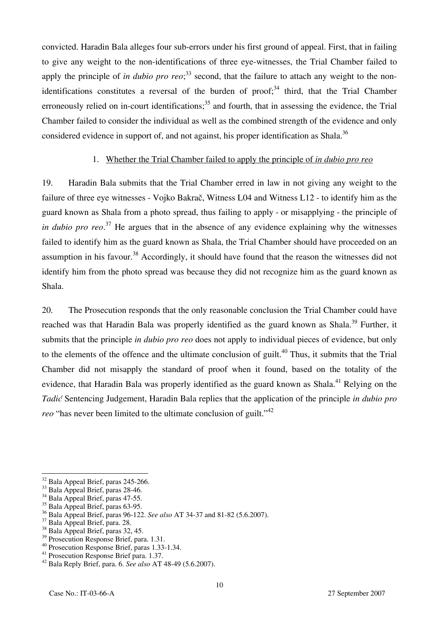convicted. Haradin Bala alleges four sub-errors under his first ground of appeal. First, that in failing to give any weight to the non-identifications of three eye-witnesses, the Trial Chamber failed to apply the principle of *in dubio pro reo*;<sup>33</sup> second, that the failure to attach any weight to the nonidentifications constitutes a reversal of the burden of  $proof; <sup>34</sup>$  third, that the Trial Chamber erroneously relied on in-court identifications; $35$  and fourth, that in assessing the evidence, the Trial Chamber failed to consider the individual as well as the combined strength of the evidence and only considered evidence in support of, and not against, his proper identification as Shala.<sup>36</sup>

## 1. Whether the Trial Chamber failed to apply the principle of *in dubio pro reo*

19. Haradin Bala submits that the Trial Chamber erred in law in not giving any weight to the failure of three eye witnesses - Vojko Bakrač, Witness L04 and Witness L12 - to identify him as the guard known as Shala from a photo spread, thus failing to apply - or misapplying - the principle of *in dubio pro reo*. 37 He argues that in the absence of any evidence explaining why the witnesses failed to identify him as the guard known as Shala, the Trial Chamber should have proceeded on an assumption in his favour.<sup>38</sup> Accordingly, it should have found that the reason the witnesses did not identify him from the photo spread was because they did not recognize him as the guard known as Shala.

20. The Prosecution responds that the only reasonable conclusion the Trial Chamber could have reached was that Haradin Bala was properly identified as the guard known as Shala.<sup>39</sup> Further, it submits that the principle *in dubio pro reo* does not apply to individual pieces of evidence, but only to the elements of the offence and the ultimate conclusion of guilt.<sup>40</sup> Thus, it submits that the Trial Chamber did not misapply the standard of proof when it found, based on the totality of the evidence, that Haradin Bala was properly identified as the guard known as Shala.<sup>41</sup> Relying on the *Tadić* Sentencing Judgement, Haradin Bala replies that the application of the principle *in dubio pro reo* "has never been limited to the ultimate conclusion of guilt."<sup>42</sup>

 $\overline{\phantom{a}}$ <sup>32</sup> Bala Appeal Brief, paras 245-266.

<sup>&</sup>lt;sup>33</sup> Bala Appeal Brief, paras 28-46.

<sup>&</sup>lt;sup>34</sup> Bala Appeal Brief, paras 47-55.

<sup>&</sup>lt;sup>35</sup> Bala Appeal Brief, paras 63-95.

<sup>36</sup> Bala Appeal Brief, paras 96-122. *See also* AT 34-37 and 81-82 (5.6.2007). 37 Bala Appeal Brief, para. 28.

 $38$  Bala Appeal Brief, paras 32, 45.

 $39$  Prosecution Response Brief, para. 1.31.

<sup>40</sup> Prosecution Response Brief, paras 1.33-1.34.

<sup>&</sup>lt;sup>41</sup> Prosecution Response Brief para. 1.37.

<sup>42</sup> Bala Reply Brief, para. 6. *See also* AT 48-49 (5.6.2007).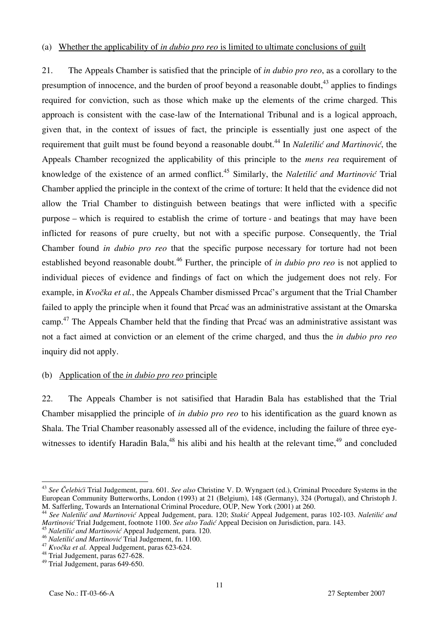#### (a) Whether the applicability of *in dubio pro reo* is limited to ultimate conclusions of guilt

21. The Appeals Chamber is satisfied that the principle of *in dubio pro reo*, as a corollary to the presumption of innocence, and the burden of proof beyond a reasonable doubt, $43$  applies to findings required for conviction, such as those which make up the elements of the crime charged. This approach is consistent with the case-law of the International Tribunal and is a logical approach, given that, in the context of issues of fact, the principle is essentially just one aspect of the requirement that guilt must be found beyond a reasonable doubt.<sup>44</sup> In *Naletilić and Martinović*, the Appeals Chamber recognized the applicability of this principle to the *mens rea* requirement of knowledge of the existence of an armed conflict.<sup>45</sup> Similarly, the *Naletilić and Martinović* Trial Chamber applied the principle in the context of the crime of torture: It held that the evidence did not allow the Trial Chamber to distinguish between beatings that were inflicted with a specific purpose – which is required to establish the crime of torture - and beatings that may have been inflicted for reasons of pure cruelty, but not with a specific purpose. Consequently, the Trial Chamber found *in dubio pro reo* that the specific purpose necessary for torture had not been established beyond reasonable doubt.<sup>46</sup> Further, the principle of *in dubio pro reo* is not applied to individual pieces of evidence and findings of fact on which the judgement does not rely. For example, in *Kvočka et al.*, the Appeals Chamber dismissed Prcać's argument that the Trial Chamber failed to apply the principle when it found that Prcać was an administrative assistant at the Omarska camp.<sup>47</sup> The Appeals Chamber held that the finding that Prca $\acute{\rm{c}}$  was an administrative assistant was not a fact aimed at conviction or an element of the crime charged, and thus the *in dubio pro reo* inquiry did not apply.

#### (b) Application of the *in dubio pro reo* principle

22. The Appeals Chamber is not satisified that Haradin Bala has established that the Trial Chamber misapplied the principle of *in dubio pro reo* to his identification as the guard known as Shala. The Trial Chamber reasonably assessed all of the evidence, including the failure of three eyewitnesses to identify Haradin Bala,<sup>48</sup> his alibi and his health at the relevant time,<sup>49</sup> and concluded

 $\overline{a}$ <sup>43</sup> See Čelebići Trial Judgement, para. 601. See also Christine V. D. Wyngaert (ed.), Criminal Procedure Systems in the European Community Butterworths, London (1993) at 21 (Belgium), 148 (Germany), 324 (Portugal), and Christoph J. M. Safferling, Towards an International Criminal Procedure, OUP, New York (2001) at 260.

<sup>&</sup>lt;sup>44</sup> See Naletilić and Martinović Appeal Judgement, para. 120; Stakić Appeal Judgement, paras 102-103. Naletilić and *Martinović* Trial Judgement, footnote 1100. *See also Tadić* Appeal Decision on Jurisdiction, para. 143.

<sup>&</sup>lt;sup>45</sup> *Naletilić and Martinović* Appeal Judgement, para. 120.<br><sup>46</sup> *Naletilić and Martinović* Trial Judgement, fn. 1100.

<sup>&</sup>lt;sup>47</sup> *Kvočka et al.* Appeal Judgement, paras 623-624.<br><sup>48</sup> Trial Judgement, paras 627-628.

<sup>49</sup> Trial Judgement, paras 649-650.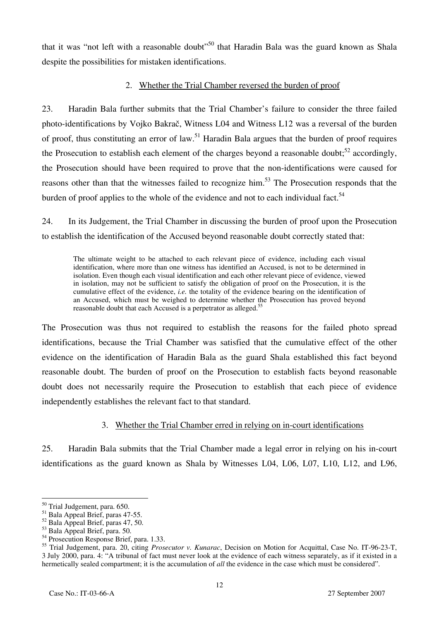that it was "not left with a reasonable doubt"<sup>50</sup> that Haradin Bala was the guard known as Shala despite the possibilities for mistaken identifications.

## 2. Whether the Trial Chamber reversed the burden of proof

23. Haradin Bala further submits that the Trial Chamber's failure to consider the three failed photo-identifications by Vojko Bakrač, Witness L04 and Witness L12 was a reversal of the burden of proof, thus constituting an error of law.<sup>51</sup> Haradin Bala argues that the burden of proof requires the Prosecution to establish each element of the charges beyond a reasonable doubt; $52$  accordingly. the Prosecution should have been required to prove that the non-identifications were caused for reasons other than that the witnesses failed to recognize him.<sup>53</sup> The Prosecution responds that the burden of proof applies to the whole of the evidence and not to each individual fact.<sup>54</sup>

24. In its Judgement, the Trial Chamber in discussing the burden of proof upon the Prosecution to establish the identification of the Accused beyond reasonable doubt correctly stated that:

The ultimate weight to be attached to each relevant piece of evidence, including each visual identification, where more than one witness has identified an Accused, is not to be determined in isolation. Even though each visual identification and each other relevant piece of evidence, viewed in isolation, may not be sufficient to satisfy the obligation of proof on the Prosecution, it is the cumulative effect of the evidence, *i.e.* the totality of the evidence bearing on the identification of an Accused, which must be weighed to determine whether the Prosecution has proved beyond reasonable doubt that each Accused is a perpetrator as alleged.<sup>55</sup>

The Prosecution was thus not required to establish the reasons for the failed photo spread identifications, because the Trial Chamber was satisfied that the cumulative effect of the other evidence on the identification of Haradin Bala as the guard Shala established this fact beyond reasonable doubt. The burden of proof on the Prosecution to establish facts beyond reasonable doubt does not necessarily require the Prosecution to establish that each piece of evidence independently establishes the relevant fact to that standard.

## 3. Whether the Trial Chamber erred in relying on in-court identifications

25. Haradin Bala submits that the Trial Chamber made a legal error in relying on his in-court identifications as the guard known as Shala by Witnesses L04, L06, L07, L10, L12, and L96,

<sup>&</sup>lt;sup>50</sup> Trial Judgement, para. 650.

<sup>51</sup> Bala Appeal Brief, paras 47-55.

 $52$  Bala Appeal Brief, paras 47, 50.

 $53$  Bala Appeal Brief, para. 50.

<sup>&</sup>lt;sup>54</sup> Prosecution Response Brief, para. 1.33.

<sup>55</sup> Trial Judgement, para. 20, citing *Prosecutor v. Kunarac*, Decision on Motion for Acquittal, Case No. IT-96-23-T, 3 July 2000, para. 4: "A tribunal of fact must never look at the evidence of each witness separately, as if it existed in a hermetically sealed compartment; it is the accumulation of *all* the evidence in the case which must be considered".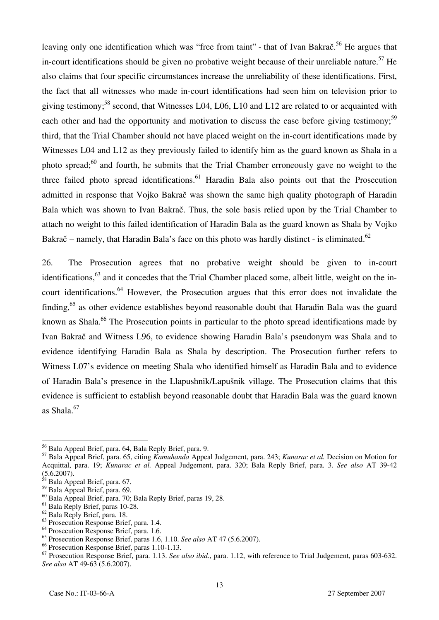leaving only one identification which was "free from taint" - that of Ivan Bakra $\check{\rm c}^5$ . He argues that in-court identifications should be given no probative weight because of their unreliable nature.<sup>57</sup> He also claims that four specific circumstances increase the unreliability of these identifications. First, the fact that all witnesses who made in-court identifications had seen him on television prior to giving testimony;<sup>58</sup> second, that Witnesses L04, L06, L10 and L12 are related to or acquainted with each other and had the opportunity and motivation to discuss the case before giving testimony;<sup>59</sup> third, that the Trial Chamber should not have placed weight on the in-court identifications made by Witnesses L04 and L12 as they previously failed to identify him as the guard known as Shala in a photo spread; $^{60}$  and fourth, he submits that the Trial Chamber erroneously gave no weight to the three failed photo spread identifications.<sup>61</sup> Haradin Bala also points out that the Prosecution admitted in response that Vojko Bakrač was shown the same high quality photograph of Haradin Bala which was shown to Ivan Bakrač. Thus, the sole basis relied upon by the Trial Chamber to attach no weight to this failed identification of Haradin Bala as the guard known as Shala by Vojko Bakrač – namely, that Haradin Bala's face on this photo was hardly distinct - is eliminated.<sup>62</sup>

26. The Prosecution agrees that no probative weight should be given to in-court identifications, $63$  and it concedes that the Trial Chamber placed some, albeit little, weight on the incourt identifications.<sup>64</sup> However, the Prosecution argues that this error does not invalidate the finding,65 as other evidence establishes beyond reasonable doubt that Haradin Bala was the guard known as Shala.<sup>66</sup> The Prosecution points in particular to the photo spread identifications made by Ivan Bakrač and Witness L96, to evidence showing Haradin Bala's pseudonym was Shala and to evidence identifying Haradin Bala as Shala by description. The Prosecution further refers to Witness L07's evidence on meeting Shala who identified himself as Haradin Bala and to evidence of Haradin Bala's presence in the Llapushnik/Lapušnik village. The Prosecution claims that this evidence is sufficient to establish beyond reasonable doubt that Haradin Bala was the guard known as Shala.<sup>67</sup>

<sup>56</sup> Bala Appeal Brief, para. 64, Bala Reply Brief, para. 9.

<sup>57</sup> Bala Appeal Brief, para. 65, citing *Kamuhanda* Appeal Judgement, para. 243; *Kunarac et al.* Decision on Motion for Acquittal, para. 19; *Kunarac et al.* Appeal Judgement, para. 320; Bala Reply Brief, para. 3. *See also* AT 39-42  $(5.6.2007)$ .

 $\frac{58}{58}$  Bala Appeal Brief, para. 67.

<sup>59</sup> Bala Appeal Brief, para. 69.

<sup>60</sup> Bala Appeal Brief, para. 70; Bala Reply Brief, paras 19, 28.

<sup>61</sup> Bala Reply Brief, paras 10-28.

<sup>62</sup> Bala Reply Brief, para. 18.

<sup>63</sup> Prosecution Response Brief, para. 1.4.

<sup>&</sup>lt;sup>64</sup> Prosecution Response Brief, para. 1.6.

<sup>65</sup> Prosecution Response Brief, paras 1.6, 1.10. *See also* AT 47 (5.6.2007).

<sup>66</sup> Prosecution Response Brief, paras 1.10-1.13.

<sup>67</sup> Prosecution Response Brief, para. 1.13. *See also ibid.*, para. 1.12, with reference to Trial Judgement, paras 603-632. *See also* AT 49-63 (5.6.2007).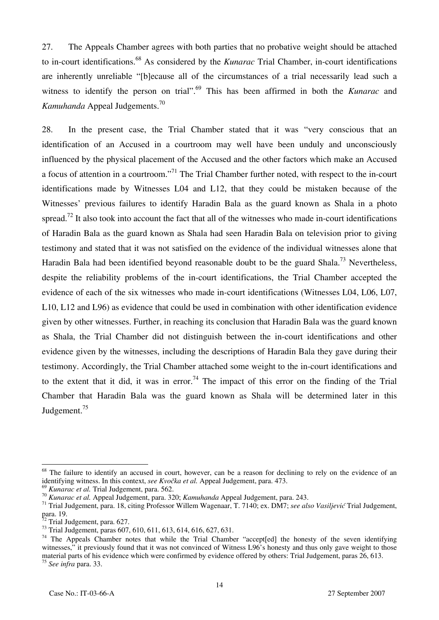27. The Appeals Chamber agrees with both parties that no probative weight should be attached to in-court identifications.68 As considered by the *Kunarac* Trial Chamber, in-court identifications are inherently unreliable "[b]ecause all of the circumstances of a trial necessarily lead such a witness to identify the person on trial".<sup>69</sup> This has been affirmed in both the *Kunarac* and *Kamuhanda* Appeal Judgements.70

28. In the present case, the Trial Chamber stated that it was "very conscious that an identification of an Accused in a courtroom may well have been unduly and unconsciously influenced by the physical placement of the Accused and the other factors which make an Accused a focus of attention in a courtroom."<sup>71</sup> The Trial Chamber further noted, with respect to the in-court identifications made by Witnesses L04 and L12, that they could be mistaken because of the Witnesses' previous failures to identify Haradin Bala as the guard known as Shala in a photo spread.<sup>72</sup> It also took into account the fact that all of the witnesses who made in-court identifications of Haradin Bala as the guard known as Shala had seen Haradin Bala on television prior to giving testimony and stated that it was not satisfied on the evidence of the individual witnesses alone that Haradin Bala had been identified beyond reasonable doubt to be the guard Shala.<sup>73</sup> Nevertheless. despite the reliability problems of the in-court identifications, the Trial Chamber accepted the evidence of each of the six witnesses who made in-court identifications (Witnesses L04, L06, L07, L10, L12 and L96) as evidence that could be used in combination with other identification evidence given by other witnesses. Further, in reaching its conclusion that Haradin Bala was the guard known as Shala, the Trial Chamber did not distinguish between the in-court identifications and other evidence given by the witnesses, including the descriptions of Haradin Bala they gave during their testimony. Accordingly, the Trial Chamber attached some weight to the in-court identifications and to the extent that it did, it was in error.<sup>74</sup> The impact of this error on the finding of the Trial Chamber that Haradin Bala was the guard known as Shala will be determined later in this Judgement.<sup>75</sup>

<sup>&</sup>lt;sup>68</sup> The failure to identify an accused in court, however, can be a reason for declining to rely on the evidence of an identifying witness. In this context, *see Kvočka et al.* Appeal Judgement, para. 473.

<sup>&</sup>lt;sup>69</sup> Kunarac et al. Trial Judgement, para. 562.<br><sup>70</sup> Kunarac et al. Appeal Judgement, para. 320; Kamuhanda Appeal Judgement, para. 243.<br><sup>71</sup> Trial Judgement, para. 18, citing Professor Willem Wagenaar, T. 7140; ex. DM7; s para. 19.

Trial Judgement, para. 627.

<sup>&</sup>lt;sup>73</sup> Trial Judgement, paras 607, 610, 611, 613, 614, 616, 627, 631.

 $74$  The Appeals Chamber notes that while the Trial Chamber "accept edl the honesty of the seven identifying witnesses," it previously found that it was not convinced of Witness L96's honesty and thus only gave weight to those material parts of his evidence which were confirmed by evidence offered by others: Trial Judgement, paras 26, 613. <sup>75</sup> *See infra* para. 33.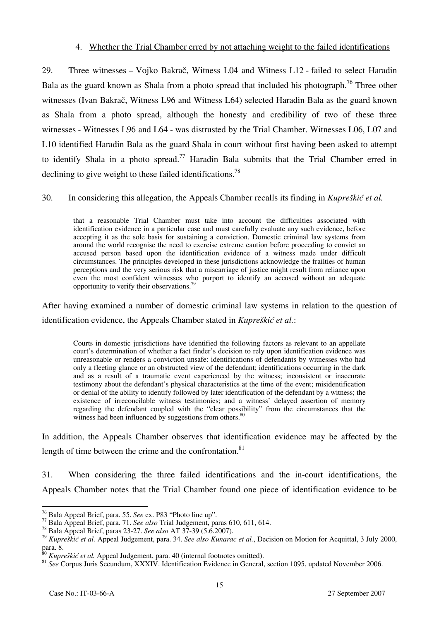#### 4. Whether the Trial Chamber erred by not attaching weight to the failed identifications

29. Three witnesses – Vojko Bakrač, Witness L04 and Witness L12 - failed to select Haradin Bala as the guard known as Shala from a photo spread that included his photograph.<sup>76</sup> Three other witnesses (Ivan Bakrač, Witness L96 and Witness L64) selected Haradin Bala as the guard known as Shala from a photo spread, although the honesty and credibility of two of these three witnesses - Witnesses L96 and L64 - was distrusted by the Trial Chamber. Witnesses L06, L07 and L10 identified Haradin Bala as the guard Shala in court without first having been asked to attempt to identify Shala in a photo spread.<sup>77</sup> Haradin Bala submits that the Trial Chamber erred in declining to give weight to these failed identifications.<sup>78</sup>

30. In considering this allegation, the Appeals Chamber recalls its finding in *Kupreškić et al.*

that a reasonable Trial Chamber must take into account the difficulties associated with identification evidence in a particular case and must carefully evaluate any such evidence, before accepting it as the sole basis for sustaining a conviction. Domestic criminal law systems from around the world recognise the need to exercise extreme caution before proceeding to convict an accused person based upon the identification evidence of a witness made under difficult circumstances. The principles developed in these jurisdictions acknowledge the frailties of human perceptions and the very serious risk that a miscarriage of justice might result from reliance upon even the most confident witnesses who purport to identify an accused without an adequate opportunity to verify their observations.<sup>79</sup>

After having examined a number of domestic criminal law systems in relation to the question of identification evidence, the Appeals Chamber stated in *Kupreškić et al.*:

Courts in domestic jurisdictions have identified the following factors as relevant to an appellate court's determination of whether a fact finder's decision to rely upon identification evidence was unreasonable or renders a conviction unsafe: identifications of defendants by witnesses who had only a fleeting glance or an obstructed view of the defendant; identifications occurring in the dark and as a result of a traumatic event experienced by the witness; inconsistent or inaccurate testimony about the defendant's physical characteristics at the time of the event; misidentification or denial of the ability to identify followed by later identification of the defendant by a witness; the existence of irreconcilable witness testimonies; and a witness' delayed assertion of memory regarding the defendant coupled with the "clear possibility" from the circumstances that the witness had been influenced by suggestions from others. $80^{\circ}$ 

In addition, the Appeals Chamber observes that identification evidence may be affected by the length of time between the crime and the confrontation. $81$ 

31. When considering the three failed identifications and the in-court identifications, the Appeals Chamber notes that the Trial Chamber found one piece of identification evidence to be

<sup>&</sup>lt;sup>76</sup> Bala Appeal Brief, para. 55. See ex. P83 "Photo line up".

 $^{77}$  Bala Appeal Brief, para. 71. See also Trial Judgement, paras 610, 611, 614.<br><sup>78</sup> Bala Appeal Brief, paras 23-27. See also AT 37-39 (5.6.2007).

<sup>79</sup> *Kupreškić et al.* Appeal Judgement, para. 34. *See also Kunarac et al.*, Decision on Motion for Acquittal, 3 July 2000, para. 8.<br><sup>80</sup> Kupreškić et al. Appeal Judgement, para. 40 (internal footnotes omitted).

<sup>&</sup>lt;sup>81</sup> *See* Corpus Juris Secundum, XXXIV. Identification Evidence in General, section 1095, updated November 2006.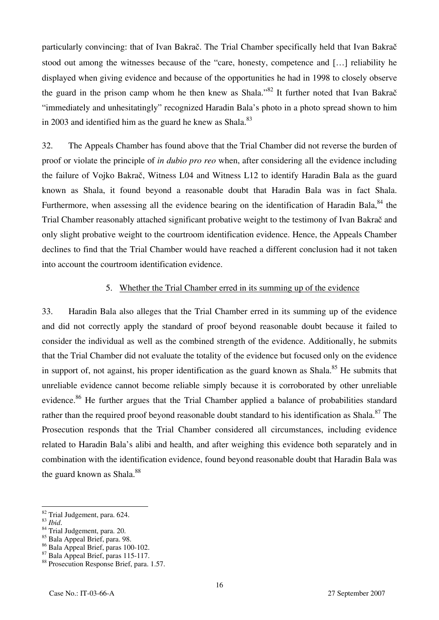particularly convincing: that of Ivan Bakrač. The Trial Chamber specifically held that Ivan Bakrač stood out among the witnesses because of the "care, honesty, competence and […] reliability he displayed when giving evidence and because of the opportunities he had in 1998 to closely observe the guard in the prison camp whom he then knew as Shala."<sup>82</sup> It further noted that Ivan Bakra $\check{\rm c}$ "immediately and unhesitatingly" recognized Haradin Bala's photo in a photo spread shown to him in 2003 and identified him as the guard he knew as Shala. $83$ 

32. The Appeals Chamber has found above that the Trial Chamber did not reverse the burden of proof or violate the principle of *in dubio pro reo* when, after considering all the evidence including the failure of Vojko Bakrač, Witness L04 and Witness L12 to identify Haradin Bala as the guard known as Shala, it found beyond a reasonable doubt that Haradin Bala was in fact Shala. Furthermore, when assessing all the evidence bearing on the identification of Haradin Bala.<sup>84</sup> the Trial Chamber reasonably attached significant probative weight to the testimony of Ivan Bakrač and only slight probative weight to the courtroom identification evidence. Hence, the Appeals Chamber declines to find that the Trial Chamber would have reached a different conclusion had it not taken into account the courtroom identification evidence.

#### 5. Whether the Trial Chamber erred in its summing up of the evidence

33. Haradin Bala also alleges that the Trial Chamber erred in its summing up of the evidence and did not correctly apply the standard of proof beyond reasonable doubt because it failed to consider the individual as well as the combined strength of the evidence. Additionally, he submits that the Trial Chamber did not evaluate the totality of the evidence but focused only on the evidence in support of, not against, his proper identification as the guard known as Shala.<sup>85</sup> He submits that unreliable evidence cannot become reliable simply because it is corroborated by other unreliable evidence.<sup>86</sup> He further argues that the Trial Chamber applied a balance of probabilities standard rather than the required proof beyond reasonable doubt standard to his identification as Shala.<sup>87</sup> The Prosecution responds that the Trial Chamber considered all circumstances, including evidence related to Haradin Bala's alibi and health, and after weighing this evidence both separately and in combination with the identification evidence, found beyond reasonable doubt that Haradin Bala was the guard known as Shala. $88$ 

<sup>&</sup>lt;sup>82</sup> Trial Judgement, para. 624.

<sup>83</sup> *Ibid*. 84 Trial Judgement, para. 20.

<sup>85</sup> Bala Appeal Brief, para. 98.

<sup>86</sup> Bala Appeal Brief, paras 100-102.

<sup>87</sup> Bala Appeal Brief, paras 115-117.

<sup>88</sup> Prosecution Response Brief, para. 1.57.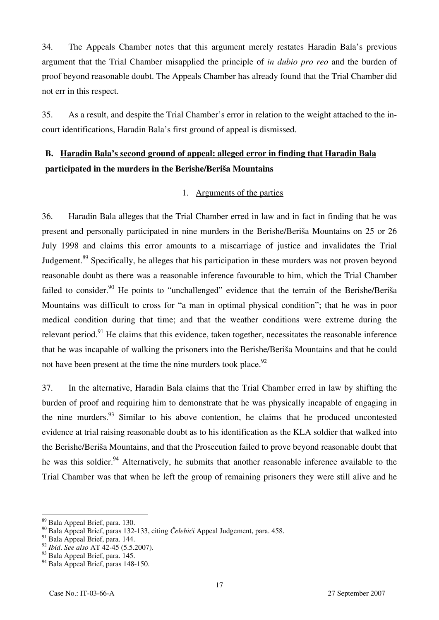34. The Appeals Chamber notes that this argument merely restates Haradin Bala's previous argument that the Trial Chamber misapplied the principle of *in dubio pro reo* and the burden of proof beyond reasonable doubt. The Appeals Chamber has already found that the Trial Chamber did not err in this respect.

35. As a result, and despite the Trial Chamber's error in relation to the weight attached to the incourt identifications, Haradin Bala's first ground of appeal is dismissed.

## **B. Haradin Bala's second ground of appeal: alleged error in finding that Haradin Bala participated in the murders in the Berishe/Beriša Mountains**

### 1. Arguments of the parties

36. Haradin Bala alleges that the Trial Chamber erred in law and in fact in finding that he was present and personally participated in nine murders in the Berishe/Beriša Mountains on 25 or 26 July 1998 and claims this error amounts to a miscarriage of justice and invalidates the Trial Judgement.<sup>89</sup> Specifically, he alleges that his participation in these murders was not proven beyond reasonable doubt as there was a reasonable inference favourable to him, which the Trial Chamber failed to consider.<sup>90</sup> He points to "unchallenged" evidence that the terrain of the Berishe/Beriša Mountains was difficult to cross for "a man in optimal physical condition"; that he was in poor medical condition during that time; and that the weather conditions were extreme during the relevant period.<sup>91</sup> He claims that this evidence, taken together, necessitates the reasonable inference that he was incapable of walking the prisoners into the Berishe/Beriša Mountains and that he could not have been present at the time the nine murders took place. $92$ 

37. In the alternative, Haradin Bala claims that the Trial Chamber erred in law by shifting the burden of proof and requiring him to demonstrate that he was physically incapable of engaging in the nine murders.  $93$  Similar to his above contention, he claims that he produced uncontested evidence at trial raising reasonable doubt as to his identification as the KLA soldier that walked into the Berishe/Beriša Mountains, and that the Prosecution failed to prove beyond reasonable doubt that he was this soldier.<sup>94</sup> Alternatively, he submits that another reasonable inference available to the Trial Chamber was that when he left the group of remaining prisoners they were still alive and he

 $\overline{a}$ <sup>89</sup> Bala Appeal Brief, para. 130.

<sup>&</sup>lt;sup>90</sup> Bala Appeal Brief, paras 132-133, citing *Čelebići* Appeal Judgement, para. 458.

 $91$  Bala Appeal Brief, para. 144.

<sup>92</sup> *Ibid*. *See also* AT 42-45 (5.5.2007).

<sup>&</sup>lt;sup>93</sup> Bala Appeal Brief, para. 145.

<sup>&</sup>lt;sup>94</sup> Bala Appeal Brief, paras 148-150.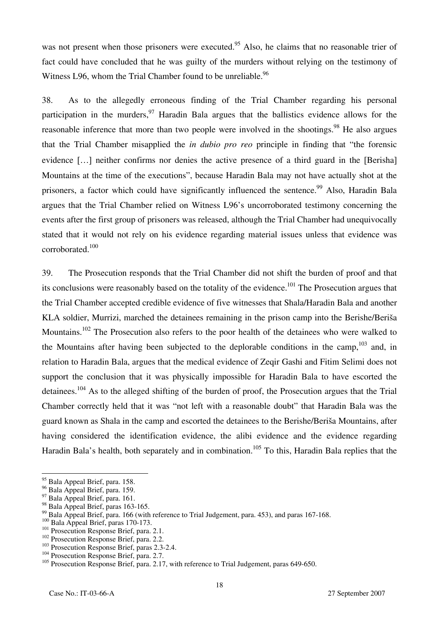was not present when those prisoners were executed.<sup>95</sup> Also, he claims that no reasonable trier of fact could have concluded that he was guilty of the murders without relying on the testimony of Witness L96, whom the Trial Chamber found to be unreliable.<sup>96</sup>

38. As to the allegedly erroneous finding of the Trial Chamber regarding his personal participation in the murders.<sup>97</sup> Haradin Bala argues that the ballistics evidence allows for the reasonable inference that more than two people were involved in the shootings.<sup>98</sup> He also argues that the Trial Chamber misapplied the *in dubio pro reo* principle in finding that "the forensic evidence […] neither confirms nor denies the active presence of a third guard in the [Berisha] Mountains at the time of the executions", because Haradin Bala may not have actually shot at the prisoners, a factor which could have significantly influenced the sentence.<sup>99</sup> Also, Haradin Bala argues that the Trial Chamber relied on Witness L96's uncorroborated testimony concerning the events after the first group of prisoners was released, although the Trial Chamber had unequivocally stated that it would not rely on his evidence regarding material issues unless that evidence was corroborated.100

39. The Prosecution responds that the Trial Chamber did not shift the burden of proof and that its conclusions were reasonably based on the totality of the evidence.<sup>101</sup> The Prosecution argues that the Trial Chamber accepted credible evidence of five witnesses that Shala/Haradin Bala and another KLA soldier, Murrizi, marched the detainees remaining in the prison camp into the Berishe/Beriša Mountains.<sup>102</sup> The Prosecution also refers to the poor health of the detainees who were walked to the Mountains after having been subjected to the deplorable conditions in the camp.<sup>103</sup> and, in relation to Haradin Bala, argues that the medical evidence of Zeqir Gashi and Fitim Selimi does not support the conclusion that it was physically impossible for Haradin Bala to have escorted the detainees.104 As to the alleged shifting of the burden of proof, the Prosecution argues that the Trial Chamber correctly held that it was "not left with a reasonable doubt" that Haradin Bala was the guard known as Shala in the camp and escorted the detainees to the Berishe/Beriša Mountains, after having considered the identification evidence, the alibi evidence and the evidence regarding Haradin Bala's health, both separately and in combination.<sup>105</sup> To this, Haradin Bala replies that the

- 
- 
- <sup>102</sup> Prosecution Response Brief, para. 2.1.<br><sup>102</sup> Prosecution Response Brief, para. 2.2.<br><sup>103</sup> Prosecution Response Brief, para. 2.3-2.4.<br><sup>104</sup> Prosecution Response Brief, para. 2.7.
- 

<sup>&</sup>lt;sup>95</sup> Bala Appeal Brief, para. 158.

<sup>96</sup> Bala Appeal Brief, para. 159.

<sup>&</sup>lt;sup>97</sup> Bala Appeal Brief, para. 161.

<sup>&</sup>lt;sup>98</sup> Bala Appeal Brief, paras 163-165.

 $^{99}$  Bala Appeal Brief, para. 166 (with reference to Trial Judgement, para. 453), and paras 167-168.<br> $^{100}$  Bala Appeal Brief, paras 170-173.

<sup>&</sup>lt;sup>105</sup> Prosecution Response Brief, para. 2.17, with reference to Trial Judgement, paras 649-650.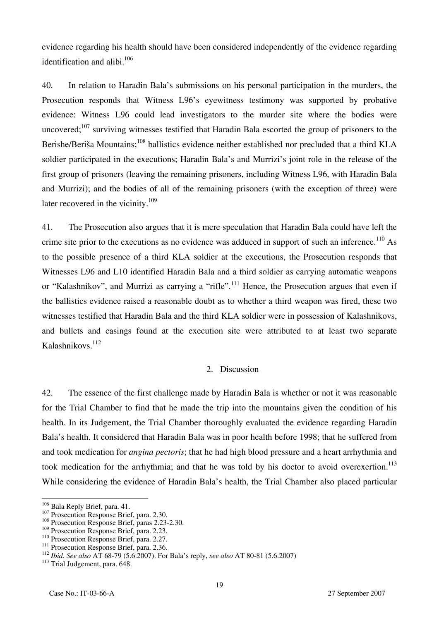evidence regarding his health should have been considered independently of the evidence regarding identification and alibi. $106$ 

40. In relation to Haradin Bala's submissions on his personal participation in the murders, the Prosecution responds that Witness L96's eyewitness testimony was supported by probative evidence: Witness L96 could lead investigators to the murder site where the bodies were uncovered;<sup>107</sup> surviving witnesses testified that Haradin Bala escorted the group of prisoners to the Berishe/Beriša Mountains;<sup>108</sup> ballistics evidence neither established nor precluded that a third KLA soldier participated in the executions; Haradin Bala's and Murrizi's joint role in the release of the first group of prisoners (leaving the remaining prisoners, including Witness L96, with Haradin Bala and Murrizi); and the bodies of all of the remaining prisoners (with the exception of three) were later recovered in the vicinity.<sup>109</sup>

41. The Prosecution also argues that it is mere speculation that Haradin Bala could have left the crime site prior to the executions as no evidence was adduced in support of such an inference.<sup>110</sup> As to the possible presence of a third KLA soldier at the executions, the Prosecution responds that Witnesses L96 and L10 identified Haradin Bala and a third soldier as carrying automatic weapons or "Kalashnikov", and Murrizi as carrying a "rifle".<sup>111</sup> Hence, the Prosecution argues that even if the ballistics evidence raised a reasonable doubt as to whether a third weapon was fired, these two witnesses testified that Haradin Bala and the third KLA soldier were in possession of Kalashnikovs, and bullets and casings found at the execution site were attributed to at least two separate Kalashnikovs.<sup>112</sup>

## 2. Discussion

42. The essence of the first challenge made by Haradin Bala is whether or not it was reasonable for the Trial Chamber to find that he made the trip into the mountains given the condition of his health. In its Judgement, the Trial Chamber thoroughly evaluated the evidence regarding Haradin Bala's health. It considered that Haradin Bala was in poor health before 1998; that he suffered from and took medication for *angina pectoris*; that he had high blood pressure and a heart arrhythmia and took medication for the arrhythmia; and that he was told by his doctor to avoid overexertion.<sup>113</sup> While considering the evidence of Haradin Bala's health, the Trial Chamber also placed particular

<sup>&</sup>lt;sup>106</sup> Bala Reply Brief, para. 41.

<sup>&</sup>lt;sup>107</sup> Prosecution Response Brief, para. 2.30.<br><sup>108</sup> Prosecution Response Brief, paras 2.23-2.30.<br><sup>109</sup> Prosecution Response Brief, para. 2.23.

<sup>&</sup>lt;sup>110</sup> Prosecution Response Brief, para. 2.27.<br><sup>111</sup> Prosecution Response Brief, para. 2.36.<br><sup>112</sup> Ibid. See also AT 68-79 (5.6.2007). For Bala's reply, see also AT 80-81 (5.6.2007)<br><sup>113</sup> Trial Judgement, para. 648.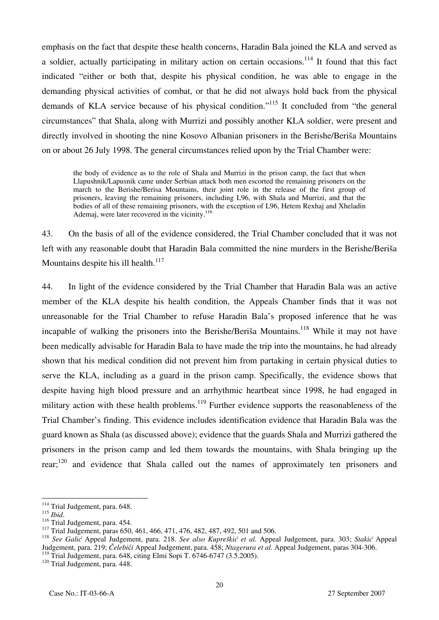emphasis on the fact that despite these health concerns, Haradin Bala joined the KLA and served as a soldier, actually participating in military action on certain occasions.<sup>114</sup> It found that this fact indicated "either or both that, despite his physical condition, he was able to engage in the demanding physical activities of combat, or that he did not always hold back from the physical demands of KLA service because of his physical condition."<sup>115</sup> It concluded from "the general circumstances" that Shala, along with Murrizi and possibly another KLA soldier, were present and directly involved in shooting the nine Kosovo Albanian prisoners in the Berishe/Beriša Mountains on or about 26 July 1998. The general circumstances relied upon by the Trial Chamber were:

the body of evidence as to the role of Shala and Murrizi in the prison camp, the fact that when Llapushnik/Lapusnik came under Serbian attack both men escorted the remaining prisoners on the march to the Berishe/Berisa Mountains, their joint role in the release of the first group of prisoners, leaving the remaining prisoners, including L96, with Shala and Murrizi, and that the bodies of all of these remaining prisoners, with the exception of L96, Hetem Rexhaj and Xheladin Ademaj, were later recovered in the vicinity.<sup>116</sup>

43. On the basis of all of the evidence considered, the Trial Chamber concluded that it was not left with any reasonable doubt that Haradin Bala committed the nine murders in the Berishe/Beriša Mountains despite his ill health. $117$ 

44. In light of the evidence considered by the Trial Chamber that Haradin Bala was an active member of the KLA despite his health condition, the Appeals Chamber finds that it was not unreasonable for the Trial Chamber to refuse Haradin Bala's proposed inference that he was incapable of walking the prisoners into the Berishe/Beriša Mountains.<sup>118</sup> While it may not have been medically advisable for Haradin Bala to have made the trip into the mountains, he had already shown that his medical condition did not prevent him from partaking in certain physical duties to serve the KLA, including as a guard in the prison camp. Specifically, the evidence shows that despite having high blood pressure and an arrhythmic heartbeat since 1998, he had engaged in military action with these health problems.<sup>119</sup> Further evidence supports the reasonableness of the Trial Chamber's finding. This evidence includes identification evidence that Haradin Bala was the guard known as Shala (as discussed above); evidence that the guards Shala and Murrizi gathered the prisoners in the prison camp and led them towards the mountains, with Shala bringing up the rear;<sup>120</sup> and evidence that Shala called out the names of approximately ten prisoners and

 $114$  Trial Judgement, para. 648.

<sup>&</sup>lt;sup>115</sup> Ibid.<br><sup>115</sup> Ibid.<br><sup>116</sup> Trial Judgement, para. 454.<br><sup>117</sup> Trial Judgement, paras 650, 461, 466, 471, 476, 482, 487, 492, 501 and 506.<br><sup>118</sup> See Galić Appeal Judgement, para. 218. See also Kupreškić et al. Appeal Jud Judgement, para. 219; *Čelebići Appeal Judgement, para. 458; Ntagerura et al. Appeal Judgement, paras 304-306.* 

<sup>&</sup>lt;sup>119</sup> Trial Judgement, para. 648, citing Elmi Sopi T. 6746-6747 (3.5.2005).<br><sup>120</sup> Trial Judgement, para. 448.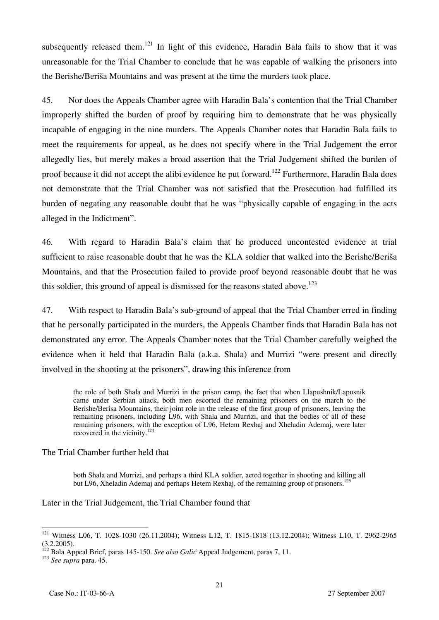subsequently released them.<sup>121</sup> In light of this evidence, Haradin Bala fails to show that it was unreasonable for the Trial Chamber to conclude that he was capable of walking the prisoners into the Berishe/Beriša Mountains and was present at the time the murders took place.

45. Nor does the Appeals Chamber agree with Haradin Bala's contention that the Trial Chamber improperly shifted the burden of proof by requiring him to demonstrate that he was physically incapable of engaging in the nine murders. The Appeals Chamber notes that Haradin Bala fails to meet the requirements for appeal, as he does not specify where in the Trial Judgement the error allegedly lies, but merely makes a broad assertion that the Trial Judgement shifted the burden of proof because it did not accept the alibi evidence he put forward.<sup>122</sup> Furthermore, Haradin Bala does not demonstrate that the Trial Chamber was not satisfied that the Prosecution had fulfilled its burden of negating any reasonable doubt that he was "physically capable of engaging in the acts alleged in the Indictment".

46. With regard to Haradin Bala's claim that he produced uncontested evidence at trial sufficient to raise reasonable doubt that he was the KLA soldier that walked into the Berishe/Beriša Mountains, and that the Prosecution failed to provide proof beyond reasonable doubt that he was this soldier, this ground of appeal is dismissed for the reasons stated above.<sup>123</sup>

47. With respect to Haradin Bala's sub-ground of appeal that the Trial Chamber erred in finding that he personally participated in the murders, the Appeals Chamber finds that Haradin Bala has not demonstrated any error. The Appeals Chamber notes that the Trial Chamber carefully weighed the evidence when it held that Haradin Bala (a.k.a. Shala) and Murrizi "were present and directly involved in the shooting at the prisoners", drawing this inference from

the role of both Shala and Murrizi in the prison camp, the fact that when Llapushnik/Lapusnik came under Serbian attack, both men escorted the remaining prisoners on the march to the Berishe/Berisa Mountains, their joint role in the release of the first group of prisoners, leaving the remaining prisoners, including L96, with Shala and Murrizi, and that the bodies of all of these remaining prisoners, with the exception of L96, Hetem Rexhaj and Xheladin Ademaj, were later recovered in the vicinity.<sup>124</sup>

The Trial Chamber further held that

both Shala and Murrizi, and perhaps a third KLA soldier, acted together in shooting and killing all but L96, Xheladin Ademaj and perhaps Hetem Rexhaj, of the remaining group of prisoners.<sup>125</sup>

Later in the Trial Judgement, the Trial Chamber found that

 $\overline{a}$ <sup>121</sup> Witness L06, T. 1028-1030 (26.11.2004); Witness L12, T. 1815-1818 (13.12.2004); Witness L10, T. 2962-2965  $(3.2.2005)$ .

<sup>&</sup>lt;sup>122</sup> Bala Appeal Brief, paras 145-150. *See also Galić* Appeal Judgement, paras 7, 11.<br><sup>123</sup> *See supra* para. 45.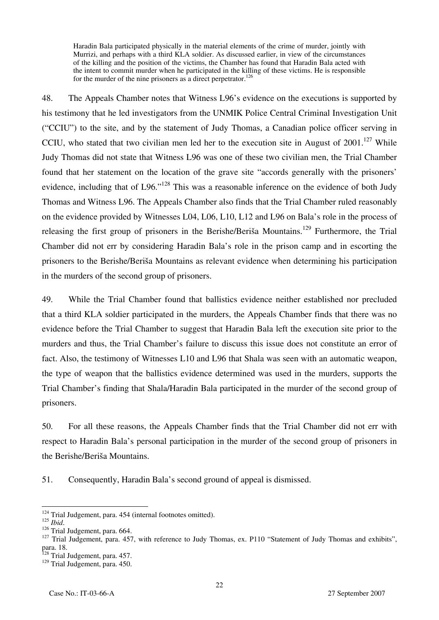Haradin Bala participated physically in the material elements of the crime of murder, jointly with Murrizi, and perhaps with a third KLA soldier. As discussed earlier, in view of the circumstances of the killing and the position of the victims, the Chamber has found that Haradin Bala acted with the intent to commit murder when he participated in the killing of these victims. He is responsible for the murder of the nine prisoners as a direct perpetrator.<sup>126</sup>

48. The Appeals Chamber notes that Witness L96's evidence on the executions is supported by his testimony that he led investigators from the UNMIK Police Central Criminal Investigation Unit ("CCIU") to the site, and by the statement of Judy Thomas, a Canadian police officer serving in CCIU, who stated that two civilian men led her to the execution site in August of  $2001$ .<sup>127</sup> While Judy Thomas did not state that Witness L96 was one of these two civilian men, the Trial Chamber found that her statement on the location of the grave site "accords generally with the prisoners' evidence, including that of L96."<sup>128</sup> This was a reasonable inference on the evidence of both Judy Thomas and Witness L96. The Appeals Chamber also finds that the Trial Chamber ruled reasonably on the evidence provided by Witnesses L04, L06, L10, L12 and L96 on Bala's role in the process of releasing the first group of prisoners in the Berishe/Beriša Mountains.<sup>129</sup> Furthermore, the Trial Chamber did not err by considering Haradin Bala's role in the prison camp and in escorting the prisoners to the Berishe/Beriša Mountains as relevant evidence when determining his participation in the murders of the second group of prisoners.

49. While the Trial Chamber found that ballistics evidence neither established nor precluded that a third KLA soldier participated in the murders, the Appeals Chamber finds that there was no evidence before the Trial Chamber to suggest that Haradin Bala left the execution site prior to the murders and thus, the Trial Chamber's failure to discuss this issue does not constitute an error of fact. Also, the testimony of Witnesses L10 and L96 that Shala was seen with an automatic weapon, the type of weapon that the ballistics evidence determined was used in the murders, supports the Trial Chamber's finding that Shala/Haradin Bala participated in the murder of the second group of prisoners.

50. For all these reasons, the Appeals Chamber finds that the Trial Chamber did not err with respect to Haradin Bala's personal participation in the murder of the second group of prisoners in the Berishe/Beriša Mountains.

51. Consequently, Haradin Bala's second ground of appeal is dismissed.

 $\overline{\phantom{a}}$ <sup>124</sup> Trial Judgement, para. 454 (internal footnotes omitted).

<sup>&</sup>lt;sup>126</sup> Trial Judgement, para. 664.<br><sup>127</sup> Trial Judgement, para. 457, with reference to Judy Thomas, ex. P110 "Statement of Judy Thomas and exhibits", para. 18.

<sup>&</sup>lt;sup>128</sup> Trial Judgement, para. 457.

<sup>&</sup>lt;sup>129</sup> Trial Judgement, para. 450.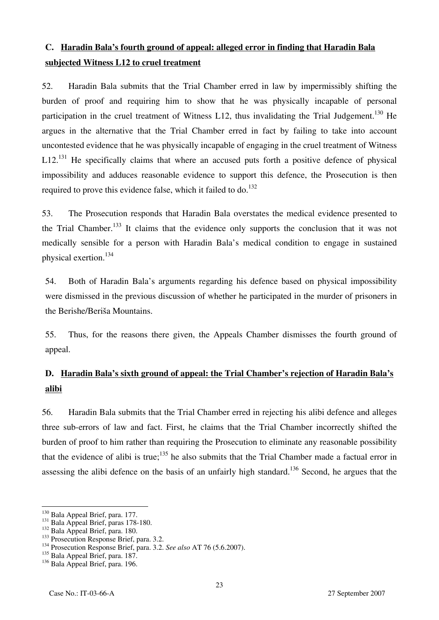## **C. Haradin Bala's fourth ground of appeal: alleged error in finding that Haradin Bala subjected Witness L12 to cruel treatment**

52. Haradin Bala submits that the Trial Chamber erred in law by impermissibly shifting the burden of proof and requiring him to show that he was physically incapable of personal participation in the cruel treatment of Witness L12, thus invalidating the Trial Judgement.<sup>130</sup> He argues in the alternative that the Trial Chamber erred in fact by failing to take into account uncontested evidence that he was physically incapable of engaging in the cruel treatment of Witness  $L12$ <sup>131</sup> He specifically claims that where an accused puts forth a positive defence of physical impossibility and adduces reasonable evidence to support this defence, the Prosecution is then required to prove this evidence false, which it failed to  $\rm{d}o$ .<sup>132</sup>

53. The Prosecution responds that Haradin Bala overstates the medical evidence presented to the Trial Chamber.<sup>133</sup> It claims that the evidence only supports the conclusion that it was not medically sensible for a person with Haradin Bala's medical condition to engage in sustained physical exertion.134

54. Both of Haradin Bala's arguments regarding his defence based on physical impossibility were dismissed in the previous discussion of whether he participated in the murder of prisoners in the Berishe/Beriša Mountains.

55. Thus, for the reasons there given, the Appeals Chamber dismisses the fourth ground of appeal.

# **D. Haradin Bala's sixth ground of appeal: the Trial Chamber's rejection of Haradin Bala's alibi**

56. Haradin Bala submits that the Trial Chamber erred in rejecting his alibi defence and alleges three sub-errors of law and fact. First, he claims that the Trial Chamber incorrectly shifted the burden of proof to him rather than requiring the Prosecution to eliminate any reasonable possibility that the evidence of alibi is true;<sup>135</sup> he also submits that the Trial Chamber made a factual error in assessing the alibi defence on the basis of an unfairly high standard.<sup>136</sup> Second, he argues that the

<sup>&</sup>lt;sup>130</sup> Bala Appeal Brief, para. 177.<br><sup>131</sup> Bala Appeal Brief, paras 178-180.<br><sup>132</sup> Bala Appeal Brief, para. 180.<br><sup>133</sup> Prosecution Response Brief, para. 3.2.<br><sup>134</sup> Prosecution Response Brief, para. 3.2. *See also* AT 76 (5 <sup>134</sup> Prosecution Response Brief, para. 3.2. See also AT 76 (5.6.2007).<br><sup>135</sup> Bala Appeal Brief, para. 187.

<sup>&</sup>lt;sup>136</sup> Bala Appeal Brief, para. 196.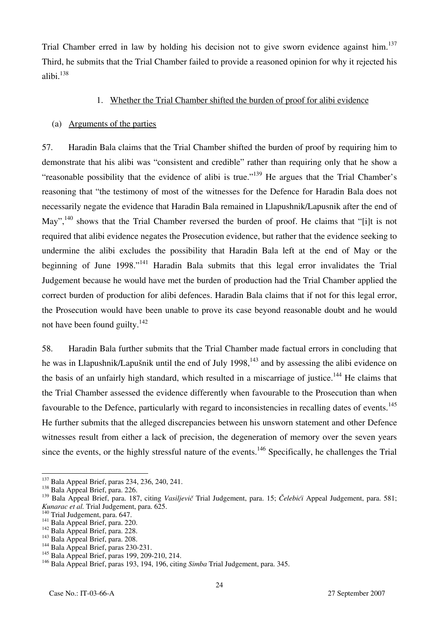Trial Chamber erred in law by holding his decision not to give sworn evidence against him.<sup>137</sup> Third, he submits that the Trial Chamber failed to provide a reasoned opinion for why it rejected his alibi.<sup>138</sup>

## 1. Whether the Trial Chamber shifted the burden of proof for alibi evidence

## (a) Arguments of the parties

57. Haradin Bala claims that the Trial Chamber shifted the burden of proof by requiring him to demonstrate that his alibi was "consistent and credible" rather than requiring only that he show a "reasonable possibility that the evidence of alibi is true."<sup>139</sup> He argues that the Trial Chamber's reasoning that "the testimony of most of the witnesses for the Defence for Haradin Bala does not necessarily negate the evidence that Haradin Bala remained in Llapushnik/Lapusnik after the end of May",<sup>140</sup> shows that the Trial Chamber reversed the burden of proof. He claims that "[i]t is not required that alibi evidence negates the Prosecution evidence, but rather that the evidence seeking to undermine the alibi excludes the possibility that Haradin Bala left at the end of May or the beginning of June  $1998.^{141}$  Haradin Bala submits that this legal error invalidates the Trial Judgement because he would have met the burden of production had the Trial Chamber applied the correct burden of production for alibi defences. Haradin Bala claims that if not for this legal error, the Prosecution would have been unable to prove its case beyond reasonable doubt and he would not have been found guilty.<sup>142</sup>

58. Haradin Bala further submits that the Trial Chamber made factual errors in concluding that he was in Llapushnik/Lapušnik until the end of July 1998,<sup>143</sup> and by assessing the alibi evidence on the basis of an unfairly high standard, which resulted in a miscarriage of justice.<sup>144</sup> He claims that the Trial Chamber assessed the evidence differently when favourable to the Prosecution than when favourable to the Defence, particularly with regard to inconsistencies in recalling dates of events.<sup>145</sup> He further submits that the alleged discrepancies between his unsworn statement and other Defence witnesses result from either a lack of precision, the degeneration of memory over the seven years since the events, or the highly stressful nature of the events.<sup>146</sup> Specifically, he challenges the Trial

 $\overline{\phantom{a}}$ <sup>137</sup> Bala Appeal Brief, paras 234, 236, 240, 241.<br><sup>138</sup> Bala Appeal Brief, para. 226.

<sup>138</sup> Bala Appeal Brief, para. 226.<br><sup>139</sup> Bala Appeal Brief, para. 187, citing *Vasiljevič* Trial Judgement, para. 15; *Čelebići* Appeal Judgement, para. 581;<br>*Kunarac et al.* Trial Judgement, para. 625.

*Kunarac et al.* Trial Judgement, para. 647.<br>
<sup>141</sup> Bala Appeal Brief, para. 220.<br>
<sup>142</sup> Bala Appeal Brief, para. 208.<br>
<sup>144</sup> Bala Appeal Brief, paras 230-231.

<sup>&</sup>lt;sup>145</sup> Bala Appeal Brief, paras 199, 209-210, 214.

<sup>146</sup> Bala Appeal Brief, paras 193, 194, 196, citing *Simba* Trial Judgement, para. 345.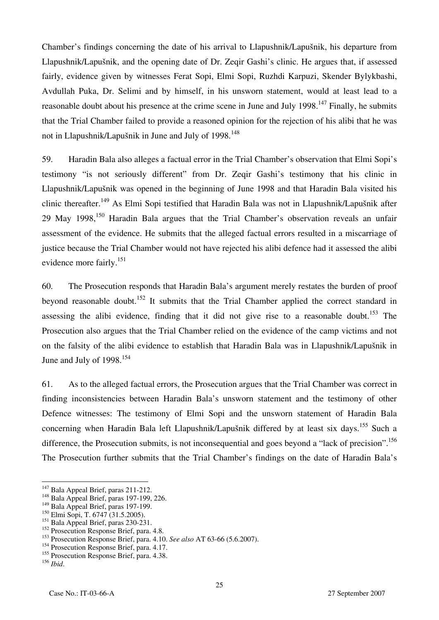Chamber's findings concerning the date of his arrival to Llapushnik/Lapušnik, his departure from Llapushnik/Lapušnik, and the opening date of Dr. Zeqir Gashi's clinic. He argues that, if assessed fairly, evidence given by witnesses Ferat Sopi, Elmi Sopi, Ruzhdi Karpuzi, Skender Bylykbashi, Avdullah Puka, Dr. Selimi and by himself, in his unsworn statement, would at least lead to a reasonable doubt about his presence at the crime scene in June and July 1998.<sup>147</sup> Finally, he submits that the Trial Chamber failed to provide a reasoned opinion for the rejection of his alibi that he was not in Llapushnik/Lapušnik in June and July of  $1998$ <sup>148</sup>

59. Haradin Bala also alleges a factual error in the Trial Chamber's observation that Elmi Sopi's testimony "is not seriously different" from Dr. Zeqir Gashi's testimony that his clinic in Llapushnik/Lapušnik was opened in the beginning of June 1998 and that Haradin Bala visited his clinic thereafter.<sup>149</sup> As Elmi Sopi testified that Haradin Bala was not in Llapushnik/Lapušnik after 29 May 1998,<sup>150</sup> Haradin Bala argues that the Trial Chamber's observation reveals an unfair assessment of the evidence. He submits that the alleged factual errors resulted in a miscarriage of justice because the Trial Chamber would not have rejected his alibi defence had it assessed the alibi evidence more fairly.<sup>151</sup>

60. The Prosecution responds that Haradin Bala's argument merely restates the burden of proof beyond reasonable doubt.<sup>152</sup> It submits that the Trial Chamber applied the correct standard in assessing the alibi evidence, finding that it did not give rise to a reasonable doubt.<sup>153</sup> The Prosecution also argues that the Trial Chamber relied on the evidence of the camp victims and not on the falsity of the alibi evidence to establish that Haradin Bala was in Llapushnik/Lapušnik in June and July of 1998.<sup>154</sup>

61. As to the alleged factual errors, the Prosecution argues that the Trial Chamber was correct in finding inconsistencies between Haradin Bala's unsworn statement and the testimony of other Defence witnesses: The testimony of Elmi Sopi and the unsworn statement of Haradin Bala concerning when Haradin Bala left Llapushnik/Lapušnik differed by at least six days.<sup>155</sup> Such a difference, the Prosecution submits, is not inconsequential and goes beyond a "lack of precision".<sup>156</sup> The Prosecution further submits that the Trial Chamber's findings on the date of Haradin Bala's

<sup>150</sup> Elmi Sopi, T. 6747 (31.5.2005).

<sup>&</sup>lt;sup>147</sup> Bala Appeal Brief, paras 211-212.

 $148$  Bala Appeal Brief, paras 197-199, 226.

<sup>&</sup>lt;sup>149</sup> Bala Appeal Brief, paras 197-199.

<sup>&</sup>lt;sup>151</sup> Bala Appeal Brief, paras 230-231.

 $152$  Prosecution Response Brief, para. 4.8.

<sup>153</sup> Prosecution Response Brief, para. 4.10. *See also* AT 63-66 (5.6.2007).

<sup>&</sup>lt;sup>154</sup> Prosecution Response Brief, para. 4.17.

<sup>&</sup>lt;sup>155</sup> Prosecution Response Brief, para. 4.38.

<sup>156</sup> *Ibid*.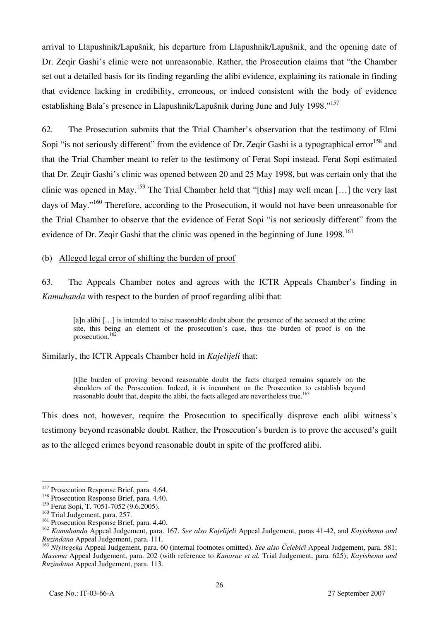arrival to Llapushnik/Lapušnik, his departure from Llapushnik/Lapušnik, and the opening date of Dr. Zeqir Gashi's clinic were not unreasonable. Rather, the Prosecution claims that "the Chamber set out a detailed basis for its finding regarding the alibi evidence, explaining its rationale in finding that evidence lacking in credibility, erroneous, or indeed consistent with the body of evidence establishing Bala's presence in Llapushnik/Lapušnik during June and July 1998."157

62. The Prosecution submits that the Trial Chamber's observation that the testimony of Elmi Sopi "is not seriously different" from the evidence of Dr. Zeqir Gashi is a typographical error<sup>158</sup> and that the Trial Chamber meant to refer to the testimony of Ferat Sopi instead. Ferat Sopi estimated that Dr. Zeqir Gashi's clinic was opened between 20 and 25 May 1998, but was certain only that the clinic was opened in May.<sup>159</sup> The Trial Chamber held that "[this] may well mean [...] the very last days of May."<sup>160</sup> Therefore, according to the Prosecution, it would not have been unreasonable for the Trial Chamber to observe that the evidence of Ferat Sopi "is not seriously different" from the evidence of Dr. Zeqir Gashi that the clinic was opened in the beginning of June 1998.<sup>161</sup>

#### (b) Alleged legal error of shifting the burden of proof

63. The Appeals Chamber notes and agrees with the ICTR Appeals Chamber's finding in *Kamuhanda* with respect to the burden of proof regarding alibi that:

[a]n alibi [...] is intended to raise reasonable doubt about the presence of the accused at the crime site, this being an element of the prosecution's case, thus the burden of proof is on the prosecution.<sup>162</sup>

Similarly, the ICTR Appeals Chamber held in *Kajelijeli* that:

[t]he burden of proving beyond reasonable doubt the facts charged remains squarely on the shoulders of the Prosecution. Indeed, it is incumbent on the Prosecution to establish beyond reasonable doubt that, despite the alibi, the facts alleged are nevertheless true.<sup>163</sup>

This does not, however, require the Prosecution to specifically disprove each alibi witness's testimony beyond reasonable doubt. Rather, the Prosecution's burden is to prove the accused's guilt as to the alleged crimes beyond reasonable doubt in spite of the proffered alibi.

<sup>&</sup>lt;sup>157</sup> Prosecution Response Brief, para. 4.64.

<sup>&</sup>lt;sup>158</sup> Prosecution Response Brief, para. 4.40.

<sup>&</sup>lt;sup>159</sup> Ferat Sopi, T. 7051-7052 (9.6.2005).

<sup>&</sup>lt;sup>160</sup> Trial Judgement, para. 257.

 $161$  Prosecution Response Brief, para. 4.40.

<sup>162</sup> *Kamuhanda* Appeal Judgement, para. 167. *See also Kajelijeli* Appeal Judgement, paras 41-42, and *Kayishema and Ruzindana* Appeal Judgement, para. 111.

<sup>163</sup> *Niyitegeka* Appeal Judgement, para. 60 (internal footnotes omitted). *See also Čelebići* Appeal Judgement, para. 581; *Musema* Appeal Judgement, para. 202 (with reference to *Kunarac et al.* Trial Judgement, para. 625); *Kayishema and Ruzindana* Appeal Judgement, para. 113.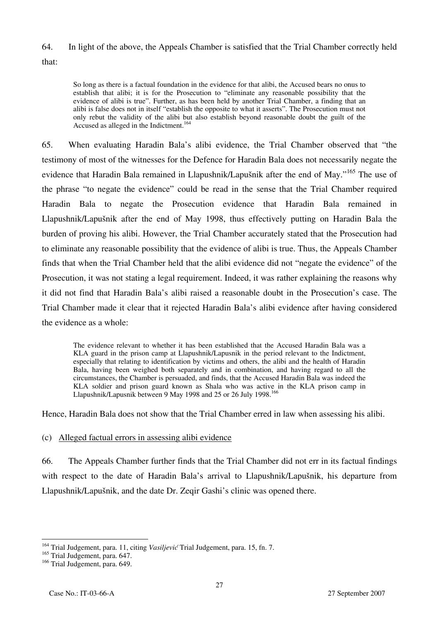## 64. In light of the above, the Appeals Chamber is satisfied that the Trial Chamber correctly held that:

So long as there is a factual foundation in the evidence for that alibi, the Accused bears no onus to establish that alibi; it is for the Prosecution to "eliminate any reasonable possibility that the evidence of alibi is true". Further, as has been held by another Trial Chamber, a finding that an alibi is false does not in itself "establish the opposite to what it asserts". The Prosecution must not only rebut the validity of the alibi but also establish beyond reasonable doubt the guilt of the Accused as alleged in the Indictment.<sup>164</sup>

65. When evaluating Haradin Bala's alibi evidence, the Trial Chamber observed that "the testimony of most of the witnesses for the Defence for Haradin Bala does not necessarily negate the evidence that Haradin Bala remained in Llapushnik/Lapušnik after the end of May."<sup>165</sup> The use of the phrase "to negate the evidence" could be read in the sense that the Trial Chamber required Haradin Bala to negate the Prosecution evidence that Haradin Bala remained in Llapushnik/Lapušnik after the end of May 1998, thus effectively putting on Haradin Bala the burden of proving his alibi. However, the Trial Chamber accurately stated that the Prosecution had to eliminate any reasonable possibility that the evidence of alibi is true. Thus, the Appeals Chamber finds that when the Trial Chamber held that the alibi evidence did not "negate the evidence" of the Prosecution, it was not stating a legal requirement. Indeed, it was rather explaining the reasons why it did not find that Haradin Bala's alibi raised a reasonable doubt in the Prosecution's case. The Trial Chamber made it clear that it rejected Haradin Bala's alibi evidence after having considered the evidence as a whole:

The evidence relevant to whether it has been established that the Accused Haradin Bala was a KLA guard in the prison camp at Llapushnik/Lapusnik in the period relevant to the Indictment, especially that relating to identification by victims and others, the alibi and the health of Haradin Bala, having been weighed both separately and in combination, and having regard to all the circumstances, the Chamber is persuaded, and finds, that the Accused Haradin Bala was indeed the KLA soldier and prison guard known as Shala who was active in the KLA prison camp in Llapushnik/Lapusnik between 9 May 1998 and 25 or 26 July 1998.166

Hence, Haradin Bala does not show that the Trial Chamber erred in law when assessing his alibi.

## (c) Alleged factual errors in assessing alibi evidence

66. The Appeals Chamber further finds that the Trial Chamber did not err in its factual findings with respect to the date of Haradin Bala's arrival to Llapushnik/Lapušnik, his departure from Llapushnik/Lapušnik, and the date Dr. Zeqir Gashi's clinic was opened there.

<sup>&</sup>lt;sup>164</sup> Trial Judgement, para. 11, citing *Vasiljević* Trial Judgement, para. 15, fn. 7.

<sup>&</sup>lt;sup>165</sup> Trial Judgement, para. 647.

<sup>&</sup>lt;sup>166</sup> Trial Judgement, para. 649.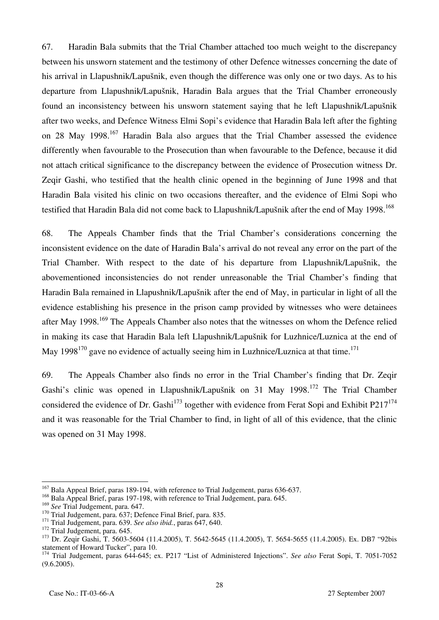67. Haradin Bala submits that the Trial Chamber attached too much weight to the discrepancy between his unsworn statement and the testimony of other Defence witnesses concerning the date of his arrival in Llapushnik/Lapušnik, even though the difference was only one or two days. As to his departure from Llapushnik/Lapušnik, Haradin Bala argues that the Trial Chamber erroneously found an inconsistency between his unsworn statement saying that he left Llapushnik/Lapušnik after two weeks, and Defence Witness Elmi Sopi's evidence that Haradin Bala left after the fighting on 28 May 1998.<sup>167</sup> Haradin Bala also argues that the Trial Chamber assessed the evidence differently when favourable to the Prosecution than when favourable to the Defence, because it did not attach critical significance to the discrepancy between the evidence of Prosecution witness Dr. Zeqir Gashi, who testified that the health clinic opened in the beginning of June 1998 and that Haradin Bala visited his clinic on two occasions thereafter, and the evidence of Elmi Sopi who testified that Haradin Bala did not come back to Llapushnik/Lapušnik after the end of May 1998.<sup>168</sup>

68. The Appeals Chamber finds that the Trial Chamber's considerations concerning the inconsistent evidence on the date of Haradin Bala's arrival do not reveal any error on the part of the Trial Chamber. With respect to the date of his departure from Llapushnik/Lapušnik, the abovementioned inconsistencies do not render unreasonable the Trial Chamber's finding that Haradin Bala remained in Llapushnik/Lapušnik after the end of May, in particular in light of all the evidence establishing his presence in the prison camp provided by witnesses who were detainees after May 1998.<sup>169</sup> The Appeals Chamber also notes that the witnesses on whom the Defence relied in making its case that Haradin Bala left Llapushnik/Lapušnik for Luzhnice/Luznica at the end of May  $1998^{170}$  gave no evidence of actually seeing him in Luzhnice/Luznica at that time.<sup>171</sup>

69. The Appeals Chamber also finds no error in the Trial Chamber's finding that Dr. Zeqir Gashi's clinic was opened in Llapushnik/Lapušnik on 31 May 1998.172 The Trial Chamber considered the evidence of Dr. Gashi<sup>173</sup> together with evidence from Ferat Sopi and Exhibit P217<sup>174</sup> and it was reasonable for the Trial Chamber to find, in light of all of this evidence, that the clinic was opened on 31 May 1998.

<sup>&</sup>lt;sup>167</sup> Bala Appeal Brief, paras 189-194, with reference to Trial Judgement, paras 636-637.

<sup>&</sup>lt;sup>168</sup> Bala Appeal Brief, paras 197-198, with reference to Trial Judgement, para. 645.<br><sup>169</sup> See Trial Judgement, para. 647.

<sup>&</sup>lt;sup>170</sup> Trial Judgement, para. 637; Defence Final Brief, para. 835.<br>
<sup>171</sup> Trial Judgement, para. 639. *See also ibid.*, paras 647, 640.<br>
<sup>172</sup> Trial Judgement, para. 645.<br>
<sup>172</sup> Trial Judgement, para. 645.<br>
<sup>173</sup> Dr. Zegir statement of Howard Tucker", para 10.

<sup>174</sup> Trial Judgement, paras 644-645; ex. P217 "List of Administered Injections". *See also* Ferat Sopi, T. 7051-7052 (9.6.2005).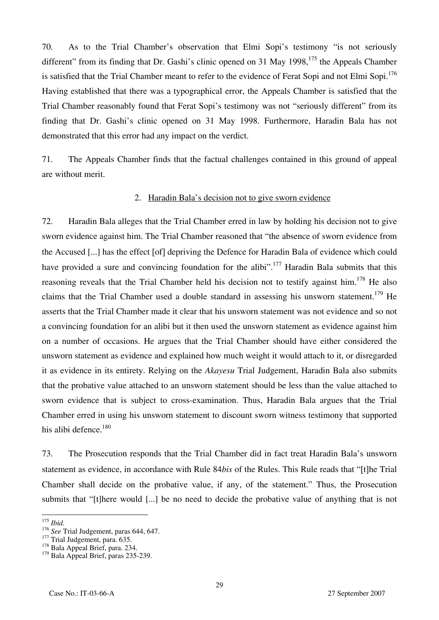70. As to the Trial Chamber's observation that Elmi Sopi's testimony "is not seriously different" from its finding that Dr. Gashi's clinic opened on 31 May 1998,  $175$  the Appeals Chamber is satisfied that the Trial Chamber meant to refer to the evidence of Ferat Sopi and not Elmi Sopi.<sup>176</sup> Having established that there was a typographical error, the Appeals Chamber is satisfied that the Trial Chamber reasonably found that Ferat Sopi's testimony was not "seriously different" from its finding that Dr. Gashi's clinic opened on 31 May 1998. Furthermore, Haradin Bala has not demonstrated that this error had any impact on the verdict.

71. The Appeals Chamber finds that the factual challenges contained in this ground of appeal are without merit.

#### 2. Haradin Bala's decision not to give sworn evidence

72. Haradin Bala alleges that the Trial Chamber erred in law by holding his decision not to give sworn evidence against him. The Trial Chamber reasoned that "the absence of sworn evidence from the Accused [...] has the effect [of] depriving the Defence for Haradin Bala of evidence which could have provided a sure and convincing foundation for the alibi".<sup>177</sup> Haradin Bala submits that this reasoning reveals that the Trial Chamber held his decision not to testify against him.<sup>178</sup> He also claims that the Trial Chamber used a double standard in assessing his unsworn statement.<sup>179</sup> He asserts that the Trial Chamber made it clear that his unsworn statement was not evidence and so not a convincing foundation for an alibi but it then used the unsworn statement as evidence against him on a number of occasions. He argues that the Trial Chamber should have either considered the unsworn statement as evidence and explained how much weight it would attach to it, or disregarded it as evidence in its entirety. Relying on the *Akayesu* Trial Judgement, Haradin Bala also submits that the probative value attached to an unsworn statement should be less than the value attached to sworn evidence that is subject to cross-examination. Thus, Haradin Bala argues that the Trial Chamber erred in using his unsworn statement to discount sworn witness testimony that supported his alibi defence.<sup>180</sup>

73. The Prosecution responds that the Trial Chamber did in fact treat Haradin Bala's unsworn statement as evidence, in accordance with Rule 84*bis* of the Rules. This Rule reads that "[t]he Trial Chamber shall decide on the probative value, if any, of the statement." Thus, the Prosecution submits that " $[t]$ here would [...] be no need to decide the probative value of anything that is not

 $175$  Ibid.

<sup>&</sup>lt;sup>175</sup> *Ibid.*<br><sup>176</sup> *See* Trial Judgement, paras 644, 647.<br><sup>177</sup> Trial Judgement, para. 635.<br><sup>178</sup> Bala Appeal Brief, para. 234.

<sup>&</sup>lt;sup>179</sup> Bala Appeal Brief, paras 235-239.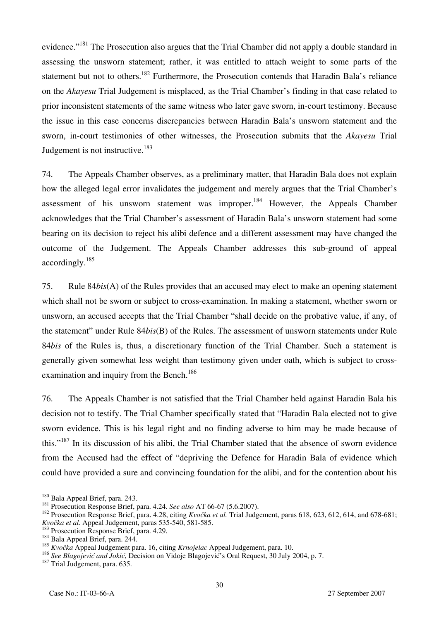evidence."<sup>181</sup> The Prosecution also argues that the Trial Chamber did not apply a double standard in assessing the unsworn statement; rather, it was entitled to attach weight to some parts of the statement but not to others.<sup>182</sup> Furthermore, the Prosecution contends that Haradin Bala's reliance on the *Akayesu* Trial Judgement is misplaced, as the Trial Chamber's finding in that case related to prior inconsistent statements of the same witness who later gave sworn, in-court testimony. Because the issue in this case concerns discrepancies between Haradin Bala's unsworn statement and the sworn, in-court testimonies of other witnesses, the Prosecution submits that the *Akayesu* Trial Judgement is not instructive.<sup>183</sup>

74. The Appeals Chamber observes, as a preliminary matter, that Haradin Bala does not explain how the alleged legal error invalidates the judgement and merely argues that the Trial Chamber's assessment of his unsworn statement was improper.<sup>184</sup> However, the Appeals Chamber acknowledges that the Trial Chamber's assessment of Haradin Bala's unsworn statement had some bearing on its decision to reject his alibi defence and a different assessment may have changed the outcome of the Judgement. The Appeals Chamber addresses this sub-ground of appeal accordingly.185

75. Rule 84*bis*(A) of the Rules provides that an accused may elect to make an opening statement which shall not be sworn or subject to cross-examination. In making a statement, whether sworn or unsworn, an accused accepts that the Trial Chamber "shall decide on the probative value, if any, of the statement" under Rule 84*bis*(B) of the Rules. The assessment of unsworn statements under Rule 84*bis* of the Rules is, thus, a discretionary function of the Trial Chamber. Such a statement is generally given somewhat less weight than testimony given under oath, which is subject to crossexamination and inquiry from the Bench.<sup>186</sup>

76. The Appeals Chamber is not satisfied that the Trial Chamber held against Haradin Bala his decision not to testify. The Trial Chamber specifically stated that "Haradin Bala elected not to give sworn evidence. This is his legal right and no finding adverse to him may be made because of this."<sup>187</sup> In its discussion of his alibi, the Trial Chamber stated that the absence of sworn evidence from the Accused had the effect of "depriving the Defence for Haradin Bala of evidence which could have provided a sure and convincing foundation for the alibi, and for the contention about his

<sup>&</sup>lt;sup>180</sup> Bala Appeal Brief, para. 243.

<sup>&</sup>lt;sup>180</sup> Bala Appeal Brief, para. 243.<br><sup>181</sup> Prosecution Response Brief, para. 4.24. *See also* AT 66-67 (5.6.2007).<br><sup>182</sup> Prosecution Response Brief, para. 4.28, citing *Kvočka et al*. Trial Judgement, paras 618, 623, 612, 6 *Kvočka et al.* Appeal Judgement, paras 535-540, 581-585.<br><sup>183</sup> Prosecution Response Brief, para. 4.29.<br><sup>184</sup> Bala Appeal Brief, para. 244.

<sup>184</sup> Bala Appeal Brief, para. 244.<br><sup>185</sup> *Kvočka* Appeal Judgement para. 16, citing *Krnojelac* Appeal Judgement, para. 10.

<sup>&</sup>lt;sup>186</sup> *See Blagojević and Jokić*, Decision on Vidoje Blagojević's Oral Request, 30 July 2004, p. 7. <sup>187</sup> Trial Judgement, para. 635.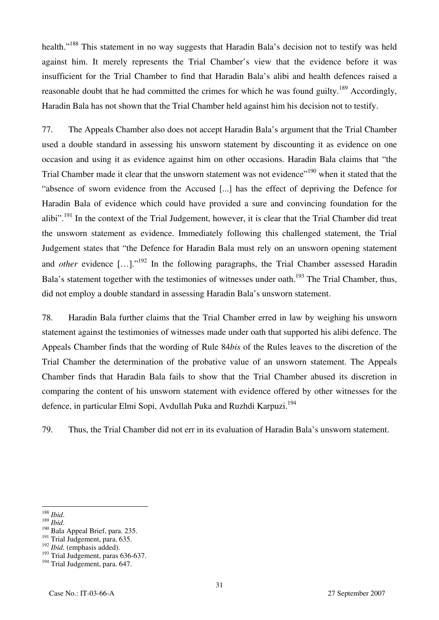health."<sup>188</sup> This statement in no way suggests that Haradin Bala's decision not to testify was held against him. It merely represents the Trial Chamber's view that the evidence before it was insufficient for the Trial Chamber to find that Haradin Bala's alibi and health defences raised a reasonable doubt that he had committed the crimes for which he was found guilty.<sup>189</sup> Accordingly, Haradin Bala has not shown that the Trial Chamber held against him his decision not to testify.

77. The Appeals Chamber also does not accept Haradin Bala's argument that the Trial Chamber used a double standard in assessing his unsworn statement by discounting it as evidence on one occasion and using it as evidence against him on other occasions. Haradin Bala claims that "the Trial Chamber made it clear that the unsworn statement was not evidence"<sup>190</sup> when it stated that the "absence of sworn evidence from the Accused [...] has the effect of depriving the Defence for Haradin Bala of evidence which could have provided a sure and convincing foundation for the alibi".<sup>191</sup> In the context of the Trial Judgement, however, it is clear that the Trial Chamber did treat the unsworn statement as evidence. Immediately following this challenged statement, the Trial Judgement states that "the Defence for Haradin Bala must rely on an unsworn opening statement and *other* evidence [...]."<sup>192</sup> In the following paragraphs, the Trial Chamber assessed Haradin Bala's statement together with the testimonies of witnesses under oath.<sup>193</sup> The Trial Chamber, thus, did not employ a double standard in assessing Haradin Bala's unsworn statement.

78. Haradin Bala further claims that the Trial Chamber erred in law by weighing his unsworn statement against the testimonies of witnesses made under oath that supported his alibi defence. The Appeals Chamber finds that the wording of Rule 84*bis* of the Rules leaves to the discretion of the Trial Chamber the determination of the probative value of an unsworn statement. The Appeals Chamber finds that Haradin Bala fails to show that the Trial Chamber abused its discretion in comparing the content of his unsworn statement with evidence offered by other witnesses for the defence, in particular Elmi Sopi, Avdullah Puka and Ruzhdi Karpuzi.<sup>194</sup>

79. Thus, the Trial Chamber did not err in its evaluation of Haradin Bala's unsworn statement.

 $188$  Ibid.

<sup>188</sup> *Ibid*. 189 *Ibid*. 190 Bala Appeal Brief, para. 235.

<sup>&</sup>lt;sup>191</sup> Trial Judgement, para. 635.

<sup>192</sup> *Ibid.* (emphasis added).

 $193$  Trial Judgement, paras 636-637.

<sup>&</sup>lt;sup>194</sup> Trial Judgement, para. 647.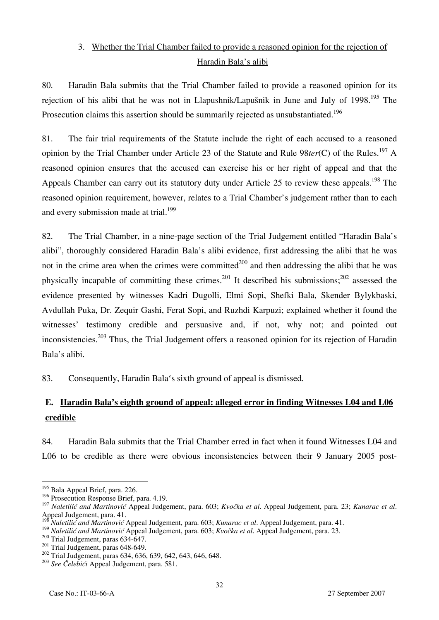## 3. Whether the Trial Chamber failed to provide a reasoned opinion for the rejection of Haradin Bala's alibi

80. Haradin Bala submits that the Trial Chamber failed to provide a reasoned opinion for its rejection of his alibi that he was not in Llapushnik/Lapušnik in June and July of 1998.<sup>195</sup> The Prosecution claims this assertion should be summarily rejected as unsubstantiated.<sup>196</sup>

81. The fair trial requirements of the Statute include the right of each accused to a reasoned opinion by the Trial Chamber under Article 23 of the Statute and Rule 98*ter*(C) of the Rules.197 A reasoned opinion ensures that the accused can exercise his or her right of appeal and that the Appeals Chamber can carry out its statutory duty under Article 25 to review these appeals.<sup>198</sup> The reasoned opinion requirement, however, relates to a Trial Chamber's judgement rather than to each and every submission made at trial.<sup>199</sup>

82. The Trial Chamber, in a nine-page section of the Trial Judgement entitled "Haradin Bala's alibi", thoroughly considered Haradin Bala's alibi evidence, first addressing the alibi that he was not in the crime area when the crimes were committed<sup>200</sup> and then addressing the alibi that he was physically incapable of committing these crimes.<sup>201</sup> It described his submissions;<sup>202</sup> assessed the evidence presented by witnesses Kadri Dugolli, Elmi Sopi, Shefki Bala, Skender Bylykbaski, Avdullah Puka, Dr. Zequir Gashi, Ferat Sopi, and Ruzhdi Karpuzi; explained whether it found the witnesses' testimony credible and persuasive and, if not, why not; and pointed out inconsistencies.<sup>203</sup> Thus, the Trial Judgement offers a reasoned opinion for its rejection of Haradin Bala's alibi.

83. Consequently, Haradin Bala's sixth ground of appeal is dismissed.

# **E. Haradin Bala's eighth ground of appeal: alleged error in finding Witnesses L04 and L06 credible**

84. Haradin Bala submits that the Trial Chamber erred in fact when it found Witnesses L04 and L06 to be credible as there were obvious inconsistencies between their 9 January 2005 post-

<sup>&</sup>lt;sup>195</sup> Bala Appeal Brief, para. 226.

<sup>&</sup>lt;sup>196</sup> Prosecution Response Brief, para. 4.19.

<sup>&</sup>lt;sup>197</sup> Naletilić and Martinović Appeal Judgement, para. 603; *Kvočka et al.* Appeal Judgement, para. 23; *Kunarac et al.* Appeal Judgement, para. 41.

<sup>198</sup> *Naletili} and Martinovi}* Appeal Judgement, para. 603; *Kunarac et al*. Appeal Judgement, para. 41.

Nateritic and Martinovic Appear suggement, para. 603; Kvočka et al. Appeal Judgement, para. 23.<br>
<sup>199</sup> Naletilić and Martinović Appeal Judgement, para. 603; Kvočka et al. Appeal Judgement, para. 23.<br>
<sup>200</sup> Trial Judgement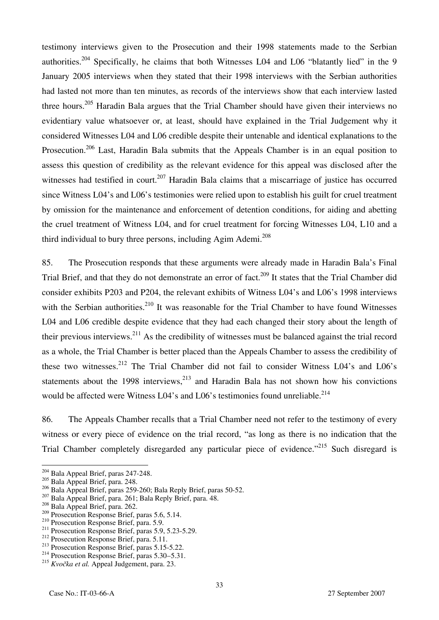testimony interviews given to the Prosecution and their 1998 statements made to the Serbian authorities.<sup>204</sup> Specifically, he claims that both Witnesses L04 and L06 "blatantly lied" in the 9 January 2005 interviews when they stated that their 1998 interviews with the Serbian authorities had lasted not more than ten minutes, as records of the interviews show that each interview lasted three hours.<sup>205</sup> Haradin Bala argues that the Trial Chamber should have given their interviews no evidentiary value whatsoever or, at least, should have explained in the Trial Judgement why it considered Witnesses L04 and L06 credible despite their untenable and identical explanations to the Prosecution.<sup>206</sup> Last, Haradin Bala submits that the Appeals Chamber is in an equal position to assess this question of credibility as the relevant evidence for this appeal was disclosed after the witnesses had testified in court.<sup>207</sup> Haradin Bala claims that a miscarriage of justice has occurred since Witness L04's and L06's testimonies were relied upon to establish his guilt for cruel treatment by omission for the maintenance and enforcement of detention conditions, for aiding and abetting the cruel treatment of Witness L04, and for cruel treatment for forcing Witnesses L04, L10 and a third individual to bury three persons, including  $A$ gim  $A$ demi.<sup>208</sup>

85. The Prosecution responds that these arguments were already made in Haradin Bala's Final Trial Brief, and that they do not demonstrate an error of fact.<sup>209</sup> It states that the Trial Chamber did consider exhibits P203 and P204, the relevant exhibits of Witness L04's and L06's 1998 interviews with the Serbian authorities.<sup>210</sup> It was reasonable for the Trial Chamber to have found Witnesses L04 and L06 credible despite evidence that they had each changed their story about the length of their previous interviews.<sup>211</sup> As the credibility of witnesses must be balanced against the trial record as a whole, the Trial Chamber is better placed than the Appeals Chamber to assess the credibility of these two witnesses.<sup>212</sup> The Trial Chamber did not fail to consider Witness L04's and L06's statements about the 1998 interviews, $^{213}$  and Haradin Bala has not shown how his convictions would be affected were Witness L04's and L06's testimonies found unreliable.<sup>214</sup>

86. The Appeals Chamber recalls that a Trial Chamber need not refer to the testimony of every witness or every piece of evidence on the trial record, "as long as there is no indication that the Trial Chamber completely disregarded any particular piece of evidence."<sup>215</sup> Such disregard is

<sup>&</sup>lt;sup>204</sup> Bala Appeal Brief, paras 247-248.

 $\frac{^{205}}{^{206}}$  Bala Appeal Brief, para. 248.<br> $\frac{^{206}}{^{206}}$  Bala Appeal Brief, paras 259-260; Bala Reply Brief, paras 50-52.

<sup>&</sup>lt;sup>207</sup> Bala Appeal Brief, para. 261; Bala Reply Brief, para. 48.<br><sup>208</sup> Bala Appeal Brief, para. 262.<br><sup>209</sup> Prosecution Response Brief, paras 5.6, 5.14.

<sup>&</sup>lt;sup>210</sup> Prosecution Response Brief, para. 5.9.<br><sup>211</sup> Prosecution Response Brief, paras 5.9, 5.23-5.29.<br><sup>212</sup> Prosecution Response Brief, para. 5.11.<br><sup>213</sup> Prosecution Response Brief, paras 5.15-5.22.<br><sup>214</sup> Prosecution Respon

<sup>&</sup>lt;sup>215</sup> *Kvočka et al.* Appeal Judgement, para. 23.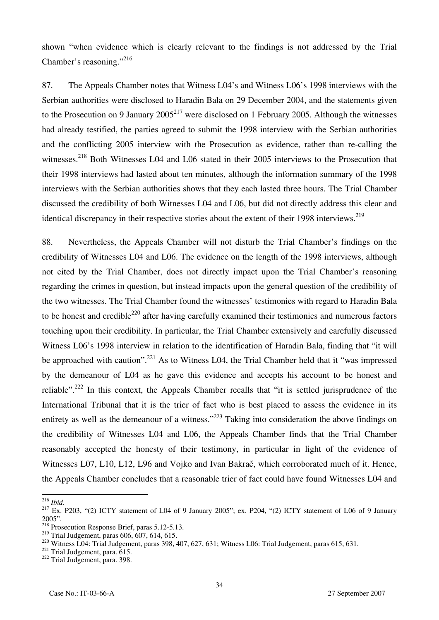shown "when evidence which is clearly relevant to the findings is not addressed by the Trial Chamber's reasoning."<sup>216</sup>

87. The Appeals Chamber notes that Witness L04's and Witness L06's 1998 interviews with the Serbian authorities were disclosed to Haradin Bala on 29 December 2004, and the statements given to the Prosecution on 9 January  $2005^{217}$  were disclosed on 1 February 2005. Although the witnesses had already testified, the parties agreed to submit the 1998 interview with the Serbian authorities and the conflicting 2005 interview with the Prosecution as evidence, rather than re-calling the witnesses.<sup>218</sup> Both Witnesses L04 and L06 stated in their 2005 interviews to the Prosecution that their 1998 interviews had lasted about ten minutes, although the information summary of the 1998 interviews with the Serbian authorities shows that they each lasted three hours. The Trial Chamber discussed the credibility of both Witnesses L04 and L06, but did not directly address this clear and identical discrepancy in their respective stories about the extent of their 1998 interviews.<sup>219</sup>

88. Nevertheless, the Appeals Chamber will not disturb the Trial Chamber's findings on the credibility of Witnesses L04 and L06. The evidence on the length of the 1998 interviews, although not cited by the Trial Chamber, does not directly impact upon the Trial Chamber's reasoning regarding the crimes in question, but instead impacts upon the general question of the credibility of the two witnesses. The Trial Chamber found the witnesses' testimonies with regard to Haradin Bala to be honest and credible<sup>220</sup> after having carefully examined their testimonies and numerous factors touching upon their credibility. In particular, the Trial Chamber extensively and carefully discussed Witness L06's 1998 interview in relation to the identification of Haradin Bala, finding that "it will be approached with caution".<sup>221</sup> As to Witness L04, the Trial Chamber held that it "was impressed by the demeanour of L04 as he gave this evidence and accepts his account to be honest and reliable".<sup>222</sup> In this context, the Appeals Chamber recalls that "it is settled jurisprudence of the International Tribunal that it is the trier of fact who is best placed to assess the evidence in its entirety as well as the demeanour of a witness."<sup>223</sup> Taking into consideration the above findings on the credibility of Witnesses L04 and L06, the Appeals Chamber finds that the Trial Chamber reasonably accepted the honesty of their testimony, in particular in light of the evidence of Witnesses L07, L10, L12, L96 and Vojko and Ivan Bakrač, which corroborated much of it. Hence, the Appeals Chamber concludes that a reasonable trier of fact could have found Witnesses L04 and

 $^{216}$  Ibid.

<sup>&</sup>lt;sup>217</sup> Ex. P203, "(2) ICTY statement of L04 of 9 January 2005"; ex. P204, "(2) ICTY statement of L06 of 9 January 2005".

<sup>&</sup>lt;sup>218</sup> Prosecution Response Brief, paras  $5.12-5.13$ .<br><sup>219</sup> Trial Judgement, paras  $606, 607, 614, 615$ .

<sup>&</sup>lt;sup>220</sup> Witness L04: Trial Judgement, paras 398, 407, 627, 631; Witness L06: Trial Judgement, paras 615, 631.<br><sup>221</sup> Trial Judgement, para. 615.<br><sup>222</sup> Trial Judgement, para. 398.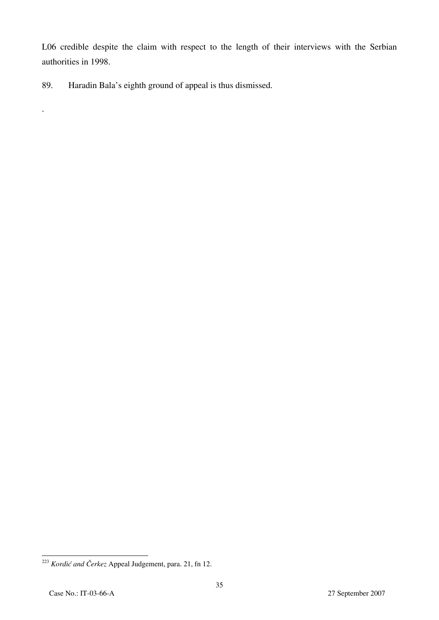L06 credible despite the claim with respect to the length of their interviews with the Serbian authorities in 1998.

89. Haradin Bala's eighth ground of appeal is thus dismissed.

.

 $\overline{a}$ <sup>223</sup> *Kordić and Čerkez* Appeal Judgement, para. 21, fn 12.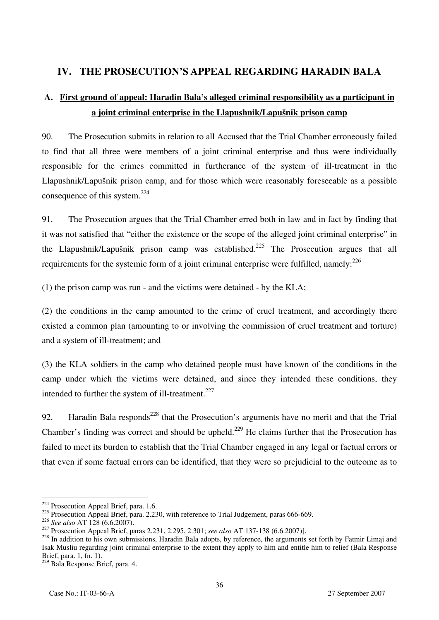# **IV. THE PROSECUTION'S APPEAL REGARDING HARADIN BALA**

# **A. First ground of appeal: Haradin Bala's alleged criminal responsibility as a participant in a joint criminal enterprise in the Llapushnik/Lapušnik prison camp**

90. The Prosecution submits in relation to all Accused that the Trial Chamber erroneously failed to find that all three were members of a joint criminal enterprise and thus were individually responsible for the crimes committed in furtherance of the system of ill-treatment in the Llapushnik/Lapušnik prison camp, and for those which were reasonably foreseeable as a possible consequence of this system.224

91. The Prosecution argues that the Trial Chamber erred both in law and in fact by finding that it was not satisfied that "either the existence or the scope of the alleged joint criminal enterprise" in the Llapushnik/Lapušnik prison camp was established.<sup>225</sup> The Prosecution argues that all requirements for the systemic form of a joint criminal enterprise were fulfilled, namely: $^{226}$ 

(1) the prison camp was run - and the victims were detained - by the KLA;

(2) the conditions in the camp amounted to the crime of cruel treatment, and accordingly there existed a common plan (amounting to or involving the commission of cruel treatment and torture) and a system of ill-treatment; and

(3) the KLA soldiers in the camp who detained people must have known of the conditions in the camp under which the victims were detained, and since they intended these conditions, they intended to further the system of ill-treatment.<sup>227</sup>

92. Haradin Bala responds<sup>228</sup> that the Prosecution's arguments have no merit and that the Trial Chamber's finding was correct and should be upheld.<sup>229</sup> He claims further that the Prosecution has failed to meet its burden to establish that the Trial Chamber engaged in any legal or factual errors or that even if some factual errors can be identified, that they were so prejudicial to the outcome as to

 $\overline{1}$  $^{224}$  Prosecution Appeal Brief, para. 1.6.

<sup>&</sup>lt;sup>225</sup> Prosecution Appeal Brief, para. 2.230, with reference to Trial Judgement, paras 666-669.<br><sup>226</sup> See also AT 128 (6.6.2007).

<sup>&</sup>lt;sup>227</sup> Prosecution Appeal Brief, paras 2.231, 2.295, 2.301; see also AT 137-138 (6.6.2007)].<br><sup>228</sup> In addition to his own submissions, Haradin Bala adopts, by reference, the arguments set forth by Fatmir Limaj and Isak Musliu regarding joint criminal enterprise to the extent they apply to him and entitle him to relief (Bala Response Brief, para. 1, fn. 1).

<sup>229</sup> Bala Response Brief, para. 4.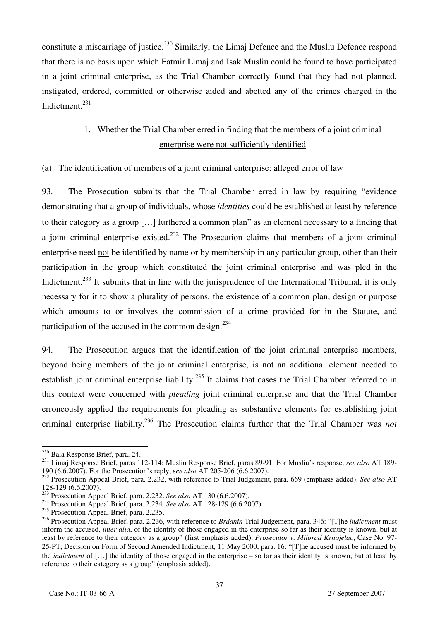constitute a miscarriage of justice.<sup>230</sup> Similarly, the Limaj Defence and the Musliu Defence respond that there is no basis upon which Fatmir Limaj and Isak Musliu could be found to have participated in a joint criminal enterprise, as the Trial Chamber correctly found that they had not planned, instigated, ordered, committed or otherwise aided and abetted any of the crimes charged in the Indictment.231

# 1. Whether the Trial Chamber erred in finding that the members of a joint criminal enterprise were not sufficiently identified

### (a) The identification of members of a joint criminal enterprise: alleged error of law

93. The Prosecution submits that the Trial Chamber erred in law by requiring "evidence demonstrating that a group of individuals, whose *identities* could be established at least by reference to their category as a group […] furthered a common plan" as an element necessary to a finding that a joint criminal enterprise existed.<sup>232</sup> The Prosecution claims that members of a joint criminal enterprise need not be identified by name or by membership in any particular group, other than their participation in the group which constituted the joint criminal enterprise and was pled in the Indictment.<sup>233</sup> It submits that in line with the jurisprudence of the International Tribunal, it is only necessary for it to show a plurality of persons, the existence of a common plan, design or purpose which amounts to or involves the commission of a crime provided for in the Statute, and participation of the accused in the common design. $^{234}$ 

94. The Prosecution argues that the identification of the joint criminal enterprise members, beyond being members of the joint criminal enterprise, is not an additional element needed to establish joint criminal enterprise liability.<sup>235</sup> It claims that cases the Trial Chamber referred to in this context were concerned with *pleading* joint criminal enterprise and that the Trial Chamber erroneously applied the requirements for pleading as substantive elements for establishing joint criminal enterprise liability.236 The Prosecution claims further that the Trial Chamber was *not* 

<sup>&</sup>lt;sup>230</sup> Bala Response Brief, para. 24.

<sup>&</sup>lt;sup>231</sup> Limaj Response Brief, paras 112-114; Musliu Response Brief, paras 89-91. For Musliu's response, *see also* AT 189-<br>190 (6.6.2007). For the Prosecution's reply, *see also* AT 205-206 (6.6.2007).

<sup>&</sup>lt;sup>232</sup> Prosecution Appeal Brief, para. 2.232, with reference to Trial Judgement, para. 669 (emphasis added). *See also* AT 128-129 (6.6.2007).<br><sup>233</sup> Prosecution Appeal Brief, para. 2.232. See also AT 130 (6.6.2007).

<sup>233</sup> Prosecution Appeal Brief, para. 2.232. *See also* AT 130 (6.6.2007). 234 Prosecution Appeal Brief, para. 2.234. *See also* AT 128-129 (6.6.2007).

 $235$  Prosecution Appeal Brief, para. 2.235.

<sup>236</sup> Prosecution Appeal Brief, para. 2.236, with reference to *Brđanin* Trial Judgement, para. 346: "[T]he *indictment* must inform the accused, *inter alia*, of the identity of those engaged in the enterprise so far as their identity is known, but at least by reference to their category as a group" (first emphasis added). *Prosecutor v. Milorad Krnojelac*, Case No. 97- 25-PT, Decision on Form of Second Amended Indictment, 11 May 2000, para. 16: "[T]he accused must be informed by the *indictment* of […] the identity of those engaged in the enterprise – so far as their identity is known, but at least by reference to their category as a group" (emphasis added).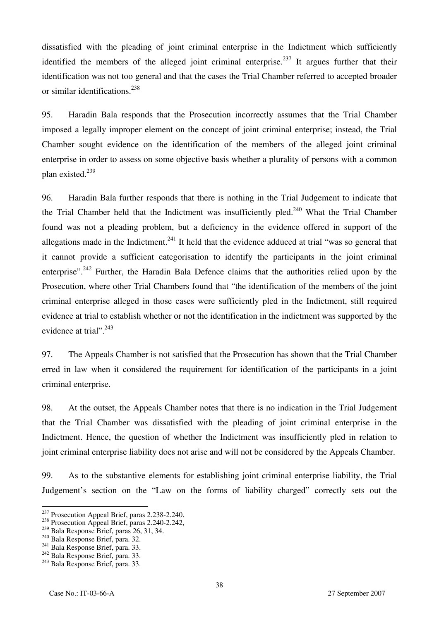dissatisfied with the pleading of joint criminal enterprise in the Indictment which sufficiently identified the members of the alleged joint criminal enterprise.<sup>237</sup> It argues further that their identification was not too general and that the cases the Trial Chamber referred to accepted broader or similar identifications.<sup>238</sup>

95. Haradin Bala responds that the Prosecution incorrectly assumes that the Trial Chamber imposed a legally improper element on the concept of joint criminal enterprise; instead, the Trial Chamber sought evidence on the identification of the members of the alleged joint criminal enterprise in order to assess on some objective basis whether a plurality of persons with a common plan existed.239

96. Haradin Bala further responds that there is nothing in the Trial Judgement to indicate that the Trial Chamber held that the Indictment was insufficiently pled.<sup>240</sup> What the Trial Chamber found was not a pleading problem, but a deficiency in the evidence offered in support of the allegations made in the Indictment.<sup>241</sup> It held that the evidence adduced at trial "was so general that it cannot provide a sufficient categorisation to identify the participants in the joint criminal enterprise".<sup>242</sup> Further, the Haradin Bala Defence claims that the authorities relied upon by the Prosecution, where other Trial Chambers found that "the identification of the members of the joint criminal enterprise alleged in those cases were sufficiently pled in the Indictment, still required evidence at trial to establish whether or not the identification in the indictment was supported by the evidence at trial".<sup>243</sup>

97. The Appeals Chamber is not satisfied that the Prosecution has shown that the Trial Chamber erred in law when it considered the requirement for identification of the participants in a joint criminal enterprise.

98. At the outset, the Appeals Chamber notes that there is no indication in the Trial Judgement that the Trial Chamber was dissatisfied with the pleading of joint criminal enterprise in the Indictment. Hence, the question of whether the Indictment was insufficiently pled in relation to joint criminal enterprise liability does not arise and will not be considered by the Appeals Chamber.

99. As to the substantive elements for establishing joint criminal enterprise liability, the Trial Judgement's section on the "Law on the forms of liability charged" correctly sets out the

<sup>&</sup>lt;sup>237</sup> Prosecution Appeal Brief, paras 2.238-2.240.

<sup>&</sup>lt;sup>238</sup> Prosecution Appeal Brief, paras 2.240-2.242,  $^{239}$  Bala Response Brief, paras 26, 31, 34.

<sup>&</sup>lt;sup>240</sup> Bala Response Brief, para. 32.<br><sup>241</sup> Bala Response Brief, para. 33.<br><sup>242</sup> Bala Response Brief, para. 33.<br><sup>243</sup> Bala Response Brief, para. 33.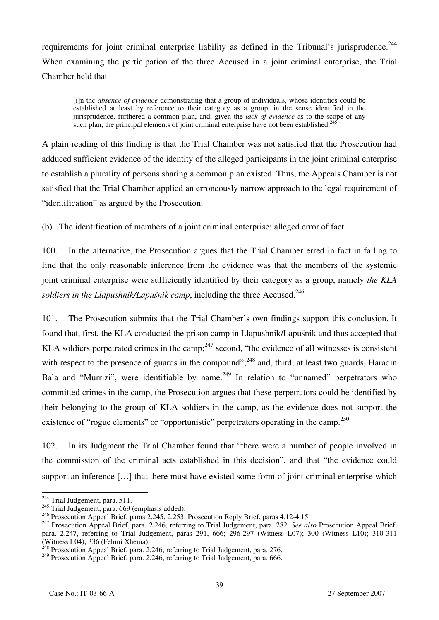requirements for joint criminal enterprise liability as defined in the Tribunal's jurisprudence.<sup>244</sup> When examining the participation of the three Accused in a joint criminal enterprise, the Trial Chamber held that

[i]n the *absence of evidence* demonstrating that a group of individuals, whose identities could be established at least by reference to their category as a group, in the sense identified in the jurisprudence, furthered a common plan, and, given the *lack of evidence* as to the scope of any such plan, the principal elements of joint criminal enterprise have not been established.<sup>2</sup>

A plain reading of this finding is that the Trial Chamber was not satisfied that the Prosecution had adduced sufficient evidence of the identity of the alleged participants in the joint criminal enterprise to establish a plurality of persons sharing a common plan existed. Thus, the Appeals Chamber is not satisfied that the Trial Chamber applied an erroneously narrow approach to the legal requirement of "identification" as argued by the Prosecution.

(b) The identification of members of a joint criminal enterprise: alleged error of fact

100. In the alternative, the Prosecution argues that the Trial Chamber erred in fact in failing to find that the only reasonable inference from the evidence was that the members of the systemic joint criminal enterprise were sufficiently identified by their category as a group, namely *the KLA soldiers in the Llapushnik/Lapušnik camp*, including the three Accused.<sup>246</sup>

101. The Prosecution submits that the Trial Chamber's own findings support this conclusion. It found that, first, the KLA conducted the prison camp in Llapushnik/Lapušnik and thus accepted that KLA soldiers perpetrated crimes in the camp; $^{247}$  second, "the evidence of all witnesses is consistent with respect to the presence of guards in the compound";<sup>248</sup> and, third, at least two guards, Haradin Bala and "Murrizi", were identifiable by name.<sup>249</sup> In relation to "unnamed" perpetrators who committed crimes in the camp, the Prosecution argues that these perpetrators could be identified by their belonging to the group of KLA soldiers in the camp, as the evidence does not support the existence of "rogue elements" or "opportunistic" perpetrators operating in the camp.<sup>250</sup>

102. In its Judgment the Trial Chamber found that "there were a number of people involved in the commission of the criminal acts established in this decision", and that "the evidence could support an inference [...] that there must have existed some form of joint criminal enterprise which

<sup>&</sup>lt;sup>244</sup> Trial Judgement, para. 511.

<sup>&</sup>lt;sup>245</sup> Trial Judgement, para. 669 (emphasis added).<br><sup>246</sup> Prosecution Appeal Brief, paras 2.245, 2.253; Prosecution Reply Brief, paras 4.12-4.15.

<sup>&</sup>lt;sup>247</sup> Prosecution Appeal Brief, para. 2.246, referring to Trial Judgement, para. 282. *See also* Prosecution Appeal Brief, para. 2.247, referring to Trial Judgement, paras 291, 666; 296-297 (Witness L07); 300 (Witness L10); 310-311 (Witness L04); 336 (Fehmi Xhema).

 $^{248}$  Prosecution Appeal Brief, para. 2.246, referring to Trial Judgement, para. 276.

<sup>&</sup>lt;sup>249</sup> Prosecution Appeal Brief, para. 2.246, referring to Trial Judgement, para. 666.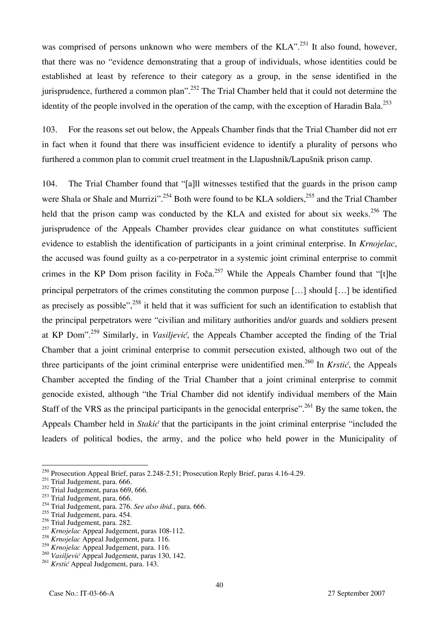was comprised of persons unknown who were members of the KLA".<sup>251</sup> It also found, however, that there was no "evidence demonstrating that a group of individuals, whose identities could be established at least by reference to their category as a group, in the sense identified in the jurisprudence, furthered a common plan".<sup>252</sup> The Trial Chamber held that it could not determine the identity of the people involved in the operation of the camp, with the exception of Haradin Bala.<sup>253</sup>

103. For the reasons set out below, the Appeals Chamber finds that the Trial Chamber did not err in fact when it found that there was insufficient evidence to identify a plurality of persons who furthered a common plan to commit cruel treatment in the Llapushnik/Lapušnik prison camp.

104. The Trial Chamber found that "[a]ll witnesses testified that the guards in the prison camp were Shala or Shale and Murrizi".<sup>254</sup> Both were found to be KLA soldiers,<sup>255</sup> and the Trial Chamber held that the prison camp was conducted by the KLA and existed for about six weeks.<sup>256</sup> The jurisprudence of the Appeals Chamber provides clear guidance on what constitutes sufficient evidence to establish the identification of participants in a joint criminal enterprise. In *Krnojelac*, the accused was found guilty as a co-perpetrator in a systemic joint criminal enterprise to commit crimes in the KP Dom prison facility in Foča.<sup>257</sup> While the Appeals Chamber found that "[t]he principal perpetrators of the crimes constituting the common purpose […] should […] be identified as precisely as possible",<sup>258</sup> it held that it was sufficient for such an identification to establish that the principal perpetrators were "civilian and military authorities and/or guards and soldiers present at KP Dom".259 Similarly, in *Vasiljević*, the Appeals Chamber accepted the finding of the Trial Chamber that a joint criminal enterprise to commit persecution existed, although two out of the three participants of the joint criminal enterprise were unidentified men.260 In *Krstić*, the Appeals Chamber accepted the finding of the Trial Chamber that a joint criminal enterprise to commit genocide existed, although "the Trial Chamber did not identify individual members of the Main Staff of the VRS as the principal participants in the genocidal enterprise".<sup>261</sup> By the same token, the Appeals Chamber held in *Stakić* that the participants in the joint criminal enterprise "included the leaders of political bodies, the army, and the police who held power in the Municipality of

<sup>&</sup>lt;sup>250</sup> Prosecution Appeal Brief, paras 2.248-2.51; Prosecution Reply Brief, paras 4.16-4.29.

<sup>&</sup>lt;sup>251</sup> Trial Judgement, para. 666.

 $252$  Trial Judgement, paras 669, 666.

 $253$  Trial Judgement, para. 666.

<sup>254</sup> Trial Judgement, para. 276. *See also ibid.*, para. 666.

<sup>&</sup>lt;sup>255</sup> Trial Judgement, para. 454.

<sup>&</sup>lt;sup>256</sup> Trial Judgement, para. 282.

<sup>257</sup> *Krnojelac* Appeal Judgement, paras 108-112.

<sup>258</sup> *Krnojelac* Appeal Judgement, para. 116.

<sup>259</sup> *Krnojelac* Appeal Judgement, para. 116.

<sup>260</sup> *Vasiljević* Appeal Judgement, paras 130, 142.

<sup>261</sup> *Krstić* Appeal Judgement, para. 143.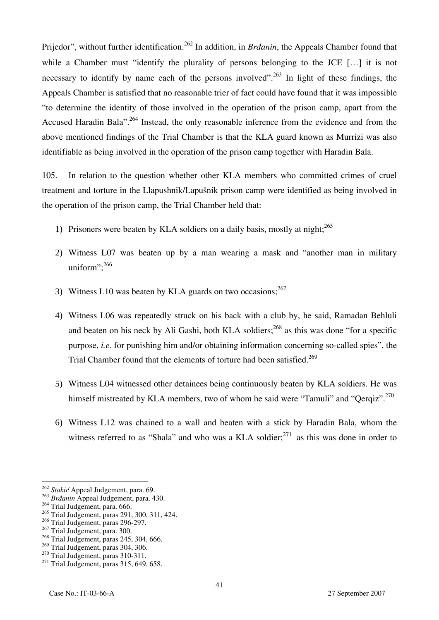Prijedor", without further identification.<sup>262</sup> In addition, in *Brdanin*, the Appeals Chamber found that while a Chamber must "identify the plurality of persons belonging to the JCE [...] it is not necessary to identify by name each of the persons involved".<sup>263</sup> In light of these findings, the Appeals Chamber is satisfied that no reasonable trier of fact could have found that it was impossible "to determine the identity of those involved in the operation of the prison camp, apart from the Accused Haradin Bala".<sup>264</sup> Instead, the only reasonable inference from the evidence and from the above mentioned findings of the Trial Chamber is that the KLA guard known as Murrizi was also identifiable as being involved in the operation of the prison camp together with Haradin Bala.

105. In relation to the question whether other KLA members who committed crimes of cruel treatment and torture in the Llapushnik/Lapušnik prison camp were identified as being involved in the operation of the prison camp, the Trial Chamber held that:

- 1) Prisoners were beaten by KLA soldiers on a daily basis, mostly at night; $^{265}$
- 2) Witness L07 was beaten up by a man wearing a mask and "another man in military uniform";<sup>266</sup>
- 3) Witness L10 was beaten by KLA guards on two occasions; $^{267}$
- 4) Witness L06 was repeatedly struck on his back with a club by, he said, Ramadan Behluli and beaten on his neck by Ali Gashi, both KLA soldiers; $268$  as this was done "for a specific purpose, *i.e.* for punishing him and/or obtaining information concerning so-called spies", the Trial Chamber found that the elements of torture had been satisfied.<sup>269</sup>
- 5) Witness L04 witnessed other detainees being continuously beaten by KLA soldiers. He was himself mistreated by KLA members, two of whom he said were "Tamuli" and "Qerqiz".<sup>270</sup>
- 6) Witness L12 was chained to a wall and beaten with a stick by Haradin Bala, whom the witness referred to as "Shala" and who was a KLA soldier; $^{271}$  as this was done in order to

<sup>262</sup> *Stakić* Appeal Judgement, para. 69.

<sup>263</sup> *Brđanin* Appeal Judgement, para. 430.

<sup>&</sup>lt;sup>264</sup> Trial Judgement, para. 666.

<sup>265</sup> Trial Judgement, paras 291, 300, 311, 424.

 $266$  Trial Judgement, paras 296-297.

<sup>&</sup>lt;sup>267</sup> Trial Judgement, para. 300.

 $\frac{268}{269}$  Trial Judgement, paras 245, 304, 666.<br> $\frac{269}{269}$  Trial Judgement, paras 304, 306.

<sup>&</sup>lt;sup>270</sup> Trial Judgement, paras 310-311.<br><sup>271</sup> Trial Judgement, paras 315, 649, 658.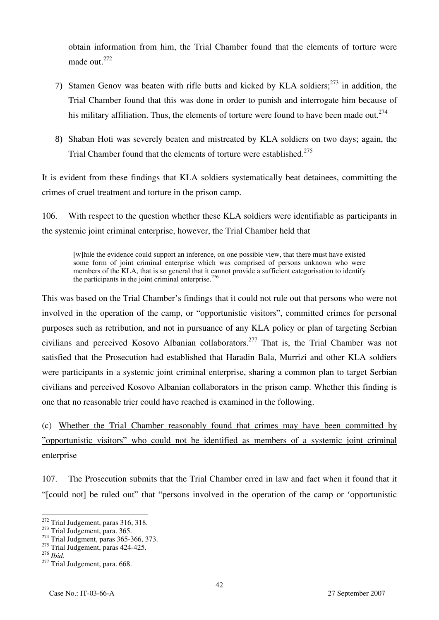obtain information from him, the Trial Chamber found that the elements of torture were made out.272

- 7) Stamen Genov was beaten with rifle butts and kicked by KLA soldiers: $273$  in addition, the Trial Chamber found that this was done in order to punish and interrogate him because of his military affiliation. Thus, the elements of torture were found to have been made out.<sup>274</sup>
- 8) Shaban Hoti was severely beaten and mistreated by KLA soldiers on two days; again, the Trial Chamber found that the elements of torture were established.<sup>275</sup>

It is evident from these findings that KLA soldiers systematically beat detainees, committing the crimes of cruel treatment and torture in the prison camp.

106. With respect to the question whether these KLA soldiers were identifiable as participants in the systemic joint criminal enterprise, however, the Trial Chamber held that

[w]hile the evidence could support an inference, on one possible view, that there must have existed some form of joint criminal enterprise which was comprised of persons unknown who were members of the KLA, that is so general that it cannot provide a sufficient categorisation to identify the participants in the joint criminal enterprise. $276$ 

This was based on the Trial Chamber's findings that it could not rule out that persons who were not involved in the operation of the camp, or "opportunistic visitors", committed crimes for personal purposes such as retribution, and not in pursuance of any KLA policy or plan of targeting Serbian civilians and perceived Kosovo Albanian collaborators.<sup>277</sup> That is, the Trial Chamber was not satisfied that the Prosecution had established that Haradin Bala, Murrizi and other KLA soldiers were participants in a systemic joint criminal enterprise, sharing a common plan to target Serbian civilians and perceived Kosovo Albanian collaborators in the prison camp. Whether this finding is one that no reasonable trier could have reached is examined in the following.

(c) Whether the Trial Chamber reasonably found that crimes may have been committed by "opportunistic visitors" who could not be identified as members of a systemic joint criminal enterprise

107. The Prosecution submits that the Trial Chamber erred in law and fact when it found that it "[could not] be ruled out" that "persons involved in the operation of the camp or 'opportunistic

<sup>&</sup>lt;sup>272</sup> Trial Judgement, paras 316, 318.

<sup>&</sup>lt;sup>273</sup> Trial Judgement, para. 365. <sup>274</sup> Trial Judgment, paras 365-366, 373.

 $^{275}$  Trial Judgement, paras 424-425.<br> $^{275}$  Trial Judgement, paras 424-425.

<sup>&</sup>lt;sup>277</sup> Trial Judgement, para. 668.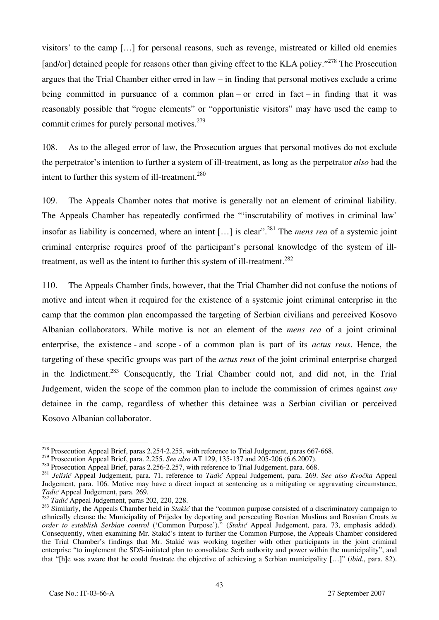visitors' to the camp […] for personal reasons, such as revenge, mistreated or killed old enemies [and/or] detained people for reasons other than giving effect to the KLA policy."<sup>278</sup> The Prosecution argues that the Trial Chamber either erred in law – in finding that personal motives exclude a crime being committed in pursuance of a common plan – or erred in fact – in finding that it was reasonably possible that "rogue elements" or "opportunistic visitors" may have used the camp to commit crimes for purely personal motives. $279$ 

108. As to the alleged error of law, the Prosecution argues that personal motives do not exclude the perpetrator's intention to further a system of ill-treatment, as long as the perpetrator *also* had the intent to further this system of ill-treatment.<sup>280</sup>

109. The Appeals Chamber notes that motive is generally not an element of criminal liability. The Appeals Chamber has repeatedly confirmed the "'inscrutability of motives in criminal law' insofar as liability is concerned, where an intent […] is clear".281 The *mens rea* of a systemic joint criminal enterprise requires proof of the participant's personal knowledge of the system of illtreatment, as well as the intent to further this system of ill-treatment.<sup>282</sup>

110. The Appeals Chamber finds, however, that the Trial Chamber did not confuse the notions of motive and intent when it required for the existence of a systemic joint criminal enterprise in the camp that the common plan encompassed the targeting of Serbian civilians and perceived Kosovo Albanian collaborators. While motive is not an element of the *mens rea* of a joint criminal enterprise, the existence - and scope - of a common plan is part of its *actus reus*. Hence, the targeting of these specific groups was part of the *actus reus* of the joint criminal enterprise charged in the Indictment.<sup>283</sup> Consequently, the Trial Chamber could not, and did not, in the Trial Judgement, widen the scope of the common plan to include the commission of crimes against *any* detainee in the camp, regardless of whether this detainee was a Serbian civilian or perceived Kosovo Albanian collaborator.

 $^{278}$  Prosecution Appeal Brief, paras 2.254-2.255, with reference to Trial Judgement, paras 667-668.

<sup>&</sup>lt;sup>279</sup> Prosecution Appeal Brief, para. 2.255. See also AT 129, 135-137 and 205-206 (6.6.2007).<br><sup>280</sup> Prosecution Appeal Brief, paras 2.256-2.257, with reference to Trial Judgement, para. 668.<br><sup>281</sup> Jelisić Appeal Judgement Judgement, para. 106. Motive may have a direct impact at sentencing as a mitigating or aggravating circumstance, *Tadić* Appeal Judgement, para. 269.

<sup>282</sup> Tadić Appeal Judgement, para 202, 220, 228.<br><sup>282</sup> Tadić Appeal Judgement, paras 202, 220, 228.<br><sup>283</sup> Similarly, the Appeals Chamber held in *Stakić* that the "common purpose consisted of a discriminatory campaign to ethnically cleanse the Municipality of Prijedor by deporting and persecuting Bosnian Muslims and Bosnian Croats *in order to establish Serbian control* ('Common Purpose')." (*Stakić* Appeal Judgement, para. 73, emphasis added). Consequently, when examining Mr. Stakić's intent to further the Common Purpose, the Appeals Chamber considered the Trial Chamber's findings that Mr. Stakić was working together with other participants in the joint criminal enterprise "to implement the SDS-initiated plan to consolidate Serb authority and power within the municipality", and that "[h]e was aware that he could frustrate the objective of achieving a Serbian municipality […]" (*ibid*., para. 82).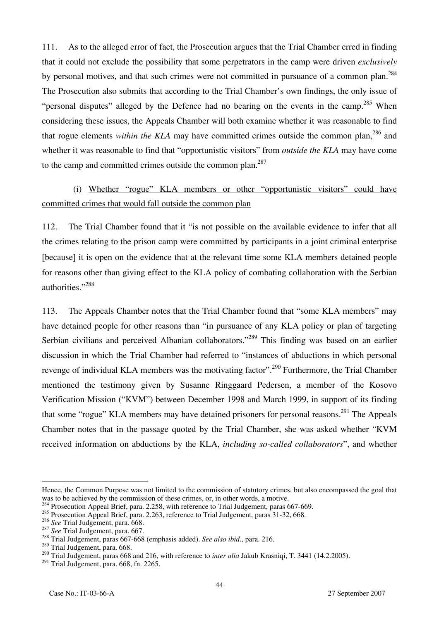111. As to the alleged error of fact, the Prosecution argues that the Trial Chamber erred in finding that it could not exclude the possibility that some perpetrators in the camp were driven *exclusively*  by personal motives, and that such crimes were not committed in pursuance of a common plan.<sup>284</sup> The Prosecution also submits that according to the Trial Chamber's own findings, the only issue of "personal disputes" alleged by the Defence had no bearing on the events in the camp.<sup>285</sup> When considering these issues, the Appeals Chamber will both examine whether it was reasonable to find that rogue elements *within the KLA* may have committed crimes outside the common plan,<sup>286</sup> and whether it was reasonable to find that "opportunistic visitors" from *outside the KLA* may have come to the camp and committed crimes outside the common plan.<sup>287</sup>

# (i) Whether "rogue" KLA members or other "opportunistic visitors" could have committed crimes that would fall outside the common plan

112. The Trial Chamber found that it "is not possible on the available evidence to infer that all the crimes relating to the prison camp were committed by participants in a joint criminal enterprise [because] it is open on the evidence that at the relevant time some KLA members detained people for reasons other than giving effect to the KLA policy of combating collaboration with the Serbian authorities."<sup>288</sup>

113. The Appeals Chamber notes that the Trial Chamber found that "some KLA members" may have detained people for other reasons than "in pursuance of any KLA policy or plan of targeting Serbian civilians and perceived Albanian collaborators."<sup>289</sup> This finding was based on an earlier discussion in which the Trial Chamber had referred to "instances of abductions in which personal revenge of individual KLA members was the motivating factor".<sup>290</sup> Furthermore, the Trial Chamber mentioned the testimony given by Susanne Ringgaard Pedersen, a member of the Kosovo Verification Mission ("KVM") between December 1998 and March 1999, in support of its finding that some "rogue" KLA members may have detained prisoners for personal reasons.<sup>291</sup> The Appeals Chamber notes that in the passage quoted by the Trial Chamber, she was asked whether "KVM received information on abductions by the KLA, *including so-called collaborators*", and whether

Hence, the Common Purpose was not limited to the commission of statutory crimes, but also encompassed the goal that was to be achieved by the commission of these crimes, or, in other words, a motive.

<sup>&</sup>lt;sup>284</sup> Prosecution Appeal Brief, para. 2.258, with reference to Trial Judgement, paras 667-669.

<sup>&</sup>lt;sup>285</sup> Prosecution Appeal Brief, para. 2.263, reference to Trial Judgement, paras 31-32, 668.<br><sup>286</sup> See Trial Judgement, para. 668.

<sup>286</sup> *See* Trial Judgement, para. 668. 287 *See* Trial Judgement, para. 667. 288 Trial Judgement, paras 667-668 (emphasis added). *See also ibid*., para. 216.

<sup>&</sup>lt;sup>289</sup> Trial Judgement, para. 668.

<sup>&</sup>lt;sup>290</sup> Trial Judgement, paras 668 and 216, with reference to *inter alia* Jakub Krasniqi, T. 3441 (14.2.2005).

<sup>291</sup> Trial Judgement, para. 668, fn. 2265.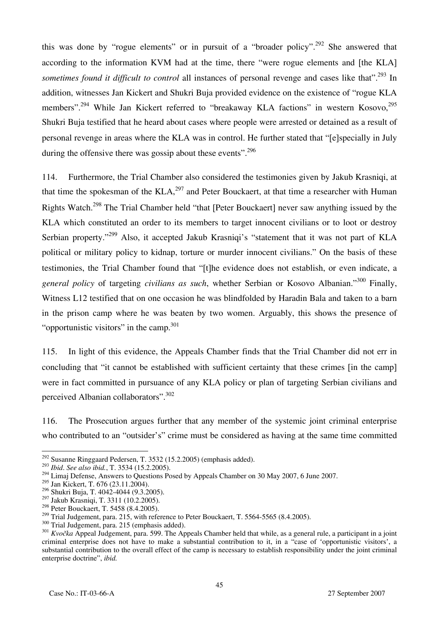this was done by "rogue elements" or in pursuit of a "broader policy".<sup>292</sup> She answered that according to the information KVM had at the time, there "were rogue elements and [the KLA] *sometimes found it difficult to control* all instances of personal revenge and cases like that".<sup>293</sup> In addition, witnesses Jan Kickert and Shukri Buja provided evidence on the existence of "rogue KLA members".<sup>294</sup> While Jan Kickert referred to "breakaway KLA factions" in western Kosovo,<sup>295</sup> Shukri Buja testified that he heard about cases where people were arrested or detained as a result of personal revenge in areas where the KLA was in control. He further stated that "[e]specially in July during the offensive there was gossip about these events".<sup>296</sup>

114. Furthermore, the Trial Chamber also considered the testimonies given by Jakub Krasniqi, at that time the spokesman of the KLA,<sup>297</sup> and Peter Bouckaert, at that time a researcher with Human Rights Watch.<sup>298</sup> The Trial Chamber held "that [Peter Bouckaert] never saw anything issued by the KLA which constituted an order to its members to target innocent civilians or to loot or destroy Serbian property."<sup>299</sup> Also, it accepted Jakub Krasniqi's "statement that it was not part of KLA political or military policy to kidnap, torture or murder innocent civilians." On the basis of these testimonies, the Trial Chamber found that "[t]he evidence does not establish, or even indicate, a *general policy* of targeting *civilians as such*, whether Serbian or Kosovo Albanian."300 Finally, Witness L12 testified that on one occasion he was blindfolded by Haradin Bala and taken to a barn in the prison camp where he was beaten by two women. Arguably, this shows the presence of "opportunistic visitors" in the camp. $301$ 

115. In light of this evidence, the Appeals Chamber finds that the Trial Chamber did not err in concluding that "it cannot be established with sufficient certainty that these crimes [in the camp] were in fact committed in pursuance of any KLA policy or plan of targeting Serbian civilians and perceived Albanian collaborators".<sup>302</sup>

116. The Prosecution argues further that any member of the systemic joint criminal enterprise who contributed to an "outsider's" crime must be considered as having at the same time committed

 $292$  Susanne Ringgaard Pedersen, T. 3532 (15.2.2005) (emphasis added).

<sup>293</sup> *Ibid*. *See also ibid.*, T. 3534 (15.2.2005).

<sup>&</sup>lt;sup>294</sup> Limaj Defense, Answers to Questions Posed by Appeals Chamber on 30 May 2007, 6 June 2007.

 $295 \text{ Jan Kickert}, T. 676 (23.11.2004).$ 

<sup>296</sup> Shukri Buja, T. 4042-4044 (9.3.2005).

<sup>297</sup> Jakub Krasniqi, T. 3311 (10.2.2005).

<sup>&</sup>lt;sup>298</sup> Peter Bouckaert, T. 5458  $(8.4.2005)$ .<br><sup>299</sup> Trial Judgement, para. 215, with reference to Peter Bouckaert, T. 5564-5565 (8.4.2005).

 $\frac{300}{101}$  Trial Judgement, para. 215 (emphasis added).<br> $\frac{301}{100}$  Kvočka Appeal Judgement, para. 599. The Appeals Chamber held that while, as a general rule, a participant in a joint criminal enterprise does not have to make a substantial contribution to it, in a "case of 'opportunistic visitors', a substantial contribution to the overall effect of the camp is necessary to establish responsibility under the joint criminal enterprise doctrine", *ibid.*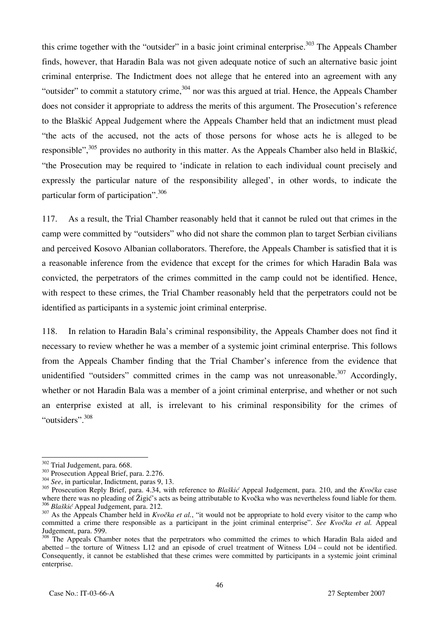this crime together with the "outsider" in a basic joint criminal enterprise.<sup>303</sup> The Appeals Chamber finds, however, that Haradin Bala was not given adequate notice of such an alternative basic joint criminal enterprise. The Indictment does not allege that he entered into an agreement with any "outsider" to commit a statutory crime, $304$  nor was this argued at trial. Hence, the Appeals Chamber does not consider it appropriate to address the merits of this argument. The Prosecution's reference to the Blaškić Appeal Judgement where the Appeals Chamber held that an indictment must plead "the acts of the accused, not the acts of those persons for whose acts he is alleged to be responsible",<sup>305</sup> provides no authority in this matter. As the Appeals Chamber also held in Blaškić, "the Prosecution may be required to 'indicate in relation to each individual count precisely and expressly the particular nature of the responsibility alleged', in other words, to indicate the particular form of participation".<sup>306</sup>

117. As a result, the Trial Chamber reasonably held that it cannot be ruled out that crimes in the camp were committed by "outsiders" who did not share the common plan to target Serbian civilians and perceived Kosovo Albanian collaborators. Therefore, the Appeals Chamber is satisfied that it is a reasonable inference from the evidence that except for the crimes for which Haradin Bala was convicted, the perpetrators of the crimes committed in the camp could not be identified. Hence, with respect to these crimes, the Trial Chamber reasonably held that the perpetrators could not be identified as participants in a systemic joint criminal enterprise.

118. In relation to Haradin Bala's criminal responsibility, the Appeals Chamber does not find it necessary to review whether he was a member of a systemic joint criminal enterprise. This follows from the Appeals Chamber finding that the Trial Chamber's inference from the evidence that unidentified "outsiders" committed crimes in the camp was not unreasonable. $307$  Accordingly, whether or not Haradin Bala was a member of a joint criminal enterprise, and whether or not such an enterprise existed at all, is irrelevant to his criminal responsibility for the crimes of "outsiders".<sup>308</sup>

<sup>&</sup>lt;sup>302</sup> Trial Judgement, para. 668.

<sup>&</sup>lt;sup>303</sup> Prosecution Appeal Brief, para. 2.276.<br><sup>304</sup> *See*, in particular, Indictment, paras 9, 13.

<sup>305</sup> Prosecution Reply Brief, para. 4.34, with reference to *Blaškić* Appeal Judgement, para. 210, and the *Kvočka* case where there was no pleading of Žigić's acts as being attributable to Kvočka who was nevertheless found liable for them.<br><sup>306</sup> Blaškić Appeal Judgement, para. 212.

<sup>&</sup>lt;sup>307</sup> As the Appeals Chamber held in *Kvočka et al.*, "it would not be appropriate to hold every visitor to the camp who committed a crime there responsible as a participant in the joint criminal enterprise". *See Kvočka et al.* Appeal Judgement, para. 599.

 $\frac{308}{2}$  The Appeals Chamber notes that the perpetrators who committed the crimes to which Haradin Bala aided and abetted – the torture of Witness L12 and an episode of cruel treatment of Witness L04 – could not be identified. Consequently, it cannot be established that these crimes were committed by participants in a systemic joint criminal enterprise.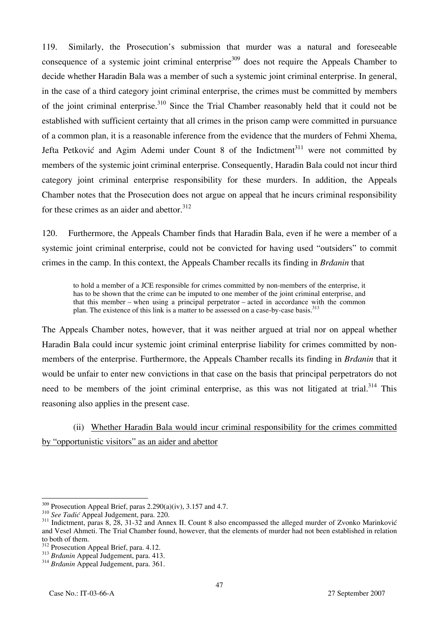119. Similarly, the Prosecution's submission that murder was a natural and foreseeable consequence of a systemic joint criminal enterprise<sup>309</sup> does not require the Appeals Chamber to decide whether Haradin Bala was a member of such a systemic joint criminal enterprise. In general, in the case of a third category joint criminal enterprise, the crimes must be committed by members of the joint criminal enterprise.<sup>310</sup> Since the Trial Chamber reasonably held that it could not be established with sufficient certainty that all crimes in the prison camp were committed in pursuance of a common plan, it is a reasonable inference from the evidence that the murders of Fehmi Xhema, Jefta Petković and Agim Ademi under Count 8 of the Indictment<sup>311</sup> were not committed by members of the systemic joint criminal enterprise. Consequently, Haradin Bala could not incur third category joint criminal enterprise responsibility for these murders. In addition, the Appeals Chamber notes that the Prosecution does not argue on appeal that he incurs criminal responsibility for these crimes as an aider and abettor. $312$ 

120. Furthermore, the Appeals Chamber finds that Haradin Bala, even if he were a member of a systemic joint criminal enterprise, could not be convicted for having used "outsiders" to commit crimes in the camp. In this context, the Appeals Chamber recalls its finding in *Brđanin* that

to hold a member of a JCE responsible for crimes committed by non-members of the enterprise, it has to be shown that the crime can be imputed to one member of the joint criminal enterprise, and that this member – when using a principal perpetrator – acted in accordance with the common plan. The existence of this link is a matter to be assessed on a case-by-case basis.<sup>313</sup>

The Appeals Chamber notes, however, that it was neither argued at trial nor on appeal whether Haradin Bala could incur systemic joint criminal enterprise liability for crimes committed by nonmembers of the enterprise. Furthermore, the Appeals Chamber recalls its finding in *Brđanin* that it would be unfair to enter new convictions in that case on the basis that principal perpetrators do not need to be members of the joint criminal enterprise, as this was not litigated at trial.<sup>314</sup> This reasoning also applies in the present case.

(ii) Whether Haradin Bala would incur criminal responsibility for the crimes committed by "opportunistic visitors" as an aider and abettor

<sup>&</sup>lt;sup>309</sup> Prosecution Appeal Brief, paras 2.290(a)(iv), 3.157 and 4.7.

<sup>&</sup>lt;sup>310</sup> See Tadić Appeal Judgement, para. 220.<br><sup>311</sup> Indictment, paras 8, 28, 31-32 and Annex II. Count 8 also encompassed the alleged murder of Zvonko Marinković and Vesel Ahmeti. The Trial Chamber found, however, that the elements of murder had not been established in relation to both of them.<br><sup>312</sup> Prosecution Appeal Brief, para. 4.12.

<sup>312</sup> Prosecution Appeal Brief, para. 4.12. 313 *Brđanin* Appeal Judgement, para. 413. 314 *Brđanin* Appeal Judgement, para. 361.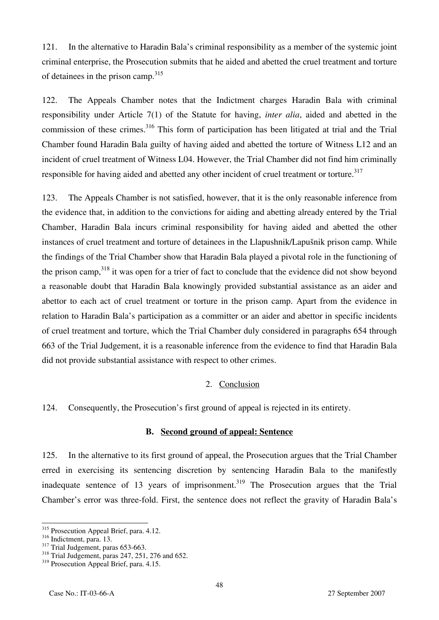121. In the alternative to Haradin Bala's criminal responsibility as a member of the systemic joint criminal enterprise, the Prosecution submits that he aided and abetted the cruel treatment and torture of detainees in the prison camp.<sup>315</sup>

122. The Appeals Chamber notes that the Indictment charges Haradin Bala with criminal responsibility under Article 7(1) of the Statute for having, *inter alia*, aided and abetted in the commission of these crimes.<sup>316</sup> This form of participation has been litigated at trial and the Trial Chamber found Haradin Bala guilty of having aided and abetted the torture of Witness L12 and an incident of cruel treatment of Witness L04. However, the Trial Chamber did not find him criminally responsible for having aided and abetted any other incident of cruel treatment or torture.<sup>317</sup>

123. The Appeals Chamber is not satisfied, however, that it is the only reasonable inference from the evidence that, in addition to the convictions for aiding and abetting already entered by the Trial Chamber, Haradin Bala incurs criminal responsibility for having aided and abetted the other instances of cruel treatment and torture of detainees in the Llapushnik/Lapušnik prison camp. While the findings of the Trial Chamber show that Haradin Bala played a pivotal role in the functioning of the prison camp,<sup>318</sup> it was open for a trier of fact to conclude that the evidence did not show beyond a reasonable doubt that Haradin Bala knowingly provided substantial assistance as an aider and abettor to each act of cruel treatment or torture in the prison camp. Apart from the evidence in relation to Haradin Bala's participation as a committer or an aider and abettor in specific incidents of cruel treatment and torture, which the Trial Chamber duly considered in paragraphs 654 through 663 of the Trial Judgement, it is a reasonable inference from the evidence to find that Haradin Bala did not provide substantial assistance with respect to other crimes.

### 2. Conclusion

124. Consequently, the Prosecution's first ground of appeal is rejected in its entirety.

### **B. Second ground of appeal: Sentence**

125. In the alternative to its first ground of appeal, the Prosecution argues that the Trial Chamber erred in exercising its sentencing discretion by sentencing Haradin Bala to the manifestly inadequate sentence of 13 years of imprisonment.<sup>319</sup> The Prosecution argues that the Trial Chamber's error was three-fold. First, the sentence does not reflect the gravity of Haradin Bala's

 $\overline{a}$ <sup>315</sup> Prosecution Appeal Brief, para. 4.12.

 $\frac{316}{100}$  Indictment, para. 13.<br><sup>317</sup> Trial Judgement, paras 653-663.<br><sup>318</sup> Trial Judgement, paras 247, 251, 276 and 652.

<sup>&</sup>lt;sup>319</sup> Prosecution Appeal Brief, para. 4.15.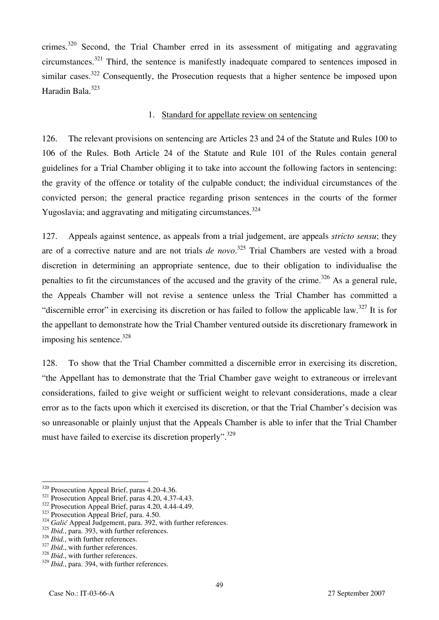crimes.<sup>320</sup> Second, the Trial Chamber erred in its assessment of mitigating and aggravating circumstances.<sup>321</sup> Third, the sentence is manifestly inadequate compared to sentences imposed in similar cases.<sup>322</sup> Consequently, the Prosecution requests that a higher sentence be imposed upon Haradin Bala.<sup>323</sup>

#### 1. Standard for appellate review on sentencing

126. The relevant provisions on sentencing are Articles 23 and 24 of the Statute and Rules 100 to 106 of the Rules. Both Article 24 of the Statute and Rule 101 of the Rules contain general guidelines for a Trial Chamber obliging it to take into account the following factors in sentencing: the gravity of the offence or totality of the culpable conduct; the individual circumstances of the convicted person; the general practice regarding prison sentences in the courts of the former Yugoslavia; and aggravating and mitigating circumstances.<sup>324</sup>

127. Appeals against sentence, as appeals from a trial judgement, are appeals *stricto sensu*; they are of a corrective nature and are not trials *de novo*. 325 Trial Chambers are vested with a broad discretion in determining an appropriate sentence, due to their obligation to individualise the penalties to fit the circumstances of the accused and the gravity of the crime.<sup>326</sup> As a general rule, the Appeals Chamber will not revise a sentence unless the Trial Chamber has committed a "discernible error" in exercising its discretion or has failed to follow the applicable law.<sup>327</sup> It is for the appellant to demonstrate how the Trial Chamber ventured outside its discretionary framework in imposing his sentence.  $328$ 

128. To show that the Trial Chamber committed a discernible error in exercising its discretion, "the Appellant has to demonstrate that the Trial Chamber gave weight to extraneous or irrelevant considerations, failed to give weight or sufficient weight to relevant considerations, made a clear error as to the facts upon which it exercised its discretion, or that the Trial Chamber's decision was so unreasonable or plainly unjust that the Appeals Chamber is able to infer that the Trial Chamber must have failed to exercise its discretion properly".<sup>329</sup>

<sup>&</sup>lt;sup>320</sup> Prosecution Appeal Brief, paras 4.20-4.36.

<sup>&</sup>lt;sup>321</sup> Prosecution Appeal Brief, paras 4.20, 4.37-4.43.<br><sup>322</sup> Prosecution Appeal Brief, paras 4.20, 4.44-4.49.<br><sup>323</sup> Prosecution Appeal Brief, para. 4.50.<br><sup>324</sup> Galić Appeal Judgement, para. 392, with further references.

<sup>&</sup>lt;sup>325</sup> *Ibid.*, para. 393, with further references.<br><sup>326</sup> *Ibid.*, with further references.

<sup>&</sup>lt;sup>327</sup> *Ibid.*, with further references.<br><sup>328</sup> *Ibid.*, with further references.

<sup>329</sup> *Ibid.*, para. 394, with further references.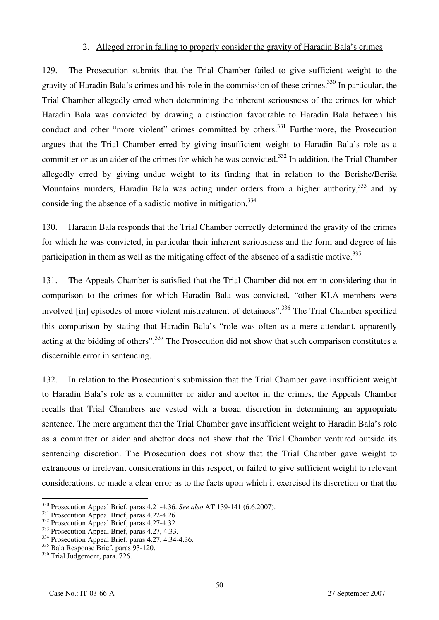#### 2. Alleged error in failing to properly consider the gravity of Haradin Bala's crimes

129. The Prosecution submits that the Trial Chamber failed to give sufficient weight to the gravity of Haradin Bala's crimes and his role in the commission of these crimes.330 In particular, the Trial Chamber allegedly erred when determining the inherent seriousness of the crimes for which Haradin Bala was convicted by drawing a distinction favourable to Haradin Bala between his conduct and other "more violent" crimes committed by others.<sup>331</sup> Furthermore, the Prosecution argues that the Trial Chamber erred by giving insufficient weight to Haradin Bala's role as a committer or as an aider of the crimes for which he was convicted.<sup>332</sup> In addition, the Trial Chamber allegedly erred by giving undue weight to its finding that in relation to the Berishe/Beriša Mountains murders, Haradin Bala was acting under orders from a higher authority,  $333$  and by considering the absence of a sadistic motive in mitigation.<sup>334</sup>

130. Haradin Bala responds that the Trial Chamber correctly determined the gravity of the crimes for which he was convicted, in particular their inherent seriousness and the form and degree of his participation in them as well as the mitigating effect of the absence of a sadistic motive.<sup>335</sup>

131. The Appeals Chamber is satisfied that the Trial Chamber did not err in considering that in comparison to the crimes for which Haradin Bala was convicted, "other KLA members were involved [in] episodes of more violent mistreatment of detainees".<sup>336</sup> The Trial Chamber specified this comparison by stating that Haradin Bala's "role was often as a mere attendant, apparently acting at the bidding of others".<sup>337</sup> The Prosecution did not show that such comparison constitutes a discernible error in sentencing.

132. In relation to the Prosecution's submission that the Trial Chamber gave insufficient weight to Haradin Bala's role as a committer or aider and abettor in the crimes, the Appeals Chamber recalls that Trial Chambers are vested with a broad discretion in determining an appropriate sentence. The mere argument that the Trial Chamber gave insufficient weight to Haradin Bala's role as a committer or aider and abettor does not show that the Trial Chamber ventured outside its sentencing discretion. The Prosecution does not show that the Trial Chamber gave weight to extraneous or irrelevant considerations in this respect, or failed to give sufficient weight to relevant considerations, or made a clear error as to the facts upon which it exercised its discretion or that the

<sup>&</sup>lt;sup>330</sup> Prosecution Appeal Brief, paras 4.21-4.36. *See also* AT 139-141 (6.6.2007).<br><sup>331</sup> Prosecution Appeal Brief, paras 4.22-4.26.<br><sup>332</sup> Prosecution Appeal Brief, paras 4.27-4.32.<br><sup>333</sup> Prosecution Appeal Brief, paras 4.2

 $334$  Prosecution Appeal Brief, paras 4.27, 4.34-4.36.<br> $335$  Bala Response Brief, paras 93-120.

<sup>&</sup>lt;sup>336</sup> Trial Judgement, para. 726.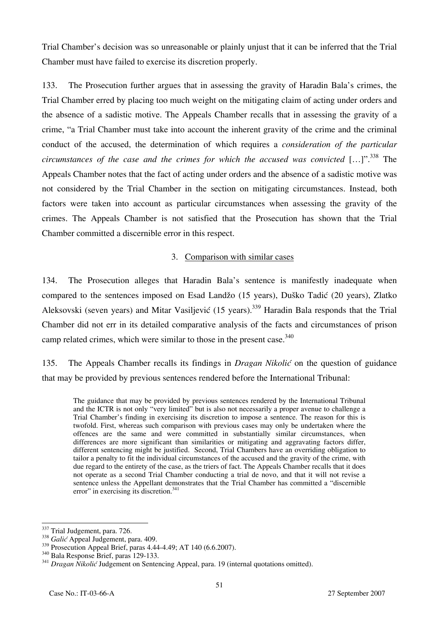Trial Chamber's decision was so unreasonable or plainly unjust that it can be inferred that the Trial Chamber must have failed to exercise its discretion properly.

133. The Prosecution further argues that in assessing the gravity of Haradin Bala's crimes, the Trial Chamber erred by placing too much weight on the mitigating claim of acting under orders and the absence of a sadistic motive. The Appeals Chamber recalls that in assessing the gravity of a crime, "a Trial Chamber must take into account the inherent gravity of the crime and the criminal conduct of the accused, the determination of which requires a *consideration of the particular circumstances of the case and the crimes for which the accused was convicted* [...]".<sup>338</sup> The Appeals Chamber notes that the fact of acting under orders and the absence of a sadistic motive was not considered by the Trial Chamber in the section on mitigating circumstances. Instead, both factors were taken into account as particular circumstances when assessing the gravity of the crimes. The Appeals Chamber is not satisfied that the Prosecution has shown that the Trial Chamber committed a discernible error in this respect.

## 3. Comparison with similar cases

134. The Prosecution alleges that Haradin Bala's sentence is manifestly inadequate when compared to the sentences imposed on Esad Landžo (15 years), Duško Tadić (20 years), Zlatko Aleksovski (seven years) and Mitar Vasiljević (15 years).<sup>339</sup> Haradin Bala responds that the Trial Chamber did not err in its detailed comparative analysis of the facts and circumstances of prison camp related crimes, which were similar to those in the present case.<sup>340</sup>

135. The Appeals Chamber recalls its findings in *Dragan Nikolić* on the question of guidance that may be provided by previous sentences rendered before the International Tribunal:

The guidance that may be provided by previous sentences rendered by the International Tribunal and the ICTR is not only "very limited" but is also not necessarily a proper avenue to challenge a Trial Chamber's finding in exercising its discretion to impose a sentence. The reason for this is twofold. First, whereas such comparison with previous cases may only be undertaken where the offences are the same and were committed in substantially similar circumstances, when differences are more significant than similarities or mitigating and aggravating factors differ, different sentencing might be justified. Second, Trial Chambers have an overriding obligation to tailor a penalty to fit the individual circumstances of the accused and the gravity of the crime, with due regard to the entirety of the case, as the triers of fact. The Appeals Chamber recalls that it does not operate as a second Trial Chamber conducting a trial de novo, and that it will not revise a sentence unless the Appellant demonstrates that the Trial Chamber has committed a "discernible" error" in exercising its discretion. $341$ 

<sup>337</sup> Trial Judgement, para. 726.

<sup>338</sup> *Galić* Appeal Judgement, para. 409.<br><sup>339</sup> Prosecution Appeal Brief, paras 4.44-4.49; AT 140 (6.6.2007).

<sup>&</sup>lt;sup>340</sup> Bala Response Brief, paras 129-133.<br><sup>341</sup> *Dragan Nikolić* Judgement on Sentencing Appeal, para. 19 (internal quotations omitted).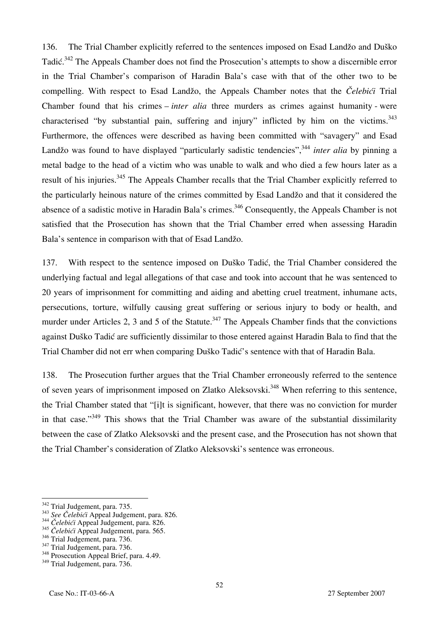136. The Trial Chamber explicitly referred to the sentences imposed on Esad Landžo and Duško Tadić.<sup>342</sup> The Appeals Chamber does not find the Prosecution's attempts to show a discernible error in the Trial Chamber's comparison of Haradin Bala's case with that of the other two to be compelling. With respect to Esad Landžo, the Appeals Chamber notes that the *Čelebići* Trial Chamber found that his crimes – *inter alia* three murders as crimes against humanity - were characterised "by substantial pain, suffering and injury" inflicted by him on the victims. $343$ Furthermore, the offences were described as having been committed with "savagery" and Esad Landžo was found to have displayed "particularly sadistic tendencies",<sup>344</sup> *inter alia* by pinning a metal badge to the head of a victim who was unable to walk and who died a few hours later as a result of his injuries.<sup>345</sup> The Appeals Chamber recalls that the Trial Chamber explicitly referred to the particularly heinous nature of the crimes committed by Esad Landžo and that it considered the absence of a sadistic motive in Haradin Bala's crimes.<sup>346</sup> Consequently, the Appeals Chamber is not satisfied that the Prosecution has shown that the Trial Chamber erred when assessing Haradin Bala's sentence in comparison with that of Esad Landžo.

137. With respect to the sentence imposed on Duško Tadić, the Trial Chamber considered the underlying factual and legal allegations of that case and took into account that he was sentenced to 20 years of imprisonment for committing and aiding and abetting cruel treatment, inhumane acts, persecutions, torture, wilfully causing great suffering or serious injury to body or health, and murder under Articles 2, 3 and 5 of the Statute.<sup>347</sup> The Appeals Chamber finds that the convictions against Duško Tadić are sufficiently dissimilar to those entered against Haradin Bala to find that the Trial Chamber did not err when comparing Duško Tadić's sentence with that of Haradin Bala.

138. The Prosecution further argues that the Trial Chamber erroneously referred to the sentence of seven years of imprisonment imposed on Zlatko Aleksovski.<sup>348</sup> When referring to this sentence, the Trial Chamber stated that "[i]t is significant, however, that there was no conviction for murder in that case."<sup>349</sup> This shows that the Trial Chamber was aware of the substantial dissimilarity between the case of Zlatko Aleksovski and the present case, and the Prosecution has not shown that the Trial Chamber's consideration of Zlatko Aleksovski's sentence was erroneous.

<sup>&</sup>lt;sup>342</sup> Trial Judgement, para. 735.

<sup>342</sup> Trial Judgement, para. 735. 343 *See Čelebić<sup>i</sup>*Appeal Judgement, para. 826. 344 *<sup>Č</sup>elebići* Appeal Judgement, para. 826.

<sup>345</sup> *Čelebići* Appeal Judgement, para. 565.

<sup>&</sup>lt;sup>347</sup> Trial Judgement, para. 736.<br><sup>348</sup> Prosecution Appeal Brief, para. 4.49.

<sup>&</sup>lt;sup>349</sup> Trial Judgement, para. 736.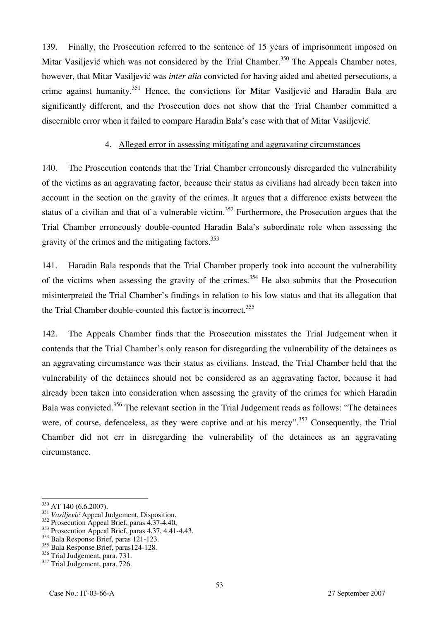139. Finally, the Prosecution referred to the sentence of 15 years of imprisonment imposed on Mitar Vasiljević which was not considered by the Trial Chamber.<sup>350</sup> The Appeals Chamber notes, however, that Mitar Vasiljević was *inter alia* convicted for having aided and abetted persecutions, a crime against humanity.<sup>351</sup> Hence, the convictions for Mitar Vasiljević and Haradin Bala are significantly different, and the Prosecution does not show that the Trial Chamber committed a discernible error when it failed to compare Haradin Bala's case with that of Mitar Vasiljević.

#### 4. Alleged error in assessing mitigating and aggravating circumstances

140. The Prosecution contends that the Trial Chamber erroneously disregarded the vulnerability of the victims as an aggravating factor, because their status as civilians had already been taken into account in the section on the gravity of the crimes. It argues that a difference exists between the status of a civilian and that of a vulnerable victim.<sup>352</sup> Furthermore, the Prosecution argues that the Trial Chamber erroneously double-counted Haradin Bala's subordinate role when assessing the gravity of the crimes and the mitigating factors.<sup>353</sup>

141. Haradin Bala responds that the Trial Chamber properly took into account the vulnerability of the victims when assessing the gravity of the crimes.<sup>354</sup> He also submits that the Prosecution misinterpreted the Trial Chamber's findings in relation to his low status and that its allegation that the Trial Chamber double-counted this factor is incorrect.<sup>355</sup>

142. The Appeals Chamber finds that the Prosecution misstates the Trial Judgement when it contends that the Trial Chamber's only reason for disregarding the vulnerability of the detainees as an aggravating circumstance was their status as civilians. Instead, the Trial Chamber held that the vulnerability of the detainees should not be considered as an aggravating factor, because it had already been taken into consideration when assessing the gravity of the crimes for which Haradin Bala was convicted.<sup>356</sup> The relevant section in the Trial Judgement reads as follows: "The detainees" were, of course, defenceless, as they were captive and at his mercy".<sup>357</sup> Consequently, the Trial Chamber did not err in disregarding the vulnerability of the detainees as an aggravating circumstance.

 $\overline{\phantom{a}}$ 

 $^{350}$  AT 140 (6.6.2007).

<sup>351</sup> *Vasiljević* Appeal Judgement, Disposition.

<sup>&</sup>lt;sup>352</sup> Prosecution Appeal Brief, paras 4.37-4.40,

<sup>&</sup>lt;sup>353</sup> Prosecution Appeal Brief, paras 4.37, 4.41-4.43.

<sup>354</sup> Bala Response Brief, paras 121-123.

<sup>&</sup>lt;sup>355</sup> Bala Response Brief, paras124-128.

<sup>&</sup>lt;sup>356</sup> Trial Judgement, para. 731.

<sup>&</sup>lt;sup>357</sup> Trial Judgement, para. 726.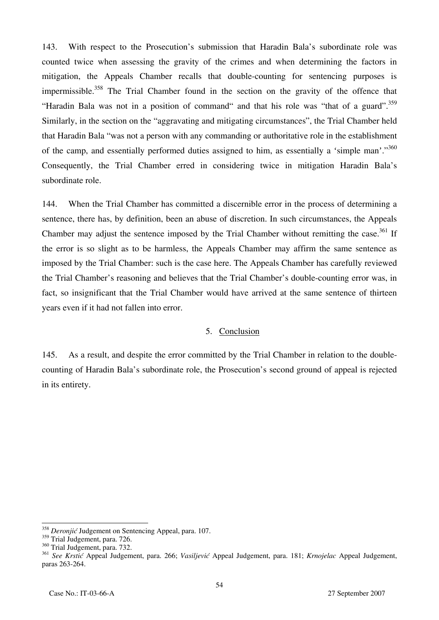143. With respect to the Prosecution's submission that Haradin Bala's subordinate role was counted twice when assessing the gravity of the crimes and when determining the factors in mitigation, the Appeals Chamber recalls that double-counting for sentencing purposes is impermissible.<sup>358</sup> The Trial Chamber found in the section on the gravity of the offence that "Haradin Bala was not in a position of command" and that his role was "that of a guard".<sup>359</sup> Similarly, in the section on the "aggravating and mitigating circumstances", the Trial Chamber held that Haradin Bala "was not a person with any commanding or authoritative role in the establishment of the camp, and essentially performed duties assigned to him, as essentially a 'simple man'."<sup>360</sup> Consequently, the Trial Chamber erred in considering twice in mitigation Haradin Bala's subordinate role.

144. When the Trial Chamber has committed a discernible error in the process of determining a sentence, there has, by definition, been an abuse of discretion. In such circumstances, the Appeals Chamber may adjust the sentence imposed by the Trial Chamber without remitting the case.<sup>361</sup> If the error is so slight as to be harmless, the Appeals Chamber may affirm the same sentence as imposed by the Trial Chamber: such is the case here. The Appeals Chamber has carefully reviewed the Trial Chamber's reasoning and believes that the Trial Chamber's double-counting error was, in fact, so insignificant that the Trial Chamber would have arrived at the same sentence of thirteen years even if it had not fallen into error.

### 5. Conclusion

145. As a result, and despite the error committed by the Trial Chamber in relation to the doublecounting of Haradin Bala's subordinate role, the Prosecution's second ground of appeal is rejected in its entirety.

<sup>358</sup> *Deronjić* Judgement on Sentencing Appeal, para. 107.

<sup>&</sup>lt;sup>359</sup> Trial Judgement, para. 726.

<sup>&</sup>lt;sup>360</sup> Trial Judgement, para. 732.

<sup>361</sup> *See Krstić* Appeal Judgement, para. 266; *Vasiljević* Appeal Judgement, para. 181; *Krnojelac* Appeal Judgement, paras 263-264.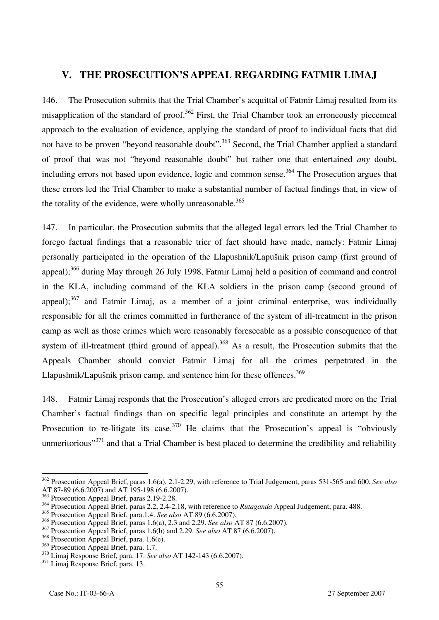# **V. THE PROSECUTION'S APPEAL REGARDING FATMIR LIMAJ**

146. The Prosecution submits that the Trial Chamber's acquittal of Fatmir Limaj resulted from its misapplication of the standard of proof.<sup>362</sup> First, the Trial Chamber took an erroneously piecemeal approach to the evaluation of evidence, applying the standard of proof to individual facts that did not have to be proven "beyond reasonable doubt".<sup>363</sup> Second, the Trial Chamber applied a standard of proof that was not "beyond reasonable doubt" but rather one that entertained *any* doubt, including errors not based upon evidence, logic and common sense.<sup>364</sup> The Prosecution argues that these errors led the Trial Chamber to make a substantial number of factual findings that, in view of the totality of the evidence, were wholly unreasonable. $365$ 

147. In particular, the Prosecution submits that the alleged legal errors led the Trial Chamber to forego factual findings that a reasonable trier of fact should have made, namely: Fatmir Limaj personally participated in the operation of the Llapushnik/Lapušnik prison camp (first ground of appeal);<sup>366</sup> during May through 26 July 1998, Fatmir Limaj held a position of command and control in the KLA, including command of the KLA soldiers in the prison camp (second ground of appeal); $367$  and Fatmir Limaj, as a member of a joint criminal enterprise, was individually responsible for all the crimes committed in furtherance of the system of ill-treatment in the prison camp as well as those crimes which were reasonably foreseeable as a possible consequence of that system of ill-treatment (third ground of appeal).<sup>368</sup> As a result, the Prosecution submits that the Appeals Chamber should convict Fatmir Limaj for all the crimes perpetrated in the Llapushnik/Lapušnik prison camp, and sentence him for these offences.<sup>369</sup>

148. Fatmir Limaj responds that the Prosecution's alleged errors are predicated more on the Trial Chamber's factual findings than on specific legal principles and constitute an attempt by the Prosecution to re-litigate its case.<sup>370</sup> He claims that the Prosecution's appeal is "obviously" unmeritorious"<sup>371</sup> and that a Trial Chamber is best placed to determine the credibility and reliability

 $\overline{a}$ 362 Prosecution Appeal Brief, paras 1.6(a), 2.1-2.29, with reference to Trial Judgement, paras 531-565 and 600. *See also* AT 87-89 (6.6.2007) and AT 195-198 (6.6.2007).

<sup>&</sup>lt;sup>363</sup> Prosecution Appeal Brief, paras 2.19-2.28.

<sup>&</sup>lt;sup>364</sup> Prosecution Appeal Brief, paras 2.2, 2.4-2.18, with reference to *Rutaganda* Appeal Judgement, para. 488.

<sup>365</sup> Prosecution Appeal Brief, para.1.4. *See also* AT 89 (6.6.2007).

<sup>366</sup> Prosecution Appeal Brief, paras 1.6(a), 2.3 and 2.29. *See also* AT 87 (6.6.2007).

<sup>367</sup> Prosecution Appeal Brief, paras 1.6(b) and 2.29. *See also* AT 87 (6.6.2007).

 $368$  Prosecution Appeal Brief, para. 1.6(e).<br> $369$  Prosecution Appeal Brief, para. 1.7.

<sup>&</sup>lt;sup>370</sup> Limaj Response Brief, para. 17. *See also* AT 142-143 (6.6.2007).<br><sup>371</sup> Limaj Response Brief, para. 13.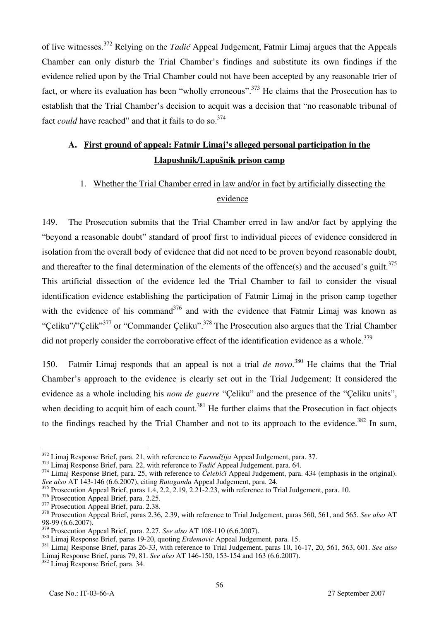of live witnesses.372 Relying on the *Tadić* Appeal Judgement, Fatmir Limaj argues that the Appeals Chamber can only disturb the Trial Chamber's findings and substitute its own findings if the evidence relied upon by the Trial Chamber could not have been accepted by any reasonable trier of fact, or where its evaluation has been "wholly erroneous".<sup>373</sup> He claims that the Prosecution has to establish that the Trial Chamber's decision to acquit was a decision that "no reasonable tribunal of fact *could* have reached" and that it fails to do so.<sup>374</sup>

# **A. First ground of appeal: Fatmir Limaj's alleged personal participation in the Llapushnik/Lapušnik prison camp**

# 1. Whether the Trial Chamber erred in law and/or in fact by artificially dissecting the evidence

149. The Prosecution submits that the Trial Chamber erred in law and/or fact by applying the "beyond a reasonable doubt" standard of proof first to individual pieces of evidence considered in isolation from the overall body of evidence that did not need to be proven beyond reasonable doubt, and thereafter to the final determination of the elements of the offence(s) and the accused's guilt.<sup>375</sup> This artificial dissection of the evidence led the Trial Chamber to fail to consider the visual identification evidence establishing the participation of Fatmir Limaj in the prison camp together with the evidence of his command<sup>376</sup> and with the evidence that Fatmir Limaj was known as "Celiku"/"Celik"<sup>377</sup> or "Commander Celiku".<sup>378</sup> The Prosecution also argues that the Trial Chamber did not properly consider the corroborative effect of the identification evidence as a whole.<sup>379</sup>

150. Fatmir Limaj responds that an appeal is not a trial *de novo*. 380 He claims that the Trial Chamber's approach to the evidence is clearly set out in the Trial Judgement: It considered the evidence as a whole including his *nom de guerre* "Çeliku" and the presence of the "Çeliku units", when deciding to acquit him of each count.<sup>381</sup> He further claims that the Prosecution in fact objects to the findings reached by the Trial Chamber and not to its approach to the evidence.<sup>382</sup> In sum,

<sup>&</sup>lt;sup>372</sup> Limai Response Brief, para. 21, with reference to *Furundžija* Appeal Judgement, para. 37.

<sup>373</sup> Limaj Response Brief, para. 22, with reference to *Tadić* Appeal Judgement, para. 64.<br><sup>374</sup> Limaj Response Brief, para. 25, with reference to *Čelebići* Appeal Judgement, para. 434 (emphasis in the original). *See also* AT 143-146 (6.6.2007), citing *Rutaganda* Appeal Judgement, para. 24.

 $375$  Prosecution Appeal Brief, paras 1.4, 2.2, 2.19, 2.21-2.23, with reference to Trial Judgement, para. 10.<br> $376$  Prosecution Appeal Brief, para. 2.25.

<sup>&</sup>lt;sup>377</sup> Prosecution Appeal Brief, para. 2.38.<br><sup>378</sup> Prosecution Appeal Brief, paras 2.36, 2.39, with reference to Trial Judgement, paras 560, 561, and 565. *See also* AT 98-99 (6.6.2007).<br> $3^{379}$  Prosecution Appeal Brief. para. 2.27. See also AT 108-110 (6.6.2007).

<sup>&</sup>lt;sup>380</sup> Limaj Response Brief, paras 19-20, quoting *Erdemovic* Appeal Judgement, para. 15.<br><sup>381</sup> Limaj Response Brief, paras 19-20, quoting *Erdemovic* Appeal Judgement, para. 15.<br><sup>381</sup> Limaj Response Brief, paras 26-33, wit Limaj Response Brief, paras 79, 81. *See also* AT 146-150, 153-154 and 163 (6.6.2007). 382 Limaj Response Brief, para. 34.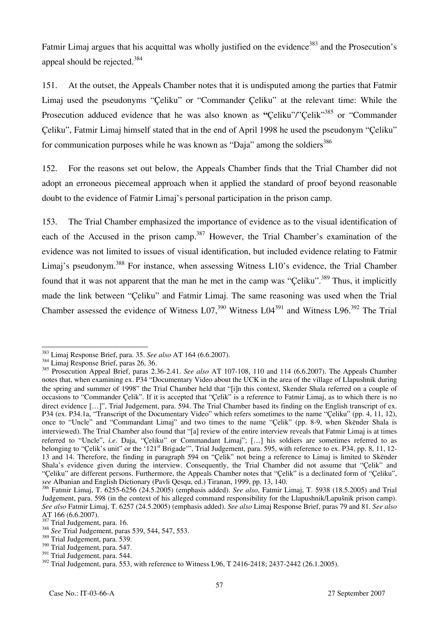Fatmir Limaj argues that his acquittal was wholly justified on the evidence<sup>383</sup> and the Prosecution's appeal should be rejected.384

151. At the outset, the Appeals Chamber notes that it is undisputed among the parties that Fatmir Limaj used the pseudonyms "Çeliku" or "Commander Çeliku" at the relevant time: While the Prosecution adduced evidence that he was also known as "Celiku"/"Celik"<sup>385</sup> or "Commander" Çeliku", Fatmir Limaj himself stated that in the end of April 1998 he used the pseudonym "Çeliku" for communication purposes while he was known as "Daja" among the soldiers $386$ 

152. For the reasons set out below, the Appeals Chamber finds that the Trial Chamber did not adopt an erroneous piecemeal approach when it applied the standard of proof beyond reasonable doubt to the evidence of Fatmir Limaj's personal participation in the prison camp.

153. The Trial Chamber emphasized the importance of evidence as to the visual identification of each of the Accused in the prison camp.<sup>387</sup> However, the Trial Chamber's examination of the evidence was not limited to issues of visual identification, but included evidence relating to Fatmir Limaj's pseudonym.<sup>388</sup> For instance, when assessing Witness L10's evidence, the Trial Chamber found that it was not apparent that the man he met in the camp was "Celiku".<sup>389</sup> Thus, it implicitly made the link between "Çeliku" and Fatmir Limaj. The same reasoning was used when the Trial Chamber assessed the evidence of Witness L07,<sup>390</sup> Witness L04<sup>391</sup> and Witness L96.<sup>392</sup> The Trial

 $\overline{a}$ <sup>383</sup> Limaj Response Brief, para. 35. *See also* AT 164 (6.6.2007).<br><sup>384</sup> Limaj Response Brief, paras 26, 36.

<sup>&</sup>lt;sup>384</sup> Limaj Response Brief, paras 26, 36.<br><sup>385</sup> Prosecution Appeal Brief, paras 2.36-2.41. *See also* AT 107-108, 110 and 114 (6.6.2007). The Appeals Chamber notes that, when examining ex. P34 "Documentary Video about the UCK in the area of the village of Llapushnik during the spring and summer of 1998" the Trial Chamber held that "[i]n this context, Skender Shala referred on a couple of occasions to "Commander Çelik". If it is accepted that "Çelik" is a reference to Fatmir Limaj, as to which there is no direct evidence [...]", Trial Judgement, para. 594. The Trial Chamber based its finding on the English transcript of ex. P34 (ex. P34.1a, "Transcript of the Documentary Video" which refers sometimes to the name "Çeliku" (pp. 4, 11, 12), once to "Uncle" and "Commandant Limaj" and two times to the name "Çelik" (pp. 8-9, when Skënder Shala is interviewed). The Trial Chamber also found that "[a] review of the entire interview reveals that Fatmir Limaj is at times referred to "Uncle", *i.e*. Daja, "Çeliku" or Commandant Limaj"; […] his soldiers are sometimes referred to as belonging to "Celik's unit" or the '121<sup>st</sup> Brigade'", Trial Judgement, para. 595, with reference to ex. P34, pp. 8, 11, 12-13 and 14. Therefore, the finding in paragraph 594 on "Çelik" not being a reference to Limaj is limited to Skënder Shala's evidence given during the interview. Consequently, the Trial Chamber did not assume that "Çelik" and "Çeliku" are different persons. Furthermore, the Appeals Chamber notes that "Çelik" is a declinated form of "Çeliku", *see* Albanian and English Dictionary (Pavli Qesqu, ed.) Tiranan, 1999, pp. 13, 140.

<sup>386</sup> Fatmir Limaj, T. 6255-6256 (24.5.2005) (emphasis added). *See also*, Fatmir Limaj, T. 5938 (18.5.2005) and Trial Judgement, para. 598 (in the context of his alleged command responsibility for the Llapushnik/Lapušnik prison camp). *See also* Fatmir Limaj, T. 6257 (24.5.2005) (emphasis added). *See also* Limaj Response Brief, paras 79 and 81. *See also* AT 166 (6.6.2007).<br> $387$  Trial Judgement, para. 16.

<sup>387</sup> Trial Judgement, para. 16. 388 *See* Trial Judgement, paras 539, 544, 547, 553.

<sup>&</sup>lt;sup>389</sup> Trial Judgement, para. 539.

<sup>390</sup> Trial Judgement, para. 547.

<sup>&</sup>lt;sup>391</sup> Trial Judgement, para. 544.

<sup>&</sup>lt;sup>392</sup> Trial Judgement, para. 553, with reference to Witness L96, T 2416-2418; 2437-2442 (26.1.2005).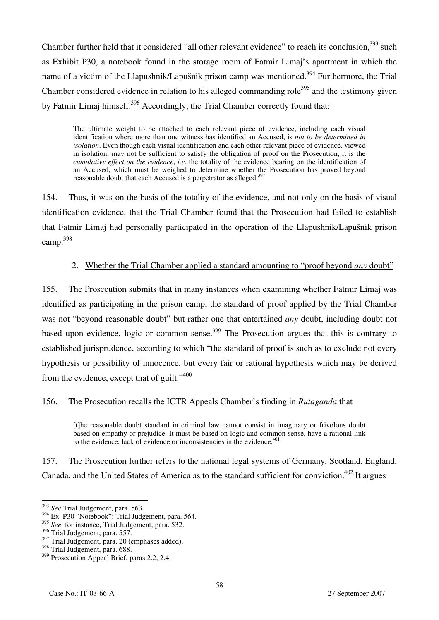Chamber further held that it considered "all other relevant evidence" to reach its conclusion,<sup>393</sup> such as Exhibit P30, a notebook found in the storage room of Fatmir Limaj's apartment in which the name of a victim of the Llapushnik/Lapušnik prison camp was mentioned.<sup>394</sup> Furthermore, the Trial Chamber considered evidence in relation to his alleged commanding role<sup>395</sup> and the testimony given by Fatmir Limaj himself.<sup>396</sup> Accordingly, the Trial Chamber correctly found that:

The ultimate weight to be attached to each relevant piece of evidence, including each visual identification where more than one witness has identified an Accused, is *not to be determined in isolation*. Even though each visual identification and each other relevant piece of evidence, viewed in isolation, may not be sufficient to satisfy the obligation of proof on the Prosecution, it is the *cumulative effect on the evidence*, *i.e.* the totality of the evidence bearing on the identification of an Accused, which must be weighed to determine whether the Prosecution has proved beyond reasonable doubt that each Accused is a perpetrator as alleged.<sup>397</sup>

154. Thus, it was on the basis of the totality of the evidence, and not only on the basis of visual identification evidence, that the Trial Chamber found that the Prosecution had failed to establish that Fatmir Limaj had personally participated in the operation of the Llapushnik/Lapušnik prison camp.398

## 2. Whether the Trial Chamber applied a standard amounting to "proof beyond *any* doubt"

155. The Prosecution submits that in many instances when examining whether Fatmir Limaj was identified as participating in the prison camp, the standard of proof applied by the Trial Chamber was not "beyond reasonable doubt" but rather one that entertained *any* doubt, including doubt not based upon evidence, logic or common sense.<sup>399</sup> The Prosecution argues that this is contrary to established jurisprudence, according to which "the standard of proof is such as to exclude not every hypothesis or possibility of innocence, but every fair or rational hypothesis which may be derived from the evidence, except that of guilt."<sup>400</sup>

# 156. The Prosecution recalls the ICTR Appeals Chamber's finding in *Rutaganda* that

[t]he reasonable doubt standard in criminal law cannot consist in imaginary or frivolous doubt based on empathy or prejudice. It must be based on logic and common sense, have a rational link to the evidence, lack of evidence or inconsistencies in the evidence.<sup>401</sup>

157. The Prosecution further refers to the national legal systems of Germany, Scotland, England, Canada, and the United States of America as to the standard sufficient for conviction.<sup>402</sup> It argues

 $\overline{a}$ <sup>393</sup> *See* Trial Judgement, para. 563.

<sup>&</sup>lt;sup>394</sup> Ex. P30 "Notebook"; Trial Judgement, para. 564.

<sup>395</sup> *See*, for instance, Trial Judgement, para. 532.

<sup>396</sup> Trial Judgement, para. 557.

<sup>&</sup>lt;sup>397</sup> Trial Judgement, para. 20 (emphases added).

<sup>&</sup>lt;sup>398</sup> Trial Judgement, para. 688.

<sup>&</sup>lt;sup>399</sup> Prosecution Appeal Brief, paras 2.2, 2.4.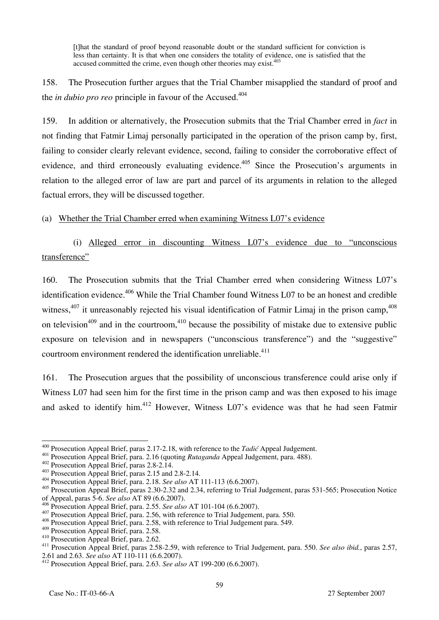[t]hat the standard of proof beyond reasonable doubt or the standard sufficient for conviction is less than certainty. It is that when one considers the totality of evidence, one is satisfied that the accused committed the crime, even though other theories may exist.<sup>403</sup>

158. The Prosecution further argues that the Trial Chamber misapplied the standard of proof and the *in dubio pro reo* principle in favour of the Accused.<sup>404</sup>

159. In addition or alternatively, the Prosecution submits that the Trial Chamber erred in *fact* in not finding that Fatmir Limaj personally participated in the operation of the prison camp by, first, failing to consider clearly relevant evidence, second, failing to consider the corroborative effect of evidence, and third erroneously evaluating evidence.<sup>405</sup> Since the Prosecution's arguments in relation to the alleged error of law are part and parcel of its arguments in relation to the alleged factual errors, they will be discussed together.

(a) Whether the Trial Chamber erred when examining Witness L07's evidence

(i) Alleged error in discounting Witness L07's evidence due to "unconscious transference"

160. The Prosecution submits that the Trial Chamber erred when considering Witness L07's identification evidence.<sup>406</sup> While the Trial Chamber found Witness L07 to be an honest and credible witness,  $407$  it unreasonably rejected his visual identification of Fatmir Limaj in the prison camp,  $408$ on television<sup>409</sup> and in the courtroom,  $410$  because the possibility of mistake due to extensive public exposure on television and in newspapers ("unconscious transference") and the "suggestive" courtroom environment rendered the identification unreliable.<sup>411</sup>

161. The Prosecution argues that the possibility of unconscious transference could arise only if Witness L07 had seen him for the first time in the prison camp and was then exposed to his image and asked to identify him.<sup>412</sup> However, Witness L07's evidence was that he had seen Fatmir

 $^{400}$  Prosecution Appeal Brief, paras 2.17-2.18, with reference to the *Tadić* Appeal Judgement.

<sup>401</sup> Prosecution Appeal Brief, para. 2.16 (quoting *Rutaganda* Appeal Judgement, para. 488).<br><sup>402</sup> Prosecution Appeal Brief, paras 2.8-2.14.<br><sup>403</sup> Prosecution Appeal Brief, paras 2.15 and 2.8-2.14.<br><sup>404</sup> Prosecution Appeal

<sup>&</sup>lt;sup>405</sup> Prosecution Appeal Brief, paras 2.30-2.32 and 2.34, referring to Trial Judgement, paras 531-565; Prosecution Notice of Appeal, paras 5-6. *See also* AT 89 (6.6.2007).

<sup>407</sup> Prosecution Appeal Brief, para. 2.56, with reference to Trial Judgement, para. 550.<br><sup>408</sup> Prosecution Appeal Brief, para. 2.58, with reference to Trial Judgement para. 549.<br><sup>409</sup> Prosecution Appeal Brief, para. 2.58.

<sup>410</sup> Prosecution Appeal Brief, para. 2.62.<br>
<sup>411</sup> Prosecution Appeal Brief, paras 2.58-2.59, with reference to Trial Judgement, para. 550. *See also ibid.*, paras 2.57,<br>
2.61 and 2.63. *See also* AT 110-111 (6.6.2007).

<sup>&</sup>lt;sup>412</sup> Prosecution Appeal Brief, para. 2.63. *See also* AT 199-200 (6.6.2007).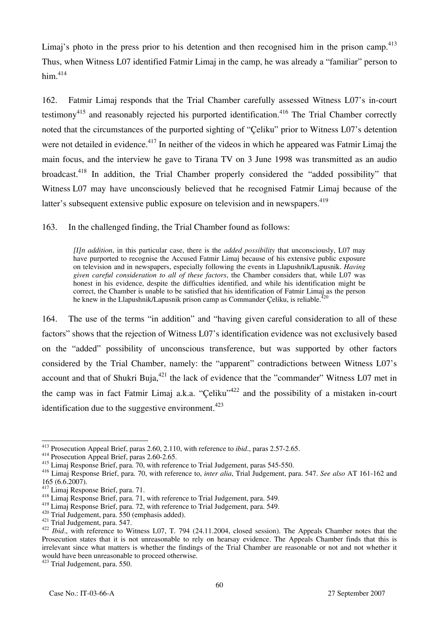Limaj's photo in the press prior to his detention and then recognised him in the prison camp.<sup>413</sup> Thus, when Witness L07 identified Fatmir Limaj in the camp, he was already a "familiar" person to  $him.<sup>414</sup>$ 

162. Fatmir Limaj responds that the Trial Chamber carefully assessed Witness L07's in-court testimony<sup>415</sup> and reasonably rejected his purported identification.<sup>416</sup> The Trial Chamber correctly noted that the circumstances of the purported sighting of "Çeliku" prior to Witness L07's detention were not detailed in evidence.<sup>417</sup> In neither of the videos in which he appeared was Fatmir Limaj the main focus, and the interview he gave to Tirana TV on 3 June 1998 was transmitted as an audio broadcast.<sup>418</sup> In addition, the Trial Chamber properly considered the "added possibility" that Witness L07 may have unconsciously believed that he recognised Fatmir Limaj because of the latter's subsequent extensive public exposure on television and in newspapers.<sup>419</sup>

163. In the challenged finding, the Trial Chamber found as follows:

*[I]n addition*, in this particular case, there is the *added possibility* that unconsciously, L07 may have purported to recognise the Accused Fatmir Limaj because of his extensive public exposure on television and in newspapers, especially following the events in Llapushnik/Lapusnik. *Having given careful consideration to all of these factors*, the Chamber considers that, while L07 was honest in his evidence, despite the difficulties identified, and while his identification might be correct, the Chamber is unable to be satisfied that his identification of Fatmir Limaj as the person he knew in the Llapushnik/Lapusnik prison camp as Commander Celiku, is reliable.<sup>2</sup>

164. The use of the terms "in addition" and "having given careful consideration to all of these factors" shows that the rejection of Witness L07's identification evidence was not exclusively based on the "added" possibility of unconscious transference, but was supported by other factors considered by the Trial Chamber, namely: the "apparent" contradictions between Witness L07's account and that of Shukri Buja, $^{421}$  the lack of evidence that the "commander" Witness L07 met in the camp was in fact Fatmir Limaj a.k.a. "Celiku"<sup>422</sup> and the possibility of a mistaken in-court identification due to the suggestive environment.<sup>423</sup>

 $\overline{\phantom{a}}$ <sup>413</sup> Prosecution Appeal Brief, paras 2.60, 2.110, with reference to *ibid*., paras 2.57-2.65.<br><sup>414</sup> Prosecution Appeal Brief, paras 2.60-2.65.

<sup>414</sup> Prosecution Appeal Brief, paras 2.60-2.65.<br><sup>415</sup> Limaj Response Brief, para. 70, with reference to Trial Judgement, paras 545-550.

<sup>416</sup> Limaj Response Brief, para. 70, with reference to, *inter alia*, Trial Judgement, para. 547. *See also* AT 161-162 and 165 (6.6.2007).<br><sup>417</sup> Limaj Response Brief, para. 71.

<sup>&</sup>lt;sup>418</sup> Limaj Response Brief, para. 71, with reference to Trial Judgement, para. 549.<br><sup>419</sup> Limaj Response Brief, para. 72, with reference to Trial Judgement, para. 549.

<sup>&</sup>lt;sup>420</sup> Trial Judgement, para. 550 (emphasis added).<br><sup>421</sup> Trial Judgement, para. 547.<br><sup>422</sup> Ibid., with reference to Witness L07, T. 794 (24.11.2004, closed session). The Appeals Chamber notes that the Prosecution states that it is not unreasonable to rely on hearsay evidence. The Appeals Chamber finds that this is irrelevant since what matters is whether the findings of the Trial Chamber are reasonable or not and not whether it would have been unreasonable to proceed otherwise.

<sup>423</sup> Trial Judgement, para. 550.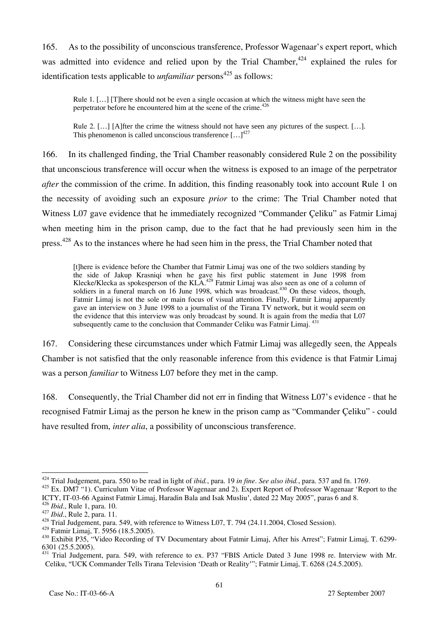165. As to the possibility of unconscious transference, Professor Wagenaar's expert report, which was admitted into evidence and relied upon by the Trial Chamber,  $424$  explained the rules for identification tests applicable to *unfamiliar* persons<sup> $425$ </sup> as follows:

Rule 1. […] [T]here should not be even a single occasion at which the witness might have seen the perpetrator before he encountered him at the scene of the crime.<sup>426</sup>

Rule 2. […] [A]fter the crime the witness should not have seen any pictures of the suspect. […]. This phenomenon is called unconscious transference  $[...]^{427}$ 

166. In its challenged finding, the Trial Chamber reasonably considered Rule 2 on the possibility that unconscious transference will occur when the witness is exposed to an image of the perpetrator *after* the commission of the crime. In addition, this finding reasonably took into account Rule 1 on the necessity of avoiding such an exposure *prior* to the crime: The Trial Chamber noted that Witness L07 gave evidence that he immediately recognized "Commander Çeliku" as Fatmir Limaj when meeting him in the prison camp, due to the fact that he had previously seen him in the press.<sup>428</sup> As to the instances where he had seen him in the press, the Trial Chamber noted that

[t]here is evidence before the Chamber that Fatmir Limaj was one of the two soldiers standing by the side of Jakup Krasniqi when he gave his first public statement in June 1998 from Klecke/Klecka as spokesperson of the KLA.<sup>429</sup> Fatmir Limaj was also seen as one of a column of soldiers in a funeral march on 16 June 1998, which was broadcast.<sup>430</sup> On these videos, though, Fatmir Limaj is not the sole or main focus of visual attention. Finally, Fatmir Limaj apparently gave an interview on 3 June 1998 to a journalist of the Tirana TV network, but it would seem on the evidence that this interview was only broadcast by sound. It is again from the media that L07 subsequently came to the conclusion that Commander Celiku was Fatmir Limaj. <sup>431</sup>

167. Considering these circumstances under which Fatmir Limaj was allegedly seen, the Appeals Chamber is not satisfied that the only reasonable inference from this evidence is that Fatmir Limaj was a person *familiar* to Witness L07 before they met in the camp.

168. Consequently, the Trial Chamber did not err in finding that Witness L07's evidence - that he recognised Fatmir Limaj as the person he knew in the prison camp as "Commander Çeliku" - could have resulted from, *inter alia*, a possibility of unconscious transference.

 $\overline{\phantom{a}}$ 

<sup>424</sup> Trial Judgement, para. 550 to be read in light of *ibid.*, para. 19 *in fine*. *See also ibid.*, para. 537 and fn. 1769.

<sup>&</sup>lt;sup>425</sup> Ex. DM7 "1). Curriculum Vitae of Professor Wagenaar and 2). Expert Report of Professor Wagenaar 'Report to the ICTY, IT-03-66 Against Fatmir Limaj, Haradin Bala and Isak Musliu', dated 22 May 2005", paras 6 and 8.<br><sup>426</sup> Ibid., Rule 1, para. 10.

<sup>&</sup>lt;sup>427</sup> *Ibid.*, Rule 2, para. 11.<br><sup>428</sup> Trial Judgement, para. 549, with reference to Witness L07, T. 794 (24.11.2004, Closed Session).<br><sup>429</sup> Fatmir Limai, T. 5956 (18.5.2005).

<sup>&</sup>lt;sup>430</sup> Exhibit P35, "Video Recording of TV Documentary about Fatmir Limaj, After his Arrest"; Fatmir Limaj, T. 6299-6301 (25.5.2005).

<sup>&</sup>lt;sup>431</sup> Trial Judgement, para. 549, with reference to ex. P37 "FBIS Article Dated 3 June 1998 re. Interview with Mr. Celiku, "UCK Commander Tells Tirana Television 'Death or Reality'"; Fatmir Limaj, T. 6268 (24.5.2005).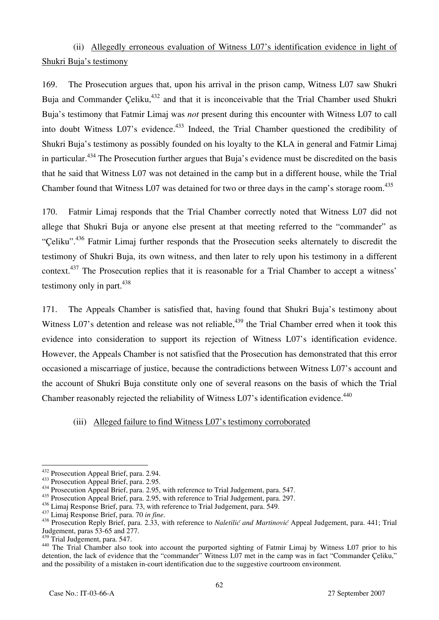(ii) Allegedly erroneous evaluation of Witness L07's identification evidence in light of Shukri Buja's testimony

169. The Prosecution argues that, upon his arrival in the prison camp, Witness L07 saw Shukri Buja and Commander Celiku,<sup>432</sup> and that it is inconceivable that the Trial Chamber used Shukri Buja's testimony that Fatmir Limaj was *not* present during this encounter with Witness L07 to call into doubt Witness  $L_0$ <sup>33</sup> s evidence.<sup>433</sup> Indeed, the Trial Chamber questioned the credibility of Shukri Buja's testimony as possibly founded on his loyalty to the KLA in general and Fatmir Limaj in particular.<sup>434</sup> The Prosecution further argues that Buja's evidence must be discredited on the basis that he said that Witness L07 was not detained in the camp but in a different house, while the Trial Chamber found that Witness L07 was detained for two or three days in the camp's storage room.<sup>435</sup>

170. Fatmir Limaj responds that the Trial Chamber correctly noted that Witness L07 did not allege that Shukri Buja or anyone else present at that meeting referred to the "commander" as "Çeliku".436 Fatmir Limaj further responds that the Prosecution seeks alternately to discredit the testimony of Shukri Buja, its own witness, and then later to rely upon his testimony in a different context.<sup>437</sup> The Prosecution replies that it is reasonable for a Trial Chamber to accept a witness' testimony only in part. $438$ 

171. The Appeals Chamber is satisfied that, having found that Shukri Buja's testimony about Witness L07's detention and release was not reliable,<sup>439</sup> the Trial Chamber erred when it took this evidence into consideration to support its rejection of Witness L07's identification evidence. However, the Appeals Chamber is not satisfied that the Prosecution has demonstrated that this error occasioned a miscarriage of justice, because the contradictions between Witness L07's account and the account of Shukri Buja constitute only one of several reasons on the basis of which the Trial Chamber reasonably rejected the reliability of Witness L07's identification evidence.<sup>440</sup>

### (iii) Alleged failure to find Witness L07's testimony corroborated

<sup>435</sup> Prosecution Appeal Brief, para. 2.95, with reference to Trial Judgement, para. 297.<br><sup>436</sup> Limaj Response Brief, para. 73, with reference to Trial Judgement, para. 549.

<sup>&</sup>lt;sup>432</sup> Prosecution Appeal Brief, para. 2.94.

<sup>&</sup>lt;sup>433</sup> Prosecution Appeal Brief, para. 2.95.<br><sup>434</sup> Prosecution Appeal Brief, para. 2.95, with reference to Trial Judgement, para. 547.

<sup>&</sup>lt;sup>437</sup> Limaj Response Brief, para. 70 in fine.<br><sup>438</sup> Prosecution Reply Brief, para. 2.33, with reference to *Naletilić and Martinović* Appeal Judgement, para. 441; Trial Judgement, paras 53-65 and 277.<br><sup>439</sup> Trial Judgement, para. 547.

<sup>440</sup> The Trial Chamber also took into account the purported sighting of Fatmir Limaj by Witness L07 prior to his detention, the lack of evidence that the "commander" Witness L07 met in the camp was in fact "Commander Çeliku," and the possibility of a mistaken in-court identification due to the suggestive courtroom environment.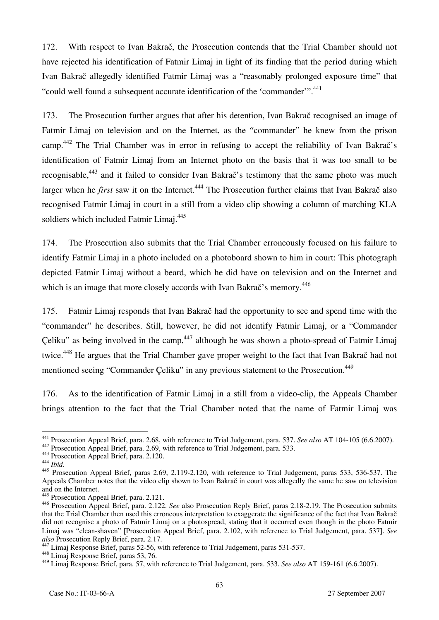172. With respect to Ivan Bakrač, the Prosecution contends that the Trial Chamber should not have rejected his identification of Fatmir Limaj in light of its finding that the period during which Ivan Bakrač allegedly identified Fatmir Limaj was a "reasonably prolonged exposure time" that "could well found a subsequent accurate identification of the 'commander'".<sup>441</sup>

173. The Prosecution further argues that after his detention, Ivan Bakrač recognised an image of Fatmir Limaj on television and on the Internet, as the "commander" he knew from the prison camp.442 The Trial Chamber was in error in refusing to accept the reliability of Ivan Bakrač's identification of Fatmir Limaj from an Internet photo on the basis that it was too small to be recognisable,<sup>443</sup> and it failed to consider Ivan Bakrač's testimony that the same photo was much larger when he *first* saw it on the Internet.<sup>444</sup> The Prosecution further claims that Ivan Bakrač also recognised Fatmir Limaj in court in a still from a video clip showing a column of marching KLA soldiers which included Fatmir Limai.<sup>445</sup>

174. The Prosecution also submits that the Trial Chamber erroneously focused on his failure to identify Fatmir Limaj in a photo included on a photoboard shown to him in court: This photograph depicted Fatmir Limaj without a beard, which he did have on television and on the Internet and which is an image that more closely accords with Ivan Bakrač's memory.<sup>446</sup>

175. Fatmir Limaj responds that Ivan Bakrač had the opportunity to see and spend time with the "commander" he describes. Still, however, he did not identify Fatmir Limaj, or a "Commander Celiku" as being involved in the camp,  $447$  although he was shown a photo-spread of Fatmir Limaj twice.<sup>448</sup> He argues that the Trial Chamber gave proper weight to the fact that Ivan Bakrač had not mentioned seeing "Commander Çeliku" in any previous statement to the Prosecution.<sup>449</sup>

176. As to the identification of Fatmir Limaj in a still from a video-clip, the Appeals Chamber brings attention to the fact that the Trial Chamber noted that the name of Fatmir Limaj was

<sup>&</sup>lt;sup>441</sup> Prosecution Appeal Brief, para. 2.68, with reference to Trial Judgement, para. 537. See also AT 104-105 (6.6.2007).

<sup>&</sup>lt;sup>442</sup> Prosecution Appeal Brief, para. 2.69, with reference to Trial Judgement, para. 533.<br><sup>443</sup> Prosecution Appeal Brief, para. 2.120.<br><sup>445</sup> Prosecution Appeal Brief, paras 2.69, 2.119-2.120, with reference to Trial Judgem Appeals Chamber notes that the video clip shown to Ivan Bakrač in court was allegedly the same he saw on television and on the Internet.

 $\frac{5}{3}$  Prosecution Appeal Brief, para. 2.121.

<sup>446</sup> Prosecution Appeal Brief, para. 2.122. *See* also Prosecution Reply Brief, paras 2.18-2.19. The Prosecution submits that the Trial Chamber then used this erroneous interpretation to exaggerate the significance of the fact that Ivan Bakrač did not recognise a photo of Fatmir Limaj on a photospread, stating that it occurred even though in the photo Fatmir Limaj was "clean-shaven" [Prosecution Appeal Brief, para. 2.102, with reference to Trial Judgement, para. 537]. *See* 

<sup>&</sup>lt;sup>447</sup> Limaj Response Brief, paras 52-56, with reference to Trial Judgement, paras 531-537. <sup>448</sup> Limaj Response Brief, paras 53, 76.

<sup>449</sup> Limaj Response Brief, para. 57, with reference to Trial Judgement, para. 533. *See also* AT 159-161 (6.6.2007).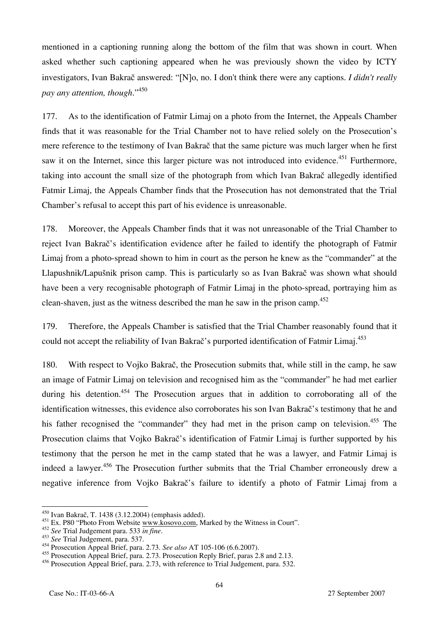mentioned in a captioning running along the bottom of the film that was shown in court. When asked whether such captioning appeared when he was previously shown the video by ICTY investigators, Ivan Bakrač answered: "[N]o, no. I don't think there were any captions. *I didn't really pay any attention, though*."<sup>450</sup>

177. As to the identification of Fatmir Limaj on a photo from the Internet, the Appeals Chamber finds that it was reasonable for the Trial Chamber not to have relied solely on the Prosecution's mere reference to the testimony of Ivan Bakrač that the same picture was much larger when he first saw it on the Internet, since this larger picture was not introduced into evidence.<sup>451</sup> Furthermore, taking into account the small size of the photograph from which Ivan Bakrač allegedly identified Fatmir Limaj, the Appeals Chamber finds that the Prosecution has not demonstrated that the Trial Chamber's refusal to accept this part of his evidence is unreasonable.

178. Moreover, the Appeals Chamber finds that it was not unreasonable of the Trial Chamber to reject Ivan Bakrač's identification evidence after he failed to identify the photograph of Fatmir Limaj from a photo-spread shown to him in court as the person he knew as the "commander" at the Llapushnik/Lapušnik prison camp. This is particularly so as Ivan Bakrač was shown what should have been a very recognisable photograph of Fatmir Limaj in the photo-spread, portraying him as clean-shaven, just as the witness described the man he saw in the prison camp.<sup>452</sup>

179. Therefore, the Appeals Chamber is satisfied that the Trial Chamber reasonably found that it could not accept the reliability of Ivan Bakrač's purported identification of Fatmir Limaj.<sup>453</sup>

180. With respect to Vojko Bakrač, the Prosecution submits that, while still in the camp, he saw an image of Fatmir Limaj on television and recognised him as the "commander" he had met earlier during his detention.<sup>454</sup> The Prosecution argues that in addition to corroborating all of the identification witnesses, this evidence also corroborates his son Ivan Bakrač's testimony that he and his father recognised the "commander" they had met in the prison camp on television.<sup>455</sup> The Prosecution claims that Vojko Bakrač's identification of Fatmir Limaj is further supported by his testimony that the person he met in the camp stated that he was a lawyer, and Fatmir Limaj is indeed a lawyer.<sup>456</sup> The Prosecution further submits that the Trial Chamber erroneously drew a negative inference from Vojko Bakrač's failure to identify a photo of Fatmir Limaj from a

 $\overline{\phantom{a}}$ 

 $450$  Ivan Bakrač, T. 1438 (3.12.2004) (emphasis added).

<sup>&</sup>lt;sup>451</sup> Ex. P80 "Photo From Website www.kosovo.com, Marked by the Witness in Court".

<sup>452</sup> *See* Trial Judgement para. 533 *in fine*. 453 *See* Trial Judgement, para. 537.

<sup>454</sup> Prosecution Appeal Brief, para. 2.73. *See also* AT 105-106 (6.6.2007).

<sup>&</sup>lt;sup>455</sup> Prosecution Appeal Brief, para. 2.73. Prosecution Reply Brief, paras 2.8 and 2.13.

<sup>456</sup> Prosecution Appeal Brief, para. 2.73, with reference to Trial Judgement, para. 532.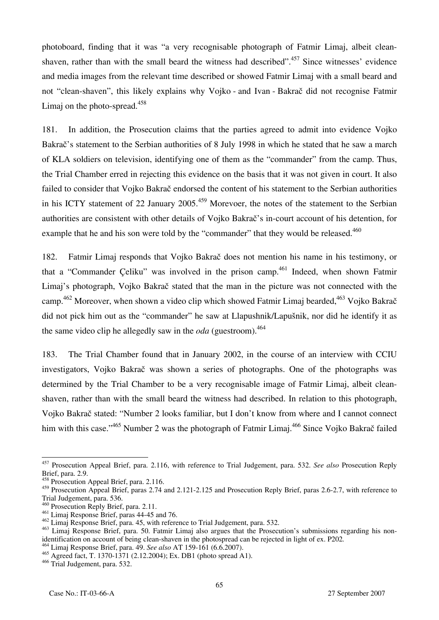photoboard, finding that it was "a very recognisable photograph of Fatmir Limaj, albeit cleanshaven, rather than with the small beard the witness had described".  $457$  Since witnesses' evidence and media images from the relevant time described or showed Fatmir Limaj with a small beard and not "clean-shaven", this likely explains why Vojko - and Ivan - Bakrač did not recognise Fatmir Limaj on the photo-spread. $458$ 

181. In addition, the Prosecution claims that the parties agreed to admit into evidence Vojko Bakrač's statement to the Serbian authorities of 8 July 1998 in which he stated that he saw a march of KLA soldiers on television, identifying one of them as the "commander" from the camp. Thus, the Trial Chamber erred in rejecting this evidence on the basis that it was not given in court. It also failed to consider that Vojko Bakrač endorsed the content of his statement to the Serbian authorities in his ICTY statement of 22 January 2005.<sup>459</sup> Morevoer, the notes of the statement to the Serbian authorities are consistent with other details of Vojko Bakrač's in-court account of his detention, for example that he and his son were told by the "commander" that they would be released.<sup>460</sup>

182. Fatmir Limaj responds that Vojko Bakrač does not mention his name in his testimony, or that a "Commander Celiku" was involved in the prison camp.<sup>461</sup> Indeed, when shown Fatmir Limaj's photograph, Vojko Bakrač stated that the man in the picture was not connected with the camp.<sup>462</sup> Moreover, when shown a video clip which showed Fatmir Limaj bearded,<sup>463</sup> Vojko Bakrač did not pick him out as the "commander" he saw at Llapushnik/Lapušnik, nor did he identify it as the same video clip he allegedly saw in the *oda* (guestroom).<sup>464</sup>

183. The Trial Chamber found that in January 2002, in the course of an interview with CCIU investigators, Vojko Bakrač was shown a series of photographs. One of the photographs was determined by the Trial Chamber to be a very recognisable image of Fatmir Limaj, albeit cleanshaven, rather than with the small beard the witness had described. In relation to this photograph, Vojko Bakrač stated: "Number 2 looks familiar, but I don't know from where and I cannot connect him with this case."<sup>465</sup> Number 2 was the photograph of Fatmir Limaj.<sup>466</sup> Since Vojko Bakrač failed

 $\overline{a}$ 457 Prosecution Appeal Brief, para. 2.116, with reference to Trial Judgement, para. 532. *See also* Prosecution Reply Brief, para. 2.9.

 $\frac{458}{158}$  Prosecution Appeal Brief, para. 2.116.

<sup>&</sup>lt;sup>459</sup> Prosecution Appeal Brief, paras 2.74 and 2.121-2.125 and Prosecution Reply Brief, paras 2.6-2.7, with reference to Trial Judgement, para. 536.

<sup>&</sup>lt;sup>460</sup> Prosecution Reply Brief, para. 2.11.

<sup>461</sup> Limaj Response Brief, paras 44-45 and 76.

<sup>462</sup> Limaj Response Brief, para. 45, with reference to Trial Judgement, para. 532.

<sup>&</sup>lt;sup>463</sup> Limaj Response Brief, para. 50. Fatmir Limaj also argues that the Prosecution's submissions regarding his nonidentification on account of being clean-shaven in the photospread can be rejected in light of ex. P202*.* 464 Limaj Response Brief, para. 49. *See also* AT 159-161 (6.6.2007).

<sup>465</sup> Agreed fact, T. 1370-1371 (2.12.2004); Ex. DB1 (photo spread A1).

<sup>466</sup> Trial Judgement, para. 532.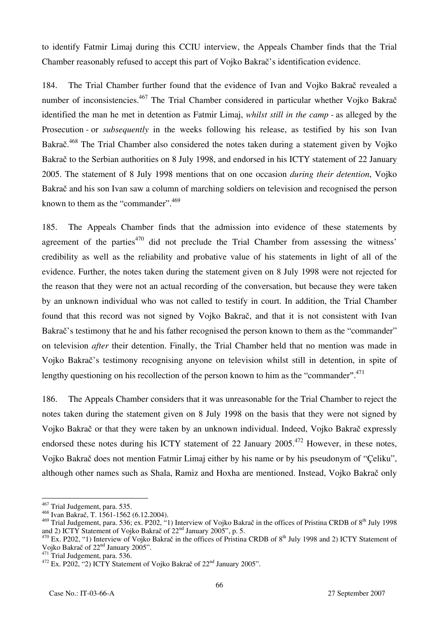to identify Fatmir Limaj during this CCIU interview, the Appeals Chamber finds that the Trial Chamber reasonably refused to accept this part of Vojko Bakrač's identification evidence.

184. The Trial Chamber further found that the evidence of Ivan and Vojko Bakrač revealed a number of inconsistencies.<sup>467</sup> The Trial Chamber considered in particular whether Vojko Bakrač identified the man he met in detention as Fatmir Limaj, *whilst still in the camp -* as alleged by the Prosecution - or *subsequently* in the weeks following his release, as testified by his son Ivan Bakrač.<sup>468</sup> The Trial Chamber also considered the notes taken during a statement given by Vojko Bakrač to the Serbian authorities on 8 July 1998, and endorsed in his ICTY statement of 22 January 2005. The statement of 8 July 1998 mentions that on one occasion *during their detention*, Vojko Bakrač and his son Ivan saw a column of marching soldiers on television and recognised the person known to them as the "commander".<sup>469</sup>

185. The Appeals Chamber finds that the admission into evidence of these statements by agreement of the parties<sup> $470$ </sup> did not preclude the Trial Chamber from assessing the witness' credibility as well as the reliability and probative value of his statements in light of all of the evidence. Further, the notes taken during the statement given on 8 July 1998 were not rejected for the reason that they were not an actual recording of the conversation, but because they were taken by an unknown individual who was not called to testify in court. In addition, the Trial Chamber found that this record was not signed by Vojko Bakrač, and that it is not consistent with Ivan Bakrač's testimony that he and his father recognised the person known to them as the "commander" on television *after* their detention. Finally, the Trial Chamber held that no mention was made in Vojko Bakrač's testimony recognising anyone on television whilst still in detention, in spite of lengthy questioning on his recollection of the person known to him as the "commander".<sup>471</sup>

186. The Appeals Chamber considers that it was unreasonable for the Trial Chamber to reject the notes taken during the statement given on 8 July 1998 on the basis that they were not signed by Vojko Bakrač or that they were taken by an unknown individual. Indeed, Vojko Bakrač expressly endorsed these notes during his ICTY statement of 22 January  $2005$ <sup>472</sup> However, in these notes, Vojko Bakrač does not mention Fatmir Limaj either by his name or by his pseudonym of "Çeliku", although other names such as Shala, Ramiz and Hoxha are mentioned. Instead, Vojko Bakrač only

 $\overline{\phantom{a}}$  $^{467}$  Trial Judgement, para. 535.

<sup>&</sup>lt;sup>468</sup> Ivan Bakrač, T. 1561-1562 (6.12.2004).

<sup>&</sup>lt;sup>469</sup> Trial Judgement, para. 536; ex. P202, "1) Interview of Vojko Bakrač in the offices of Pristina CRDB of  $8<sup>th</sup>$  July 1998 and 2) ICTY Statement of Voiko Bakrač of  $22<sup>nd</sup>$  January 2005", p. 5.

<sup>&</sup>lt;sup>470</sup> Ex. P202, "1) Interview of Vojko Bakrač in the offices of Pristina CRDB of 8<sup>th</sup> July 1998 and 2) ICTY Statement of Vojko Bakrač of 22<sup>nd</sup> January 2005".

<sup>&</sup>lt;sup>471</sup> Trial Judgement, para. 536.<br><sup>472</sup> Ex. P202, "2) ICTY Statement of Vojko Bakrač of 22<sup>nd</sup> January 2005".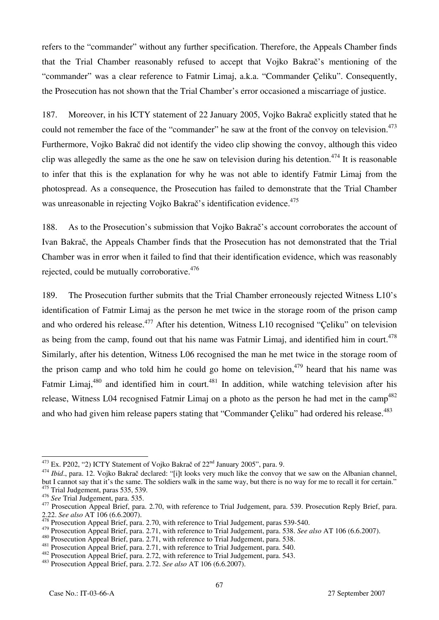refers to the "commander" without any further specification. Therefore, the Appeals Chamber finds that the Trial Chamber reasonably refused to accept that Vojko Bakrač's mentioning of the "commander" was a clear reference to Fatmir Limaj, a.k.a. "Commander Çeliku". Consequently, the Prosecution has not shown that the Trial Chamber's error occasioned a miscarriage of justice.

187. Moreover, in his ICTY statement of 22 January 2005, Vojko Bakrač explicitly stated that he could not remember the face of the "commander" he saw at the front of the convoy on television.<sup>473</sup> Furthermore, Vojko Bakrač did not identify the video clip showing the convoy, although this video clip was allegedly the same as the one he saw on television during his detention.<sup>474</sup> It is reasonable to infer that this is the explanation for why he was not able to identify Fatmir Limaj from the photospread. As a consequence, the Prosecution has failed to demonstrate that the Trial Chamber was unreasonable in rejecting Vojko Bakrač's identification evidence.<sup>475</sup>

188. As to the Prosecution's submission that Vojko Bakrač's account corroborates the account of Ivan Bakrač, the Appeals Chamber finds that the Prosecution has not demonstrated that the Trial Chamber was in error when it failed to find that their identification evidence, which was reasonably rejected, could be mutually corroborative.<sup>476</sup>

189. The Prosecution further submits that the Trial Chamber erroneously rejected Witness L10's identification of Fatmir Limaj as the person he met twice in the storage room of the prison camp and who ordered his release.<sup>477</sup> After his detention, Witness L10 recognised "Çeliku" on television as being from the camp, found out that his name was Fatmir Limaj, and identified him in court.<sup>478</sup> Similarly, after his detention, Witness L06 recognised the man he met twice in the storage room of the prison camp and who told him he could go home on television,  $479$  heard that his name was Fatmir Limaj,<sup>480</sup> and identified him in court.<sup>481</sup> In addition, while watching television after his release, Witness L04 recognised Fatmir Limaj on a photo as the person he had met in the camp<sup>482</sup> and who had given him release papers stating that "Commander Çeliku" had ordered his release.<sup>483</sup>

<sup>&</sup>lt;sup>473</sup> Ex. P202, "2) ICTY Statement of Vojko Bakrač of 22<sup>nd</sup> January 2005", para. 9.

<sup>&</sup>lt;sup>474</sup> Ibid., para. 12. Voiko Bakrač declared: "[i]t looks very much like the convoy that we saw on the Albanian channel, but I cannot say that it's the same. The soldiers walk in the same way, but there is no way for me to recall it for certain."  $475$  Trial Judgement, paras 535, 539.<br> $476$  See Trial Judgement, para. 535.

<sup>&</sup>lt;sup>477</sup> Prosecution Appeal Brief, para. 2.70, with reference to Trial Judgement, para. 539. Prosecution Reply Brief, para. 2.22. See also AT 106 (6.6.2007).

<sup>&</sup>lt;sup>2</sup> Prosecution Appeal Brief, para. 2.70, with reference to Trial Judgement, paras 539-540.

These also AT 106 (6.6.2007).<br>
Prosecution Appeal Brief, para. 2.71, with reference to Trial Judgement, para. 538. See also AT 106 (6.6.2007).<br>
<sup>480</sup> Prosecution Appeal Brief, para. 2.71, with reference to Trial Judgement,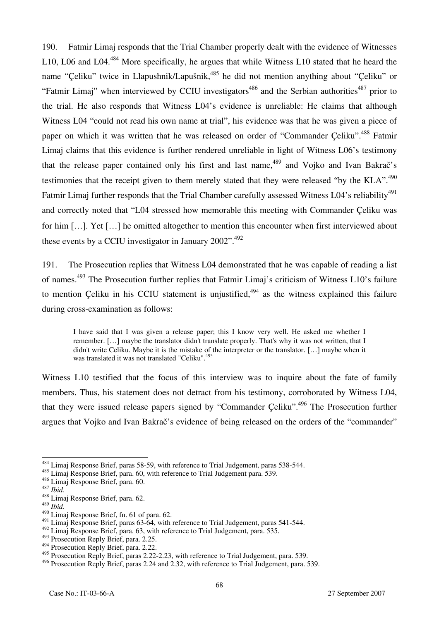190. Fatmir Limaj responds that the Trial Chamber properly dealt with the evidence of Witnesses L10, L06 and L04.<sup>484</sup> More specifically, he argues that while Witness L10 stated that he heard the name "Çeliku" twice in Llapushnik/Lapušnik,<sup>485</sup> he did not mention anything about "Çeliku" or "Fatmir Limaj" when interviewed by CCIU investigators<sup>486</sup> and the Serbian authorities<sup>487</sup> prior to the trial. He also responds that Witness L04's evidence is unreliable: He claims that although Witness L04 "could not read his own name at trial", his evidence was that he was given a piece of paper on which it was written that he was released on order of "Commander Celiku".<sup>488</sup> Fatmir Limaj claims that this evidence is further rendered unreliable in light of Witness L06's testimony that the release paper contained only his first and last name,<sup>489</sup> and Vojko and Ivan Bakra $\check{\rm c}$ 's testimonies that the receipt given to them merely stated that they were released "by the KLA".<sup>490</sup> Fatmir Limaj further responds that the Trial Chamber carefully assessed Witness L04's reliability<sup>491</sup> and correctly noted that "L04 stressed how memorable this meeting with Commander Çeliku was for him […]. Yet […] he omitted altogether to mention this encounter when first interviewed about these events by a CCIU investigator in January 2002".<sup>492</sup>

191. The Prosecution replies that Witness L04 demonstrated that he was capable of reading a list of names.493 The Prosecution further replies that Fatmir Limaj's criticism of Witness L10's failure to mention Celiku in his CCIU statement is unjustified,  $494$  as the witness explained this failure during cross-examination as follows:

I have said that I was given a release paper; this I know very well. He asked me whether I remember. […] maybe the translator didn't translate properly. That's why it was not written, that I didn't write Celiku. Maybe it is the mistake of the interpreter or the translator. […] maybe when it was translated it was not translated "Celiku".<sup>495</sup>

Witness L10 testified that the focus of this interview was to inquire about the fate of family members. Thus, his statement does not detract from his testimony, corroborated by Witness L04, that they were issued release papers signed by "Commander Çeliku".<sup>496</sup> The Prosecution further argues that Vojko and Ivan Bakrač's evidence of being released on the orders of the "commander"

<sup>&</sup>lt;sup>484</sup> Limaj Response Brief, paras 58-59, with reference to Trial Judgement, paras 538-544.

 $^{485}$  Limaj Response Brief, para. 60, with reference to Trial Judgement para. 539.<br><sup>486</sup> Limai Response Brief, para. 60.

<sup>487</sup> *Ibid.*<br><sup>488</sup> Limaj Response Brief, para. 62.<br><sup>489</sup> *Ibid.* 

<sup>&</sup>lt;sup>490</sup> Limaj Response Brief, fn. 61 of para. 62.

<sup>&</sup>lt;sup>491</sup> Limaj Response Brief, paras 63-64, with reference to Trial Judgement, paras 541-544.

<sup>&</sup>lt;sup>492</sup> Limaj Response Brief, para. 63, with reference to Trial Judgement, para. 535.

<sup>&</sup>lt;sup>493</sup> Prosecution Reply Brief, para. 2.25.

<sup>494</sup> Prosecution Reply Brief, para. 2.22.

<sup>&</sup>lt;sup>495</sup> Prosecution Reply Brief, paras 2.22-2.23, with reference to Trial Judgement, para. 539.

<sup>&</sup>lt;sup>496</sup> Prosecution Reply Brief, paras 2.24 and 2.32, with reference to Trial Judgement, para. 539.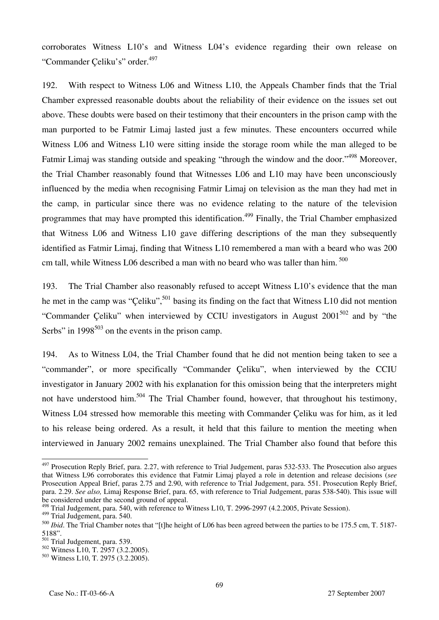corroborates Witness L10's and Witness L04's evidence regarding their own release on "Commander Celiku's" order.<sup>497</sup>

192. With respect to Witness L06 and Witness L10, the Appeals Chamber finds that the Trial Chamber expressed reasonable doubts about the reliability of their evidence on the issues set out above. These doubts were based on their testimony that their encounters in the prison camp with the man purported to be Fatmir Limaj lasted just a few minutes. These encounters occurred while Witness L06 and Witness L10 were sitting inside the storage room while the man alleged to be Fatmir Limaj was standing outside and speaking "through the window and the door."<sup>498</sup> Moreover, the Trial Chamber reasonably found that Witnesses L06 and L10 may have been unconsciously influenced by the media when recognising Fatmir Limaj on television as the man they had met in the camp, in particular since there was no evidence relating to the nature of the television programmes that may have prompted this identification.<sup>499</sup> Finally, the Trial Chamber emphasized that Witness L06 and Witness L10 gave differing descriptions of the man they subsequently identified as Fatmir Limaj, finding that Witness L10 remembered a man with a beard who was 200 cm tall, while Witness L06 described a man with no beard who was taller than him.<sup>500</sup>

193. The Trial Chamber also reasonably refused to accept Witness L10's evidence that the man he met in the camp was "Çeliku",<sup>501</sup> basing its finding on the fact that Witness L10 did not mention "Commander Çeliku" when interviewed by CCIU investigators in August  $2001^{502}$  and by "the Serbs" in  $1998^{503}$  on the events in the prison camp.

194. As to Witness L04, the Trial Chamber found that he did not mention being taken to see a "commander", or more specifically "Commander Çeliku", when interviewed by the CCIU investigator in January 2002 with his explanation for this omission being that the interpreters might not have understood him.<sup>504</sup> The Trial Chamber found, however, that throughout his testimony, Witness L04 stressed how memorable this meeting with Commander Çeliku was for him, as it led to his release being ordered. As a result, it held that this failure to mention the meeting when interviewed in January 2002 remains unexplained. The Trial Chamber also found that before this

 $\overline{a}$ <sup>497</sup> Prosecution Reply Brief, para. 2.27, with reference to Trial Judgement, paras 532-533. The Prosecution also argues that Witness L96 corroborates this evidence that Fatmir Limaj played a role in detention and release decisions (*see* Prosecution Appeal Brief, paras 2.75 and 2.90, with reference to Trial Judgement, para. 551. Prosecution Reply Brief, para. 2.29. *See also,* Limaj Response Brief, para. 65, with reference to Trial Judgement, paras 538-540). This issue will be considered under the second ground of appeal.

<sup>&</sup>lt;sup>498</sup> Trial Judgement, para. 540, with reference to Witness L10, T. 2996-2997 (4.2.2005, Private Session).

<sup>499</sup> Trial Judgement, para. 540.

<sup>500</sup> *Ibid*. The Trial Chamber notes that "[t]he height of L06 has been agreed between the parties to be 175.5 cm, T. 5187- 5188".

 $\frac{501}{501}$  Trial Judgement, para. 539.

<sup>502</sup> Witness L10, T. 2957 (3.2.2005).

<sup>503</sup> Witness L10, T. 2975 (3.2.2005).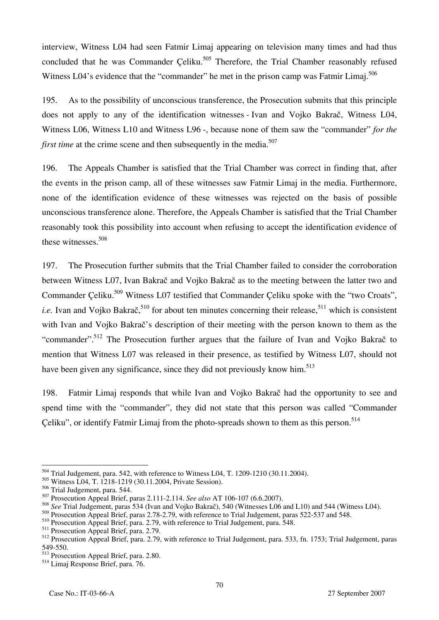interview, Witness L04 had seen Fatmir Limaj appearing on television many times and had thus concluded that he was Commander Celiku.<sup>505</sup> Therefore, the Trial Chamber reasonably refused Witness L04's evidence that the "commander" he met in the prison camp was Fatmir Limaj.<sup>506</sup>

195. As to the possibility of unconscious transference, the Prosecution submits that this principle does not apply to any of the identification witnesses - Ivan and Vojko Bakrač, Witness L04, Witness L06, Witness L10 and Witness L96 -, because none of them saw the "commander" *for the first time* at the crime scene and then subsequently in the media.<sup>507</sup>

196. The Appeals Chamber is satisfied that the Trial Chamber was correct in finding that, after the events in the prison camp, all of these witnesses saw Fatmir Limaj in the media. Furthermore, none of the identification evidence of these witnesses was rejected on the basis of possible unconscious transference alone. Therefore, the Appeals Chamber is satisfied that the Trial Chamber reasonably took this possibility into account when refusing to accept the identification evidence of these witnesses.508

197. The Prosecution further submits that the Trial Chamber failed to consider the corroboration between Witness L07, Ivan Bakrač and Vojko Bakrač as to the meeting between the latter two and Commander Celiku.<sup>509</sup> Witness L07 testified that Commander Çeliku spoke with the "two Croats", *i.e.* Ivan and Vojko Bakrač,<sup>510</sup> for about ten minutes concerning their release,<sup>511</sup> which is consistent with Ivan and Vojko Bakrač's description of their meeting with the person known to them as the "commander".<sup>512</sup> The Prosecution further argues that the failure of Ivan and Vojko Bakrač to mention that Witness L07 was released in their presence, as testified by Witness L07, should not have been given any significance, since they did not previously know him.<sup>513</sup>

198. Fatmir Limaj responds that while Ivan and Vojko Bakrač had the opportunity to see and spend time with the "commander", they did not state that this person was called "Commander Çeliku", or identify Fatmir Limaj from the photo-spreads shown to them as this person.<sup>514</sup>

 $504$  Trial Judgement, para. 542, with reference to Witness L04, T. 1209-1210 (30.11.2004).

<sup>505</sup> Witness L04, T. 1218-1219 (30.11.2004, Private Session).

<sup>506</sup> Trial Judgement, para. 544.

<sup>507</sup> Prosecution Appeal Brief, paras 2.111-2.114. *See also* AT 106-107 (6.6.2007).

<sup>&</sup>lt;sup>508</sup> *See* Trial Judgement, paras 534 (Ivan and Vojko Bakrač), 540 (Witnesses L06 and L10) and 544 (Witness L04).

<sup>509</sup> Prosecution Appeal Brief, paras 2.78-2.79, with reference to Trial Judgement, paras 522-537 and 548.

<sup>510</sup> Prosecution Appeal Brief, para. 2.79, with reference to Trial Judgement, para. 548.

<sup>&</sup>lt;sup>511</sup> Prosecution Appeal Brief, para. 2.79.

<sup>512</sup> Prosecution Appeal Brief, para. 2.79, with reference to Trial Judgement, para. 533, fn. 1753; Trial Judgement, paras 549-550.

<sup>513</sup> Prosecution Appeal Brief, para. 2.80.

<sup>514</sup> Limaj Response Brief, para. 76.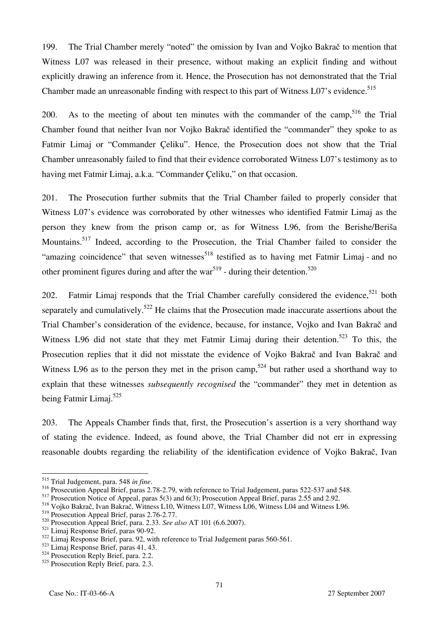199. The Trial Chamber merely "noted" the omission by Ivan and Vojko Bakrač to mention that Witness L07 was released in their presence, without making an explicit finding and without explicitly drawing an inference from it. Hence, the Prosecution has not demonstrated that the Trial Chamber made an unreasonable finding with respect to this part of Witness L07's evidence.<sup>515</sup>

200. As to the meeting of about ten minutes with the commander of the camp.<sup>516</sup> the Trial Chamber found that neither Ivan nor Vojko Bakrač identified the "commander" they spoke to as Fatmir Limaj or "Commander Çeliku". Hence, the Prosecution does not show that the Trial Chamber unreasonably failed to find that their evidence corroborated Witness L07's testimony as to having met Fatmir Limaj, a.k.a. "Commander Çeliku," on that occasion.

201. The Prosecution further submits that the Trial Chamber failed to properly consider that Witness L07's evidence was corroborated by other witnesses who identified Fatmir Limaj as the person they knew from the prison camp or, as for Witness L96, from the Berishe/Beriša Mountains.<sup>517</sup> Indeed, according to the Prosecution, the Trial Chamber failed to consider the "amazing coincidence" that seven witnesses<sup>518</sup> testified as to having met Fatmir Limaj - and no other prominent figures during and after the war<sup>519</sup> - during their detention.<sup>520</sup>

202. Fatmir Limaj responds that the Trial Chamber carefully considered the evidence,  $521$  both separately and cumulatively.<sup>522</sup> He claims that the Prosecution made inaccurate assertions about the Trial Chamber's consideration of the evidence, because, for instance, Vojko and Ivan Bakrač and Witness L96 did not state that they met Fatmir Limaj during their detention.<sup>523</sup> To this, the Prosecution replies that it did not misstate the evidence of Vojko Bakrač and Ivan Bakrač and Witness L96 as to the person they met in the prison camp,<sup>524</sup> but rather used a shorthand way to explain that these witnesses *subsequently recognised* the "commander" they met in detention as being Fatmir Limaj.<sup>525</sup>

203. The Appeals Chamber finds that, first, the Prosecution's assertion is a very shorthand way of stating the evidence. Indeed, as found above, the Trial Chamber did not err in expressing reasonable doubts regarding the reliability of the identification evidence of Vojko Bakrač, Ivan

<sup>&</sup>lt;sup>515</sup> Trial Judgement, para. 548 in fine.

<sup>&</sup>lt;sup>516</sup> Prosecution Appeal Brief, paras 2.78-2.79, with reference to Trial Judgement, paras 522-537 and 548.

<sup>&</sup>lt;sup>517</sup> Prosecution Notice of Appeal, paras 5(3) and 6(3); Prosecution Appeal Brief, paras 2.55 and 2.92.

<sup>&</sup>lt;sup>518</sup> Vojko Bakrač, Ivan Bakrač, Witness L10, Witness L07, Witness L06, Witness L04 and Witness L96.

<sup>519</sup> Prosecution Appeal Brief, paras 2.76-2.77.

<sup>520</sup> Prosecution Appeal Brief, para. 2.33. *See also* AT 101 (6.6.2007).

<sup>521</sup> Limaj Response Brief, paras 90-92.

<sup>522</sup> Limaj Response Brief, para. 92, with reference to Trial Judgement paras 560-561.

<sup>523</sup> Limaj Response Brief, paras 41, 43.

<sup>524</sup> Prosecution Reply Brief, para. 2.2.

 $525$  Prosecution Reply Brief, para. 2.3.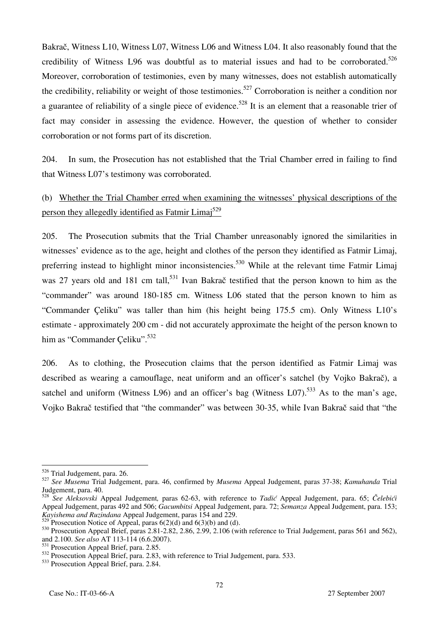Bakrač, Witness L10, Witness L07, Witness L06 and Witness L04. It also reasonably found that the credibility of Witness L96 was doubtful as to material issues and had to be corroborated.<sup>526</sup> Moreover, corroboration of testimonies, even by many witnesses, does not establish automatically the credibility, reliability or weight of those testimonies.<sup>527</sup> Corroboration is neither a condition nor a guarantee of reliability of a single piece of evidence.<sup>528</sup> It is an element that a reasonable trier of fact may consider in assessing the evidence. However, the question of whether to consider corroboration or not forms part of its discretion.

204. In sum, the Prosecution has not established that the Trial Chamber erred in failing to find that Witness L07's testimony was corroborated.

# (b) Whether the Trial Chamber erred when examining the witnesses' physical descriptions of the person they allegedly identified as Fatmir Limaj<sup>529</sup>

205. The Prosecution submits that the Trial Chamber unreasonably ignored the similarities in witnesses' evidence as to the age, height and clothes of the person they identified as Fatmir Limaj, preferring instead to highlight minor inconsistencies.<sup>530</sup> While at the relevant time Fatmir Limaj was 27 years old and 181 cm tall,<sup>531</sup> Ivan Bakrač testified that the person known to him as the "commander" was around 180-185 cm. Witness L06 stated that the person known to him as "Commander Çeliku" was taller than him (his height being 175.5 cm). Only Witness L10's estimate - approximately 200 cm - did not accurately approximate the height of the person known to him as "Commander Celiku".<sup>532</sup>

206. As to clothing, the Prosecution claims that the person identified as Fatmir Limaj was described as wearing a camouflage, neat uniform and an officer's satchel (by Vojko Bakrač), a satchel and uniform (Witness L96) and an officer's bag (Witness L07).<sup>533</sup> As to the man's age, Vojko Bakrač testified that "the commander" was between 30-35, while Ivan Bakrač said that "the

 $\overline{a}$ <sup>526</sup> Trial Judgement, para. 26.

<sup>527</sup> *See Musema* Trial Judgement, para. 46, confirmed by *Musema* Appeal Judgement, paras 37-38; *Kamuhanda* Trial Judgement, para. 40.

<sup>528</sup> *See Aleksovski* Appeal Judgement*,* paras 62-63, with reference to *Tadić* Appeal Judgement, para. 65; *Čelebići* Appeal Judgement, paras 492 and 506; *Gacumbitsi* Appeal Judgement, para. 72; *Semanza* Appeal Judgement, para. 153; *Kayishema and Ruzindana* Appeal Judgement, paras 154 and 229.

Prosecution Notice of Appeal, paras  $6(2)(d)$  and  $6(3)(b)$  and (d).

 $530$  Prosecution Appeal Brief, paras 2.81-2.82, 2.86, 2.99, 2.106 (with reference to Trial Judgement, paras 561 and 562), and 2.100. *See also* AT 113-114 (6.6.2007).

<sup>531</sup> Prosecution Appeal Brief, para. 2.85.

<sup>&</sup>lt;sup>532</sup> Prosecution Appeal Brief, para. 2.83, with reference to Trial Judgement, para. 533.

<sup>533</sup> Prosecution Appeal Brief, para. 2.84.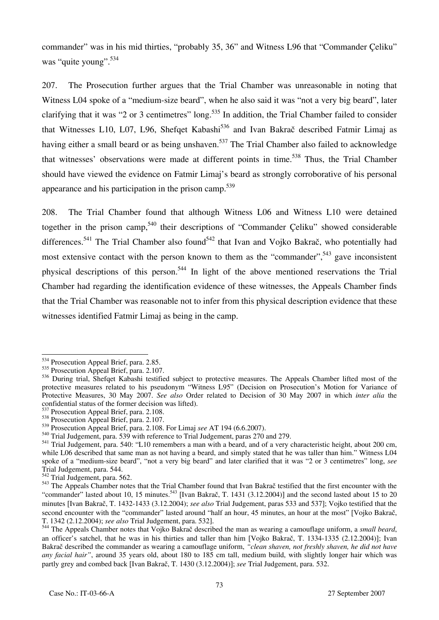commander" was in his mid thirties, "probably 35, 36" and Witness L96 that "Commander Çeliku" was "quite young".<sup>534</sup>

207. The Prosecution further argues that the Trial Chamber was unreasonable in noting that Witness L04 spoke of a "medium-size beard", when he also said it was "not a very big beard", later clarifying that it was "2 or 3 centimetres" long.<sup>535</sup> In addition, the Trial Chamber failed to consider that Witnesses L10, L07, L96, Shefqet Kabashi<sup>536</sup> and Ivan Bakrač described Fatmir Limaj as having either a small beard or as being unshaven.<sup>537</sup> The Trial Chamber also failed to acknowledge that witnesses' observations were made at different points in time.<sup>538</sup> Thus, the Trial Chamber should have viewed the evidence on Fatmir Limaj's beard as strongly corroborative of his personal appearance and his participation in the prison camp.<sup>539</sup>

208. The Trial Chamber found that although Witness L06 and Witness L10 were detained together in the prison camp,<sup>540</sup> their descriptions of "Commander Çeliku" showed considerable differences.<sup>541</sup> The Trial Chamber also found<sup>542</sup> that Ivan and Vojko Bakrač, who potentially had most extensive contact with the person known to them as the "commander",  $543$  gave inconsistent physical descriptions of this person.<sup>544</sup> In light of the above mentioned reservations the Trial Chamber had regarding the identification evidence of these witnesses, the Appeals Chamber finds that the Trial Chamber was reasonable not to infer from this physical description evidence that these witnesses identified Fatmir Limaj as being in the camp.

 $\overline{a}$ <sup>534</sup> Prosecution Appeal Brief, para. 2.85.

<sup>535</sup> Prosecution Appeal Brief, para. 2.107.

<sup>536</sup> During trial, Shefqet Kabashi testified subject to protective measures. The Appeals Chamber lifted most of the protective measures related to his pseudonym "Witness L95" (Decision on Prosecution's Motion for Variance of Protective Measures, 30 May 2007. *See also* Order related to Decision of 30 May 2007 in which *inter alia* the confidential status of the former decision was lifted).

 $^{537}$  Prosecution Appeal Brief, para. 2.108.

<sup>538</sup> Prosecution Appeal Brief, para. 2.107.

<sup>539</sup> Prosecution Appeal Brief, para. 2.108. For Limaj *see* AT 194 (6.6.2007).

<sup>540</sup> Trial Judgement, para. 539 with reference to Trial Judgement, paras 270 and 279.

<sup>&</sup>lt;sup>541</sup> Trial Judgement, para. 540: "L10 remembers a man with a beard, and of a very characteristic height, about 200 cm, while L06 described that same man as not having a beard, and simply stated that he was taller than him." Witness L04 spoke of a "medium-size beard", "not a very big beard" and later clarified that it was "2 or 3 centimetres" long, *see*  Trial Judgement, para. 544.

 $542$  Trial Judgement, para. 562.

<sup>&</sup>lt;sup>543</sup> The Appeals Chamber notes that the Trial Chamber found that Ivan Bakrač testified that the first encounter with the "commander" lasted about 10, 15 minutes.<sup>543</sup> [Ivan Bakrač, T. 1431 (3.12.2004)] and the second lasted about 15 to 20 minutes [Ivan Bakrač, T. 1432-1433 (3.12.2004); *see also* Trial Judgement, paras 533 and 537]; Vojko testified that the second encounter with the "commander" lasted around "half an hour, 45 minutes, an hour at the most" [Vojko Bakrač, T. 1342 (2.12.2004); *see also* Trial Judgement, para. 532].

<sup>&</sup>lt;sup>544</sup> The Appeals Chamber notes that Vojko Bakrač described the man as wearing a camouflage uniform, a *small beard*, an officer's satchel, that he was in his thirties and taller than him [Vojko Bakrač, T. 1334-1335 (2.12.2004)]; Ivan Bakrač described the commander as wearing a camouflage uniform, "clean shaven, not freshly shaven, he did not have *any facial hair"*, around 35 years old, about 180 to 185 cm tall, medium build, with slightly longer hair which was partly grey and combed back [Ivan Bakrač, T. 1430 (3.12.2004)]; *see* Trial Judgement, para. 532.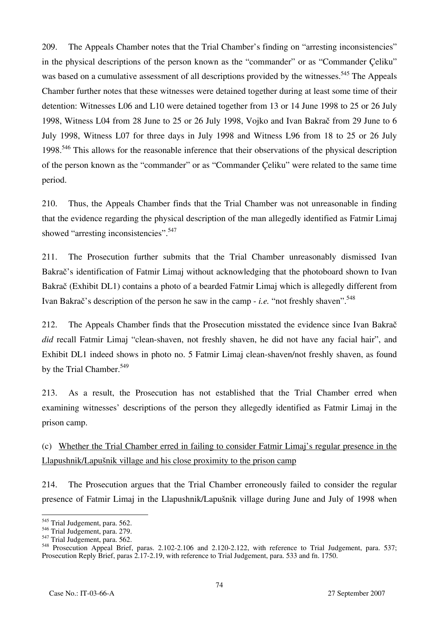209. The Appeals Chamber notes that the Trial Chamber's finding on "arresting inconsistencies" in the physical descriptions of the person known as the "commander" or as "Commander Çeliku" was based on a cumulative assessment of all descriptions provided by the witnesses.<sup>545</sup> The Appeals Chamber further notes that these witnesses were detained together during at least some time of their detention: Witnesses L06 and L10 were detained together from 13 or 14 June 1998 to 25 or 26 July 1998, Witness L04 from 28 June to 25 or 26 July 1998, Vojko and Ivan Bakrač from 29 June to 6 July 1998, Witness L07 for three days in July 1998 and Witness L96 from 18 to 25 or 26 July 1998.<sup>546</sup> This allows for the reasonable inference that their observations of the physical description of the person known as the "commander" or as "Commander Çeliku" were related to the same time period.

210. Thus, the Appeals Chamber finds that the Trial Chamber was not unreasonable in finding that the evidence regarding the physical description of the man allegedly identified as Fatmir Limaj showed "arresting inconsistencies".<sup>547</sup>

211. The Prosecution further submits that the Trial Chamber unreasonably dismissed Ivan Bakrač's identification of Fatmir Limaj without acknowledging that the photoboard shown to Ivan Bakrač (Exhibit DL1) contains a photo of a bearded Fatmir Limaj which is allegedly different from Ivan Bakrač's description of the person he saw in the camp - *i.e.* "not freshly shaven".<sup>548</sup>

212. The Appeals Chamber finds that the Prosecution misstated the evidence since Ivan Bakrač *did* recall Fatmir Limaj "clean-shaven, not freshly shaven, he did not have any facial hair", and Exhibit DL1 indeed shows in photo no. 5 Fatmir Limaj clean-shaven/not freshly shaven, as found by the Trial Chamber.<sup>549</sup>

213. As a result, the Prosecution has not established that the Trial Chamber erred when examining witnesses' descriptions of the person they allegedly identified as Fatmir Limaj in the prison camp.

(c) Whether the Trial Chamber erred in failing to consider Fatmir Limaj's regular presence in the Llapushnik/Lapušnik village and his close proximity to the prison camp

214. The Prosecution argues that the Trial Chamber erroneously failed to consider the regular presence of Fatmir Limaj in the Llapushnik/Lapušnik village during June and July of 1998 when

 $\overline{a}$ <sup>545</sup> Trial Judgement, para. 562.

<sup>546</sup> Trial Judgement, para. 279.

 $547$  Trial Judgement, para.  $562$ .

<sup>&</sup>lt;sup>548</sup> Prosecution Appeal Brief, paras. 2.102-2.106 and 2.120-2.122, with reference to Trial Judgement, para. 537; Prosecution Reply Brief, paras 2.17-2.19, with reference to Trial Judgement, para. 533 and fn. 1750.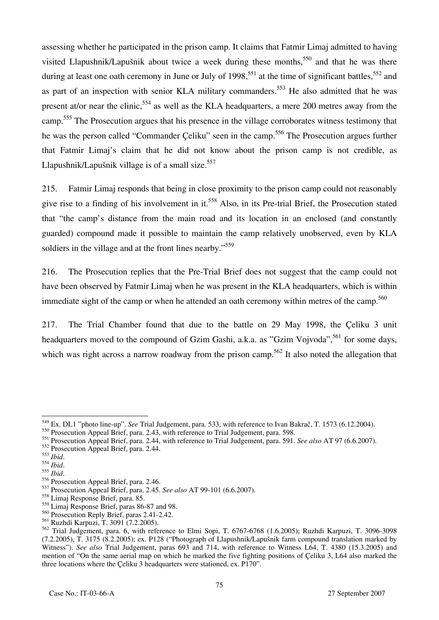assessing whether he participated in the prison camp. It claims that Fatmir Limaj admitted to having visited Llapushnik/Lapušnik about twice a week during these months,<sup>550</sup> and that he was there during at least one oath ceremony in June or July of 1998,<sup>551</sup> at the time of significant battles,<sup>552</sup> and as part of an inspection with senior KLA military commanders.<sup>553</sup> He also admitted that he was present at/or near the clinic,<sup>554</sup> as well as the KLA headquarters, a mere 200 metres away from the camp.<sup>555</sup> The Prosecution argues that his presence in the village corroborates witness testimony that he was the person called "Commander Celiku" seen in the camp.<sup>556</sup> The Prosecution argues further that Fatmir Limaj's claim that he did not know about the prison camp is not credible, as Llapushnik/Lapušnik village is of a small size. $557$ 

215. Fatmir Limaj responds that being in close proximity to the prison camp could not reasonably give rise to a finding of his involvement in it.<sup>558</sup> Also, in its Pre-trial Brief, the Prosecution stated that "the camp's distance from the main road and its location in an enclosed (and constantly guarded) compound made it possible to maintain the camp relatively unobserved, even by KLA soldiers in the village and at the front lines nearby."<sup>559</sup>

216. The Prosecution replies that the Pre-Trial Brief does not suggest that the camp could not have been observed by Fatmir Limaj when he was present in the KLA headquarters, which is within immediate sight of the camp or when he attended an oath ceremony within metres of the camp.<sup>560</sup>

217. The Trial Chamber found that due to the battle on 29 May 1998, the Çeliku 3 unit headquarters moved to the compound of Gzim Gashi, a.k.a. as "Gzim Vojvoda",  $561$  for some days, which was right across a narrow roadway from the prison camp.<sup>562</sup> It also noted the allegation that

<sup>549</sup> Ex. DL1 "photo line-up". *See* Trial Judgement, para. 533, with reference to Ivan Bakrač, T. 1573 (6.12.2004).

<sup>&</sup>lt;sup>550</sup> Prosecution Appeal Brief, para. 2.43, with reference to Trial Judgement, para. 598.

<sup>551</sup> Prosecution Appeal Brief, para. 2.44, with reference to Trial Judgement, para. 591. *See also* AT 97 (6.6.2007).

 $552$  Prosecution Appeal Brief, para. 2.44.<br> $553$  Ibid.

<sup>553</sup> *Ibid*. 554 *Ibid*. 555 *Ibid*. 556 Prosecution Appeal Brief, para. 2.46.

<sup>557</sup> Prosecution Appeal Brief, para. 2.45. *See also* AT 99-101 (6.6.2007).

<sup>558</sup> Limaj Response Brief, para. 85.

<sup>559</sup> Limaj Response Brief, paras 86-87 and 98.

<sup>560</sup> Prosecution Reply Brief, paras 2.41-2.42.

<sup>561</sup> Ruzhdi Karpuzi, T. 3091 (7.2.2005).

<sup>562</sup> Trial Judgement, para. 6, with reference to Elmi Sopi, T. 6767-6768 (1.6.2005); Ruzhdi Karpuzi, T. 3096-3098 (7.2.2005), T. 3175 (8.2.2005); ex. P128 ("Photograph of Llapushnik/Lapušnik farm compound translation marked by Witness"). *See also* Trial Judgement, paras 693 and 714, with reference to Witness L64, T. 4380 (15.3.2005) and mention of "On the same aerial map on which he marked the five fighting positions of Çeliku 3, L64 also marked the three locations where the Çeliku 3 headquarters were stationed, ex. P170".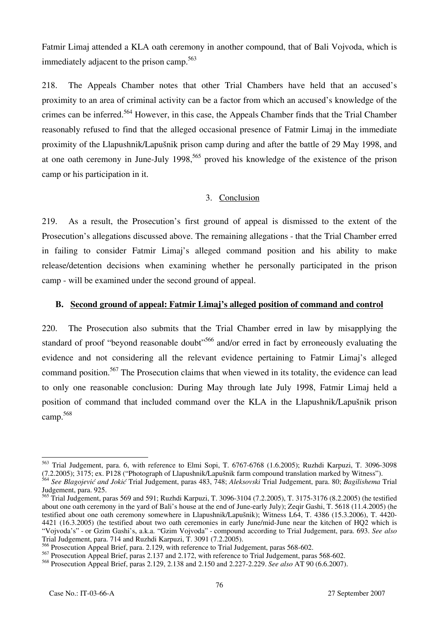Fatmir Limaj attended a KLA oath ceremony in another compound, that of Bali Vojvoda, which is immediately adjacent to the prison camp.<sup>563</sup>

218. The Appeals Chamber notes that other Trial Chambers have held that an accused's proximity to an area of criminal activity can be a factor from which an accused's knowledge of the crimes can be inferred.<sup>564</sup> However, in this case, the Appeals Chamber finds that the Trial Chamber reasonably refused to find that the alleged occasional presence of Fatmir Limaj in the immediate proximity of the Llapushnik/Lapušnik prison camp during and after the battle of 29 May 1998, and at one oath ceremony in June-July 1998,<sup>565</sup> proved his knowledge of the existence of the prison camp or his participation in it.

#### 3. Conclusion

219. As a result, the Prosecution's first ground of appeal is dismissed to the extent of the Prosecution's allegations discussed above. The remaining allegations - that the Trial Chamber erred in failing to consider Fatmir Limaj's alleged command position and his ability to make release/detention decisions when examining whether he personally participated in the prison camp - will be examined under the second ground of appeal.

#### **B. Second ground of appeal: Fatmir Limaj's alleged position of command and control**

220. The Prosecution also submits that the Trial Chamber erred in law by misapplying the standard of proof "beyond reasonable doubt"<sup>566</sup> and/or erred in fact by erroneously evaluating the evidence and not considering all the relevant evidence pertaining to Fatmir Limaj's alleged command position.<sup>567</sup> The Prosecution claims that when viewed in its totality, the evidence can lead to only one reasonable conclusion: During May through late July 1998, Fatmir Limaj held a position of command that included command over the KLA in the Llapushnik/Lapušnik prison camp.568

 $\overline{a}$ 563 Trial Judgement, para. 6, with reference to Elmi Sopi, T. 6767-6768 (1.6.2005); Ruzhdi Karpuzi, T. 3096-3098 (7.2.2005); 3175; ex. P128 ("Photograph of Llapushnik/Lapušnik farm compound translation marked by Witness").

<sup>564</sup> *See Blagojević and Jokić* Trial Judgement, paras 483, 748; *Aleksovski* Trial Judgement, para. 80; *Bagilishema* Trial Judgement, para. 925.

<sup>565</sup> Trial Judgement, paras 569 and 591; Ruzhdi Karpuzi, T. 3096-3104 (7.2.2005), T. 3175-3176 (8.2.2005) (he testified about one oath ceremony in the yard of Bali's house at the end of June-early July); Zeqir Gashi, T. 5618 (11.4.2005) (he testified about one oath ceremony somewhere in Llapushnik/Lapušnik); Witness L64, T. 4386 (15.3.2006), T. 4420-4421 (16.3.2005) (he testified about two oath ceremonies in early June/mid-June near the kitchen of HQ2 which is "Vojvoda's" - or Gzim Gashi's, a.k.a. "Gzim Vojvoda" - compound according to Trial Judgement, para. 693. *See also* Trial Judgement, para. 714 and Ruzhdi Karpuzi, T. 3091 (7.2.2005).

 $^5$  Prosecution Appeal Brief, para. 2.129, with reference to Trial Judgement, paras 568-602.

<sup>567</sup> Prosecution Appeal Brief, paras 2.137 and 2.172, with reference to Trial Judgement, paras 568-602.

<sup>568</sup> Prosecution Appeal Brief, paras 2.129, 2.138 and 2.150 and 2.227-2.229. *See also* AT 90 (6.6.2007).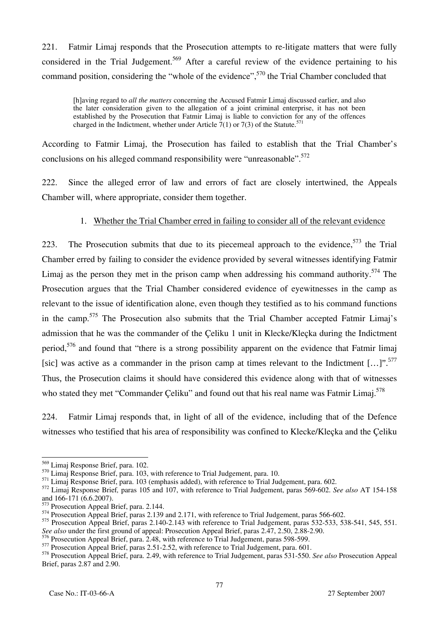221. Fatmir Limaj responds that the Prosecution attempts to re-litigate matters that were fully considered in the Trial Judgement.<sup>569</sup> After a careful review of the evidence pertaining to his command position, considering the "whole of the evidence",<sup>570</sup> the Trial Chamber concluded that

[h]aving regard to *all the matters* concerning the Accused Fatmir Limaj discussed earlier, and also the later consideration given to the allegation of a joint criminal enterprise, it has not been established by the Prosecution that Fatmir Limaj is liable to conviction for any of the offences charged in the Indictment, whether under Article  $7(1)$  or  $7(3)$  of the Statute.<sup>5</sup>

According to Fatmir Limaj, the Prosecution has failed to establish that the Trial Chamber's conclusions on his alleged command responsibility were "unreasonable".<sup>572</sup>

222. Since the alleged error of law and errors of fact are closely intertwined, the Appeals Chamber will, where appropriate, consider them together.

### 1. Whether the Trial Chamber erred in failing to consider all of the relevant evidence

223. The Prosecution submits that due to its piecemeal approach to the evidence,  $573$  the Trial Chamber erred by failing to consider the evidence provided by several witnesses identifying Fatmir Limaj as the person they met in the prison camp when addressing his command authority.<sup>574</sup> The Prosecution argues that the Trial Chamber considered evidence of eyewitnesses in the camp as relevant to the issue of identification alone, even though they testified as to his command functions in the camp.<sup>575</sup> The Prosecution also submits that the Trial Chamber accepted Fatmir Limaj's admission that he was the commander of the Çeliku 1 unit in Klecke/Kleçka during the Indictment period,<sup>576</sup> and found that "there is a strong possibility apparent on the evidence that Fatmir limaj [sic] was active as a commander in the prison camp at times relevant to the Indictment  $[...]$ .<sup>577</sup> Thus, the Prosecution claims it should have considered this evidence along with that of witnesses who stated they met "Commander Çeliku" and found out that his real name was Fatmir Limaj.<sup>578</sup>

224. Fatmir Limaj responds that, in light of all of the evidence, including that of the Defence witnesses who testified that his area of responsibility was confined to Klecke/Kleçka and the Çeliku

 $\overline{a}$ <sup>569</sup> Limaj Response Brief, para. 102.

<sup>&</sup>lt;sup>570</sup> Limaj Response Brief, para. 103, with reference to Trial Judgement, para. 10.

<sup>&</sup>lt;sup>571</sup> Limaj Response Brief, para. 103 (emphasis added), with reference to Trial Judgement, para. 602.

<sup>572</sup> Limaj Response Brief*,* paras 105 and 107, with reference to Trial Judgement, paras 569-602. *See also* AT 154-158 and 166-171 (6.6.2007).

<sup>573</sup> Prosecution Appeal Brief, para. 2.144.

<sup>&</sup>lt;sup>574</sup> Prosecution Appeal Brief, paras 2.139 and 2.171, with reference to Trial Judgement, paras 566-602.

 $575$  Prosecution Appeal Brief, paras 2.140-2.143 with reference to Trial Judgement, paras 532-533, 538-541, 545, 551.

*See also* under the first ground of appeal: Prosecution Appeal Brief, paras 2.47, 2.50, 2.88-2.90.

Prosecution Appeal Brief, para. 2.48, with reference to Trial Judgement, paras 598-599.

<sup>&</sup>lt;sup>577</sup> Prosecution Appeal Brief, paras 2.51-2.52, with reference to Trial Judgement, para. 601.

<sup>578</sup> Prosecution Appeal Brief, para. 2.49, with reference to Trial Judgement, paras 531-550. *See also* Prosecution Appeal Brief, paras 2.87 and 2.90.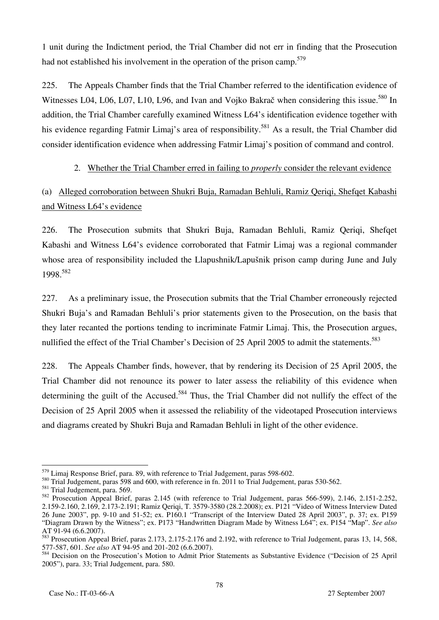1 unit during the Indictment period, the Trial Chamber did not err in finding that the Prosecution had not established his involvement in the operation of the prison camp.<sup>579</sup>

225. The Appeals Chamber finds that the Trial Chamber referred to the identification evidence of Witnesses L04, L06, L07, L10, L96, and Ivan and Vojko Bakrač when considering this issue.<sup>580</sup> In addition, the Trial Chamber carefully examined Witness L64's identification evidence together with his evidence regarding Fatmir Limaj's area of responsibility.<sup>581</sup> As a result, the Trial Chamber did consider identification evidence when addressing Fatmir Limaj's position of command and control.

### 2. Whether the Trial Chamber erred in failing to *properly* consider the relevant evidence

## (a) Alleged corroboration between Shukri Buja, Ramadan Behluli, Ramiz Qeriqi, Shefqet Kabashi and Witness L64's evidence

226. The Prosecution submits that Shukri Buja, Ramadan Behluli, Ramiz Qeriqi, Shefqet Kabashi and Witness L64's evidence corroborated that Fatmir Limaj was a regional commander whose area of responsibility included the Llapushnik/Lapušnik prison camp during June and July 1998.<sup>582</sup>

227. As a preliminary issue, the Prosecution submits that the Trial Chamber erroneously rejected Shukri Buja's and Ramadan Behluli's prior statements given to the Prosecution, on the basis that they later recanted the portions tending to incriminate Fatmir Limaj. This, the Prosecution argues, nullified the effect of the Trial Chamber's Decision of 25 April 2005 to admit the statements.<sup>583</sup>

228. The Appeals Chamber finds, however, that by rendering its Decision of 25 April 2005, the Trial Chamber did not renounce its power to later assess the reliability of this evidence when determining the guilt of the Accused.<sup>584</sup> Thus, the Trial Chamber did not nullify the effect of the Decision of 25 April 2005 when it assessed the reliability of the videotaped Prosecution interviews and diagrams created by Shukri Buja and Ramadan Behluli in light of the other evidence.

 $\overline{a}$ <sup>579</sup> Limaj Response Brief, para. 89, with reference to Trial Judgement, paras 598-602.

<sup>&</sup>lt;sup>580</sup> Trial Judgement, paras 598 and 600, with reference in fn. 2011 to Trial Judgement, paras 530-562.

<sup>581</sup> Trial Judgement, para. 569.

<sup>582</sup> Prosecution Appeal Brief, paras 2.145 (with reference to Trial Judgement, paras 566-599), 2.146, 2.151-2.252, 2.159-2.160, 2.169, 2.173-2.191; Ramiz Qeriqi, T. 3579-3580 (28.2.2008); ex. P121 "Video of Witness Interview Dated 26 June 2003", pp. 9-10 and 51-52; ex. P160.1 "Transcript of the Interview Dated 28 April 2003", p. 37; ex. P159 "Diagram Drawn by the Witness"; ex. P173 "Handwritten Diagram Made by Witness L64"; ex. P154 "Map". *See also* AT 91-94 (6.6.2007).

<sup>583</sup> Prosecution Appeal Brief, paras 2.173, 2.175-2.176 and 2.192, with reference to Trial Judgement, paras 13, 14, 568, 577-587, 601. *See also* AT 94-95 and 201-202 (6.6.2007).

<sup>&</sup>lt;sup>584</sup> Decision on the Prosecution's Motion to Admit Prior Statements as Substantive Evidence ("Decision of 25 April 2005"), para. 33; Trial Judgement, para. 580.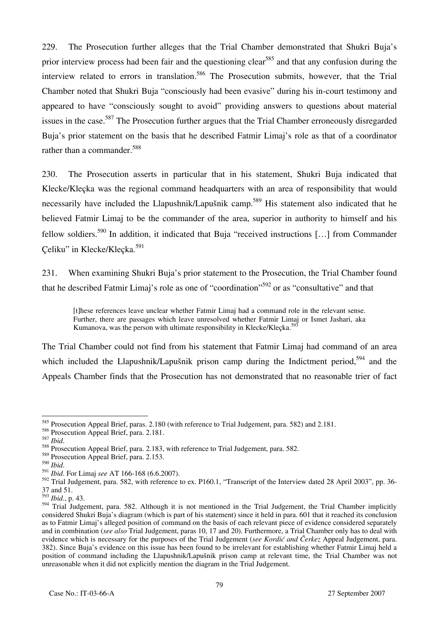229. The Prosecution further alleges that the Trial Chamber demonstrated that Shukri Buja's prior interview process had been fair and the questioning clear<sup>585</sup> and that any confusion during the interview related to errors in translation.<sup>586</sup> The Prosecution submits, however, that the Trial Chamber noted that Shukri Buja "consciously had been evasive" during his in-court testimony and appeared to have "consciously sought to avoid" providing answers to questions about material issues in the case.<sup>587</sup> The Prosecution further argues that the Trial Chamber erroneously disregarded Buja's prior statement on the basis that he described Fatmir Limaj's role as that of a coordinator rather than a commander.<sup>588</sup>

230. The Prosecution asserts in particular that in his statement, Shukri Buja indicated that Klecke/Kleçka was the regional command headquarters with an area of responsibility that would necessarily have included the Llapushnik/Lapušnik camp.<sup>589</sup> His statement also indicated that he believed Fatmir Limaj to be the commander of the area, superior in authority to himself and his fellow soldiers.<sup>590</sup> In addition, it indicated that Buja "received instructions [...] from Commander Çeliku" in Klecke/Kleçka.<sup>591</sup>

231. When examining Shukri Buja's prior statement to the Prosecution, the Trial Chamber found that he described Fatmir Limaj's role as one of "coordination"592 or as "consultative" and that

[t]hese references leave unclear whether Fatmir Limaj had a command role in the relevant sense. Further, there are passages which leave unresolved whether Fatmir Limaj or Ismet Jashari, aka Kumanova, was the person with ultimate responsibility in Klecke/Klecka.<sup>5</sup>

The Trial Chamber could not find from his statement that Fatmir Limaj had command of an area which included the Llapushnik/Lapušnik prison camp during the Indictment period.<sup>594</sup> and the Appeals Chamber finds that the Prosecution has not demonstrated that no reasonable trier of fact

 $\overline{a}$ <sup>585</sup> Prosecution Appeal Brief, paras. 2.180 (with reference to Trial Judgement, para. 582) and 2.181.

 $\frac{586}{587}$  Prosecution Appeal Brief, para. 2.181.

<sup>&</sup>lt;sup>588</sup> Prosecution Appeal Brief, para. 2.183, with reference to Trial Judgement, para. 582.

 $589$  Prosecution Appeal Brief, para. 2.153.<br> $590$   $_{thi}$ 

<sup>590</sup> *Ibid*. 591 *Ibid*. For Limaj *see* AT 166-168 (6.6.2007).

<sup>&</sup>lt;sup>592</sup> Trial Judgement, para. 582, with reference to ex. P160.1, "Transcript of the Interview dated 28 April 2003", pp. 36-37 and 51.

<sup>593</sup> *Ibid*., p. 43.

<sup>594</sup> Trial Judgement, para. 582. Although it is not mentioned in the Trial Judgement, the Trial Chamber implicitly considered Shukri Buja's diagram (which is part of his statement) since it held in para. 601 that it reached its conclusion as to Fatmir Limaj's alleged position of command on the basis of each relevant piece of evidence considered separately and in combination (*see also* Trial Judgement, paras 10, 17 and 20). Furthermore, a Trial Chamber only has to deal with evidence which is necessary for the purposes of the Trial Judgement (*see Kordić and Čerkez* Appeal Judgement, para. 382). Since Buja's evidence on this issue has been found to be irrelevant for establishing whether Fatmir Limaj held a position of command including the Llapushnik/Lapušnik prison camp at relevant time, the Trial Chamber was not unreasonable when it did not explicitly mention the diagram in the Trial Judgement.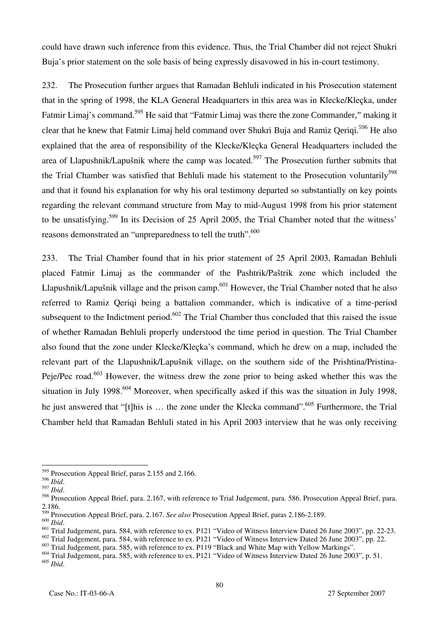could have drawn such inference from this evidence. Thus, the Trial Chamber did not reject Shukri Buja's prior statement on the sole basis of being expressly disavowed in his in-court testimony.

232. The Prosecution further argues that Ramadan Behluli indicated in his Prosecution statement that in the spring of 1998, the KLA General Headquarters in this area was in Klecke/Kleçka, under Fatmir Limaj's command.<sup>595</sup> He said that "Fatmir Limaj was there the zone Commander," making it clear that he knew that Fatmir Limaj held command over Shukri Buja and Ramiz Qeriqi.<sup>596</sup> He also explained that the area of responsibility of the Klecke/Kleçka General Headquarters included the area of Llapushnik/Lapušnik where the camp was located.<sup>597</sup> The Prosecution further submits that the Trial Chamber was satisfied that Behluli made his statement to the Prosecution voluntarily<sup>598</sup> and that it found his explanation for why his oral testimony departed so substantially on key points regarding the relevant command structure from May to mid-August 1998 from his prior statement to be unsatisfying.<sup>599</sup> In its Decision of 25 April 2005, the Trial Chamber noted that the witness' reasons demonstrated an "unpreparedness to tell the truth".<sup>600</sup>

233. The Trial Chamber found that in his prior statement of 25 April 2003, Ramadan Behluli placed Fatmir Limaj as the commander of the Pashtrik/Paštrik zone which included the Llapushnik/Lapušnik village and the prison camp.<sup>601</sup> However, the Trial Chamber noted that he also referred to Ramiz Qeriqi being a battalion commander, which is indicative of a time-period subsequent to the Indictment period.<sup>602</sup> The Trial Chamber thus concluded that this raised the issue of whether Ramadan Behluli properly understood the time period in question. The Trial Chamber also found that the zone under Klecke/Kleçka's command, which he drew on a map, included the relevant part of the Llapushnik/Lapušnik village, on the southern side of the Prishtina/Pristina-Peje/Pec road.<sup>603</sup> However, the witness drew the zone prior to being asked whether this was the situation in July 1998.<sup>604</sup> Moreover, when specifically asked if this was the situation in July 1998, he just answered that "[t]his is ... the zone under the Klecka command".<sup>605</sup> Furthermore, the Trial Chamber held that Ramadan Behluli stated in his April 2003 interview that he was only receiving

599 Prosecution Appeal Brief, para. 2.167. *See also* Prosecution Appeal Brief, paras 2.186-2.189.

 $\overline{a}$ <sup>595</sup> Prosecution Appeal Brief, paras 2.155 and 2.166.

<sup>596</sup> *Ibid*. 597 *Ibid*. 598 Prosecution Appeal Brief, para. 2.167, with reference to Trial Judgement, para. 586. Prosecution Appeal Brief, para. 2.186.

<sup>&</sup>lt;sup>601</sup> Trial Judgement, para. 584, with reference to ex. P121 "Video of Witness Interview Dated 26 June 2003", pp. 22-23.

<sup>602</sup> Trial Judgement, para. 584, with reference to ex. P121 "Video of Witness Interview Dated 26 June 2003", pp. 22.

<sup>&</sup>lt;sup>603</sup> Trial Judgement, para. 585, with reference to ex. P119 "Black and White Map with Yellow Markings".

<sup>&</sup>lt;sup>604</sup> Trial Judgement, para. 585, with reference to ex. P121 "Video of Witness Interview Dated 26 June 2003", p. 51. <sup>605</sup> *Ibid*.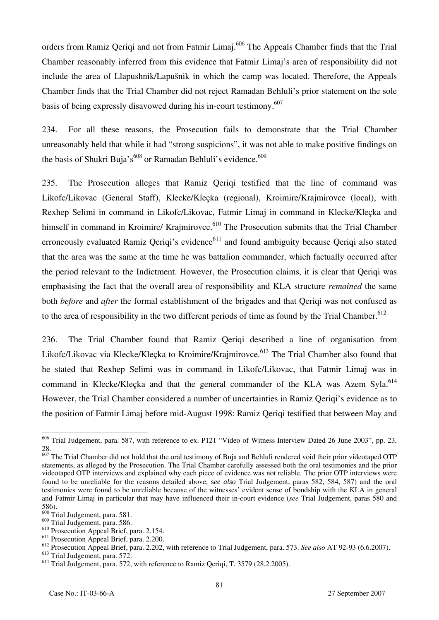orders from Ramiz Qeriqi and not from Fatmir Limaj.<sup>606</sup> The Appeals Chamber finds that the Trial Chamber reasonably inferred from this evidence that Fatmir Limaj's area of responsibility did not include the area of Llapushnik/Lapušnik in which the camp was located. Therefore, the Appeals Chamber finds that the Trial Chamber did not reject Ramadan Behluli's prior statement on the sole basis of being expressly disavowed during his in-court testimony.<sup>607</sup>

234. For all these reasons, the Prosecution fails to demonstrate that the Trial Chamber unreasonably held that while it had "strong suspicions", it was not able to make positive findings on the basis of Shukri Buja's<sup>608</sup> or Ramadan Behluli's evidence.<sup>609</sup>

235. The Prosecution alleges that Ramiz Qeriqi testified that the line of command was Likofc/Likovac (General Staff), Klecke/Kleçka (regional), Kroimire/Krajmirovce (local), with Rexhep Selimi in command in Likofc/Likovac, Fatmir Limaj in command in Klecke/Kleçka and himself in command in Kroimire/ Krajmirovce.<sup>610</sup> The Prosecution submits that the Trial Chamber erroneously evaluated Ramiz Qeriqi's evidence<sup>611</sup> and found ambiguity because Qeriqi also stated that the area was the same at the time he was battalion commander, which factually occurred after the period relevant to the Indictment. However, the Prosecution claims, it is clear that Qeriqi was emphasising the fact that the overall area of responsibility and KLA structure *remained* the same both *before* and *after* the formal establishment of the brigades and that Qeriqi was not confused as to the area of responsibility in the two different periods of time as found by the Trial Chamber.<sup>612</sup>

236. The Trial Chamber found that Ramiz Qeriqi described a line of organisation from Likofc/Likovac via Klecke/Klecka to Kroimire/Krajmirovce.<sup>613</sup> The Trial Chamber also found that he stated that Rexhep Selimi was in command in Likofc/Likovac, that Fatmir Limaj was in command in Klecke/Klecka and that the general commander of the KLA was Azem Syla.<sup>614</sup> However, the Trial Chamber considered a number of uncertainties in Ramiz Qeriqi's evidence as to the position of Fatmir Limaj before mid-August 1998: Ramiz Qeriqi testified that between May and

<sup>&</sup>lt;sup>606</sup> Trial Judgement, para. 587, with reference to ex. P121 "Video of Witness Interview Dated 26 June 2003", pp. 23, 28.

 $\frac{607}{100}$  The Trial Chamber did not hold that the oral testimony of Buja and Behluli rendered void their prior videotaped OTP statements, as alleged by the Prosecution. The Trial Chamber carefully assessed both the oral testimonies and the prior videotaped OTP interviews and explained why each piece of evidence was not reliable. The prior OTP interviews were found to be unreliable for the reasons detailed above; s*ee also* Trial Judgement, paras 582, 584, 587) and the oral testimonies were found to be unreliable because of the witnesses' evident sense of bondship with the KLA in general and Fatmir Limaj in particular that may have influenced their in-court evidence (*see* Trial Judgement, paras 580 and 586).

<sup>&</sup>lt;sup>608</sup> Trial Judgement, para. 581.

<sup>609</sup> Trial Judgement, para. 586.

<sup>610</sup> Prosecution Appeal Brief, para. 2.154.

<sup>&</sup>lt;sup>611</sup> Prosecution Appeal Brief, para. 2.200.

<sup>612</sup> Prosecution Appeal Brief, para. 2.202, with reference to Trial Judgement, para. 573. *See also* AT 92-93 (6.6.2007).

<sup>613</sup> Trial Judgement, para. 572.

<sup>614</sup> Trial Judgement, para. 572, with reference to Ramiz Qeriqi, T. 3579 (28.2.2005).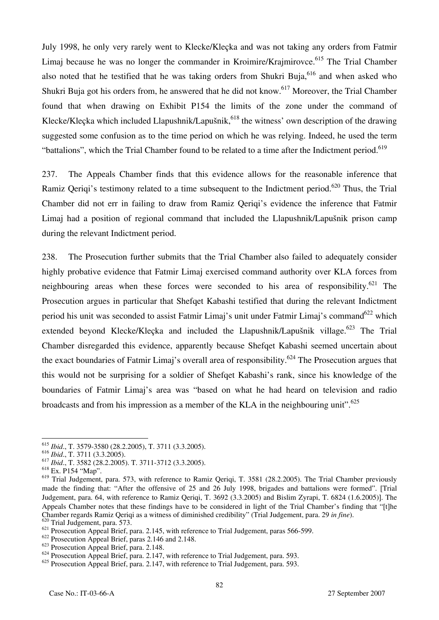July 1998, he only very rarely went to Klecke/Kleçka and was not taking any orders from Fatmir Limaj because he was no longer the commander in Kroimire/Krajmirovce.<sup>615</sup> The Trial Chamber also noted that he testified that he was taking orders from Shukri Buja, <sup>616</sup> and when asked who Shukri Buja got his orders from, he answered that he did not know.<sup>617</sup> Moreover, the Trial Chamber found that when drawing on Exhibit P154 the limits of the zone under the command of Klecke/Klecka which included Llapushnik/Lapušnik,<sup>618</sup> the witness' own description of the drawing suggested some confusion as to the time period on which he was relying. Indeed, he used the term "battalions", which the Trial Chamber found to be related to a time after the Indictment period.<sup>619</sup>

237. The Appeals Chamber finds that this evidence allows for the reasonable inference that Ramiz Oeriqi's testimony related to a time subsequent to the Indictment period.<sup>620</sup> Thus, the Trial Chamber did not err in failing to draw from Ramiz Qeriqi's evidence the inference that Fatmir Limaj had a position of regional command that included the Llapushnik/Lapušnik prison camp during the relevant Indictment period.

238. The Prosecution further submits that the Trial Chamber also failed to adequately consider highly probative evidence that Fatmir Limaj exercised command authority over KLA forces from neighbouring areas when these forces were seconded to his area of responsibility.<sup>621</sup> The Prosecution argues in particular that Shefqet Kabashi testified that during the relevant Indictment period his unit was seconded to assist Fatmir Limaj's unit under Fatmir Limaj's command<sup>622</sup> which extended beyond Klecke/Klecka and included the Llapushnik/Lapušnik village.<sup>623</sup> The Trial Chamber disregarded this evidence, apparently because Shefqet Kabashi seemed uncertain about the exact boundaries of Fatmir Limaj's overall area of responsibility.<sup>624</sup> The Prosecution argues that this would not be surprising for a soldier of Shefqet Kabashi's rank, since his knowledge of the boundaries of Fatmir Limaj's area was "based on what he had heard on television and radio broadcasts and from his impression as a member of the KLA in the neighbouring unit".<sup>625</sup>

<sup>615</sup> *Ibid*., T. 3579-3580 (28.2.2005), T. 3711 (3.3.2005).

<sup>616</sup> *Ibid*., T. 3711 (3.3.2005).

<sup>617</sup> *Ibid*., T. 3582 (28.2.2005). T. 3711-3712 (3.3.2005).

<sup>618</sup> Ex. P154 "Map".

<sup>&</sup>lt;sup>619</sup> Trial Judgement, para. 573, with reference to Ramiz Qeriqi, T. 3581 (28.2.2005). The Trial Chamber previously made the finding that: "After the offensive of 25 and 26 July 1998, brigades and battalions were formed". [Trial Judgement, para. 64, with reference to Ramiz Qeriqi, T. 3692 (3.3.2005) and Bislim Zyrapi, T. 6824 (1.6.2005)]. The Appeals Chamber notes that these findings have to be considered in light of the Trial Chamber's finding that "[t]he Chamber regards Ramiz Qeriqi as a witness of diminished credibility" (Trial Judgement, para. 29 *in fine*). Trial Judgement, para.  $573$ .

<sup>&</sup>lt;sup>621</sup> Prosecution Appeal Brief, para. 2.145, with reference to Trial Judgement, paras 566-599.

<sup>&</sup>lt;sup>622</sup> Prosecution Appeal Brief, paras 2.146 and 2.148.

<sup>623</sup> Prosecution Appeal Brief, para. 2.148.

 $624$  Prosecution Appeal Brief, para. 2.147, with reference to Trial Judgement, para. 593.

<sup>&</sup>lt;sup>625</sup> Prosecution Appeal Brief, para. 2.147, with reference to Trial Judgement, para. 593.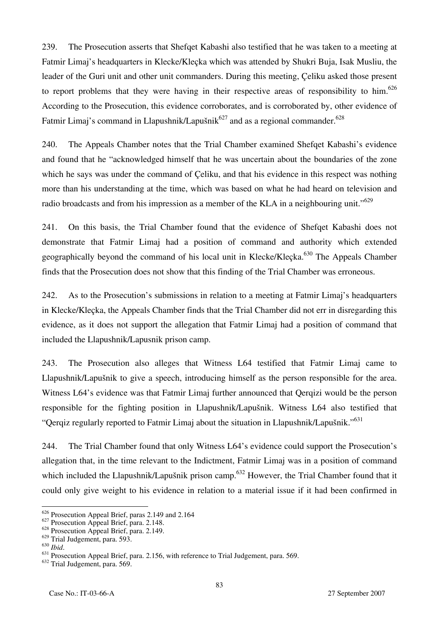239. The Prosecution asserts that Shefqet Kabashi also testified that he was taken to a meeting at Fatmir Limaj's headquarters in Klecke/Kleçka which was attended by Shukri Buja, Isak Musliu, the leader of the Guri unit and other unit commanders. During this meeting, Çeliku asked those present to report problems that they were having in their respective areas of responsibility to him.<sup>626</sup> According to the Prosecution, this evidence corroborates, and is corroborated by, other evidence of Fatmir Limaj's command in Llapushnik/Lapušnik<sup>627</sup> and as a regional commander.<sup>628</sup>

240. The Appeals Chamber notes that the Trial Chamber examined Shefqet Kabashi's evidence and found that he "acknowledged himself that he was uncertain about the boundaries of the zone which he says was under the command of Celiku, and that his evidence in this respect was nothing more than his understanding at the time, which was based on what he had heard on television and radio broadcasts and from his impression as a member of the KLA in a neighbouring unit."<sup>629</sup>

241. On this basis, the Trial Chamber found that the evidence of Shefqet Kabashi does not demonstrate that Fatmir Limaj had a position of command and authority which extended geographically beyond the command of his local unit in Klecke/Klecka.<sup>630</sup> The Appeals Chamber finds that the Prosecution does not show that this finding of the Trial Chamber was erroneous.

242. As to the Prosecution's submissions in relation to a meeting at Fatmir Limaj's headquarters in Klecke/Kleçka, the Appeals Chamber finds that the Trial Chamber did not err in disregarding this evidence, as it does not support the allegation that Fatmir Limaj had a position of command that included the Llapushnik/Lapusnik prison camp.

243. The Prosecution also alleges that Witness L64 testified that Fatmir Limaj came to Llapushnik/Lapušnik to give a speech, introducing himself as the person responsible for the area. Witness L64's evidence was that Fatmir Limaj further announced that Qerqizi would be the person responsible for the fighting position in Llapushnik/Lapušnik. Witness L64 also testified that "Qerqiz regularly reported to Fatmir Limaj about the situation in Llapushnik/Lapušnik."<sup>631</sup>

244. The Trial Chamber found that only Witness L64's evidence could support the Prosecution's allegation that, in the time relevant to the Indictment, Fatmir Limaj was in a position of command which included the Llapushnik/Lapušnik prison camp.<sup>632</sup> However, the Trial Chamber found that it could only give weight to his evidence in relation to a material issue if it had been confirmed in

<sup>&</sup>lt;sup>626</sup> Prosecution Appeal Brief, paras 2.149 and 2.164

<sup>&</sup>lt;sup>627</sup> Prosecution Appeal Brief, para. 2.148.

 $628$  Prosecution Appeal Brief, para. 2.149.

 $^{629}_{630}$  Trial Judgement, para. 593.<br> $^{630}_{630}$  *Ibid.* 

<sup>&</sup>lt;sup>631</sup> Prosecution Appeal Brief, para. 2.156, with reference to Trial Judgement, para. 569.

<sup>632</sup> Trial Judgement, para. 569.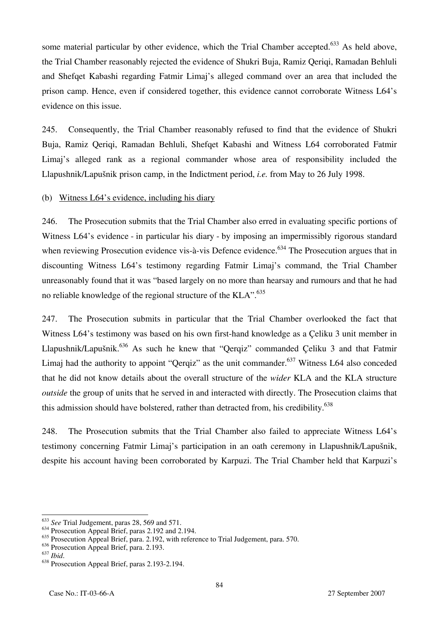some material particular by other evidence, which the Trial Chamber accepted.<sup>633</sup> As held above, the Trial Chamber reasonably rejected the evidence of Shukri Buja, Ramiz Qeriqi, Ramadan Behluli and Shefqet Kabashi regarding Fatmir Limaj's alleged command over an area that included the prison camp. Hence, even if considered together, this evidence cannot corroborate Witness L64's evidence on this issue.

245. Consequently, the Trial Chamber reasonably refused to find that the evidence of Shukri Buja, Ramiz Qeriqi, Ramadan Behluli, Shefqet Kabashi and Witness L64 corroborated Fatmir Limaj's alleged rank as a regional commander whose area of responsibility included the Llapushnik/Lapu{nik prison camp, in the Indictment period, *i.e.* from May to 26 July 1998.

(b) Witness L64's evidence, including his diary

246. The Prosecution submits that the Trial Chamber also erred in evaluating specific portions of Witness L64's evidence - in particular his diary - by imposing an impermissibly rigorous standard when reviewing Prosecution evidence vis-à-vis Defence evidence.<sup>634</sup> The Prosecution argues that in discounting Witness L64's testimony regarding Fatmir Limaj's command, the Trial Chamber unreasonably found that it was "based largely on no more than hearsay and rumours and that he had no reliable knowledge of the regional structure of the KLA".<sup>635</sup>

247. The Prosecution submits in particular that the Trial Chamber overlooked the fact that Witness L64's testimony was based on his own first-hand knowledge as a Çeliku 3 unit member in Llapushnik/Lapušnik.<sup>636</sup> As such he knew that "Qerqiz" commanded Çeliku 3 and that Fatmir Limaj had the authority to appoint "Qerqiz" as the unit commander.<sup>637</sup> Witness L64 also conceded that he did not know details about the overall structure of the *wider* KLA and the KLA structure *outside* the group of units that he served in and interacted with directly. The Prosecution claims that this admission should have bolstered, rather than detracted from, his credibility.<sup>638</sup>

248. The Prosecution submits that the Trial Chamber also failed to appreciate Witness L64's testimony concerning Fatmir Limaj's participation in an oath ceremony in Llapushnik/Lapušnik, despite his account having been corroborated by Karpuzi. The Trial Chamber held that Karpuzi's

 $\overline{a}$ <sup>633</sup> *See* Trial Judgement, paras 28, 569 and 571.

<sup>634</sup> Prosecution Appeal Brief, paras 2.192 and 2.194.

<sup>&</sup>lt;sup>635</sup> Prosecution Appeal Brief, para. 2.192, with reference to Trial Judgement, para. 570.

 $^{636}_{637}$  Prosecution Appeal Brief, para. 2.193.

<sup>&</sup>lt;sup>638</sup> Prosecution Appeal Brief, paras 2.193-2.194.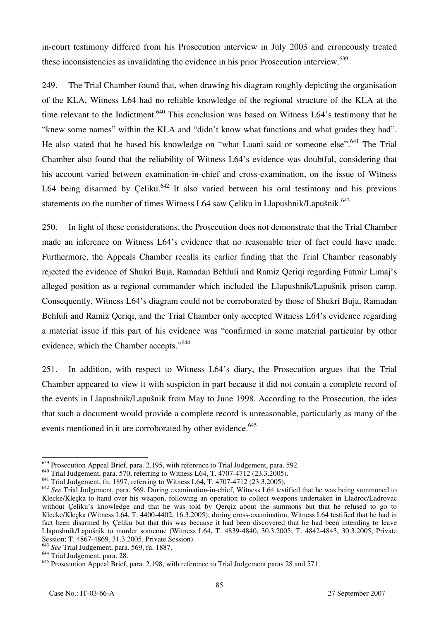in-court testimony differed from his Prosecution interview in July 2003 and erroneously treated these inconsistencies as invalidating the evidence in his prior Prosecution interview.<sup>639</sup>

249. The Trial Chamber found that, when drawing his diagram roughly depicting the organisation of the KLA, Witness L64 had no reliable knowledge of the regional structure of the KLA at the time relevant to the Indictment.<sup>640</sup> This conclusion was based on Witness L64's testimony that he "knew some names" within the KLA and "didn't know what functions and what grades they had". He also stated that he based his knowledge on "what Luani said or someone else".<sup>641</sup> The Trial Chamber also found that the reliability of Witness L64's evidence was doubtful, considering that his account varied between examination-in-chief and cross-examination, on the issue of Witness L64 being disarmed by Celiku.<sup>642</sup> It also varied between his oral testimony and his previous statements on the number of times Witness L64 saw Çeliku in Llapushnik/Lapušnik.<sup>643</sup>

250. In light of these considerations, the Prosecution does not demonstrate that the Trial Chamber made an inference on Witness L64's evidence that no reasonable trier of fact could have made. Furthermore, the Appeals Chamber recalls its earlier finding that the Trial Chamber reasonably rejected the evidence of Shukri Buja, Ramadan Behluli and Ramiz Qeriqi regarding Fatmir Limaj's alleged position as a regional commander which included the Llapushnik/Lapušnik prison camp. Consequently, Witness L64's diagram could not be corroborated by those of Shukri Buja, Ramadan Behluli and Ramiz Qeriqi, and the Trial Chamber only accepted Witness L64's evidence regarding a material issue if this part of his evidence was "confirmed in some material particular by other evidence, which the Chamber accepts."644

251. In addition, with respect to Witness L64's diary, the Prosecution argues that the Trial Chamber appeared to view it with suspicion in part because it did not contain a complete record of the events in Llapushnik/Lapušnik from May to June 1998. According to the Prosecution, the idea that such a document would provide a complete record is unreasonable, particularly as many of the events mentioned in it are corroborated by other evidence.<sup>645</sup>

 $\overline{a}$  $\frac{639}{100}$  Prosecution Appeal Brief, para. 2.195, with reference to Trial Judgement, para. 592.

<sup>&</sup>lt;sup>640</sup> Trial Judgement, para. 570, referring to Witness L64, T. 4707-4712 (23.3.2005).

<sup>641</sup> Trial Judgement, fn. 1897, referring to Witness L64, T. 4707-4712 (23.3.2005).

<sup>642</sup> *See* Trial Judgement, para. 569. During examination-in-chief, Witness L64 testified that he was being summoned to Klecke/Kleçka to hand over his weapon, following an operation to collect weapons undertaken in Lladroc/Ladrovac without Çeliku's knowledge and that he was told by Qerqiz about the summons but that he refused to go to Klecke/Kleçka (Witness L64, T. 4400-4402, 16.3.2005); during cross-examination, Witness L64 testified that he had in fact been disarmed by Çeliku but that this was because it had been discovered that he had been intending to leave Llapushnik/Lapušnik to murder someone (Witness L64, T. 4839-4840, 30.3.2005; T. 4842-4843, 30.3.2005, Private Session; T. 4867-4869, 31.3.2005, Private Session).

<sup>&</sup>lt;sup>3</sup> See Trial Judgement, para. 569, fn. 1887.

<sup>&</sup>lt;sup>644</sup> Trial Judgement, para. 28.

<sup>&</sup>lt;sup>645</sup> Prosecution Appeal Brief, para. 2.198, with reference to Trial Judgement paras 28 and 571.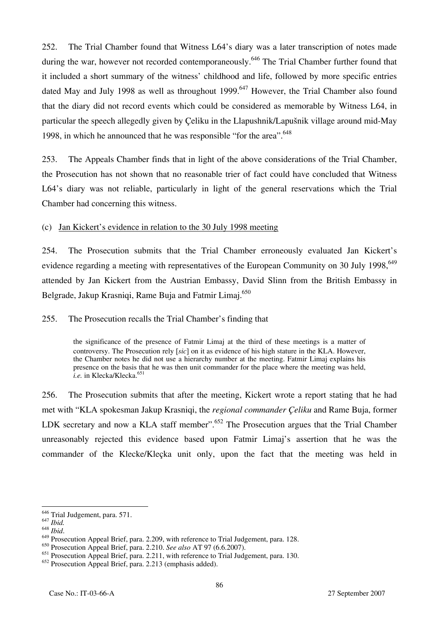252. The Trial Chamber found that Witness L64's diary was a later transcription of notes made during the war, however not recorded contemporaneously.<sup>646</sup> The Trial Chamber further found that it included a short summary of the witness' childhood and life, followed by more specific entries dated May and July 1998 as well as throughout 1999.<sup>647</sup> However, the Trial Chamber also found that the diary did not record events which could be considered as memorable by Witness L64, in particular the speech allegedly given by Çeliku in the Llapushnik/Lapušnik village around mid-May 1998, in which he announced that he was responsible "for the area".  $648$ 

253. The Appeals Chamber finds that in light of the above considerations of the Trial Chamber, the Prosecution has not shown that no reasonable trier of fact could have concluded that Witness L64's diary was not reliable, particularly in light of the general reservations which the Trial Chamber had concerning this witness.

#### (c) Jan Kickert's evidence in relation to the 30 July 1998 meeting

254. The Prosecution submits that the Trial Chamber erroneously evaluated Jan Kickert's evidence regarding a meeting with representatives of the European Community on 30 July 1998,<sup>649</sup> attended by Jan Kickert from the Austrian Embassy, David Slinn from the British Embassy in Belgrade, Jakup Krasniqi, Rame Buja and Fatmir Limaj.<sup>650</sup>

#### 255. The Prosecution recalls the Trial Chamber's finding that

the significance of the presence of Fatmir Limaj at the third of these meetings is a matter of controversy. The Prosecution rely [*sic*] on it as evidence of his high stature in the KLA. However, the Chamber notes he did not use a hierarchy number at the meeting. Fatmir Limaj explains his presence on the basis that he was then unit commander for the place where the meeting was held, *i.e.* in Klecka/Klecka.<sup>651</sup>

256. The Prosecution submits that after the meeting, Kickert wrote a report stating that he had met with "KLA spokesman Jakup Krasniqi, the *regional commander Çeliku* and Rame Buja, former LDK secretary and now a KLA staff member".<sup>652</sup> The Prosecution argues that the Trial Chamber unreasonably rejected this evidence based upon Fatmir Limaj's assertion that he was the commander of the Klecke/Kleçka unit only, upon the fact that the meeting was held in

<sup>&</sup>lt;sup>646</sup> Trial Judgement, para. 571.

<sup>647</sup> *Ibid.*

<sup>&</sup>lt;sup>649</sup> Prosecution Appeal Brief, para. 2.209, with reference to Trial Judgement, para. 128.

<sup>650</sup> Prosecution Appeal Brief, para. 2.210. *See also* AT 97 (6.6.2007).

<sup>&</sup>lt;sup>651</sup> Prosecution Appeal Brief, para. 2.211, with reference to Trial Judgement, para. 130.

<sup>652</sup> Prosecution Appeal Brief, para. 2.213 (emphasis added).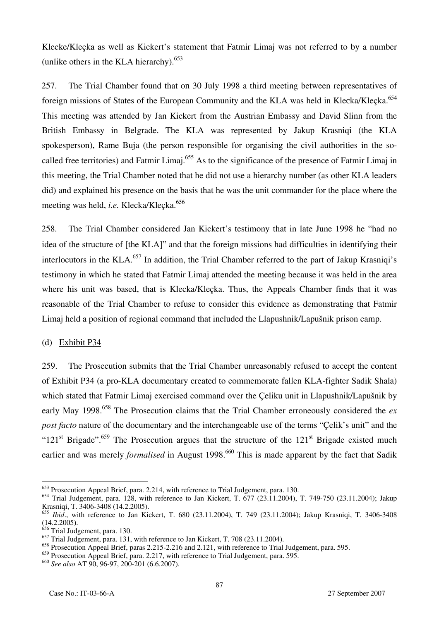Klecke/Kleçka as well as Kickert's statement that Fatmir Limaj was not referred to by a number (unlike others in the KLA hierarchy).<sup>653</sup>

257. The Trial Chamber found that on 30 July 1998 a third meeting between representatives of foreign missions of States of the European Community and the KLA was held in Klecka/Klecka.<sup>654</sup> This meeting was attended by Jan Kickert from the Austrian Embassy and David Slinn from the British Embassy in Belgrade. The KLA was represented by Jakup Krasniqi (the KLA spokesperson), Rame Buja (the person responsible for organising the civil authorities in the socalled free territories) and Fatmir Limaj.<sup>655</sup> As to the significance of the presence of Fatmir Limaj in this meeting, the Trial Chamber noted that he did not use a hierarchy number (as other KLA leaders did) and explained his presence on the basis that he was the unit commander for the place where the meeting was held, *i.e.* Klecka/Klecka.<sup>656</sup>

258. The Trial Chamber considered Jan Kickert's testimony that in late June 1998 he "had no idea of the structure of [the KLA]" and that the foreign missions had difficulties in identifying their interlocutors in the KLA.<sup>657</sup> In addition, the Trial Chamber referred to the part of Jakup Krasniqi's testimony in which he stated that Fatmir Limaj attended the meeting because it was held in the area where his unit was based, that is Klecka/Kleçka. Thus, the Appeals Chamber finds that it was reasonable of the Trial Chamber to refuse to consider this evidence as demonstrating that Fatmir Limaj held a position of regional command that included the Llapushnik/Lapušnik prison camp.

#### (d) Exhibit P34

259. The Prosecution submits that the Trial Chamber unreasonably refused to accept the content of Exhibit P34 (a pro-KLA documentary created to commemorate fallen KLA-fighter Sadik Shala) which stated that Fatmir Limaj exercised command over the Çeliku unit in Llapushnik/Lapušnik by early May 1998.<sup>658</sup> The Prosecution claims that the Trial Chamber erroneously considered the *ex post facto* nature of the documentary and the interchangeable use of the terms "Çelik's unit" and the " $121<sup>st</sup>$  Brigade".<sup>659</sup> The Prosecution argues that the structure of the  $121<sup>st</sup>$  Brigade existed much earlier and was merely *formalised* in August 1998.<sup>660</sup> This is made apparent by the fact that Sadik

<sup>&</sup>lt;sup>653</sup> Prosecution Appeal Brief, para. 2.214, with reference to Trial Judgement, para. 130.

 $654$  Trial Judgement, para. 128, with reference to Jan Kickert, T.  $677$  (23.11.2004), T. 749-750 (23.11.2004); Jakup Krasniqi, T. 3406-3408 (14.2.2005).

<sup>&</sup>lt;sup>655</sup> *Ibid.*, with reference to Jan Kickert, T. 680 (23.11.2004), T. 749 (23.11.2004); Jakup Krasniqi, T. 3406-3408 (14.2.2005).

 $\overline{6}$  Trial Judgement, para. 130.

 $\frac{657}{2}$  Trial Judgement, para. 131, with reference to Jan Kickert, T. 708 (23.11.2004).

<sup>658</sup> Prosecution Appeal Brief, paras 2.215-2.216 and 2.121, with reference to Trial Judgement, para. 595.

<sup>&</sup>lt;sup>659</sup> Prosecution Appeal Brief, para. 2.217, with reference to Trial Judgement, para. 595.

<sup>660</sup> *See also* AT 90, 96-97, 200-201 (6.6.2007).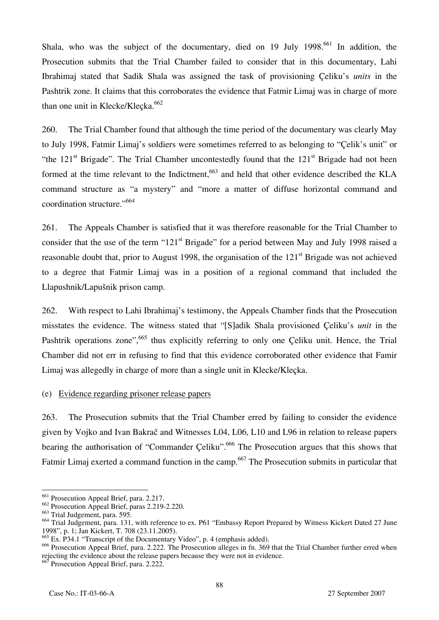Shala, who was the subject of the documentary, died on 19 July 1998.<sup>661</sup> In addition, the Prosecution submits that the Trial Chamber failed to consider that in this documentary, Lahi Ibrahimaj stated that Sadik Shala was assigned the task of provisioning Çeliku's *units* in the Pashtrik zone. It claims that this corroborates the evidence that Fatmir Limaj was in charge of more than one unit in Klecke/Klecka. $662$ 

260. The Trial Chamber found that although the time period of the documentary was clearly May to July 1998, Fatmir Limaj's soldiers were sometimes referred to as belonging to "Çelik's unit" or "the  $121<sup>st</sup>$  Brigade". The Trial Chamber uncontestedly found that the  $121<sup>st</sup>$  Brigade had not been formed at the time relevant to the Indictment,<sup>663</sup> and held that other evidence described the KLA command structure as "a mystery" and "more a matter of diffuse horizontal command and coordination structure."<sup>664</sup>

261. The Appeals Chamber is satisfied that it was therefore reasonable for the Trial Chamber to consider that the use of the term "121<sup>st</sup> Brigade" for a period between May and July 1998 raised a reasonable doubt that, prior to August 1998, the organisation of the 121<sup>st</sup> Brigade was not achieved to a degree that Fatmir Limaj was in a position of a regional command that included the Llapushnik/Lapušnik prison camp.

262. With respect to Lahi Ibrahimaj's testimony, the Appeals Chamber finds that the Prosecution misstates the evidence. The witness stated that "[S]adik Shala provisioned Çeliku's *unit* in the Pashtrik operations zone", <sup>665</sup> thus explicitly referring to only one Celiku unit. Hence, the Trial Chamber did not err in refusing to find that this evidence corroborated other evidence that Famir Limaj was allegedly in charge of more than a single unit in Klecke/Kleçka.

#### (e) Evidence regarding prisoner release papers

263. The Prosecution submits that the Trial Chamber erred by failing to consider the evidence given by Vojko and Ivan Bakrač and Witnesses L04, L06, L10 and L96 in relation to release papers bearing the authorisation of "Commander Çeliku".<sup>666</sup> The Prosecution argues that this shows that Fatmir Limaj exerted a command function in the camp.<sup>667</sup> The Prosecution submits in particular that

 $\overline{a}$ <sup>661</sup> Prosecution Appeal Brief, para. 2.217.

<sup>662</sup> Prosecution Appeal Brief, paras 2.219-2.220.

<sup>663</sup> Trial Judgement, para. 595.

<sup>&</sup>lt;sup>664</sup> Trial Judgement, para. 131, with reference to ex. P61 "Embassy Report Prepared by Witness Kickert Dated 27 June 1998", p. 1; Jan Kickert, T. 708 (23.11.2005).

 $\frac{665}{2}$  Ex. P34.1 "Transcript of the Documentary Video", p. 4 (emphasis added).

 $^{666}$  Prosecution Appeal Brief, para. 2.222. The Prosecution alleges in fn. 369 that the Trial Chamber further erred when rejecting the evidence about the release papers because they were not in evidence.

 $667$  Prosecution Appeal Brief, para. 2.222.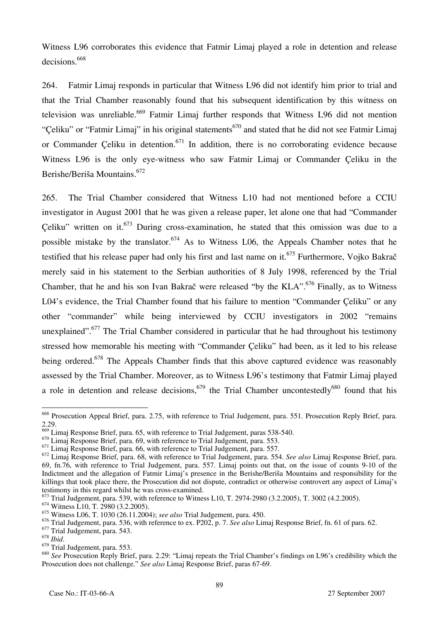Witness L96 corroborates this evidence that Fatmir Limaj played a role in detention and release decisions.<sup>668</sup>

264. Fatmir Limaj responds in particular that Witness L96 did not identify him prior to trial and that the Trial Chamber reasonably found that his subsequent identification by this witness on television was unreliable.<sup>669</sup> Fatmir Limaj further responds that Witness L96 did not mention "Celiku" or "Fatmir Limaj" in his original statements<sup>670</sup> and stated that he did not see Fatmir Limaj or Commander Çeliku in detention.<sup>671</sup> In addition, there is no corroborating evidence because Witness L96 is the only eye-witness who saw Fatmir Limaj or Commander Çeliku in the Berishe/Beriša Mountains.<sup>672</sup>

265. The Trial Chamber considered that Witness L10 had not mentioned before a CCIU investigator in August 2001 that he was given a release paper, let alone one that had "Commander Celiku" written on it.<sup>673</sup> During cross-examination, he stated that this omission was due to a possible mistake by the translator.<sup>674</sup> As to Witness L06, the Appeals Chamber notes that he testified that his release paper had only his first and last name on it.<sup>675</sup> Furthermore, Vojko Bakrač merely said in his statement to the Serbian authorities of 8 July 1998, referenced by the Trial Chamber, that he and his son Ivan Bakrač were released "by the KLA".<sup>676</sup> Finally, as to Witness L04's evidence, the Trial Chamber found that his failure to mention "Commander Çeliku" or any other "commander" while being interviewed by CCIU investigators in 2002 "remains unexplained".<sup>677</sup> The Trial Chamber considered in particular that he had throughout his testimony stressed how memorable his meeting with "Commander Çeliku" had been, as it led to his release being ordered.<sup>678</sup> The Appeals Chamber finds that this above captured evidence was reasonably assessed by the Trial Chamber. Moreover, as to Witness L96's testimony that Fatmir Limaj played a role in detention and release decisions,<sup>679</sup> the Trial Chamber uncontestedly<sup>680</sup> found that his

<sup>&</sup>lt;sup>668</sup> Prosecution Appeal Brief, para. 2.75, with reference to Trial Judgement, para. 551. Prosecution Reply Brief, para. 2.29.

<sup>&</sup>lt;sup>669</sup> Limaj Response Brief, para. 65, with reference to Trial Judgement, paras 538-540.

<sup>&</sup>lt;sup>670</sup> Limaj Response Brief, para. 69, with reference to Trial Judgement, para. 553.

<sup>&</sup>lt;sup>671</sup> Limaj Response Brief, para. 66, with reference to Trial Judgement, para. 557.

<sup>672</sup> Limaj Response Brief, para. 68, with reference to Trial Judgement, para. 554. *See also* Limaj Response Brief, para. 69, fn.76, with reference to Trial Judgement, para. 557. Limaj points out that, on the issue of counts 9-10 of the Indictment and the allegation of Fatmir Limaj's presence in the Berishe/Beriša Mountains and responsibility for the killings that took place there, the Prosecution did not dispute, contradict or otherwise controvert any aspect of Limaj's testimony in this regard whilst he was cross-examined.

<sup>673</sup> Trial Judgement, para. 539, with reference to Witness L10, T. 2974-2980 (3.2.2005), T. 3002 (4.2.2005).

 $674$  Witness L10, T. 2980 (3.2.2005).

<sup>675</sup> Witness L06, T. 1030 (26.11.2004); *see also* Trial Judgement, para. 450.

<sup>676</sup> Trial Judgement, para. 536, with reference to ex. P202, p. 7. *See also* Limaj Response Brief, fn. 61 of para. 62.

 $^{677}_{678}$  Trial Judgement, para. 543.

<sup>678</sup> *Ibid*. 679 Trial Judgement, para. 553.

<sup>680</sup> *See* Prosecution Reply Brief, para. 2.29: "Limaj repeats the Trial Chamber's findings on L96's credibility which the Prosecution does not challenge." *See also* Limaj Response Brief, paras 67-69.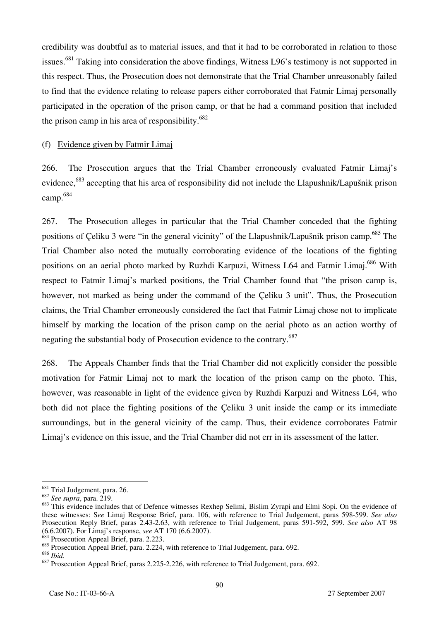credibility was doubtful as to material issues, and that it had to be corroborated in relation to those issues.<sup>681</sup> Taking into consideration the above findings, Witness L96's testimony is not supported in this respect. Thus, the Prosecution does not demonstrate that the Trial Chamber unreasonably failed to find that the evidence relating to release papers either corroborated that Fatmir Limaj personally participated in the operation of the prison camp, or that he had a command position that included the prison camp in his area of responsibility.<sup>682</sup>

#### (f) Evidence given by Fatmir Limaj

266. The Prosecution argues that the Trial Chamber erroneously evaluated Fatmir Limaj's evidence,<sup>683</sup> accepting that his area of responsibility did not include the Llapushnik/Lapušnik prison camp.684

267. The Prosecution alleges in particular that the Trial Chamber conceded that the fighting positions of Çeliku 3 were "in the general vicinity" of the Llapushnik/Lapušnik prison camp.<sup>685</sup> The Trial Chamber also noted the mutually corroborating evidence of the locations of the fighting positions on an aerial photo marked by Ruzhdi Karpuzi, Witness L64 and Fatmir Limaj.<sup>686</sup> With respect to Fatmir Limaj's marked positions, the Trial Chamber found that "the prison camp is, however, not marked as being under the command of the Çeliku 3 unit". Thus, the Prosecution claims, the Trial Chamber erroneously considered the fact that Fatmir Limaj chose not to implicate himself by marking the location of the prison camp on the aerial photo as an action worthy of negating the substantial body of Prosecution evidence to the contrary.<sup>687</sup>

268. The Appeals Chamber finds that the Trial Chamber did not explicitly consider the possible motivation for Fatmir Limaj not to mark the location of the prison camp on the photo. This, however, was reasonable in light of the evidence given by Ruzhdi Karpuzi and Witness L64, who both did not place the fighting positions of the Çeliku 3 unit inside the camp or its immediate surroundings, but in the general vicinity of the camp. Thus, their evidence corroborates Fatmir Limaj's evidence on this issue, and the Trial Chamber did not err in its assessment of the latter.

 $4$  Prosecution Appeal Brief, para. 2.223.

<sup>&</sup>lt;sup>681</sup> Trial Judgement, para. 26.

<sup>682</sup> *See supra*, para. 219.

<sup>&</sup>lt;sup>683</sup> This evidence includes that of Defence witnesses Rexhep Selimi, Bislim Zyrapi and Elmi Sopi. On the evidence of these witnesses: S*ee* Limaj Response Brief, para. 106, with reference to Trial Judgement, paras 598-599. *See also* Prosecution Reply Brief, paras 2.43-2.63, with reference to Trial Judgement, paras 591-592, 599. *See also* AT 98 (6.6.2007). For Limaj's response, *see* AT 170 (6.6.2007).

 $\frac{685}{686}$  Prosecution Appeal Brief, para. 2.224, with reference to Trial Judgement, para. 692.

<sup>&</sup>lt;sup>687</sup> Prosecution Appeal Brief, paras 2.225-2.226, with reference to Trial Judgement, para. 692.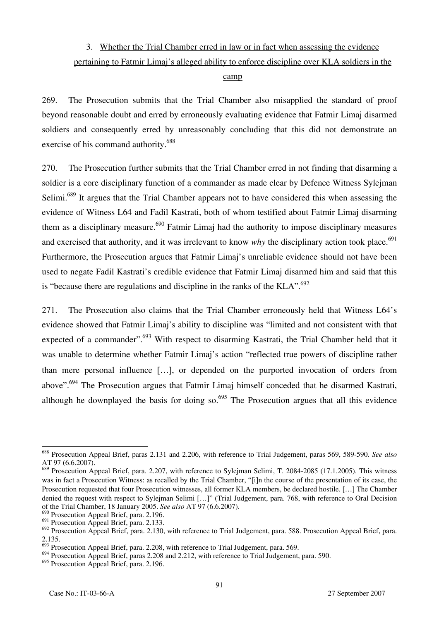# 3. Whether the Trial Chamber erred in law or in fact when assessing the evidence pertaining to Fatmir Limaj's alleged ability to enforce discipline over KLA soldiers in the camp

269. The Prosecution submits that the Trial Chamber also misapplied the standard of proof beyond reasonable doubt and erred by erroneously evaluating evidence that Fatmir Limaj disarmed soldiers and consequently erred by unreasonably concluding that this did not demonstrate an exercise of his command authority.<sup>688</sup>

270. The Prosecution further submits that the Trial Chamber erred in not finding that disarming a soldier is a core disciplinary function of a commander as made clear by Defence Witness Sylejman Selimi.<sup>689</sup> It argues that the Trial Chamber appears not to have considered this when assessing the evidence of Witness L64 and Fadil Kastrati, both of whom testified about Fatmir Limaj disarming them as a disciplinary measure.<sup>690</sup> Fatmir Limaj had the authority to impose disciplinary measures and exercised that authority, and it was irrelevant to know *why* the disciplinary action took place.<sup>691</sup> Furthermore, the Prosecution argues that Fatmir Limaj's unreliable evidence should not have been used to negate Fadil Kastrati's credible evidence that Fatmir Limaj disarmed him and said that this is "because there are regulations and discipline in the ranks of the  $KLA$ ".<sup>692</sup>

271. The Prosecution also claims that the Trial Chamber erroneously held that Witness L64's evidence showed that Fatmir Limaj's ability to discipline was "limited and not consistent with that expected of a commander".<sup>693</sup> With respect to disarming Kastrati, the Trial Chamber held that it was unable to determine whether Fatmir Limaj's action "reflected true powers of discipline rather than mere personal influence […], or depended on the purported invocation of orders from above".694 The Prosecution argues that Fatmir Limaj himself conceded that he disarmed Kastrati, although he downplayed the basis for doing so.<sup>695</sup> The Prosecution argues that all this evidence

 $\overline{a}$ 688 Prosecution Appeal Brief, paras 2.131 and 2.206, with reference to Trial Judgement, paras 569, 589-590. *See also* AT 97 (6.6.2007).

<sup>&</sup>lt;sup>689</sup> Prosecution Appeal Brief, para. 2.207, with reference to Sylejman Selimi, T. 2084-2085 (17.1.2005). This witness was in fact a Prosecution Witness: as recalled by the Trial Chamber, "[i]n the course of the presentation of its case, the Prosecution requested that four Prosecution witnesses, all former KLA members, be declared hostile. […] The Chamber denied the request with respect to Sylejman Selimi […]" (Trial Judgement, para. 768, with reference to Oral Decision of the Trial Chamber, 18 January 2005. *See also* AT 97 (6.6.2007).

<sup>&</sup>lt;sup>690</sup> Prosecution Appeal Brief, para. 2.196.

<sup>&</sup>lt;sup>691</sup> Prosecution Appeal Brief, para. 2.133.

<sup>&</sup>lt;sup>692</sup> Prosecution Appeal Brief, para. 2.130, with reference to Trial Judgement, para. 588. Prosecution Appeal Brief, para. 2.135.

 $\beta$ <sup>3</sup> Prosecution Appeal Brief, para. 2.208, with reference to Trial Judgement, para. 569.

<sup>&</sup>lt;sup>694</sup> Prosecution Appeal Brief, paras 2.208 and 2.212, with reference to Trial Judgement, para. 590.

<sup>&</sup>lt;sup>695</sup> Prosecution Appeal Brief, para. 2.196.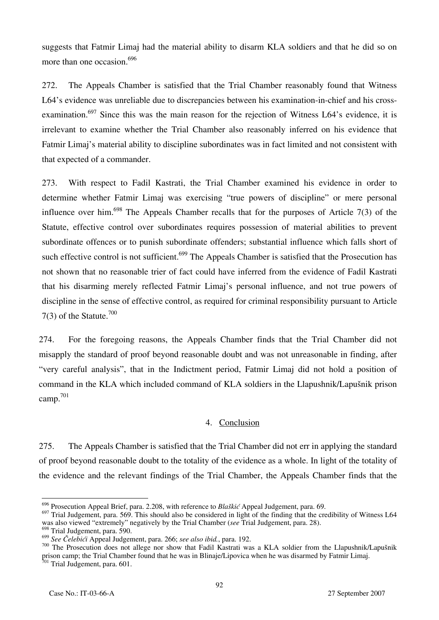suggests that Fatmir Limaj had the material ability to disarm KLA soldiers and that he did so on more than one occasion.<sup>696</sup>

272. The Appeals Chamber is satisfied that the Trial Chamber reasonably found that Witness L64's evidence was unreliable due to discrepancies between his examination-in-chief and his crossexamination.<sup>697</sup> Since this was the main reason for the rejection of Witness L64's evidence, it is irrelevant to examine whether the Trial Chamber also reasonably inferred on his evidence that Fatmir Limaj's material ability to discipline subordinates was in fact limited and not consistent with that expected of a commander.

273. With respect to Fadil Kastrati, the Trial Chamber examined his evidence in order to determine whether Fatmir Limaj was exercising "true powers of discipline" or mere personal influence over him.<sup>698</sup> The Appeals Chamber recalls that for the purposes of Article 7(3) of the Statute, effective control over subordinates requires possession of material abilities to prevent subordinate offences or to punish subordinate offenders; substantial influence which falls short of such effective control is not sufficient.<sup>699</sup> The Appeals Chamber is satisfied that the Prosecution has not shown that no reasonable trier of fact could have inferred from the evidence of Fadil Kastrati that his disarming merely reflected Fatmir Limaj's personal influence, and not true powers of discipline in the sense of effective control, as required for criminal responsibility pursuant to Article 7(3) of the Statute.<sup>700</sup>

274. For the foregoing reasons, the Appeals Chamber finds that the Trial Chamber did not misapply the standard of proof beyond reasonable doubt and was not unreasonable in finding, after "very careful analysis", that in the Indictment period, Fatmir Limaj did not hold a position of command in the KLA which included command of KLA soldiers in the Llapushnik/Lapušnik prison camp.701

#### 4. Conclusion

275. The Appeals Chamber is satisfied that the Trial Chamber did not err in applying the standard of proof beyond reasonable doubt to the totality of the evidence as a whole. In light of the totality of the evidence and the relevant findings of the Trial Chamber, the Appeals Chamber finds that the

 $\overline{a}$ 

<sup>700</sup> The Prosecution does not allege nor show that Fadil Kastrati was a KLA soldier from the Llapushnik/Lapušnik prison camp; the Trial Chamber found that he was in Blinaje/Lipovica when he was disarmed by Fatmir Limaj. <sup>701</sup> Trial Judgement, para. 601.

<sup>696</sup> Prosecution Appeal Brief, para. 2.208, with reference to *Bla{kić* Appeal Judgement, para. 69.

<sup>&</sup>lt;sup>697</sup> Trial Judgement, para. 569. This should also be considered in light of the finding that the credibility of Witness L64 was also viewed "extremely" negatively by the Trial Chamber (*see* Trial Judgement, para. 28).

 $^{698}$  Trial Judgement, para. 590.<br> $^{699}$  See Čelebići Appeal Judgement, para. 266; see also ibid., para. 192.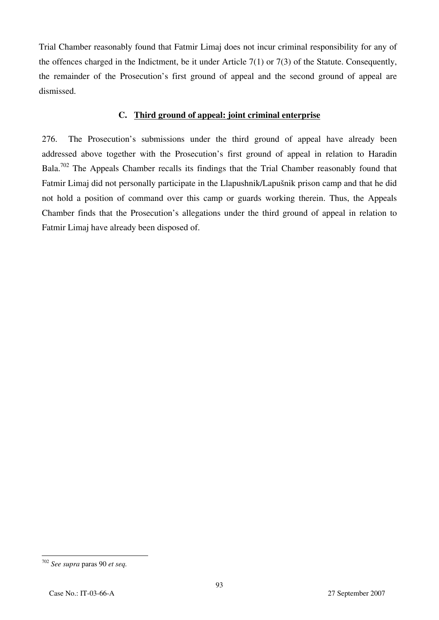Trial Chamber reasonably found that Fatmir Limaj does not incur criminal responsibility for any of the offences charged in the Indictment, be it under Article 7(1) or 7(3) of the Statute. Consequently, the remainder of the Prosecution's first ground of appeal and the second ground of appeal are dismissed.

#### **C. Third ground of appeal: joint criminal enterprise**

276. The Prosecution's submissions under the third ground of appeal have already been addressed above together with the Prosecution's first ground of appeal in relation to Haradin Bala.<sup>702</sup> The Appeals Chamber recalls its findings that the Trial Chamber reasonably found that Fatmir Limaj did not personally participate in the Llapushnik/Lapušnik prison camp and that he did not hold a position of command over this camp or guards working therein. Thus, the Appeals Chamber finds that the Prosecution's allegations under the third ground of appeal in relation to Fatmir Limaj have already been disposed of.

<sup>702</sup> *See supra* paras 90 *et seq.*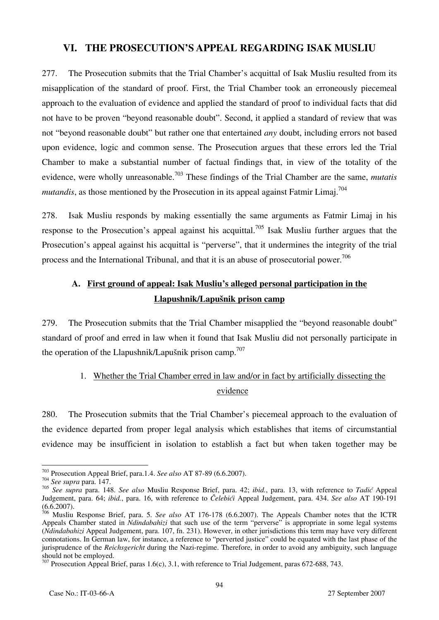### **VI. THE PROSECUTION'S APPEAL REGARDING ISAK MUSLIU**

277. The Prosecution submits that the Trial Chamber's acquittal of Isak Musliu resulted from its misapplication of the standard of proof. First, the Trial Chamber took an erroneously piecemeal approach to the evaluation of evidence and applied the standard of proof to individual facts that did not have to be proven "beyond reasonable doubt". Second, it applied a standard of review that was not "beyond reasonable doubt" but rather one that entertained *any* doubt, including errors not based upon evidence, logic and common sense. The Prosecution argues that these errors led the Trial Chamber to make a substantial number of factual findings that, in view of the totality of the evidence, were wholly unreasonable.<sup>703</sup> These findings of the Trial Chamber are the same, *mutatis mutandis*, as those mentioned by the Prosecution in its appeal against Fatmir Limaj.<sup>704</sup>

278. Isak Musliu responds by making essentially the same arguments as Fatmir Limaj in his response to the Prosecution's appeal against his acquittal.<sup>705</sup> Isak Musliu further argues that the Prosecution's appeal against his acquittal is "perverse", that it undermines the integrity of the trial process and the International Tribunal, and that it is an abuse of prosecutorial power.<sup>706</sup>

# **A. First ground of appeal: Isak Musliu's alleged personal participation in the Llapushnik/Lapušnik prison camp**

279. The Prosecution submits that the Trial Chamber misapplied the "beyond reasonable doubt" standard of proof and erred in law when it found that Isak Musliu did not personally participate in the operation of the Llapushnik/Lapušnik prison camp.<sup>707</sup>

# 1. Whether the Trial Chamber erred in law and/or in fact by artificially dissecting the evidence

280. The Prosecution submits that the Trial Chamber's piecemeal approach to the evaluation of the evidence departed from proper legal analysis which establishes that items of circumstantial evidence may be insufficient in isolation to establish a fact but when taken together may be

 $\overline{a}$ 703 Prosecution Appeal Brief, para.1.4. *See also* AT 87-89 (6.6.2007). 704 *See supra* para. 147.

<sup>705</sup> *See supra* para. 148. *See also* Musliu Response Brief, para. 42; *ibid.*, para. 13, with reference to *Tadić* Appeal Judgement, para. 64; *ibid.*, para. 16, with reference to *Čelebići* Appeal Judgement, para. 434. *See also* AT 190-191  $(6.6.2007)$ .

<sup>706</sup> Musliu Response Brief, para. 5. *See also* AT 176-178 (6.6.2007). The Appeals Chamber notes that the ICTR Appeals Chamber stated in *Ndindabahizi* that such use of the term "perverse" is appropriate in some legal systems (*Ndindabahizi* Appeal Judgement, para. 107, fn. 231). However, in other jurisdictions this term may have very different connotations. In German law, for instance, a reference to "perverted justice" could be equated with the last phase of the jurisprudence of the *Reichsgericht* during the Nazi-regime. Therefore, in order to avoid any ambiguity, such language should not be employed.

<sup>&</sup>lt;sup>707</sup> Prosecution Appeal Brief, paras 1.6(c), 3.1, with reference to Trial Judgement, paras 672-688, 743.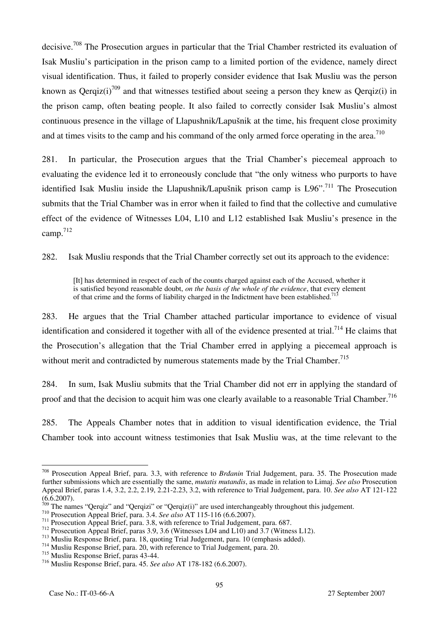decisive.<sup>708</sup> The Prosecution argues in particular that the Trial Chamber restricted its evaluation of Isak Musliu's participation in the prison camp to a limited portion of the evidence, namely direct visual identification. Thus, it failed to properly consider evidence that Isak Musliu was the person known as Qerqiz(i)<sup>709</sup> and that witnesses testified about seeing a person they knew as Qerqiz(i) in the prison camp, often beating people. It also failed to correctly consider Isak Musliu's almost continuous presence in the village of Llapushnik/Lapušnik at the time, his frequent close proximity and at times visits to the camp and his command of the only armed force operating in the area.<sup>710</sup>

281. In particular, the Prosecution argues that the Trial Chamber's piecemeal approach to evaluating the evidence led it to erroneously conclude that "the only witness who purports to have identified Isak Musliu inside the Llapushnik/Lapušnik prison camp is L96".<sup>711</sup> The Prosecution submits that the Trial Chamber was in error when it failed to find that the collective and cumulative effect of the evidence of Witnesses L04, L10 and L12 established Isak Musliu's presence in the camp.712

282. Isak Musliu responds that the Trial Chamber correctly set out its approach to the evidence:

[It] has determined in respect of each of the counts charged against each of the Accused, whether it is satisfied beyond reasonable doubt, *on the basis of the whole of the evidence*, that every element of that crime and the forms of liability charged in the Indictment have been established.<sup>713</sup>

283. He argues that the Trial Chamber attached particular importance to evidence of visual identification and considered it together with all of the evidence presented at trial.<sup>714</sup> He claims that the Prosecution's allegation that the Trial Chamber erred in applying a piecemeal approach is without merit and contradicted by numerous statements made by the Trial Chamber.<sup>715</sup>

284. In sum, Isak Musliu submits that the Trial Chamber did not err in applying the standard of proof and that the decision to acquit him was one clearly available to a reasonable Trial Chamber.<sup>716</sup>

285. The Appeals Chamber notes that in addition to visual identification evidence, the Trial Chamber took into account witness testimonies that Isak Musliu was, at the time relevant to the

 $\overline{a}$ 708 Prosecution Appeal Brief, para. 3.3, with reference to *Brđanin* Trial Judgement, para. 35. The Prosecution made further submissions which are essentially the same, *mutatis mutandis*, as made in relation to Limaj. *See also* Prosecution Appeal Brief, paras 1.4, 3.2, 2.2, 2.19, 2.21-2.23, 3.2, with reference to Trial Judgement, para. 10. *See also* AT 121-122  $(6.6.2007)$ .<br><sup>709</sup> The names "Qerqiz" and "Qerqizi" or "Qerqiz(i)" are used interchangeably throughout this judgement.

<sup>&</sup>lt;sup>710</sup> Prosecution Appeal Brief, para. 3.4. *See also* AT 115-116 (6.6.2007).<br><sup>711</sup> Prosecution Appeal Brief, para. 3.8, with reference to Trial Judgement, para. 687.<br><sup>712</sup> Prosecution Appeal Brief, paras 3.9, 3.6 (Witness

<sup>715</sup> Musliu Response Brief, paras 43-44.

<sup>716</sup> Musliu Response Brief, para. 45. *See also* AT 178-182 (6.6.2007).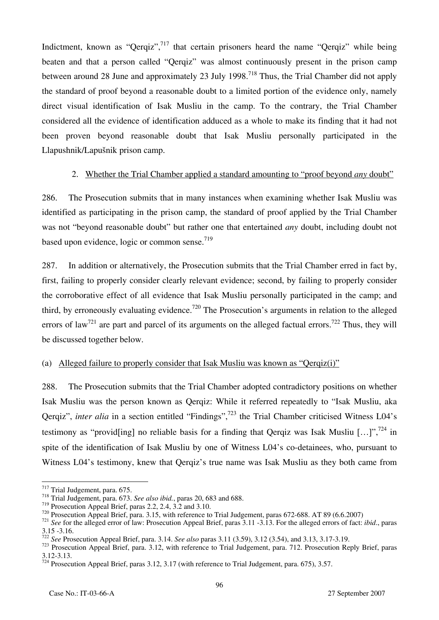Indictment, known as "Qerqiz",  $^{717}$  that certain prisoners heard the name "Qerqiz" while being beaten and that a person called "Qerqiz" was almost continuously present in the prison camp between around 28 June and approximately 23 July 1998.<sup>718</sup> Thus, the Trial Chamber did not apply the standard of proof beyond a reasonable doubt to a limited portion of the evidence only, namely direct visual identification of Isak Musliu in the camp. To the contrary, the Trial Chamber considered all the evidence of identification adduced as a whole to make its finding that it had not been proven beyond reasonable doubt that Isak Musliu personally participated in the Llapushnik/Lapušnik prison camp.

#### 2. Whether the Trial Chamber applied a standard amounting to "proof beyond *any* doubt"

286. The Prosecution submits that in many instances when examining whether Isak Musliu was identified as participating in the prison camp, the standard of proof applied by the Trial Chamber was not "beyond reasonable doubt" but rather one that entertained *any* doubt, including doubt not based upon evidence, logic or common sense.<sup>719</sup>

287. In addition or alternatively, the Prosecution submits that the Trial Chamber erred in fact by, first, failing to properly consider clearly relevant evidence; second, by failing to properly consider the corroborative effect of all evidence that Isak Musliu personally participated in the camp; and third, by erroneously evaluating evidence.<sup>720</sup> The Prosecution's arguments in relation to the alleged errors of law<sup>721</sup> are part and parcel of its arguments on the alleged factual errors.<sup>722</sup> Thus, they will be discussed together below.

#### (a) Alleged failure to properly consider that Isak Musliu was known as "Qerqiz(i)"

288. The Prosecution submits that the Trial Chamber adopted contradictory positions on whether Isak Musliu was the person known as Qerqiz: While it referred repeatedly to "Isak Musliu, aka Qerqiz", *inter alia* in a section entitled "Findings",<sup>723</sup> the Trial Chamber criticised Witness L04's testimony as "provid [ing] no reliable basis for a finding that Oergiz was Isak Musliu [...]",<sup>724</sup> in spite of the identification of Isak Musliu by one of Witness L04's co-detainees, who, pursuant to Witness L04's testimony, knew that Qerqiz's true name was Isak Musliu as they both came from

<sup>717</sup> Trial Judgement, para. 675.

<sup>&</sup>lt;sup>718</sup> Trial Judgement, para. 673. *See also ibid.*, paras 20, 683 and 688.<br><sup>719</sup> Prosecution Appeal Brief, paras 2.2, 2.4, 3.2 and 3.10.

 $^{720}$  Prosecution Appeal Brief, para. 3.15, with reference to Trial Judgement, paras 672-688. AT 89 (6.6.2007)<br> $^{721}$  See for the alleged error of law: Prosecution Appeal Brief, paras 3.11 -3.13. For the alleged errors 3.15 -3.16.<br> $\frac{3.15}{22}$  See Prosecution Appeal Brief, para. 3.14. See also paras 3.11 (3.59), 3.12 (3.54), and 3.13, 3.17-3.19.

<sup>723</sup> Prosecution Appeal Brief, para. 3.12, with reference to Trial Judgement, para. 712. Prosecution Reply Brief, paras 3.12-3.13.

<sup>&</sup>lt;sup>724</sup> Prosecution Appeal Brief, paras 3.12, 3.17 (with reference to Trial Judgement, para. 675), 3.57.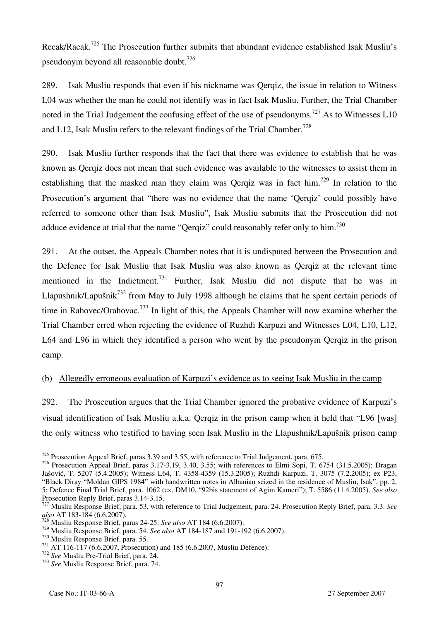Recak/Racak.725 The Prosecution further submits that abundant evidence established Isak Musliu's pseudonym beyond all reasonable doubt.<sup>726</sup>

289. Isak Musliu responds that even if his nickname was Qerqiz, the issue in relation to Witness L04 was whether the man he could not identify was in fact Isak Musliu. Further, the Trial Chamber noted in the Trial Judgement the confusing effect of the use of pseudonyms.<sup>727</sup> As to Witnesses L10 and L12, Isak Musliu refers to the relevant findings of the Trial Chamber.<sup>728</sup>

290. Isak Musliu further responds that the fact that there was evidence to establish that he was known as Qerqiz does not mean that such evidence was available to the witnesses to assist them in establishing that the masked man they claim was Qerqiz was in fact  $\lim_{n \to \infty} 729$  In relation to the Prosecution's argument that "there was no evidence that the name 'Qerqiz' could possibly have referred to someone other than Isak Musliu", Isak Musliu submits that the Prosecution did not adduce evidence at trial that the name "Qerqiz" could reasonably refer only to him.730

291. At the outset, the Appeals Chamber notes that it is undisputed between the Prosecution and the Defence for Isak Musliu that Isak Musliu was also known as Qerqiz at the relevant time mentioned in the Indictment.<sup>731</sup> Further, Isak Musliu did not dispute that he was in Llapushnik/Lapušnik<sup>732</sup> from May to July 1998 although he claims that he spent certain periods of time in Rahovec/Orahovac.<sup>733</sup> In light of this, the Appeals Chamber will now examine whether the Trial Chamber erred when rejecting the evidence of Ruzhdi Karpuzi and Witnesses L04, L10, L12, L64 and L96 in which they identified a person who went by the pseudonym Qerqiz in the prison camp.

### (b) Allegedly erroneous evaluation of Karpuzi's evidence as to seeing Isak Musliu in the camp

292. The Prosecution argues that the Trial Chamber ignored the probative evidence of Karpuzi's visual identification of Isak Musliu a.k.a. Qerqiz in the prison camp when it held that "L96 [was] the only witness who testified to having seen Isak Musliu in the Llapushnik/Lapušnik prison camp

 $\overline{a}$  $725$  Prosecution Appeal Brief, paras 3.39 and 3.55, with reference to Trial Judgement, para. 675.

 $726$  Prosecution Appeal Brief, paras 3.17-3.19, 3.40, 3.55; with references to Elmi Sopi, T. 6754 (31.5.2005); Dragan Jašović, T. 5207 (5.4.2005); Witness L64, T. 4358-4359 (15.3.2005); Ruzhdi Karpuzi, T. 3075 (7.2.2005); ex P23, "Black Diray "Moldan GIPS 1984" with handwritten notes in Albanian seized in the residence of Musliu, Isak", pp. 2, 5; Defence Final Trial Brief, para. 1062 (ex. DM10, "92bis statement of Agim Kameri"); T. 5586 (11.4.2005). *See also*  Prosecution Reply Brief, paras 3.14-3.15.

<sup>727</sup> Musliu Response Brief, para. 53, with reference to Trial Judgement, para. 24. Prosecution Reply Brief, para. 3.3. *See* 

<sup>&</sup>lt;sup>728</sup> Musliu Response Brief, paras 24-25. *See also* AT 184 (6.6.2007).<br><sup>729</sup> Musliu Response Brief, para. 54. *See also* AT 184-187 and 191-192 (6.6.2007).

<sup>&</sup>lt;sup>730</sup> Musliu Response Brief, para. 55.<br><sup>731</sup> AT 116-117 (6.6.2007, Prosecution) and 185 (6.6.2007, Musliu Defence).<br><sup>732</sup> See Musliu Pre-Trial Brief, para. 24.<br><sup>733</sup> See Musliu Response Brief, para. 74.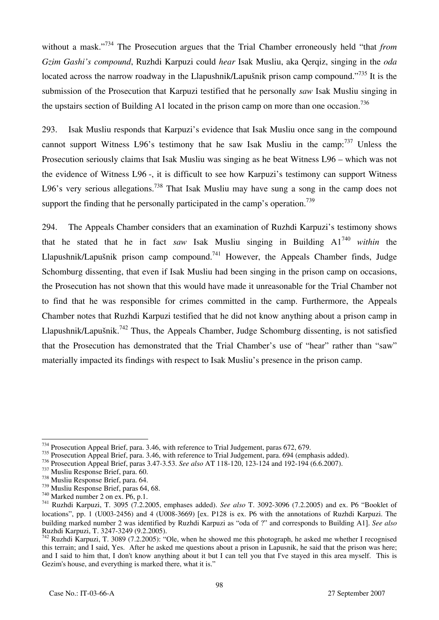without a mask."<sup>734</sup> The Prosecution argues that the Trial Chamber erroneously held "that *from Gzim Gashi's compound*, Ruzhdi Karpuzi could *hear* Isak Musliu, aka Qerqiz, singing in the *oda*  located across the narrow roadway in the Llapushnik/Lapušnik prison camp compound."<sup>735</sup> It is the submission of the Prosecution that Karpuzi testified that he personally *saw* Isak Musliu singing in the upstairs section of Building A1 located in the prison camp on more than one occasion.<sup>736</sup>

293. Isak Musliu responds that Karpuzi's evidence that Isak Musliu once sang in the compound cannot support Witness L96's testimony that he saw Isak Musliu in the camp:  $737$  Unless the Prosecution seriously claims that Isak Musliu was singing as he beat Witness L96 – which was not the evidence of Witness L96 -, it is difficult to see how Karpuzi's testimony can support Witness L96's very serious allegations.<sup>738</sup> That Isak Musliu may have sung a song in the camp does not support the finding that he personally participated in the camp's operation.<sup>739</sup>

294. The Appeals Chamber considers that an examination of Ruzhdi Karpuzi's testimony shows that he stated that he in fact *saw* Isak Musliu singing in Building A1740 *within* the Llapushnik/Lapušnik prison camp compound.<sup>741</sup> However, the Appeals Chamber finds, Judge Schomburg dissenting, that even if Isak Musliu had been singing in the prison camp on occasions, the Prosecution has not shown that this would have made it unreasonable for the Trial Chamber not to find that he was responsible for crimes committed in the camp. Furthermore, the Appeals Chamber notes that Ruzhdi Karpuzi testified that he did not know anything about a prison camp in Llapushnik/Lapušnik.<sup>742</sup> Thus, the Appeals Chamber, Judge Schomburg dissenting, is not satisfied that the Prosecution has demonstrated that the Trial Chamber's use of "hear" rather than "saw" materially impacted its findings with respect to Isak Musliu's presence in the prison camp.

 $\overline{a}$  $734$  Prosecution Appeal Brief, para. 3.46, with reference to Trial Judgement, paras 672, 679.

<sup>&</sup>lt;sup>735</sup> Prosecution Appeal Brief, para. 3.46, with reference to Trial Judgement, para. 694 (emphasis added).

<sup>736</sup> Prosecution Appeal Brief, paras 3.47-3.53. *See also* AT 118-120, 123-124 and 192-194 (6.6.2007).<br><sup>737</sup> Musliu Response Brief, para. 60.<br><sup>738</sup> Musliu Response Brief, para. 64.<br>*739* Musliu Response Brief, paras 64, 68.

<sup>&</sup>lt;sup>740</sup> Marked number 2 on ex. P6, p.1.<br><sup>741</sup> Ruzhdi Karpuzi, T. 3095 (7.2.2005, emphases added). *See also* T. 3092-3096 (7.2.2005) and ex. P6 "Booklet of locations", pp. 1 (U003-2456) and 4 (U008-3669) [ex. P128 is ex. P6 with the annotations of Ruzhdi Karpuzi. The building marked number 2 was identified by Ruzhdi Karpuzi as "oda of ?" and corresponds to Building A1]. *See also*  Ruzhdi Karpuzi, T. 3247-3249 (9.2.2005).

 $742$  Ruzhdi Karpuzi, T. 3089 (7.2.2005): "Ole, when he showed me this photograph, he asked me whether I recognised this terrain; and I said, Yes. After he asked me questions about a prison in Lapusnik, he said that the prison was here; and I said to him that, I don't know anything about it but I can tell you that I've stayed in this area myself. This is Gezim's house, and everything is marked there, what it is."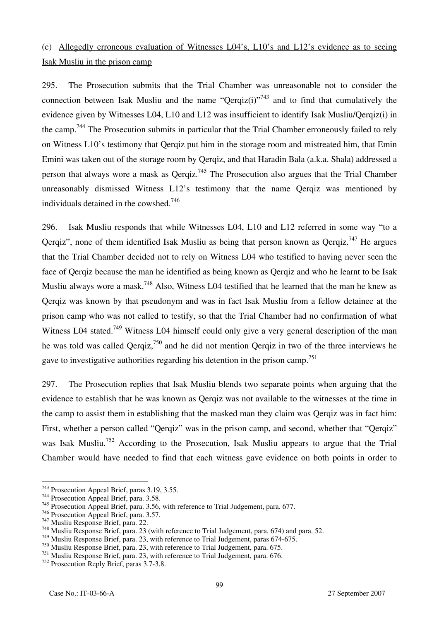# (c) Allegedly erroneous evaluation of Witnesses L04's, L10's and L12's evidence as to seeing Isak Musliu in the prison camp

295. The Prosecution submits that the Trial Chamber was unreasonable not to consider the connection between Isak Musliu and the name "Qerqiz(i)"<sup>743</sup> and to find that cumulatively the evidence given by Witnesses L04, L10 and L12 was insufficient to identify Isak Musliu/Qerqiz(i) in the camp.<sup>744</sup> The Prosecution submits in particular that the Trial Chamber erroneously failed to rely on Witness L10's testimony that Qerqiz put him in the storage room and mistreated him, that Emin Emini was taken out of the storage room by Qerqiz, and that Haradin Bala (a.k.a. Shala) addressed a person that always wore a mask as  $Qerqiz$ <sup>745</sup>. The Prosecution also argues that the Trial Chamber unreasonably dismissed Witness L12's testimony that the name Qerqiz was mentioned by individuals detained in the cowshed.<sup>746</sup>

296. Isak Musliu responds that while Witnesses L04, L10 and L12 referred in some way "to a Qerqiz", none of them identified Isak Musliu as being that person known as  $Qerqiz$ <sup>747</sup> He argues that the Trial Chamber decided not to rely on Witness L04 who testified to having never seen the face of Qerqiz because the man he identified as being known as Qerqiz and who he learnt to be Isak Musliu always wore a mask.<sup>748</sup> Also, Witness L04 testified that he learned that the man he knew as Qerqiz was known by that pseudonym and was in fact Isak Musliu from a fellow detainee at the prison camp who was not called to testify, so that the Trial Chamber had no confirmation of what Witness L04 stated.<sup>749</sup> Witness L04 himself could only give a very general description of the man he was told was called Oergiz,<sup>750</sup> and he did not mention Oergiz in two of the three interviews he gave to investigative authorities regarding his detention in the prison camp.<sup>751</sup>

297. The Prosecution replies that Isak Musliu blends two separate points when arguing that the evidence to establish that he was known as Qerqiz was not available to the witnesses at the time in the camp to assist them in establishing that the masked man they claim was Qerqiz was in fact him: First, whether a person called "Qerqiz" was in the prison camp, and second, whether that "Qerqiz" was Isak Musliu.<sup>752</sup> According to the Prosecution, Isak Musliu appears to argue that the Trial Chamber would have needed to find that each witness gave evidence on both points in order to

<sup>743</sup> Prosecution Appeal Brief, paras 3.19, 3.55.

 $744$  Prosecution Appeal Brief, para. 3.58.

<sup>&</sup>lt;sup>745</sup> Prosecution Appeal Brief, para. 3.56, with reference to Trial Judgement, para. 677.<br><sup>746</sup> Prosecution Appeal Brief, para. 3.57.

 $\frac{747}{748}$  Musliu Response Brief, para. 22.<br><sup>748</sup> Musliu Response Brief, para. 23 (with reference to Trial Judgement, para. 674) and para. 52.

<sup>749</sup> Musliu Response Brief, para. 23, with reference to Trial Judgement, paras 674-675.

<sup>750</sup> Musliu Response Brief, para. 23, with reference to Trial Judgement, para. 675.

<sup>751</sup> Musliu Response Brief, para. 23, with reference to Trial Judgement, para. 676.

<sup>752</sup> Prosecution Reply Brief, paras 3.7-3.8.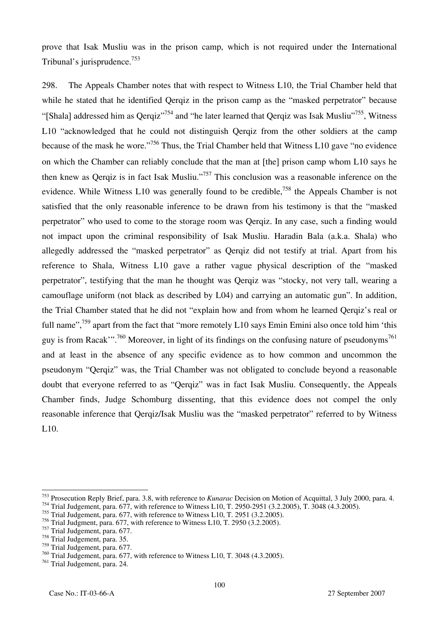prove that Isak Musliu was in the prison camp, which is not required under the International Tribunal's jurisprudence.<sup>753</sup>

298. The Appeals Chamber notes that with respect to Witness L10, the Trial Chamber held that while he stated that he identified Qerqiz in the prison camp as the "masked perpetrator" because "[Shala] addressed him as Qerqiz"<sup>754</sup> and "he later learned that Qerqiz was Isak Musliu"<sup>755</sup>, Witness L10 "acknowledged that he could not distinguish Qerqiz from the other soldiers at the camp because of the mask he wore."756 Thus, the Trial Chamber held that Witness L10 gave "no evidence on which the Chamber can reliably conclude that the man at [the] prison camp whom L10 says he then knew as Qerqiz is in fact Isak Musliu."757 This conclusion was a reasonable inference on the evidence. While Witness L10 was generally found to be credible,<sup>758</sup> the Appeals Chamber is not satisfied that the only reasonable inference to be drawn from his testimony is that the "masked perpetrator" who used to come to the storage room was Qerqiz. In any case, such a finding would not impact upon the criminal responsibility of Isak Musliu. Haradin Bala (a.k.a. Shala) who allegedly addressed the "masked perpetrator" as Qerqiz did not testify at trial. Apart from his reference to Shala, Witness L10 gave a rather vague physical description of the "masked perpetrator", testifying that the man he thought was Qerqiz was "stocky, not very tall, wearing a camouflage uniform (not black as described by L04) and carrying an automatic gun". In addition, the Trial Chamber stated that he did not "explain how and from whom he learned Qerqiz's real or full name",<sup>759</sup> apart from the fact that "more remotely L10 says Emin Emini also once told him 'this guy is from Racak'".<sup>760</sup> Moreover, in light of its findings on the confusing nature of pseudonyms<sup>761</sup> and at least in the absence of any specific evidence as to how common and uncommon the pseudonym "Qerqiz" was, the Trial Chamber was not obligated to conclude beyond a reasonable doubt that everyone referred to as "Qerqiz" was in fact Isak Musliu. Consequently, the Appeals Chamber finds, Judge Schomburg dissenting, that this evidence does not compel the only reasonable inference that Qerqiz/Isak Musliu was the "masked perpetrator" referred to by Witness L10.

<sup>753</sup> Prosecution Reply Brief, para. 3.8, with reference to *Kunarac* Decision on Motion of Acquittal, 3 July 2000, para. 4.

<sup>754</sup> Trial Judgement, para. 677, with reference to Witness L10, T. 2950-2951 (3.2.2005), T. 3048 (4.3.2005).

<sup>755</sup> Trial Judgement, para. 677, with reference to Witness L10, T. 2951 (3.2.2005).

 $756$  Trial Judgment, para. 677, with reference to Witness L10, T. 2950 (3.2.2005).

<sup>757</sup> Trial Judgement, para. 677.

<sup>758</sup> Trial Judgement, para. 35.

<sup>759</sup> Trial Judgement, para. 677.

<sup>760</sup> Trial Judgement, para. 677, with reference to Witness L10, T. 3048 (4.3.2005).

<sup>761</sup> Trial Judgement, para. 24.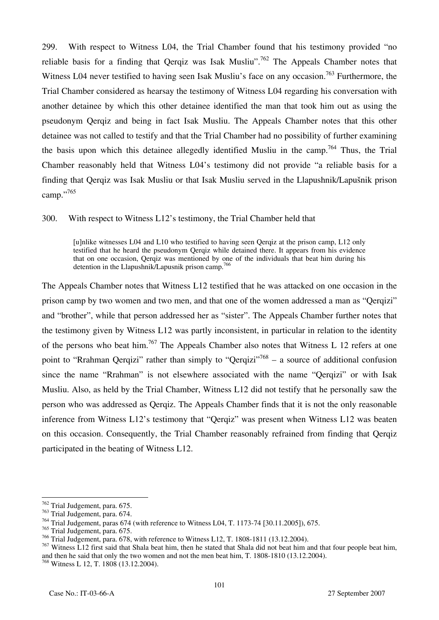299. With respect to Witness L04, the Trial Chamber found that his testimony provided "no reliable basis for a finding that Oergiz was Isak Musliu".<sup>762</sup> The Appeals Chamber notes that Witness L04 never testified to having seen Isak Musliu's face on any occasion.<sup>763</sup> Furthermore, the Trial Chamber considered as hearsay the testimony of Witness L04 regarding his conversation with another detainee by which this other detainee identified the man that took him out as using the pseudonym Qerqiz and being in fact Isak Musliu. The Appeals Chamber notes that this other detainee was not called to testify and that the Trial Chamber had no possibility of further examining the basis upon which this detainee allegedly identified Musliu in the camp.<sup>764</sup> Thus, the Trial Chamber reasonably held that Witness L04's testimony did not provide "a reliable basis for a finding that Qerqiz was Isak Musliu or that Isak Musliu served in the Llapushnik/Lapušnik prison camp."765

300. With respect to Witness L12's testimony, the Trial Chamber held that

[u]nlike witnesses L04 and L10 who testified to having seen Qerqiz at the prison camp, L12 only testified that he heard the pseudonym Qerqiz while detained there. It appears from his evidence that on one occasion, Qerqiz was mentioned by one of the individuals that beat him during his detention in the Llapushnik/Lapusnik prison camp.<sup>766</sup>

The Appeals Chamber notes that Witness L12 testified that he was attacked on one occasion in the prison camp by two women and two men, and that one of the women addressed a man as "Qerqizi" and "brother", while that person addressed her as "sister". The Appeals Chamber further notes that the testimony given by Witness L12 was partly inconsistent, in particular in relation to the identity of the persons who beat him.<sup>767</sup> The Appeals Chamber also notes that Witness L 12 refers at one point to "Rrahman Qerqizi" rather than simply to "Qerqizi"<sup>768</sup> – a source of additional confusion since the name "Rrahman" is not elsewhere associated with the name "Qerqizi" or with Isak Musliu. Also, as held by the Trial Chamber, Witness L12 did not testify that he personally saw the person who was addressed as Qerqiz. The Appeals Chamber finds that it is not the only reasonable inference from Witness L12's testimony that "Qerqiz" was present when Witness L12 was beaten on this occasion. Consequently, the Trial Chamber reasonably refrained from finding that Qerqiz participated in the beating of Witness L12.

 $\overline{a}$  $\frac{762}{10}$  Trial Judgement, para. 675.

<sup>763</sup> Trial Judgement, para. 674.

<sup>764</sup> Trial Judgement, paras 674 (with reference to Witness L04, T. 1173-74 [30.11.2005]), 675.

<sup>765</sup> Trial Judgement, para. 675.

<sup>766</sup> Trial Judgement, para. 678, with reference to Witness L12, T. 1808-1811 (13.12.2004).

<sup>&</sup>lt;sup>767</sup> Witness L12 first said that Shala beat him, then he stated that Shala did not beat him and that four people beat him, and then he said that only the two women and not the men beat him, T. 1808-1810 (13.12.2004).

<sup>768</sup> Witness L 12, T. 1808 (13.12.2004).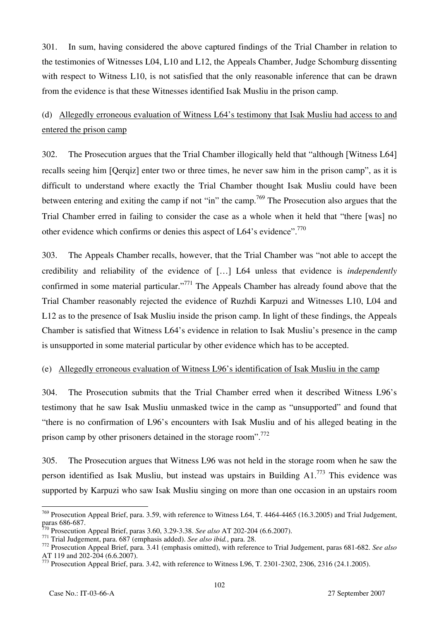301. In sum, having considered the above captured findings of the Trial Chamber in relation to the testimonies of Witnesses L04, L10 and L12, the Appeals Chamber, Judge Schomburg dissenting with respect to Witness L10, is not satisfied that the only reasonable inference that can be drawn from the evidence is that these Witnesses identified Isak Musliu in the prison camp.

### (d) Allegedly erroneous evaluation of Witness L64's testimony that Isak Musliu had access to and entered the prison camp

302. The Prosecution argues that the Trial Chamber illogically held that "although [Witness L64] recalls seeing him [Qerqiz] enter two or three times, he never saw him in the prison camp", as it is difficult to understand where exactly the Trial Chamber thought Isak Musliu could have been between entering and exiting the camp if not "in" the camp.<sup>769</sup> The Prosecution also argues that the Trial Chamber erred in failing to consider the case as a whole when it held that "there [was] no other evidence which confirms or denies this aspect of L64's evidence".770

303. The Appeals Chamber recalls, however, that the Trial Chamber was "not able to accept the credibility and reliability of the evidence of […] L64 unless that evidence is *independently* confirmed in some material particular."<sup>771</sup> The Appeals Chamber has already found above that the Trial Chamber reasonably rejected the evidence of Ruzhdi Karpuzi and Witnesses L10, L04 and L12 as to the presence of Isak Musliu inside the prison camp. In light of these findings, the Appeals Chamber is satisfied that Witness L64's evidence in relation to Isak Musliu's presence in the camp is unsupported in some material particular by other evidence which has to be accepted.

#### (e) Allegedly erroneous evaluation of Witness L96's identification of Isak Musliu in the camp

304. The Prosecution submits that the Trial Chamber erred when it described Witness L96's testimony that he saw Isak Musliu unmasked twice in the camp as "unsupported" and found that "there is no confirmation of L96's encounters with Isak Musliu and of his alleged beating in the prison camp by other prisoners detained in the storage room".<sup>772</sup>

305. The Prosecution argues that Witness L96 was not held in the storage room when he saw the person identified as Isak Musliu, but instead was upstairs in Building  $A1$ <sup>773</sup>. This evidence was supported by Karpuzi who saw Isak Musliu singing on more than one occasion in an upstairs room

 $^{769}$  Prosecution Appeal Brief, para. 3.59, with reference to Witness L64, T. 4464-4465 (16.3.2005) and Trial Judgement, paras 686-687.<br><sup>770</sup> Prosecution Appeal Brief, paras 3.60, 3.29-3.38. See also AT 202-204 (6.6.2007).

The Trestation Appen 2011, para. 687 (emphasis added). See also ibid., para. 28.<br>
The Trial Judgement, para. 687 (emphasis added). See also ibid., para. 28.<br>
The Trial Judgement, paras 681-682. See also AT 119 and 202-204 (6.6.2007).

<sup>773</sup> Prosecution Appeal Brief, para. 3.42, with reference to Witness L96, T. 2301-2302, 2306, 2316 (24.1.2005).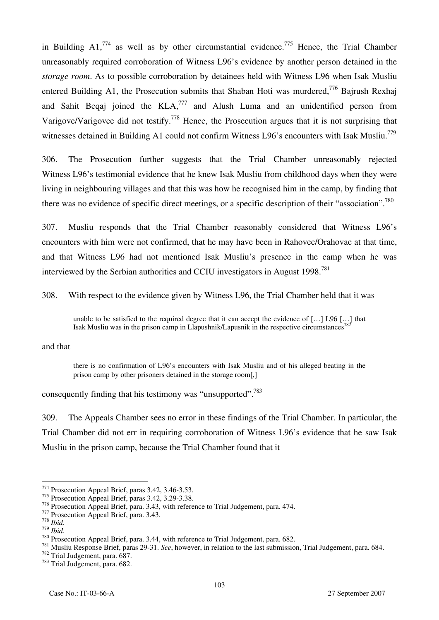in Building  $A1$ <sup>774</sup> as well as by other circumstantial evidence.<sup>775</sup> Hence, the Trial Chamber unreasonably required corroboration of Witness L96's evidence by another person detained in the *storage room*. As to possible corroboration by detainees held with Witness L96 when Isak Musliu entered Building A1, the Prosecution submits that Shaban Hoti was murdered,<sup>776</sup> Bajrush Rexhaj and Sahit Bequa joined the  $KLA<sub>1</sub><sup>777</sup>$  and Alush Luma and an unidentified person from Varigove/Varigovce did not testify.<sup>778</sup> Hence, the Prosecution argues that it is not surprising that witnesses detained in Building A1 could not confirm Witness L96's encounters with Isak Musliu.<sup>779</sup>

306. The Prosecution further suggests that the Trial Chamber unreasonably rejected Witness L96's testimonial evidence that he knew Isak Musliu from childhood days when they were living in neighbouring villages and that this was how he recognised him in the camp, by finding that there was no evidence of specific direct meetings, or a specific description of their "association".<sup>780</sup>

307. Musliu responds that the Trial Chamber reasonably considered that Witness L96's encounters with him were not confirmed, that he may have been in Rahovec/Orahovac at that time, and that Witness L96 had not mentioned Isak Musliu's presence in the camp when he was interviewed by the Serbian authorities and CCIU investigators in August  $1998$ <sup>781</sup>

308. With respect to the evidence given by Witness L96, the Trial Chamber held that it was

unable to be satisfied to the required degree that it can accept the evidence of […] L96 […] that Isak Musliu was in the prison camp in Llapushnik/Lapusnik in the respective circumstances

#### and that

there is no confirmation of L96's encounters with Isak Musliu and of his alleged beating in the prison camp by other prisoners detained in the storage room[,]

consequently finding that his testimony was "unsupported".<sup>783</sup>

309. The Appeals Chamber sees no error in these findings of the Trial Chamber. In particular, the Trial Chamber did not err in requiring corroboration of Witness L96's evidence that he saw Isak Musliu in the prison camp, because the Trial Chamber found that it

<sup>774</sup> Prosecution Appeal Brief, paras 3.42, 3.46-3.53.

<sup>&</sup>lt;sup>775</sup> Prosecution Appeal Brief, paras 3.42, 3.29-3.38.<br><sup>776</sup> Prosecution Appeal Brief, para. 3.43, with reference to Trial Judgement, para. 474.

<sup>&</sup>lt;sup>777</sup> Prosecution Appeal Brief, para. 3.43.<br>
<sup>778</sup> *Ibid.*<br>
<sup>779</sup> *Ibid.*<br>
<sup>780</sup> *Ibid.*<br>
<sup>780</sup> Prosecution Appeal Brief, para. 3.44, with reference to Trial Judgement, para. 682.<br>
<sup>781</sup> Musliu Response Brief, paras 29-31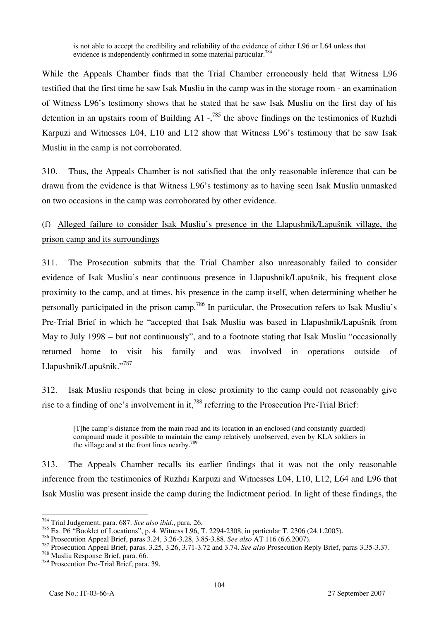is not able to accept the credibility and reliability of the evidence of either L96 or L64 unless that evidence is independently confirmed in some material particular.<sup>784</sup>

While the Appeals Chamber finds that the Trial Chamber erroneously held that Witness L96 testified that the first time he saw Isak Musliu in the camp was in the storage room - an examination of Witness L96's testimony shows that he stated that he saw Isak Musliu on the first day of his detention in an upstairs room of Building A1  $\frac{1}{2}$ ,<sup>785</sup> the above findings on the testimonies of Ruzhdi Karpuzi and Witnesses L04, L10 and L12 show that Witness L96's testimony that he saw Isak Musliu in the camp is not corroborated.

310. Thus, the Appeals Chamber is not satisfied that the only reasonable inference that can be drawn from the evidence is that Witness L96's testimony as to having seen Isak Musliu unmasked on two occasions in the camp was corroborated by other evidence.

(f) Alleged failure to consider Isak Musliu's presence in the Llapushnik/Lapušnik village, the prison camp and its surroundings

311. The Prosecution submits that the Trial Chamber also unreasonably failed to consider evidence of Isak Musliu's near continuous presence in Llapushnik/Lapušnik, his frequent close proximity to the camp, and at times, his presence in the camp itself, when determining whether he personally participated in the prison camp.786 In particular, the Prosecution refers to Isak Musliu's Pre-Trial Brief in which he "accepted that Isak Musliu was based in Llapushnik/Lapušnik from May to July 1998 – but not continuously", and to a footnote stating that Isak Musliu "occasionally returned home to visit his family and was involved in operations outside of Llapushnik/Lapušnik."<sup>787</sup>

312. Isak Musliu responds that being in close proximity to the camp could not reasonably give rise to a finding of one's involvement in it,<sup>788</sup> referring to the Prosecution Pre-Trial Brief:

[T]he camp's distance from the main road and its location in an enclosed (and constantly guarded) compound made it possible to maintain the camp relatively unobserved, even by KLA soldiers in the village and at the front lines nearby.789

313. The Appeals Chamber recalls its earlier findings that it was not the only reasonable inference from the testimonies of Ruzhdi Karpuzi and Witnesses L04, L10, L12, L64 and L96 that Isak Musliu was present inside the camp during the Indictment period. In light of these findings, the

 $\overline{a}$ 784 Trial Judgement, para. 687. *See also ibid*., para. 26.

<sup>&</sup>lt;sup>785</sup> Ex. P6 "Booklet of Locations", p. 4. Witness L96, T. 2294-2308, in particular T. 2306 (24.1.2005).<br><sup>786</sup> Prosecution Appeal Brief, paras 3.24, 3.26-3.28, 3.85-3.88. *See also* AT 116 (6.6.2007).

<sup>787</sup> Prosecution Appeal Brief, paras. 3.25, 3.26, 3.71-3.72 and 3.74. See also Prosecution Reply Brief, paras 3.35-3.37.<br><sup>788</sup> Musliu Response Brief, para. 66.

<sup>789</sup> Prosecution Pre-Trial Brief, para. 39.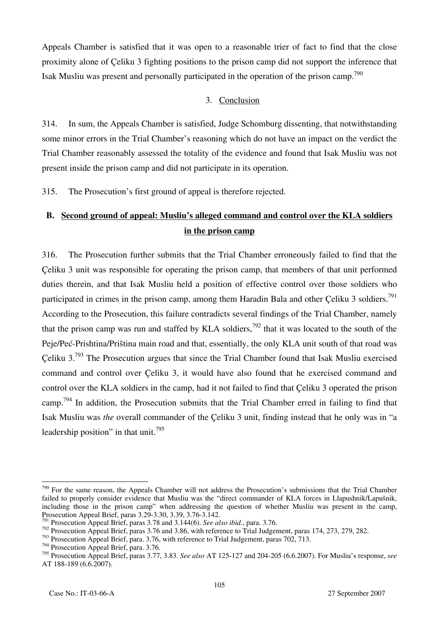Appeals Chamber is satisfied that it was open to a reasonable trier of fact to find that the close proximity alone of Çeliku 3 fighting positions to the prison camp did not support the inference that Isak Musliu was present and personally participated in the operation of the prison camp.790

#### 3. Conclusion

314. In sum, the Appeals Chamber is satisfied, Judge Schomburg dissenting, that notwithstanding some minor errors in the Trial Chamber's reasoning which do not have an impact on the verdict the Trial Chamber reasonably assessed the totality of the evidence and found that Isak Musliu was not present inside the prison camp and did not participate in its operation.

315. The Prosecution's first ground of appeal is therefore rejected.

# **B. Second ground of appeal: Musliu's alleged command and control over the KLA soldiers in the prison camp**

316. The Prosecution further submits that the Trial Chamber erroneously failed to find that the Çeliku 3 unit was responsible for operating the prison camp, that members of that unit performed duties therein, and that Isak Musliu held a position of effective control over those soldiers who participated in crimes in the prison camp, among them Haradin Bala and other Celiku 3 soldiers.<sup>791</sup> According to the Prosecution, this failure contradicts several findings of the Trial Chamber, namely that the prison camp was run and staffed by KLA soldiers,  $\frac{792}{2}$  that it was located to the south of the Peje/Peć-Prishtina/Priština main road and that, essentially, the only KLA unit south of that road was Çeliku  $3.793$  The Prosecution argues that since the Trial Chamber found that Isak Musliu exercised command and control over Çeliku 3, it would have also found that he exercised command and control over the KLA soldiers in the camp, had it not failed to find that Çeliku 3 operated the prison camp.<sup>794</sup> In addition, the Prosecution submits that the Trial Chamber erred in failing to find that Isak Musliu was *the* overall commander of the Çeliku 3 unit, finding instead that he only was in "a leadership position" in that unit.<sup>795</sup>

 $790$  For the same reason, the Appeals Chamber will not address the Prosecution's submissions that the Trial Chamber failed to properly consider evidence that Musliu was the "direct commander of KLA forces in Llapushnik/Lapušnik, including those in the prison camp" when addressing the question of whether Musliu was present in the camp, Prosecution Appeal Brief, paras 3.29-3.30, 3.39, 3.76-3.142.

<sup>&</sup>lt;sup>1</sup> Prosecution Appeal Brief, paras 3.78 and 3.144(6). *See also ibid.*, para. 3.76.

<sup>&</sup>lt;sup>792</sup> Prosecution Appeal Brief, paras 3.76 and 3.86, with reference to Trial Judgement, paras 174, 273, 279, 282.

<sup>&</sup>lt;sup>793</sup> Prosecution Appeal Brief, para. 3.76, with reference to Trial Judgement, paras 702, 713.

<sup>794</sup> Prosecution Appeal Brief, para. 3.76.

<sup>795</sup> Prosecution Appeal Brief, paras 3.77, 3.83. *See also* AT 125-127 and 204-205 (6.6.2007). For Musliu's response, *see*  AT 188-189 (6.6.2007).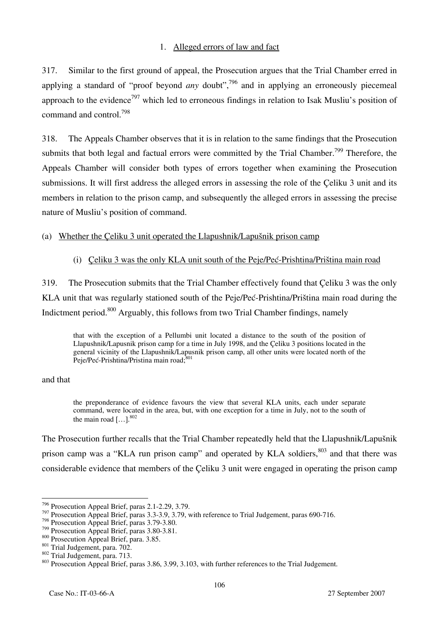### 1. Alleged errors of law and fact

317. Similar to the first ground of appeal, the Prosecution argues that the Trial Chamber erred in applying a standard of "proof beyond *any* doubt",<sup>796</sup> and in applying an erroneously piecemeal approach to the evidence<sup>797</sup> which led to erroneous findings in relation to Isak Musliu's position of command and control.798

318. The Appeals Chamber observes that it is in relation to the same findings that the Prosecution submits that both legal and factual errors were committed by the Trial Chamber.<sup>799</sup> Therefore, the Appeals Chamber will consider both types of errors together when examining the Prosecution submissions. It will first address the alleged errors in assessing the role of the Çeliku 3 unit and its members in relation to the prison camp, and subsequently the alleged errors in assessing the precise nature of Musliu's position of command.

### (a) Whether the Çeliku 3 unit operated the Llapushnik/Lapušnik prison camp

#### (i) Çeliku 3 was the only KLA unit south of the Peje/Peć-Prishtina/Priština main road

319. The Prosecution submits that the Trial Chamber effectively found that Çeliku 3 was the only KLA unit that was regularly stationed south of the Peje/Peć-Prishtina/Priština main road during the Indictment period.800 Arguably, this follows from two Trial Chamber findings, namely

that with the exception of a Pellumbi unit located a distance to the south of the position of Llapushnik/Lapusnik prison camp for a time in July 1998, and the Çeliku 3 positions located in the general vicinity of the Llapushnik/Lapusnik prison camp, all other units were located north of the Peje/Peć-Prishtina/Pristina main road;<sup>801</sup>

#### and that

the preponderance of evidence favours the view that several KLA units, each under separate command, were located in the area, but, with one exception for a time in July, not to the south of the main road  $\left[ \ldots \right]$ .<sup>802</sup>

The Prosecution further recalls that the Trial Chamber repeatedly held that the Llapushnik/Lapušnik prison camp was a "KLA run prison camp" and operated by KLA soldiers,<sup>803</sup> and that there was considerable evidence that members of the Çeliku 3 unit were engaged in operating the prison camp

 $\overline{a}$  $^{796}$  Prosecution Appeal Brief, paras 2.1-2.29, 3.79.

<sup>&</sup>lt;sup>797</sup> Prosecution Appeal Brief, paras 3.3-3.9, 3.79, with reference to Trial Judgement, paras 690-716.

<sup>798</sup> Prosecution Appeal Brief, paras 3.79-3.80.<br><sup>799</sup> Prosecution Appeal Brief, paras 3.80-3.81.

<sup>&</sup>lt;sup>800</sup> Prosecution Appeal Brief, para. 3.85.<br><sup>801</sup> Trial Judgement, para. 702.<br><sup>802</sup> Trial Judgement, para. 713.<br><sup>802</sup> Trial Judgement, para. 713.<br><sup>803</sup> Prosecution Appeal Brief, paras 3.86, 3.99, 3.103, with further refere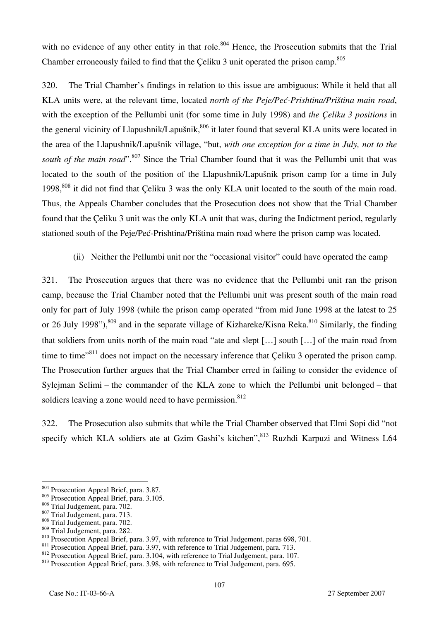with no evidence of any other entity in that role.<sup>804</sup> Hence, the Prosecution submits that the Trial Chamber erroneously failed to find that the Celiku 3 unit operated the prison camp.<sup>805</sup>

320. The Trial Chamber's findings in relation to this issue are ambiguous: While it held that all KLA units were, at the relevant time, located *north of the Peje/Peć-Prishtina/Priština main road*, with the exception of the Pellumbi unit (for some time in July 1998) and *the Çeliku 3 positions* in the general vicinity of Llapushnik/Lapušnik,<sup>806</sup> it later found that several KLA units were located in the area of the Llapushnik/Lapušnik village, "but, *with one exception for a time in July, not to the*  south of the main road".<sup>807</sup> Since the Trial Chamber found that it was the Pellumbi unit that was located to the south of the position of the Llapushnik/Lapušnik prison camp for a time in July 1998,<sup>808</sup> it did not find that Celiku 3 was the only KLA unit located to the south of the main road. Thus, the Appeals Chamber concludes that the Prosecution does not show that the Trial Chamber found that the Çeliku 3 unit was the only KLA unit that was, during the Indictment period, regularly stationed south of the Peje/Peć-Prishtina/Priština main road where the prison camp was located.

### (ii) Neither the Pellumbi unit nor the "occasional visitor" could have operated the camp

321. The Prosecution argues that there was no evidence that the Pellumbi unit ran the prison camp, because the Trial Chamber noted that the Pellumbi unit was present south of the main road only for part of July 1998 (while the prison camp operated "from mid June 1998 at the latest to 25 or 26 July 1998"),<sup>809</sup> and in the separate village of Kizhareke/Kisna Reka.<sup>810</sup> Similarly, the finding that soldiers from units north of the main road "ate and slept […] south […] of the main road from time to time<sup>"811</sup> does not impact on the necessary inference that Celiku 3 operated the prison camp. The Prosecution further argues that the Trial Chamber erred in failing to consider the evidence of Sylejman Selimi – the commander of the KLA zone to which the Pellumbi unit belonged – that soldiers leaving a zone would need to have permission.<sup>812</sup>

322. The Prosecution also submits that while the Trial Chamber observed that Elmi Sopi did "not specify which KLA soldiers ate at Gzim Gashi's kitchen", <sup>813</sup> Ruzhdi Karpuzi and Witness L64

<sup>&</sup>lt;sup>804</sup> Prosecution Appeal Brief, para. 3.87.

<sup>&</sup>lt;sup>805</sup> Prosecution Appeal Brief, para. 3.105.<br><sup>806</sup> Trial Judgement, para. 702.

<sup>806</sup> Trial Judgement, para. 702. 807 Trial Judgement, para. 713. 808 Trial Judgement, para. 702.

<sup>&</sup>lt;sup>810</sup> Prosecution Appeal Brief, para. 3.97, with reference to Trial Judgement, paras 698, 701.<br><sup>811</sup> Prosecution Appeal Brief, para. 3.97, with reference to Trial Judgement, para. 713.<br><sup>812</sup> Prosecution Appeal Brief, para.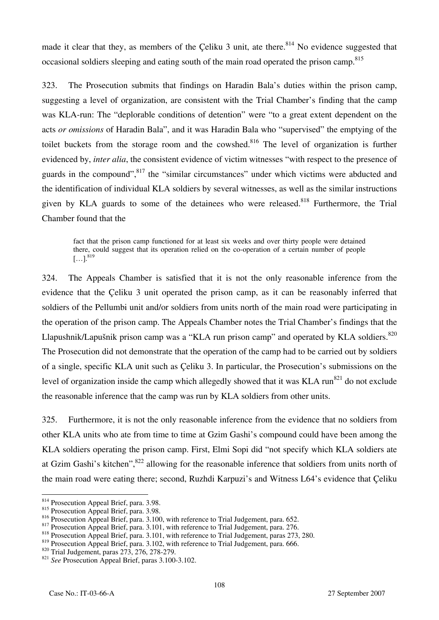made it clear that they, as members of the Celiku 3 unit, ate there.<sup>814</sup> No evidence suggested that occasional soldiers sleeping and eating south of the main road operated the prison camp.<sup>815</sup>

323. The Prosecution submits that findings on Haradin Bala's duties within the prison camp, suggesting a level of organization, are consistent with the Trial Chamber's finding that the camp was KLA-run: The "deplorable conditions of detention" were "to a great extent dependent on the acts *or omissions* of Haradin Bala", and it was Haradin Bala who "supervised" the emptying of the toilet buckets from the storage room and the cowshed.<sup>816</sup> The level of organization is further evidenced by, *inter alia*, the consistent evidence of victim witnesses "with respect to the presence of guards in the compound",<sup>817</sup> the "similar circumstances" under which victims were abducted and the identification of individual KLA soldiers by several witnesses, as well as the similar instructions given by KLA guards to some of the detainees who were released.<sup>818</sup> Furthermore, the Trial Chamber found that the

fact that the prison camp functioned for at least six weeks and over thirty people were detained there, could suggest that its operation relied on the co-operation of a certain number of people  $[...]^{819}$ 

324. The Appeals Chamber is satisfied that it is not the only reasonable inference from the evidence that the Çeliku 3 unit operated the prison camp, as it can be reasonably inferred that soldiers of the Pellumbi unit and/or soldiers from units north of the main road were participating in the operation of the prison camp. The Appeals Chamber notes the Trial Chamber's findings that the Llapushnik/Lapušnik prison camp was a "KLA run prison camp" and operated by KLA soldiers.<sup>820</sup> The Prosecution did not demonstrate that the operation of the camp had to be carried out by soldiers of a single, specific KLA unit such as Çeliku 3. In particular, the Prosecution's submissions on the level of organization inside the camp which allegedly showed that it was KLA run<sup>821</sup> do not exclude the reasonable inference that the camp was run by KLA soldiers from other units.

325. Furthermore, it is not the only reasonable inference from the evidence that no soldiers from other KLA units who ate from time to time at Gzim Gashi's compound could have been among the KLA soldiers operating the prison camp. First, Elmi Sopi did "not specify which KLA soldiers ate at Gzim Gashi's kitchen",<sup>822</sup> allowing for the reasonable inference that soldiers from units north of the main road were eating there; second, Ruzhdi Karpuzi's and Witness L64's evidence that Çeliku

 $\overline{a}$ <sup>814</sup> Prosecution Appeal Brief, para. 3.98.

<sup>&</sup>lt;sup>815</sup> Prosecution Appeal Brief, para. 3.98.<br><sup>816</sup> Prosecution Appeal Brief, para. 3.100, with reference to Trial Judgement, para. 652.

<sup>&</sup>lt;sup>817</sup> Prosecution Appeal Brief, para. 3.101, with reference to Trial Judgement, para. 276.<br><sup>818</sup> Prosecution Appeal Brief, para. 3.101, with reference to Trial Judgement, paras 273, 280.

<sup>819</sup> Prosecution Appeal Brief, para. 3.102, with reference to Trial Judgement, para. 666.<br><sup>820</sup> Trial Judgement, paras 273, 276, 278-279.<br><sup>821</sup> *See* Prosecution Appeal Brief, paras 3.100-3.102.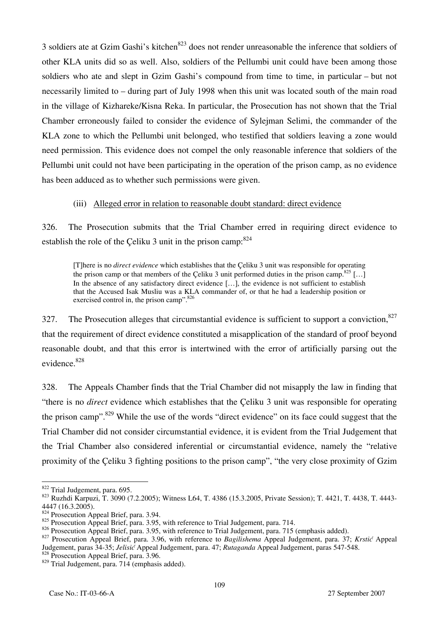3 soldiers ate at Gzim Gashi's kitchen<sup>823</sup> does not render unreasonable the inference that soldiers of other KLA units did so as well. Also, soldiers of the Pellumbi unit could have been among those soldiers who ate and slept in Gzim Gashi's compound from time to time, in particular – but not necessarily limited to – during part of July 1998 when this unit was located south of the main road in the village of Kizhareke/Kisna Reka. In particular, the Prosecution has not shown that the Trial Chamber erroneously failed to consider the evidence of Sylejman Selimi, the commander of the KLA zone to which the Pellumbi unit belonged, who testified that soldiers leaving a zone would need permission. This evidence does not compel the only reasonable inference that soldiers of the Pellumbi unit could not have been participating in the operation of the prison camp, as no evidence has been adduced as to whether such permissions were given.

### (iii) Alleged error in relation to reasonable doubt standard: direct evidence

326. The Prosecution submits that the Trial Chamber erred in requiring direct evidence to establish the role of the Çeliku 3 unit in the prison camp:  $824$ 

[T]here is no *direct evidence* which establishes that the Çeliku 3 unit was responsible for operating the prison camp or that members of the Çeliku 3 unit performed duties in the prison camp.<sup>825</sup> [...] In the absence of any satisfactory direct evidence [...], the evidence is not sufficient to establish that the Accused Isak Musliu was a KLA commander of, or that he had a leadership position or exercised control in, the prison camp".<sup>826</sup>

327. The Prosecution alleges that circumstantial evidence is sufficient to support a conviction,  $827$ that the requirement of direct evidence constituted a misapplication of the standard of proof beyond reasonable doubt, and that this error is intertwined with the error of artificially parsing out the evidence.828

328. The Appeals Chamber finds that the Trial Chamber did not misapply the law in finding that "there is no *direct* evidence which establishes that the Çeliku 3 unit was responsible for operating the prison camp".<sup>829</sup> While the use of the words "direct evidence" on its face could suggest that the Trial Chamber did not consider circumstantial evidence, it is evident from the Trial Judgement that the Trial Chamber also considered inferential or circumstantial evidence, namely the "relative proximity of the Çeliku 3 fighting positions to the prison camp", "the very close proximity of Gzim

<sup>822</sup> Trial Judgement, para. 695.

<sup>823</sup> Ruzhdi Karpuzi, T. 3090 (7.2.2005); Witness L64, T. 4386 (15.3.2005, Private Session); T. 4421, T. 4438, T. 4443-4447 (16.3.2005).

<sup>824</sup> Prosecution Appeal Brief, para. 3.94.

<sup>825</sup> Prosecution Appeal Brief, para. 3.95, with reference to Trial Judgement, para. 714.<br>826 Prosecution Appeal Brief, para. 3.95, with reference to Trial Judgement, para. 715 (emphasis added).

<sup>827</sup> Prosecution Appeal Brief, para. 3.96, with reference to Bagilishema Appeal Judgement, para. 37; Krstić Appeal Judgement, paras 34-35; *Jelisi<sup>ć</sup>* Appeal Judgement, para. 47; *Rutaganda* Appeal Judgement, paras 547-548. 828 Prosecution Appeal Brief, para. 3.96.

<sup>829</sup> Trial Judgement, para. 714 (emphasis added).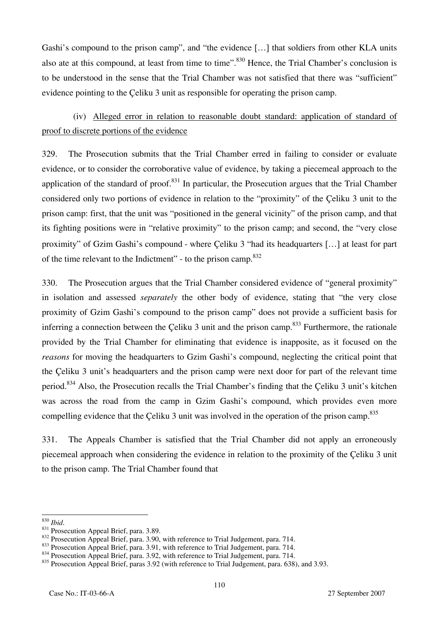Gashi's compound to the prison camp", and "the evidence [...] that soldiers from other KLA units also ate at this compound, at least from time to time".<sup>830</sup> Hence, the Trial Chamber's conclusion is to be understood in the sense that the Trial Chamber was not satisfied that there was "sufficient" evidence pointing to the Çeliku 3 unit as responsible for operating the prison camp.

# (iv) Alleged error in relation to reasonable doubt standard: application of standard of proof to discrete portions of the evidence

329. The Prosecution submits that the Trial Chamber erred in failing to consider or evaluate evidence, or to consider the corroborative value of evidence, by taking a piecemeal approach to the application of the standard of proof.<sup>831</sup> In particular, the Prosecution argues that the Trial Chamber considered only two portions of evidence in relation to the "proximity" of the Çeliku 3 unit to the prison camp: first, that the unit was "positioned in the general vicinity" of the prison camp, and that its fighting positions were in "relative proximity" to the prison camp; and second, the "very close proximity" of Gzim Gashi's compound - where Çeliku 3 "had its headquarters […] at least for part of the time relevant to the Indictment" - to the prison camp.832

330. The Prosecution argues that the Trial Chamber considered evidence of "general proximity" in isolation and assessed *separately* the other body of evidence, stating that "the very close proximity of Gzim Gashi's compound to the prison camp" does not provide a sufficient basis for inferring a connection between the Çeliku 3 unit and the prison camp.<sup>833</sup> Furthermore, the rationale provided by the Trial Chamber for eliminating that evidence is inapposite, as it focused on the *reasons* for moving the headquarters to Gzim Gashi's compound, neglecting the critical point that the Çeliku 3 unit's headquarters and the prison camp were next door for part of the relevant time period.<sup>834</sup> Also, the Prosecution recalls the Trial Chamber's finding that the Celiku 3 unit's kitchen was across the road from the camp in Gzim Gashi's compound, which provides even more compelling evidence that the Çeliku 3 unit was involved in the operation of the prison camp.<sup>835</sup>

331. The Appeals Chamber is satisfied that the Trial Chamber did not apply an erroneously piecemeal approach when considering the evidence in relation to the proximity of the Çeliku 3 unit to the prison camp. The Trial Chamber found that

 $830$  *Ibid.* 

<sup>&</sup>lt;sup>831</sup> Prosecution Appeal Brief, para. 3.89.<br><sup>832</sup> Prosecution Appeal Brief, para. 3.90, with reference to Trial Judgement, para. 714.<br><sup>833</sup> Prosecution Appeal Brief, para. 3.91, with reference to Trial Judgement, para. 714

<sup>&</sup>lt;sup>835</sup> Prosecution Appeal Brief, paras 3.92 (with reference to Trial Judgement, para. 638), and 3.93.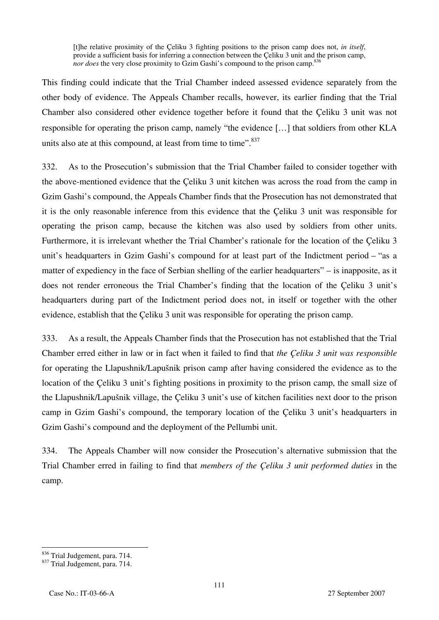[t]he relative proximity of the Çeliku 3 fighting positions to the prison camp does not, *in itself*, provide a sufficient basis for inferring a connection between the Celiku 3 unit and the prison camp, *nor does* the very close proximity to Gzim Gashi's compound to the prison camp.<sup>836</sup>

This finding could indicate that the Trial Chamber indeed assessed evidence separately from the other body of evidence. The Appeals Chamber recalls, however, its earlier finding that the Trial Chamber also considered other evidence together before it found that the Çeliku 3 unit was not responsible for operating the prison camp, namely "the evidence […] that soldiers from other KLA units also ate at this compound, at least from time to time".<sup>837</sup>

332. As to the Prosecution's submission that the Trial Chamber failed to consider together with the above-mentioned evidence that the Çeliku 3 unit kitchen was across the road from the camp in Gzim Gashi's compound, the Appeals Chamber finds that the Prosecution has not demonstrated that it is the only reasonable inference from this evidence that the Çeliku 3 unit was responsible for operating the prison camp, because the kitchen was also used by soldiers from other units. Furthermore, it is irrelevant whether the Trial Chamber's rationale for the location of the Çeliku 3 unit's headquarters in Gzim Gashi's compound for at least part of the Indictment period – "as a matter of expediency in the face of Serbian shelling of the earlier headquarters" – is inapposite, as it does not render erroneous the Trial Chamber's finding that the location of the Çeliku 3 unit's headquarters during part of the Indictment period does not, in itself or together with the other evidence, establish that the Çeliku 3 unit was responsible for operating the prison camp.

333. As a result, the Appeals Chamber finds that the Prosecution has not established that the Trial Chamber erred either in law or in fact when it failed to find that *the Çeliku 3 unit was responsible*  for operating the Llapushnik/Lapušnik prison camp after having considered the evidence as to the location of the Çeliku 3 unit's fighting positions in proximity to the prison camp, the small size of the Llapushnik/Lapušnik village, the Çeliku 3 unit's use of kitchen facilities next door to the prison camp in Gzim Gashi's compound, the temporary location of the Çeliku 3 unit's headquarters in Gzim Gashi's compound and the deployment of the Pellumbi unit.

334. The Appeals Chamber will now consider the Prosecution's alternative submission that the Trial Chamber erred in failing to find that *members of the Çeliku 3 unit performed duties* in the camp.

<sup>&</sup>lt;sup>836</sup> Trial Judgement, para. 714.

<sup>837</sup> Trial Judgement, para. 714.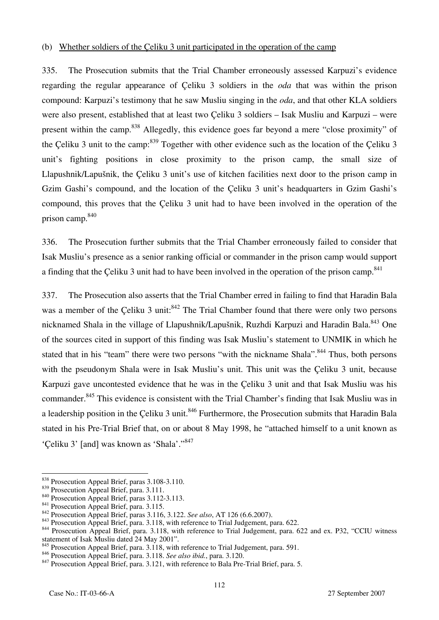#### (b) Whether soldiers of the Çeliku 3 unit participated in the operation of the camp

335. The Prosecution submits that the Trial Chamber erroneously assessed Karpuzi's evidence regarding the regular appearance of Çeliku 3 soldiers in the *oda* that was within the prison compound: Karpuzi's testimony that he saw Musliu singing in the *oda*, and that other KLA soldiers were also present, established that at least two Çeliku 3 soldiers – Isak Musliu and Karpuzi – were present within the camp.<sup>838</sup> Allegedly, this evidence goes far beyond a mere "close proximity" of the Celiku 3 unit to the camp:  $839$  Together with other evidence such as the location of the Celiku 3 unit's fighting positions in close proximity to the prison camp, the small size of Llapushnik/Lapušnik, the Çeliku 3 unit's use of kitchen facilities next door to the prison camp in Gzim Gashi's compound, and the location of the Çeliku 3 unit's headquarters in Gzim Gashi's compound, this proves that the Çeliku 3 unit had to have been involved in the operation of the prison camp.840

336. The Prosecution further submits that the Trial Chamber erroneously failed to consider that Isak Musliu's presence as a senior ranking official or commander in the prison camp would support a finding that the Çeliku 3 unit had to have been involved in the operation of the prison camp.<sup>841</sup>

337. The Prosecution also asserts that the Trial Chamber erred in failing to find that Haradin Bala was a member of the Celiku 3 unit:<sup>842</sup> The Trial Chamber found that there were only two persons nicknamed Shala in the village of Llapushnik/Lapušnik, Ruzhdi Karpuzi and Haradin Bala.<sup>843</sup> One of the sources cited in support of this finding was Isak Musliu's statement to UNMIK in which he stated that in his "team" there were two persons "with the nickname Shala".<sup>844</sup> Thus, both persons with the pseudonym Shala were in Isak Musliu's unit. This unit was the Çeliku 3 unit, because Karpuzi gave uncontested evidence that he was in the Çeliku 3 unit and that Isak Musliu was his commander.<sup>845</sup> This evidence is consistent with the Trial Chamber's finding that Isak Musliu was in a leadership position in the Çeliku 3 unit.<sup>846</sup> Furthermore, the Prosecution submits that Haradin Bala stated in his Pre-Trial Brief that, on or about 8 May 1998, he "attached himself to a unit known as 'Çeliku 3' [and] was known as 'Shala'."847

 $\overline{a}$ 

<sup>&</sup>lt;sup>838</sup> Prosecution Appeal Brief, paras 3.108-3.110.

<sup>&</sup>lt;sup>839</sup> Prosecution Appeal Brief, para. 3.111.<br><sup>840</sup> Prosecution Appeal Brief, para. 3.112-3.113.<br><sup>841</sup> Prosecution Appeal Brief, para. 3.115.<br><sup>842</sup> Prosecution Appeal Brief, para. 3.116, 3.122. *See also*, AT 126 (6.6.2007 statement of Isak Musliu dated 24 May 2001".

<sup>&</sup>lt;sup>845</sup> Prosecution Appeal Brief, para.  $3.118$ , with reference to Trial Judgement, para. 591.<br><sup>846</sup> Prosecution Appeal Brief, para.  $3.118$ . *See also ibid.*, para.  $3.120$ .

<sup>&</sup>lt;sup>847</sup> Prosecution Appeal Brief, para. 3.121, with reference to Bala Pre-Trial Brief, para. 5.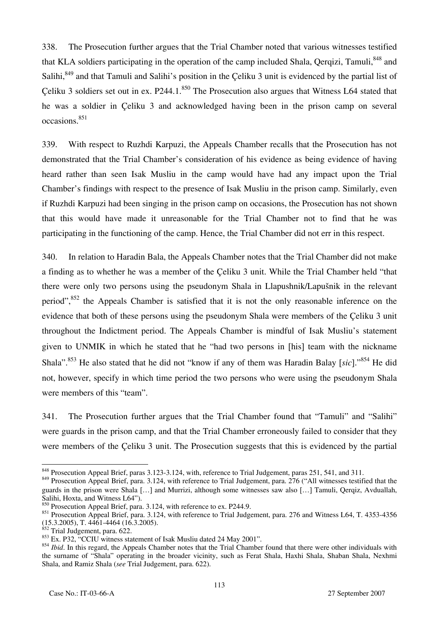338. The Prosecution further argues that the Trial Chamber noted that various witnesses testified that KLA soldiers participating in the operation of the camp included Shala, Oergizi, Tamuli,<sup>848</sup> and Salihi,<sup>849</sup> and that Tamuli and Salihi's position in the Çeliku 3 unit is evidenced by the partial list of Çeliku 3 soldiers set out in ex. P244.1.<sup>850</sup> The Prosecution also argues that Witness L64 stated that he was a soldier in Çeliku 3 and acknowledged having been in the prison camp on several occasions.851

339. With respect to Ruzhdi Karpuzi, the Appeals Chamber recalls that the Prosecution has not demonstrated that the Trial Chamber's consideration of his evidence as being evidence of having heard rather than seen Isak Musliu in the camp would have had any impact upon the Trial Chamber's findings with respect to the presence of Isak Musliu in the prison camp. Similarly, even if Ruzhdi Karpuzi had been singing in the prison camp on occasions, the Prosecution has not shown that this would have made it unreasonable for the Trial Chamber not to find that he was participating in the functioning of the camp. Hence, the Trial Chamber did not err in this respect.

340. In relation to Haradin Bala, the Appeals Chamber notes that the Trial Chamber did not make a finding as to whether he was a member of the Çeliku 3 unit. While the Trial Chamber held "that there were only two persons using the pseudonym Shala in Llapushnik/Lapušnik in the relevant period",<sup>852</sup> the Appeals Chamber is satisfied that it is not the only reasonable inference on the evidence that both of these persons using the pseudonym Shala were members of the Çeliku 3 unit throughout the Indictment period. The Appeals Chamber is mindful of Isak Musliu's statement given to UNMIK in which he stated that he "had two persons in [his] team with the nickname Shala".853 He also stated that he did not "know if any of them was Haradin Balay [*sic*]."854 He did not, however, specify in which time period the two persons who were using the pseudonym Shala were members of this "team".

341. The Prosecution further argues that the Trial Chamber found that "Tamuli" and "Salihi" were guards in the prison camp, and that the Trial Chamber erroneously failed to consider that they were members of the Çeliku 3 unit. The Prosecution suggests that this is evidenced by the partial

 $\overline{a}$ 

 $\frac{848}{8}$  Prosecution Appeal Brief, paras 3.123-3.124, with, reference to Trial Judgement, paras 251, 541, and 311.

<sup>&</sup>lt;sup>849</sup> Prosecution Appeal Brief, para. 3.124, with reference to Trial Judgement, para. 276 ("All witnesses testified that the guards in the prison were Shala […] and Murrizi, although some witnesses saw also […] Tamuli, Qerqiz, Avduallah, Salihi, Hoxta, and Witness L64").

<sup>&</sup>lt;sup>850</sup> Prosecution Appeal Brief, para. 3.124, with reference to ex. P244.9.

<sup>&</sup>lt;sup>851</sup> Prosecution Appeal Brief, para. 3.124, with reference to Trial Judgement, para. 276 and Witness L64, T. 4353-4356 (15.3.2005), T. 4461-4464 (16.3.2005).

Trial Judgement, para.  $622$ .

<sup>853</sup> Ex. P32, "CCIU witness statement of Isak Musliu dated 24 May 2001".

<sup>&</sup>lt;sup>854</sup> *Ibid*. In this regard, the Appeals Chamber notes that the Trial Chamber found that there were other individuals with the surname of "Shala" operating in the broader vicinity, such as Ferat Shala, Haxhi Shala, Shaban Shala, Nexhmi Shala, and Ramiz Shala (*see* Trial Judgement, para. 622).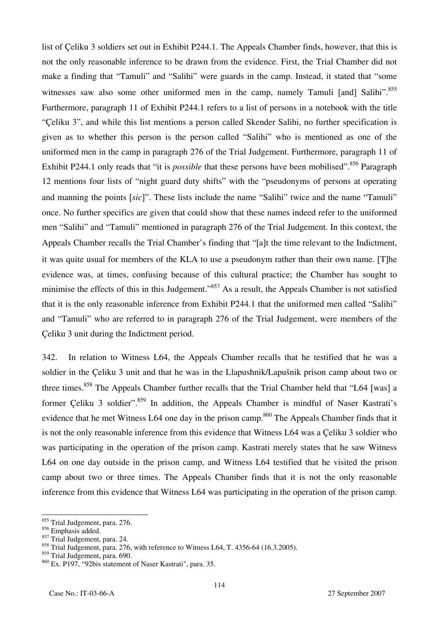list of Çeliku 3 soldiers set out in Exhibit P244.1. The Appeals Chamber finds, however, that this is not the only reasonable inference to be drawn from the evidence. First, the Trial Chamber did not make a finding that "Tamuli" and "Salihi" were guards in the camp. Instead, it stated that "some witnesses saw also some other uniformed men in the camp, namely Tamuli [and] Salihi".<sup>855</sup> Furthermore, paragraph 11 of Exhibit P244.1 refers to a list of persons in a notebook with the title "Çeliku 3", and while this list mentions a person called Skender Salihi, no further specification is given as to whether this person is the person called "Salihi" who is mentioned as one of the uniformed men in the camp in paragraph 276 of the Trial Judgement. Furthermore, paragraph 11 of Exhibit P244.1 only reads that "it is *possible* that these persons have been mobilised".<sup>856</sup> Paragraph 12 mentions four lists of "night guard duty shifts" with the "pseudonyms of persons at operating and manning the points [*sic*]". These lists include the name "Salihi" twice and the name "Tamuli" once. No further specifics are given that could show that these names indeed refer to the uniformed men "Salihi" and "Tamuli" mentioned in paragraph 276 of the Trial Judgement. In this context, the Appeals Chamber recalls the Trial Chamber's finding that "[a]t the time relevant to the Indictment, it was quite usual for members of the KLA to use a pseudonym rather than their own name. [T]he evidence was, at times, confusing because of this cultural practice; the Chamber has sought to minimise the effects of this in this Judgement."<sup>857</sup> As a result, the Appeals Chamber is not satisfied that it is the only reasonable inference from Exhibit P244.1 that the uniformed men called "Salihi" and "Tamuli" who are referred to in paragraph 276 of the Trial Judgement, were members of the Çeliku 3 unit during the Indictment period.

342. In relation to Witness L64, the Appeals Chamber recalls that he testified that he was a soldier in the Çeliku 3 unit and that he was in the Llapushnik/Lapušnik prison camp about two or three times.<sup>858</sup> The Appeals Chamber further recalls that the Trial Chamber held that "L64 [was] a former Celiku 3 soldier".<sup>859</sup> In addition, the Appeals Chamber is mindful of Naser Kastrati's evidence that he met Witness L64 one day in the prison camp.<sup>860</sup> The Appeals Chamber finds that it is not the only reasonable inference from this evidence that Witness L64 was a Çeliku 3 soldier who was participating in the operation of the prison camp. Kastrati merely states that he saw Witness L64 on one day outside in the prison camp, and Witness L64 testified that he visited the prison camp about two or three times. The Appeals Chamber finds that it is not the only reasonable inference from this evidence that Witness L64 was participating in the operation of the prison camp.

 $\overline{a}$ <sup>855</sup> Trial Judgement, para. 276.

<sup>856</sup> Emphasis added.

 $857$  Trial Judgement, para. 24.

 $858$  Trial Judgement, para. 276, with reference to Witness L64, T. 4356-64 (16.3.2005).

<sup>859</sup> Trial Judgement, para. 690.

<sup>860</sup> Ex. P197, "92bis statement of Naser Kastrati", para. 35.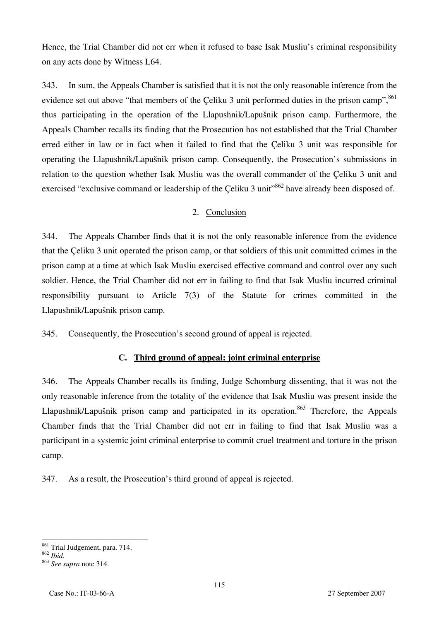Hence, the Trial Chamber did not err when it refused to base Isak Musliu's criminal responsibility on any acts done by Witness L64.

343. In sum, the Appeals Chamber is satisfied that it is not the only reasonable inference from the evidence set out above "that members of the Çeliku 3 unit performed duties in the prison camp",  $861$ thus participating in the operation of the Llapushnik/Lapušnik prison camp. Furthermore, the Appeals Chamber recalls its finding that the Prosecution has not established that the Trial Chamber erred either in law or in fact when it failed to find that the Çeliku 3 unit was responsible for operating the Llapushnik/Lapušnik prison camp. Consequently, the Prosecution's submissions in relation to the question whether Isak Musliu was the overall commander of the Çeliku 3 unit and exercised "exclusive command or leadership of the Celiku 3 unit"<sup>862</sup> have already been disposed of.

### 2. Conclusion

344. The Appeals Chamber finds that it is not the only reasonable inference from the evidence that the Çeliku 3 unit operated the prison camp, or that soldiers of this unit committed crimes in the prison camp at a time at which Isak Musliu exercised effective command and control over any such soldier. Hence, the Trial Chamber did not err in failing to find that Isak Musliu incurred criminal responsibility pursuant to Article 7(3) of the Statute for crimes committed in the Llapushnik/Lapušnik prison camp.

345. Consequently, the Prosecution's second ground of appeal is rejected.

#### **C. Third ground of appeal: joint criminal enterprise**

346. The Appeals Chamber recalls its finding, Judge Schomburg dissenting, that it was not the only reasonable inference from the totality of the evidence that Isak Musliu was present inside the Llapushnik/Lapušnik prison camp and participated in its operation.<sup>863</sup> Therefore, the Appeals Chamber finds that the Trial Chamber did not err in failing to find that Isak Musliu was a participant in a systemic joint criminal enterprise to commit cruel treatment and torture in the prison camp.

347. As a result, the Prosecution's third ground of appeal is rejected.

 $\overline{a}$ 

<sup>&</sup>lt;sup>861</sup> Trial Judgement, para. 714.

<sup>862</sup> *Ibid*. 863 *See supra* note 314.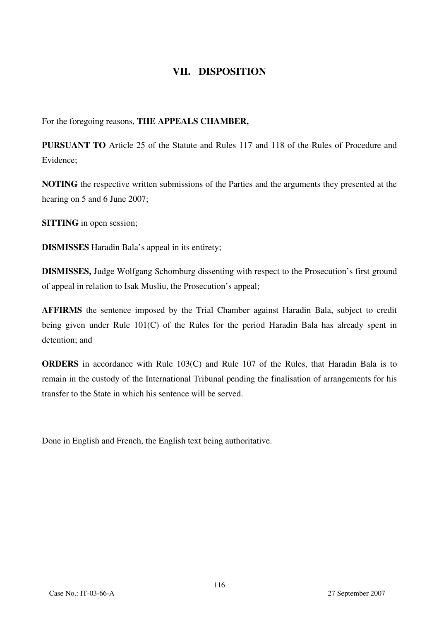# **VII. DISPOSITION**

For the foregoing reasons, **THE APPEALS CHAMBER,** 

**PURSUANT TO** Article 25 of the Statute and Rules 117 and 118 of the Rules of Procedure and Evidence;

**NOTING** the respective written submissions of the Parties and the arguments they presented at the hearing on 5 and 6 June 2007;

**SITTING** in open session;

**DISMISSES** Haradin Bala's appeal in its entirety;

**DISMISSES,** Judge Wolfgang Schomburg dissenting with respect to the Prosecution's first ground of appeal in relation to Isak Musliu, the Prosecution's appeal;

**AFFIRMS** the sentence imposed by the Trial Chamber against Haradin Bala, subject to credit being given under Rule 101(C) of the Rules for the period Haradin Bala has already spent in detention; and

**ORDERS** in accordance with Rule 103(C) and Rule 107 of the Rules, that Haradin Bala is to remain in the custody of the International Tribunal pending the finalisation of arrangements for his transfer to the State in which his sentence will be served.

Done in English and French, the English text being authoritative.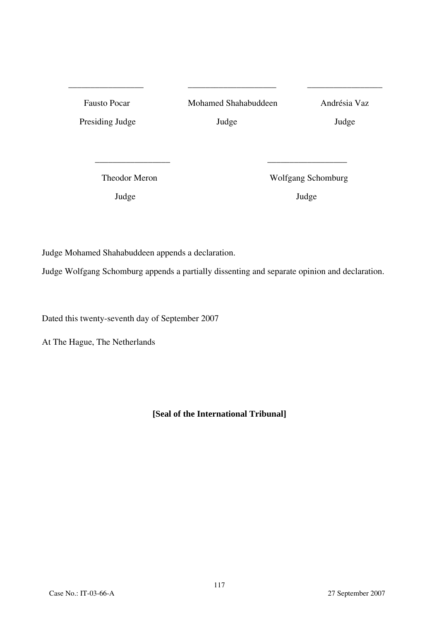| <b>Fausto Pocar</b> | Mohamed Shahabuddeen | Andrésia Vaz |
|---------------------|----------------------|--------------|
| Presiding Judge     | Judge                | Judge        |
|                     |                      |              |
|                     |                      |              |

\_\_\_\_\_\_\_\_\_\_\_\_\_\_\_\_\_ \_\_\_\_\_\_\_\_\_\_\_\_\_\_\_\_\_\_\_\_ \_\_\_\_\_\_\_\_\_\_\_\_\_\_\_\_\_

Theodor Meron Wolfgang Schomburg

Judge Judge

Judge Mohamed Shahabuddeen appends a declaration.

Judge Wolfgang Schomburg appends a partially dissenting and separate opinion and declaration.

Dated this twenty-seventh day of September 2007

At The Hague, The Netherlands

### **[Seal of the International Tribunal]**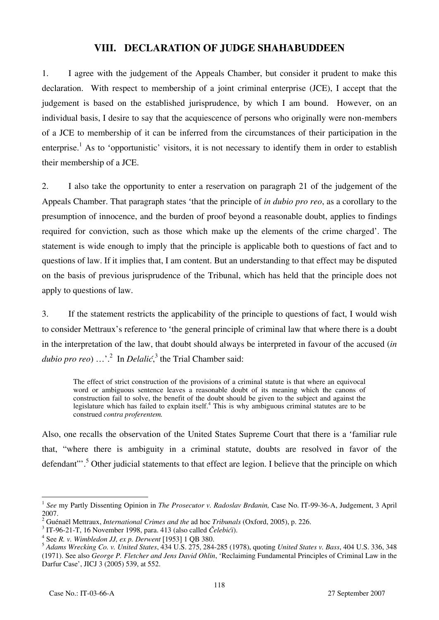### **VIII. DECLARATION OF JUDGE SHAHABUDDEEN**

1. I agree with the judgement of the Appeals Chamber, but consider it prudent to make this declaration. With respect to membership of a joint criminal enterprise (JCE), I accept that the judgement is based on the established jurisprudence, by which I am bound. However, on an individual basis, I desire to say that the acquiescence of persons who originally were non-members of a JCE to membership of it can be inferred from the circumstances of their participation in the enterprise.<sup>1</sup> As to 'opportunistic' visitors, it is not necessary to identify them in order to establish their membership of a JCE.

2. I also take the opportunity to enter a reservation on paragraph 21 of the judgement of the Appeals Chamber. That paragraph states 'that the principle of *in dubio pro reo*, as a corollary to the presumption of innocence, and the burden of proof beyond a reasonable doubt, applies to findings required for conviction, such as those which make up the elements of the crime charged'. The statement is wide enough to imply that the principle is applicable both to questions of fact and to questions of law. If it implies that, I am content. But an understanding to that effect may be disputed on the basis of previous jurisprudence of the Tribunal, which has held that the principle does not apply to questions of law.

3. If the statement restricts the applicability of the principle to questions of fact, I would wish to consider Mettraux's reference to 'the general principle of criminal law that where there is a doubt in the interpretation of the law, that doubt should always be interpreted in favour of the accused (*in*  dubio pro reo) ...'.<sup>2</sup> In *Delalić*,<sup>3</sup> the Trial Chamber said:

The effect of strict construction of the provisions of a criminal statute is that where an equivocal word or ambiguous sentence leaves a reasonable doubt of its meaning which the canons of construction fail to solve, the benefit of the doubt should be given to the subject and against the legislature which has failed to explain itself.<sup>4</sup> This is why ambiguous criminal statutes are to be construed *contra proferentem.*

Also, one recalls the observation of the United States Supreme Court that there is a 'familiar rule that, "where there is ambiguity in a criminal statute, doubts are resolved in favor of the defendant"<sup>3</sup>. Other judicial statements to that effect are legion. I believe that the principle on which

 $\overline{a}$ 

<sup>1</sup> *See* my Partly Dissenting Opinion in *The Prosecutor v. Radoslav Brđanin,* Case No. IT-99-36-A, Judgement, 3 April 2007.

<sup>2</sup> Guénaël Mettraux, *International Crimes and the* ad hoc *Tribunals* (Oxford, 2005), p. 226. 3

IT-96-21-T, 16 November 1998, para. 413 (also called *Čelebić<sup>i</sup>*). 4

See *R. v. Wimbledon JJ, ex p. Derwent* [1953] 1 QB 380.

<sup>5</sup> *Adams Wrecking Co. v. United States*, 434 U.S. 275, 284-285 (1978), quoting *United States v. Bass*, 404 U.S. 336, 348 (1971). See also *George P. Fletcher and Jens David Ohlin*, 'Reclaiming Fundamental Principles of Criminal Law in the Darfur Case', JICJ 3 (2005) 539, at 552.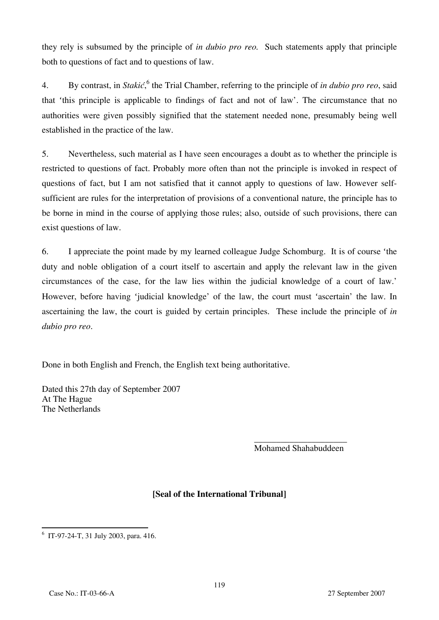they rely is subsumed by the principle of *in dubio pro reo.* Such statements apply that principle both to questions of fact and to questions of law.

4. By contrast, in *Stakić*, <sup>6</sup> the Trial Chamber, referring to the principle of *in dubio pro reo*, said that 'this principle is applicable to findings of fact and not of law'. The circumstance that no authorities were given possibly signified that the statement needed none, presumably being well established in the practice of the law.

5. Nevertheless, such material as I have seen encourages a doubt as to whether the principle is restricted to questions of fact. Probably more often than not the principle is invoked in respect of questions of fact, but I am not satisfied that it cannot apply to questions of law. However selfsufficient are rules for the interpretation of provisions of a conventional nature, the principle has to be borne in mind in the course of applying those rules; also, outside of such provisions, there can exist questions of law.

6. I appreciate the point made by my learned colleague Judge Schomburg. It is of course 'the duty and noble obligation of a court itself to ascertain and apply the relevant law in the given circumstances of the case, for the law lies within the judicial knowledge of a court of law.' However, before having 'judicial knowledge' of the law, the court must 'ascertain' the law. In ascertaining the law, the court is guided by certain principles. These include the principle of *in dubio pro reo*.

Done in both English and French, the English text being authoritative.

Dated this 27th day of September 2007 At The Hague The Netherlands

> \_\_\_\_\_\_\_\_\_\_\_\_\_\_\_\_\_\_\_\_\_ Mohamed Shahabuddeen

# **₣Seal of the International Tribunalğ**

 6 IT-97-24-T, 31 July 2003, para. 416.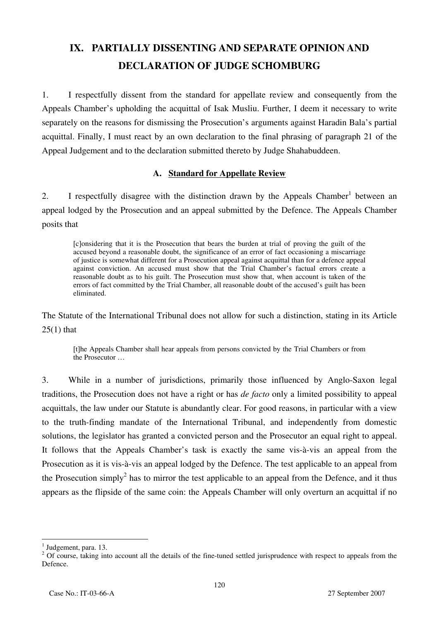# **IX. PARTIALLY DISSENTING AND SEPARATE OPINION AND DECLARATION OF JUDGE SCHOMBURG**

1. I respectfully dissent from the standard for appellate review and consequently from the Appeals Chamber's upholding the acquittal of Isak Musliu. Further, I deem it necessary to write separately on the reasons for dismissing the Prosecution's arguments against Haradin Bala's partial acquittal. Finally, I must react by an own declaration to the final phrasing of paragraph 21 of the Appeal Judgement and to the declaration submitted thereto by Judge Shahabuddeen.

### **A. Standard for Appellate Review**

2. I respectfully disagree with the distinction drawn by the Appeals Chamber<sup>1</sup> between an appeal lodged by the Prosecution and an appeal submitted by the Defence. The Appeals Chamber posits that

[c]onsidering that it is the Prosecution that bears the burden at trial of proving the guilt of the accused beyond a reasonable doubt, the significance of an error of fact occasioning a miscarriage of justice is somewhat different for a Prosecution appeal against acquittal than for a defence appeal against conviction. An accused must show that the Trial Chamber's factual errors create a reasonable doubt as to his guilt. The Prosecution must show that, when account is taken of the errors of fact committed by the Trial Chamber, all reasonable doubt of the accused's guilt has been eliminated.

The Statute of the International Tribunal does not allow for such a distinction, stating in its Article  $25(1)$  that

[t]he Appeals Chamber shall hear appeals from persons convicted by the Trial Chambers or from the Prosecutor …

3. While in a number of jurisdictions, primarily those influenced by Anglo-Saxon legal traditions, the Prosecution does not have a right or has *de facto* only a limited possibility to appeal acquittals, the law under our Statute is abundantly clear. For good reasons, in particular with a view to the truth-finding mandate of the International Tribunal, and independently from domestic solutions, the legislator has granted a convicted person and the Prosecutor an equal right to appeal. It follows that the Appeals Chamber's task is exactly the same vis-à-vis an appeal from the Prosecution as it is vis-à-vis an appeal lodged by the Defence. The test applicable to an appeal from the Prosecution simply<sup>2</sup> has to mirror the test applicable to an appeal from the Defence, and it thus appears as the flipside of the same coin: the Appeals Chamber will only overturn an acquittal if no

<sup>&</sup>lt;sup>1</sup> Judgement, para. 13.

 $2$  Of course, taking into account all the details of the fine-tuned settled jurisprudence with respect to appeals from the Defence.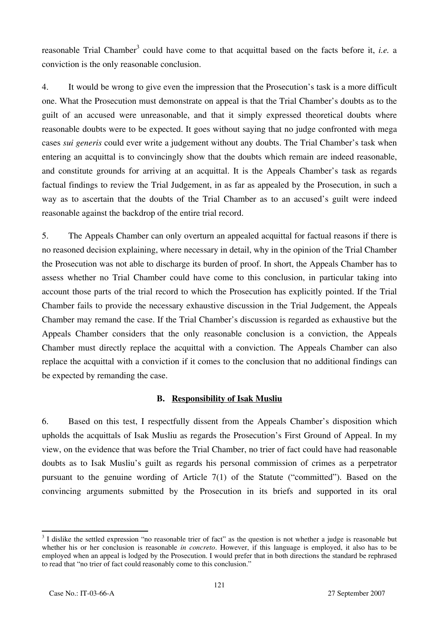reasonable Trial Chamber<sup>3</sup> could have come to that acquittal based on the facts before it, *i.e.* a conviction is the only reasonable conclusion.

4. It would be wrong to give even the impression that the Prosecution's task is a more difficult one. What the Prosecution must demonstrate on appeal is that the Trial Chamber's doubts as to the guilt of an accused were unreasonable, and that it simply expressed theoretical doubts where reasonable doubts were to be expected. It goes without saying that no judge confronted with mega cases *sui generis* could ever write a judgement without any doubts. The Trial Chamber's task when entering an acquittal is to convincingly show that the doubts which remain are indeed reasonable, and constitute grounds for arriving at an acquittal. It is the Appeals Chamber's task as regards factual findings to review the Trial Judgement, in as far as appealed by the Prosecution, in such a way as to ascertain that the doubts of the Trial Chamber as to an accused's guilt were indeed reasonable against the backdrop of the entire trial record.

5. The Appeals Chamber can only overturn an appealed acquittal for factual reasons if there is no reasoned decision explaining, where necessary in detail, why in the opinion of the Trial Chamber the Prosecution was not able to discharge its burden of proof. In short, the Appeals Chamber has to assess whether no Trial Chamber could have come to this conclusion, in particular taking into account those parts of the trial record to which the Prosecution has explicitly pointed. If the Trial Chamber fails to provide the necessary exhaustive discussion in the Trial Judgement, the Appeals Chamber may remand the case. If the Trial Chamber's discussion is regarded as exhaustive but the Appeals Chamber considers that the only reasonable conclusion is a conviction, the Appeals Chamber must directly replace the acquittal with a conviction. The Appeals Chamber can also replace the acquittal with a conviction if it comes to the conclusion that no additional findings can be expected by remanding the case.

#### **B. Responsibility of Isak Musliu**

6. Based on this test, I respectfully dissent from the Appeals Chamber's disposition which upholds the acquittals of Isak Musliu as regards the Prosecution's First Ground of Appeal. In my view, on the evidence that was before the Trial Chamber, no trier of fact could have had reasonable doubts as to Isak Musliu's guilt as regards his personal commission of crimes as a perpetrator pursuant to the genuine wording of Article 7(1) of the Statute ("committed"). Based on the convincing arguments submitted by the Prosecution in its briefs and supported in its oral

<sup>&</sup>lt;sup>3</sup> I dislike the settled expression "no reasonable trier of fact" as the question is not whether a judge is reasonable but whether his or her conclusion is reasonable *in concreto*. However, if this language is employed, it also has to be employed when an appeal is lodged by the Prosecution. I would prefer that in both directions the standard be rephrased to read that "no trier of fact could reasonably come to this conclusion."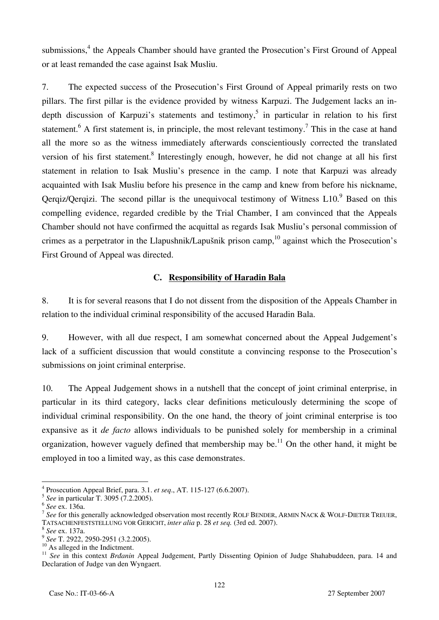submissions,<sup>4</sup> the Appeals Chamber should have granted the Prosecution's First Ground of Appeal or at least remanded the case against Isak Musliu.

7. The expected success of the Prosecution's First Ground of Appeal primarily rests on two pillars. The first pillar is the evidence provided by witness Karpuzi. The Judgement lacks an indepth discussion of Karpuzi's statements and testimony,<sup>5</sup> in particular in relation to his first statement.<sup>6</sup> A first statement is, in principle, the most relevant testimony.<sup>7</sup> This in the case at hand all the more so as the witness immediately afterwards conscientiously corrected the translated version of his first statement.<sup>8</sup> Interestingly enough, however, he did not change at all his first statement in relation to Isak Musliu's presence in the camp. I note that Karpuzi was already acquainted with Isak Musliu before his presence in the camp and knew from before his nickname, Qerqiz/Qerqizi. The second pillar is the unequivocal testimony of Witness  $L10$ . Based on this compelling evidence, regarded credible by the Trial Chamber, I am convinced that the Appeals Chamber should not have confirmed the acquittal as regards Isak Musliu's personal commission of crimes as a perpetrator in the Llapushnik/Lapušnik prison camp,  $10$  against which the Prosecution's First Ground of Appeal was directed.

### **C. Responsibility of Haradin Bala**

8. It is for several reasons that I do not dissent from the disposition of the Appeals Chamber in relation to the individual criminal responsibility of the accused Haradin Bala.

9. However, with all due respect, I am somewhat concerned about the Appeal Judgement's lack of a sufficient discussion that would constitute a convincing response to the Prosecution's submissions on joint criminal enterprise.

10. The Appeal Judgement shows in a nutshell that the concept of joint criminal enterprise, in particular in its third category, lacks clear definitions meticulously determining the scope of individual criminal responsibility. On the one hand, the theory of joint criminal enterprise is too expansive as it *de facto* allows individuals to be punished solely for membership in a criminal organization, however vaguely defined that membership may be.<sup>11</sup> On the other hand, it might be employed in too a limited way, as this case demonstrates.

 $\overline{a}$ 4 Prosecution Appeal Brief, para. 3.1. *et seq*., AT. 115-127 (6.6.2007).

<sup>&</sup>lt;sup>5</sup> *See* in particular T. 3095 (7.2.2005).<br><sup>6</sup> *See* ex. 136a.

<sup>&</sup>lt;sup>7</sup> See for this generally acknowledged observation most recently ROLF BENDER, ARMIN NACK & WOLF-DIETER TREUER, TATSACHENFESTSTELLUNG VOR GERICHT, *inter alia* p. 28 *et seq.* (3rd ed. 2007). 8 *See* ex. 137a.

 $^{10}$  As alleged in the Indictment.

<sup>&</sup>lt;sup>11</sup> See in this context *Brdanin* Appeal Judgement, Partly Dissenting Opinion of Judge Shahabuddeen, para. 14 and Declaration of Judge van den Wyngaert.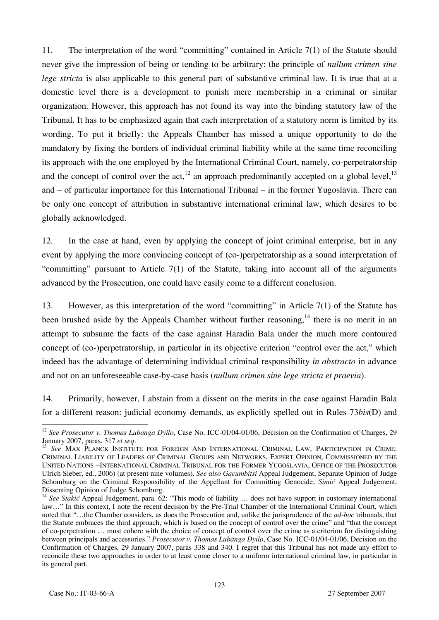11. The interpretation of the word "committing" contained in Article 7(1) of the Statute should never give the impression of being or tending to be arbitrary: the principle of *nullum crimen sine lege stricta* is also applicable to this general part of substantive criminal law. It is true that at a domestic level there is a development to punish mere membership in a criminal or similar organization. However, this approach has not found its way into the binding statutory law of the Tribunal. It has to be emphasized again that each interpretation of a statutory norm is limited by its wording. To put it briefly: the Appeals Chamber has missed a unique opportunity to do the mandatory by fixing the borders of individual criminal liability while at the same time reconciling its approach with the one employed by the International Criminal Court, namely, co-perpetratorship and the concept of control over the act,<sup>12</sup> an approach predominantly accepted on a global level,<sup>13</sup> and – of particular importance for this International Tribunal – in the former Yugoslavia. There can be only one concept of attribution in substantive international criminal law, which desires to be globally acknowledged.

12. In the case at hand, even by applying the concept of joint criminal enterprise, but in any event by applying the more convincing concept of (co-)perpetratorship as a sound interpretation of "committing" pursuant to Article 7(1) of the Statute, taking into account all of the arguments advanced by the Prosecution, one could have easily come to a different conclusion.

13. However, as this interpretation of the word "committing" in Article 7(1) of the Statute has been brushed aside by the Appeals Chamber without further reasoning.<sup>14</sup> there is no merit in an attempt to subsume the facts of the case against Haradin Bala under the much more contoured concept of (co-)perpetratorship, in particular in its objective criterion "control over the act," which indeed has the advantage of determining individual criminal responsibility *in abstracto* in advance and not on an unforeseeable case-by-case basis (*nullum crimen sine lege stricta et praevia*).

14. Primarily, however, I abstain from a dissent on the merits in the case against Haradin Bala for a different reason: judicial economy demands, as explicitly spelled out in Rules 73*bis*(D) and

 $\overline{a}$ <sup>12</sup> *See Prosecutor v. Thomas Lubanga Dyilo*, Case No. ICC-01/04-01/06, Decision on the Confirmation of Charges, 29 January 2007, paras. 317 *et seq.* 13 *See MAX PLANCK INSTITUTE FOR FOREIGN AND INTERNATIONAL CRIMINAL LAW, PARTICIPATION IN CRIME:* 

CRIMINAL LIABILITY OF LEADERS OF CRIMINAL GROUPS AND NETWORKS, EXPERT OPINION, COMMISSIONED BY THE UNITED NATIONS –INTERNATIONAL CRIMINAL TRIBUNAL FOR THE FORMER YUGOSLAVIA, OFFICE OF THE PROSECUTOR Ulrich Sieber, ed., 2006) (at present nine volumes). *See also Gacumbitsi* Appeal Judgement, Separate Opinion of Judge Schomburg on the Criminal Responsibility of the Appellant for Committing Genocide; *Simić* Appeal Judgement, Dissenting Opinion of Judge Schomburg.

<sup>&</sup>lt;sup>14</sup> See Stakić Appeal Judgement, para. 62: "This mode of liability ... does not have support in customary international law…" In this context, I note the recent decision by the Pre-Trial Chamber of the International Criminal Court, which noted that "…the Chamber considers, as does the Prosecution and, unlike the jurisprudence of the *ad-hoc* tribunals, that the Statute embraces the third approach, which is based on the concept of control over the crime" and "that the concept of co-perpetration … must cohere with the choice of concept of control over the crime as a criterion for distinguishing between principals and accessories." *Prosecutor v. Thomas Lubanga Dyilo*, Case No. ICC-01/04-01/06, Decision on the Confirmation of Charges, 29 January 2007, paras 338 and 340. I regret that this Tribunal has not made any effort to reconcile these two approaches in order to at least come closer to a uniform international criminal law, in particular in its general part.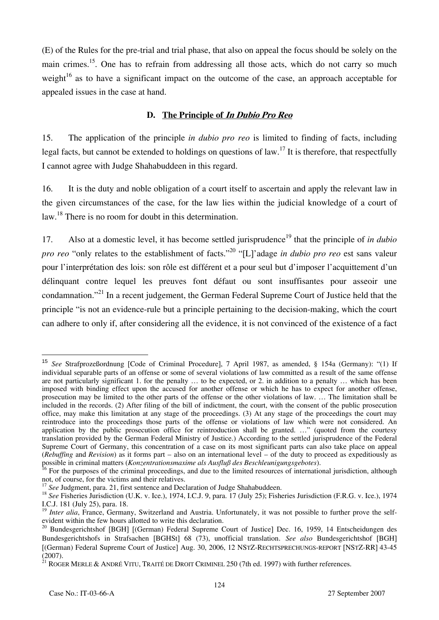(E) of the Rules for the pre-trial and trial phase, that also on appeal the focus should be solely on the main crimes.<sup>15</sup>. One has to refrain from addressing all those acts, which do not carry so much weight<sup>16</sup> as to have a significant impact on the outcome of the case, an approach acceptable for appealed issues in the case at hand.

#### **D. The Principle of In Dubio Pro Reo**

15. The application of the principle *in dubio pro reo* is limited to finding of facts, including legal facts, but cannot be extended to holdings on questions of law.<sup>17</sup> It is therefore, that respectfully I cannot agree with Judge Shahabuddeen in this regard.

16. It is the duty and noble obligation of a court itself to ascertain and apply the relevant law in the given circumstances of the case, for the law lies within the judicial knowledge of a court of law.<sup>18</sup> There is no room for doubt in this determination.

17. Also at a domestic level, it has become settled jurisprudence<sup>19</sup> that the principle of *in dubio pro reo* "only relates to the establishment of facts."<sup>20</sup> "[L]'adage *in dubio pro reo* est sans valeur pour l'interprétation des lois: son rôle est différent et a pour seul but d'imposer l'acquittement d'un délinquant contre lequel les preuves font défaut ou sont insuffisantes pour asseoir une condamnation."21 In a recent judgement, the German Federal Supreme Court of Justice held that the principle "is not an evidence-rule but a principle pertaining to the decision-making, which the court can adhere to only if, after considering all the evidence, it is not convinced of the existence of a fact

 $\overline{a}$ 

<sup>15</sup> *See* Strafprozeßordnung [Code of Criminal Procedure], 7 April 1987, as amended, § 154a (Germany): "(1) If individual separable parts of an offense or some of several violations of law committed as a result of the same offense are not particularly significant 1. for the penalty … to be expected, or 2. in addition to a penalty … which has been imposed with binding effect upon the accused for another offense or which he has to expect for another offense, prosecution may be limited to the other parts of the offense or the other violations of law. … The limitation shall be included in the records. (2) After filing of the bill of indictment, the court, with the consent of the public prosecution office, may make this limitation at any stage of the proceedings. (3) At any stage of the proceedings the court may reintroduce into the proceedings those parts of the offense or violations of law which were not considered. An application by the public prosecution office for reintroduction shall be granted. …" (quoted from the courtesy translation provided by the German Federal Ministry of Justice.) According to the settled jurisprudence of the Federal Supreme Court of Germany, this concentration of a case on its most significant parts can also take place on appeal (*Rebuffing* and *Revision*) as it forms part – also on an international level – of the duty to proceed as expeditiously as possible in criminal matters (*Konzentrationsmaxime als Ausfluß des Beschleunigungsgebotes*).

<sup>&</sup>lt;sup>16</sup> For the purposes of the criminal proceedings, and due to the limited resources of international jurisdiction, although not, of course, for the victims and their relatives.<br><sup>17</sup> See Judgment, para. 21, first sentence and Declaration of Judge Shahabuddeen.

<sup>&</sup>lt;sup>18</sup> See Fisheries Jurisdiction (U.K. v. Ice.), 1974, I.C.J. 9, para. 17 (July 25); Fisheries Jurisdiction (F.R.G. v. Ice.), 1974 I.C.J. 181 (July 25), para. 18.

<sup>&</sup>lt;sup>19</sup> *Inter alia*, France, Germany, Switzerland and Austria. Unfortunately, it was not possible to further prove the selfevident within the few hours allotted to write this declaration.

<sup>&</sup>lt;sup>20</sup> Bundesgerichtshof [BGH] [(German) Federal Supreme Court of Justice] Dec. 16, 1959, 14 Entscheidungen des Bundesgerichtshofs in Strafsachen [BGHSt] 68 (73), unofficial translation. *See also* Bundesgerichtshof [BGH] [(German) Federal Supreme Court of Justice] Aug. 30, 2006, 12 NSTZ-RECHTSPRECHUNGS-REPORT [NSTZ-RR] 43-45 (2007).

 $21$  ROGER MERLE & ANDRÉ VITU, TRAITÉ DE DROIT CRIMINEL 250 (7th ed. 1997) with further references.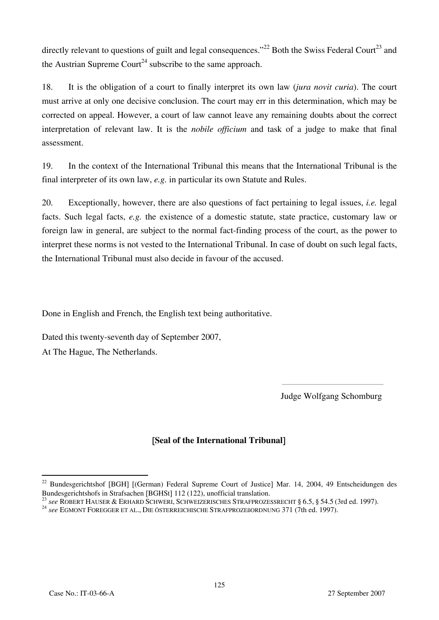directly relevant to questions of guilt and legal consequences."<sup>22</sup> Both the Swiss Federal Court<sup>23</sup> and the Austrian Supreme Court<sup>24</sup> subscribe to the same approach.

18. It is the obligation of a court to finally interpret its own law (*jura novit curia*). The court must arrive at only one decisive conclusion. The court may err in this determination, which may be corrected on appeal. However, a court of law cannot leave any remaining doubts about the correct interpretation of relevant law. It is the *nobile officium* and task of a judge to make that final assessment.

19. In the context of the International Tribunal this means that the International Tribunal is the final interpreter of its own law, *e.g.* in particular its own Statute and Rules.

20. Exceptionally, however, there are also questions of fact pertaining to legal issues, *i.e.* legal facts. Such legal facts, *e.g.* the existence of a domestic statute, state practice, customary law or foreign law in general, are subject to the normal fact-finding process of the court, as the power to interpret these norms is not vested to the International Tribunal. In case of doubt on such legal facts, the International Tribunal must also decide in favour of the accused.

Done in English and French, the English text being authoritative.

Dated this twenty-seventh day of September 2007, At The Hague, The Netherlands.

Judge Wolfgang Schomburg

# [**Seal of the International Tribunal**]

 $\overline{\phantom{a}}$  , and the contract of the contract of the contract of the contract of the contract of the contract of the contract of the contract of the contract of the contract of the contract of the contract of the contrac

 $\overline{a}$ <sup>22</sup> Bundesgerichtshof [BGH] [(German) Federal Supreme Court of Justice] Mar. 14, 2004, 49 Entscheidungen des Bundesgerichtshofs in Strafsachen [BGHSt] 112 (122), unofficial translation.

<sup>&</sup>lt;sup>23</sup> see ROBERT HAUSER & ERHARD SCHWERI, SCHWEIZERISCHES STRAFPROZESSRECHT § 6.5, § 54.5 (3rd ed. 1997).<br><sup>24</sup> see EGMONT FOREGGER ET AL., DIE ÖSTERREICHISCHE STRAFPROZESORDNUNG 371 (7th ed. 1997).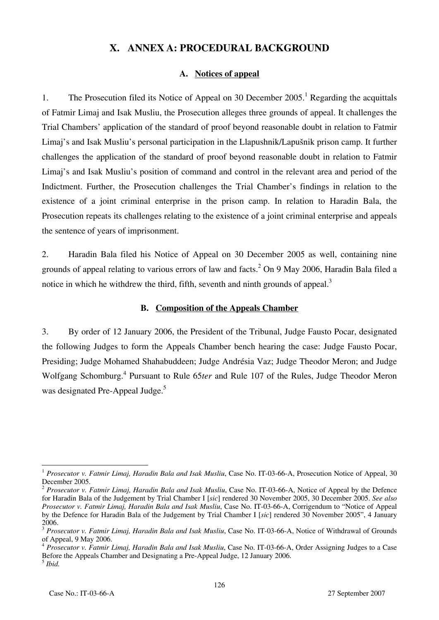# **X. ANNEX A: PROCEDURAL BACKGROUND**

### **A. Notices of appeal**

1. The Prosecution filed its Notice of Appeal on 30 December 2005.<sup>1</sup> Regarding the acquittals of Fatmir Limaj and Isak Musliu, the Prosecution alleges three grounds of appeal. It challenges the Trial Chambers' application of the standard of proof beyond reasonable doubt in relation to Fatmir Limaj's and Isak Musliu's personal participation in the Llapushnik/Lapušnik prison camp. It further challenges the application of the standard of proof beyond reasonable doubt in relation to Fatmir Limaj's and Isak Musliu's position of command and control in the relevant area and period of the Indictment. Further, the Prosecution challenges the Trial Chamber's findings in relation to the existence of a joint criminal enterprise in the prison camp. In relation to Haradin Bala, the Prosecution repeats its challenges relating to the existence of a joint criminal enterprise and appeals the sentence of years of imprisonment.

2. Haradin Bala filed his Notice of Appeal on 30 December 2005 as well, containing nine grounds of appeal relating to various errors of law and facts.<sup>2</sup> On 9 May 2006, Haradin Bala filed a notice in which he withdrew the third, fifth, seventh and ninth grounds of appeal.<sup>3</sup>

### **B. Composition of the Appeals Chamber**

3. By order of 12 January 2006, the President of the Tribunal, Judge Fausto Pocar, designated the following Judges to form the Appeals Chamber bench hearing the case: Judge Fausto Pocar, Presiding; Judge Mohamed Shahabuddeen; Judge Andrésia Vaz; Judge Theodor Meron; and Judge Wolfgang Schomburg.4 Pursuant to Rule 65*ter* and Rule 107 of the Rules, Judge Theodor Meron was designated Pre-Appeal Judge.<sup>5</sup>

 $\overline{\phantom{a}}$ <sup>1</sup> Prosecutor v. Fatmir Limaj, Haradin Bala and Isak Musliu, Case No. IT-03-66-A, Prosecution Notice of Appeal, 30 December 2005.

<sup>2</sup> *Prosecutor v. Fatmir Limaj, Haradin Bala and Isak Musliu*, Case No. IT-03-66-A, Notice of Appeal by the Defence for Haradin Bala of the Judgement by Trial Chamber I [sic] rendered 30 November 2005, 30 December 2005. See also *Prosecutor v. Fatmir Limaj, Haradin Bala and Isak Musliu*, Case No. IT-03-66-A, Corrigendum to "Notice of Appeal by the Defence for Haradin Bala of the Judgement by Trial Chamber I [sic] rendered 30 November 2005", 4 January 2006.

<sup>&</sup>lt;sup>3</sup> Prosecutor v. Fatmir Limaj, Haradin Bala and Isak Musliu, Case No. IT-03-66-A, Notice of Withdrawal of Grounds of Appeal, 9 May 2006.

<sup>4</sup> *Prosecutor v. Fatmir Limaj, Haradin Bala and Isak Musliu*, Case No. IT-03-66-A, Order Assigning Judges to a Case Before the Appeals Chamber and Designating a Pre-Appeal Judge, 12 January 2006. <sup>5</sup> *Ibid.*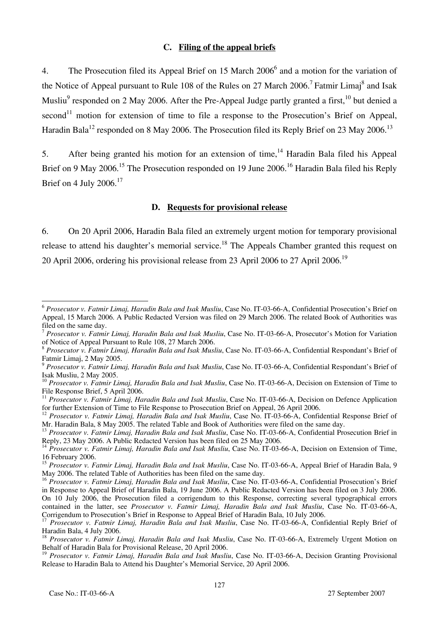#### **C. Filing of the appeal briefs**

4. The Prosecution filed its Appeal Brief on 15 March 2006<sup>6</sup> and a motion for the variation of the Notice of Appeal pursuant to Rule 108 of the Rules on 27 March 2006.<sup>7</sup> Fatmir Limaj<sup>8</sup> and Isak Musliu<sup>9</sup> responded on 2 May 2006. After the Pre-Appeal Judge partly granted a first,<sup>10</sup> but denied a second<sup>11</sup> motion for extension of time to file a response to the Prosecution's Brief on Appeal, Haradin Bala<sup>12</sup> responded on 8 May 2006. The Prosecution filed its Reply Brief on 23 May 2006.<sup>13</sup>

5. After being granted his motion for an extension of time,  $14$  Haradin Bala filed his Appeal Brief on 9 May 2006.<sup>15</sup> The Prosecution responded on 19 June 2006.<sup>16</sup> Haradin Bala filed his Reply Brief on 4 July  $2006$ .<sup>17</sup>

#### **D. Requests for provisional release**

6. On 20 April 2006, Haradin Bala filed an extremely urgent motion for temporary provisional release to attend his daughter's memorial service.<sup>18</sup> The Appeals Chamber granted this request on 20 April 2006, ordering his provisional release from 23 April 2006 to 27 April 2006.<sup>19</sup>

 $\overline{a}$ <sup>6</sup> *Prosecutor v. Fatmir Limaj, Haradin Bala and Isak Musliu*, Case No. IT-03-66-A, Confidential Prosecution's Brief on Appeal, 15 March 2006. A Public Redacted Version was filed on 29 March 2006. The related Book of Authorities was filed on the same day.

<sup>7</sup> *Prosecutor v. Fatmir Limaj, Haradin Bala and Isak Musliu*, Case No. IT-03-66-A, Prosecutor's Motion for Variation of Notice of Appeal Pursuant to Rule 108, 27 March 2006.

<sup>8</sup> *Prosecutor v. Fatmir Limaj, Haradin Bala and Isak Musliu*, Case No. IT-03-66-A, Confidential Respondant's Brief of Fatmir Limaj, 2 May 2005.

<sup>9</sup> *Prosecutor v. Fatmir Limaj, Haradin Bala and Isak Musliu*, Case No. IT-03-66-A, Confidential Respondant's Brief of Isak Musliu, 2 May 2005.

<sup>&</sup>lt;sup>10</sup> Prosecutor v. Fatmir Limaj, Haradin Bala and Isak Musliu, Case No. IT-03-66-A, Decision on Extension of Time to File Response Brief, 5 April 2006.

<sup>&</sup>lt;sup>11</sup> *Prosecutor v. Fatmir Limaj, Haradin Bala and Isak Musliu*, Case No. IT-03-66-A, Decision on Defence Application for further Extension of Time to File Response to Prosecution Brief on Appeal, 26 April 2006.

<sup>&</sup>lt;sup>12</sup> Prosecutor v. Fatmir Limaj, Haradin Bala and Isak Musliu, Case No. IT-03-66-A, Confidential Response Brief of Mr. Haradin Bala, 8 May 2005. The related Table and Book of Authorities were filed on the same day.

<sup>13</sup> *Prosecutor v. Fatmir Limaj, Haradin Bala and Isak Musliu*, Case No. IT-03-66-A, Confidential Prosecution Brief in Reply, 23 May 2006. A Public Redacted Version has been filed on 25 May 2006.

<sup>14</sup> *Prosecutor v. Fatmir Limaj, Haradin Bala and Isak Musliu*, Case No. IT-03-66-A, Decision on Extension of Time, 16 February 2006.

<sup>15</sup> *Prosecutor v. Fatmir Limaj, Haradin Bala and Isak Musliu*, Case No. IT-03-66-A, Appeal Brief of Haradin Bala, 9 May 2006. The related Table of Authorities has been filed on the same day.

<sup>16</sup> *Prosecutor v. Fatmir Limaj, Haradin Bala and Isak Musliu*, Case No. IT-03-66-A, Confidential Prosecution's Brief in Response to Appeal Brief of Haradin Bala, 19 June 2006. A Public Redacted Version has been filed on 3 July 2006. On 10 July 2006, the Prosecution filed a corrigendum to this Response, correcting several typographical errors contained in the latter, see *Prosecutor v. Fatmir Limaj, Haradin Bala and Isak Musliu*, Case No. IT-03-66-A, Corrigendum to Prosecution's Brief in Response to Appeal Brief of Haradin Bala, 10 July 2006.

<sup>17</sup> *Prosecutor v. Fatmir Limaj, Haradin Bala and Isak Musliu*, Case No. IT-03-66-A, Confidential Reply Brief of Haradin Bala, 4 July 2006.

<sup>&</sup>lt;sup>18</sup> Prosecutor v. Fatmir Limaj, Haradin Bala and Isak Musliu, Case No. IT-03-66-A, Extremely Urgent Motion on Behalf of Haradin Bala for Provisional Release, 20 April 2006.

<sup>19</sup> *Prosecutor v. Fatmir Limaj, Haradin Bala and Isak Musliu*, Case No. IT-03-66-A, Decision Granting Provisional Release to Haradin Bala to Attend his Daughter's Memorial Service, 20 April 2006.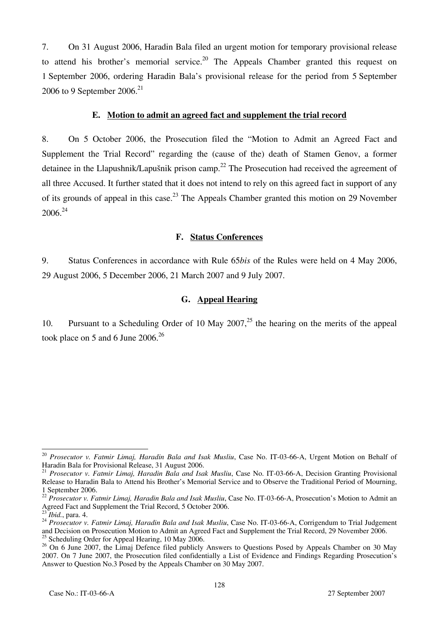7. On 31 August 2006, Haradin Bala filed an urgent motion for temporary provisional release to attend his brother's memorial service.<sup>20</sup> The Appeals Chamber granted this request on 1 September 2006, ordering Haradin Bala's provisional release for the period from 5 September 2006 to 9 September 2006.<sup>21</sup>

#### **E. Motion to admit an agreed fact and supplement the trial record**

8. On 5 October 2006, the Prosecution filed the "Motion to Admit an Agreed Fact and Supplement the Trial Record" regarding the (cause of the) death of Stamen Genov, a former detainee in the Llapushnik/Lapušnik prison camp.<sup>22</sup> The Prosecution had received the agreement of all three Accused. It further stated that it does not intend to rely on this agreed fact in support of any of its grounds of appeal in this case.<sup>23</sup> The Appeals Chamber granted this motion on 29 November 2006.24

#### **F. Status Conferences**

9. Status Conferences in accordance with Rule 65*bis* of the Rules were held on 4 May 2006, 29 August 2006, 5 December 2006, 21 March 2007 and 9 July 2007.

### **G. Appeal Hearing**

10. Pursuant to a Scheduling Order of 10 May 2007,<sup>25</sup> the hearing on the merits of the appeal took place on 5 and 6 June  $2006.<sup>26</sup>$ 

 $\overline{a}$ <sup>20</sup> *Prosecutor v. Fatmir Limaj, Haradin Bala and Isak Musliu*, Case No. IT-03-66-A, Urgent Motion on Behalf of Haradin Bala for Provisional Release, 31 August 2006.

<sup>21</sup> *Prosecutor v. Fatmir Limaj, Haradin Bala and Isak Musliu*, Case No. IT-03-66-A, Decision Granting Provisional Release to Haradin Bala to Attend his Brother's Memorial Service and to Observe the Traditional Period of Mourning, 1 September 2006.

<sup>22</sup> *Prosecutor v. Fatmir Limaj, Haradin Bala and Isak Musliu*, Case No. IT-03-66-A, Prosecution's Motion to Admit an Agreed Fact and Supplement the Trial Record, 5 October 2006.

<sup>&</sup>lt;sup>23</sup> *Ibid.*, para. 4.<br><sup>24</sup> *Prosecutor v. Fatmir Limaj, Haradin Bala and Isak Musliu, Case No. IT-03-66-A, Corrigendum to Trial Judgement* and Decision on Prosecution Motion to Admit an Agreed Fact and Supplement the Trial Record, 29 November 2006. <sup>25</sup> Scheduling Order for Appeal Hearing, 10 May 2006.

<sup>&</sup>lt;sup>26</sup> On 6 June 2007, the Limaj Defence filed publicly Answers to Questions Posed by Appeals Chamber on 30 May 2007. On 7 June 2007, the Prosecution filed confidentially a List of Evidence and Findings Regarding Prosecution's Answer to Question No.3 Posed by the Appeals Chamber on 30 May 2007.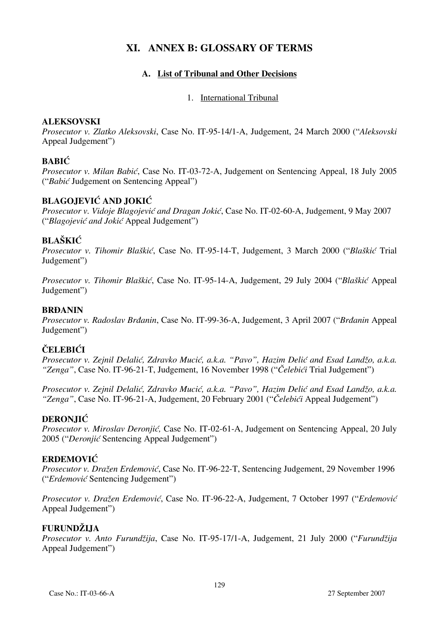# **XI. ANNEX B: GLOSSARY OF TERMS**

### **A. List of Tribunal and Other Decisions**

### 1. International Tribunal

### **ALEKSOVSKI**

*Prosecutor v. Zlatko Aleksovski*, Case No. IT-95-14/1-A, Judgement, 24 March 2000 ("*Aleksovski* Appeal Judgement")

# **BABIĆ**

*Prosecutor v. Milan Babić*, Case No. IT-03-72-A, Judgement on Sentencing Appeal, 18 July 2005 ("*Babić* Judgement on Sentencing Appeal")

# **BLAGOJEVIĆ AND JOKIĆ**

*Prosecutor v. Vidoje Blagojević and Dragan Jokić*, Case No. IT-02-60-A, Judgement, 9 May 2007 ("*Blagojević and Jokić* Appeal Judgement")

# **BLAŠKIĆ**

*Prosecutor v. Tihomir Blaškić*, Case No. IT-95-14-T, Judgement, 3 March 2000 ("*Blaškić* Trial Judgement")

*Prosecutor v. Tihomir Blaškić*, Case No. IT-95-14-A, Judgement, 29 July 2004 ("*Blaškić* Appeal Judgement")

### **BRĐANIN**

*Prosecutor v. Radoslav Brđanin*, Case No. IT-99-36-A, Judgement, 3 April 2007 ("*Brđanin* Appeal Judgement")

# **ČELEBIĆI**

*Prosecutor v. Zejnil Delalić, Zdravko Mucić, a.k.a. "Pavo", Hazim Delić and Esad Landžo, a.k.a. "Zenga"*, Case No. IT-96-21-T, Judgement, 16 November 1998 ("*Čelebići* Trial Judgement")

*Prosecutor v. Zejnil Delalić, Zdravko Mucić, a.k.a. "Pavo", Hazim Delić and Esad Landžo, a.k.a. "Zenga"*, Case No. IT-96-21-A, Judgement, 20 February 2001 ("*Čelebići* Appeal Judgement")

### **DERONJIĆ**

*Prosecutor v. Miroslav Deronjić, Case No. IT-02-61-A, Judgement on Sentencing Appeal, 20 July* 2005 ("*Deronjić* Sentencing Appeal Judgement")

### **ERDEMOVIĆ**

*Prosecutor v. Dra`en Erdemovi}*, Case No. IT-96-22-T, Sentencing Judgement, 29 November 1996 ("*Erdemović* Sentencing Judgement")

*Prosecutor v. Dra`en Erdemovi}*, Case No. IT-96-22-A, Judgement, 7 October 1997 ("*Erdemović* Appeal Judgement")

### **FURUNDŽIJA**

*Prosecutor v. Anto Furundžija*, Case No. IT-95-17/1-A, Judgement, 21 July 2000 ("*Furundžija* Appeal Judgement")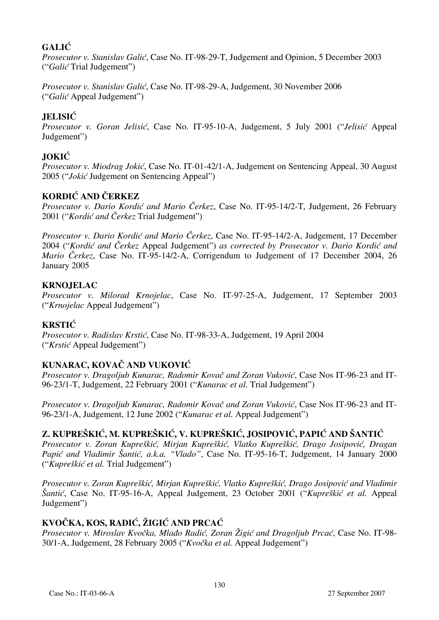# **GALIĆ**

*Prosecutor v. Stanislav Galić*, Case No. IT-98-29-T, Judgement and Opinion, 5 December 2003 ("*Galić* Trial Judgement")

*Prosecutor v. Stanislav Galić*, Case No. IT-98-29-A, Judgement, 30 November 2006 ("*Galić* Appeal Judgement")

# **JELISIĆ**

*Prosecutor v. Goran Jelisić*, Case No. IT-95-10-A, Judgement, 5 July 2001 ("*Jelisić* Appeal Judgement")

# **JOKIĆ**

*Prosecutor v. Miodrag Jokić*, Case No. IT-01-42/1-A, Judgement on Sentencing Appeal, 30 August 2005 ("*Jokić* Judgement on Sentencing Appeal")

# **KORDIĆ AND ČERKEZ**

*Prosecutor v. Dario Kordić and Mario Čerkez*, Case No. IT-95-14/2-T, Judgement, 26 February 2001 ("*Kordić and Čerkez* Trial Judgement")

*Prosecutor v. Dario Kordić and Mario Čerkez*, Case No. IT-95-14/2-A, Judgement, 17 December 2004 ("Kordić and Čerkez Appeal Judgement") as corrected by Prosecutor v. Dario Kordić and *Mario Čerkez*, Case No. IT-95-14/2-A, Corrigendum to Judgement of 17 December 2004, 26 January 2005

### **KRNOJELAC**

*Prosecutor v. Milorad Krnojelac*, Case No. IT-97-25-A, Judgement, 17 September 2003 ("*Krnojelac* Appeal Judgement")

### **KRSTIĆ**

*Prosecutor v. Radislav Krstić*, Case No. IT-98-33-A, Judgement, 19 April 2004 ("*Krstić* Appeal Judgement")

# **KUNARAC, KOVAČ AND VUKOVIĆ**

*Prosecutor v. Dragoljub Kunarac, Radomir Kovač and Zoran Vuković*, Case Nos IT-96-23 and IT-96-23/1-T, Judgement, 22 February 2001 ("*Kunarac et al.* Trial Judgement")

*Prosecutor v. Dragoljub Kunarac, Radomir Kovač and Zoran Vuković*, Case Nos IT-96-23 and IT-96-23/1-A, Judgement, 12 June 2002 ("*Kunarac et al.* Appeal Judgement")

# $Z$ , KUPREŠKIĆ, M. KUPREŠKIĆ, V. KUPREŠKIĆ, JOSIPOVIĆ, PAPIĆ AND ŠANTIĆ

*Prosecutor v. Zoran Kupreškić, Mirjan Kupreškić, Vlatko Kupreškić, Drago Josipovi}, Dragan*  Papić and Vladimir Šantić, a.k.a. "Vlado", Case No. IT-95-16-T, Judgement, 14 January 2000 ("*Kupreškić et al.* Trial Judgement")

*Prosecutor v. Zoran Kupreškić, Mirjan Kupreškić, Vlatko Kupreškić, Drago Josipović and Vladimir [anti}*, Case No. IT-95-16-A, Appeal Judgement, 23 October 2001 ("*Kupreškić et al.* Appeal Judgement")

# **KVOČKA, KOS, RADIĆ, ŽIGIĆ AND PRCAĆ**

*Prosecutor v. Miroslav Kvočka, Mla|o Radić, Zoran Žigić and Dragoljub Prcać*, Case No. IT-98- 30/1-A, Judgement, 28 February 2005 ("*Kvočka et al.* Appeal Judgement")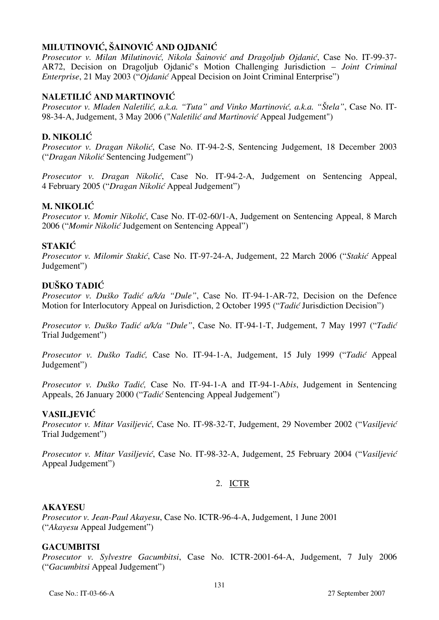# **MILUTINOVIĆ, ŠAINOVIĆ AND OJDANIĆ**

*Prosecutor v. Milan Milutinović, Nikola Šainović and Dragoljub Ojdanić, Case No. IT-99-37-*AR72, Decision on Dragoljub Ojdanić's Motion Challenging Jurisdiction - *Joint Criminal Enterprise*, 21 May 2003 ("*Ojdanić* Appeal Decision on Joint Criminal Enterprise")

# **NALETILIĆ AND MARTINOVIĆ**

*Prosecutor v. Mladen Naletilić, a.k.a. "Tuta" and Vinko Martinović, a.k.a. "Štela", Case No. IT-*98-34-A, Judgement, 3 May 2006 ("*Naletilić and Martinović* Appeal Judgement")

# **D. NIKOLIĆ**

*Prosecutor v. Dragan Nikolić*, Case No. IT-94-2-S, Sentencing Judgement, 18 December 2003 ("*Dragan Nikolić* Sentencing Judgement")

*Prosecutor v. Dragan Nikolić*, Case No. IT-94-2-A, Judgement on Sentencing Appeal, 4 February 2005 ("*Dragan Nikolić* Appeal Judgement")

### **M. NIKOLIĆ**

*Prosecutor v. Momir Nikolić*, Case No. IT-02-60/1-A, Judgement on Sentencing Appeal, 8 March 2006 ("*Momir Nikolić* Judgement on Sentencing Appeal")

### **STAKIĆ**

*Prosecutor v. Milomir Stakić*, Case No. IT-97-24-A, Judgement, 22 March 2006 ("*Stakić Appeal* Judgement")

### **DUŠKO TADIĆ**

*Prosecutor v. Duško Tadić a/k/a "Dule"*, Case No. IT-94-1-AR-72, Decision on the Defence Motion for Interlocutory Appeal on Jurisdiction, 2 October 1995 ("*Tadić* Jurisdiction Decision")

*Prosecutor v. Duško Tadić a/k/a "Dule"*, Case No. IT-94-1-T, Judgement, 7 May 1997 ("*Tadić* Trial Judgement")

*Prosecutor v. Duško Tadić,* Case No. IT-94-1-A, Judgement, 15 July 1999 ("*Tadić* Appeal Judgement")

*Prosecutor v. Duško Tadić,* Case No. IT-94-1-A and IT-94-1-A*bis*, Judgement in Sentencing Appeals, 26 January 2000 ("*Tadić* Sentencing Appeal Judgement")

### **VASILJEVIĆ**

*Prosecutor v. Mitar Vasiljević*, Case No. IT-98-32-T, Judgement, 29 November 2002 ("*Vasiljević* Trial Judgement")

*Prosecutor v. Mitar Vasiljević*, Case No. IT-98-32-A, Judgement, 25 February 2004 ("*Vasiljević* Appeal Judgement")

### 2. ICTR

#### **AKAYESU**

*Prosecutor v. Jean-Paul Akayesu*, Case No. ICTR-96-4-A, Judgement, 1 June 2001 ("*Akayesu* Appeal Judgement")

### **GACUMBITSI**

*Prosecutor v. Sylvestre Gacumbitsi*, Case No. ICTR-2001-64-A, Judgement, 7 July 2006 ("*Gacumbitsi* Appeal Judgement")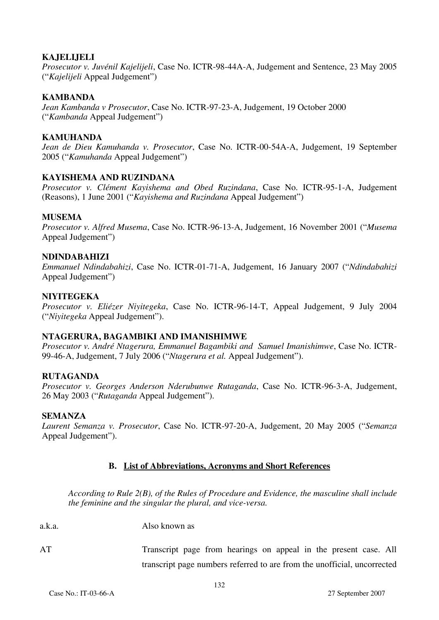### **KAJELIJELI**

*Prosecutor v. Juvénil Kajelijeli*, Case No. ICTR-98-44A-A, Judgement and Sentence, 23 May 2005 ("*Kajelijeli* Appeal Judgement")

### **KAMBANDA**

*Jean Kambanda v Prosecutor*, Case No. ICTR-97-23-A, Judgement, 19 October 2000 ("*Kambanda* Appeal Judgement")

### **KAMUHANDA**

*Jean de Dieu Kamuhanda v. Prosecutor*, Case No. ICTR-00-54A-A, Judgement, 19 September 2005 ("*Kamuhanda* Appeal Judgement")

#### **KAYISHEMA AND RUZINDANA**

*Prosecutor v. Clément Kayishema and Obed Ruzindana*, Case No. ICTR-95-1-A, Judgement (Reasons), 1 June 2001 ("*Kayishema and Ruzindana* Appeal Judgement")

#### **MUSEMA**

*Prosecutor v. Alfred Musema*, Case No. ICTR-96-13-A, Judgement, 16 November 2001 ("*Musema* Appeal Judgement")

#### **NDINDABAHIZI**

*Emmanuel Ndindabahizi*, Case No. ICTR-01-71-A, Judgement, 16 January 2007 ("*Ndindabahizi*  Appeal Judgement")

#### **NIYITEGEKA**

*Prosecutor v. Eliézer Niyitegeka*, Case No. ICTR-96-14-T, Appeal Judgement, 9 July 2004 ("*Niyitegeka* Appeal Judgement").

#### **NTAGERURA, BAGAMBIKI AND IMANISHIMWE**

*Prosecutor v. André Ntagerura, Emmanuel Bagambiki and Samuel Imanishimwe*, Case No. ICTR-99-46-A, Judgement, 7 July 2006 ("*Ntagerura et al.* Appeal Judgement").

#### **RUTAGANDA**

*Prosecutor v. Georges Anderson Nderubunwe Rutaganda*, Case No. ICTR-96-3-A, Judgement, 26 May 2003 ("*Rutaganda* Appeal Judgement").

#### **SEMANZA**

*Laurent Semanza v. Prosecutor*, Case No. ICTR-97-20-A, Judgement, 20 May 2005 ("*Semanza*  Appeal Judgement").

### **B. List of Abbreviations, Acronyms and Short References**

*According to Rule 2(B), of the Rules of Procedure and Evidence, the masculine shall include the feminine and the singular the plural, and vice-versa.* 

a.k.a. Also known as

AT Transcript page from hearings on appeal in the present case. All transcript page numbers referred to are from the unofficial, uncorrected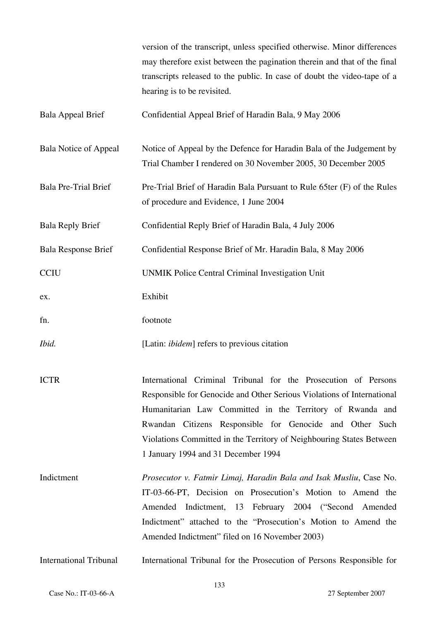|                               | version of the transcript, unless specified otherwise. Minor differences<br>may therefore exist between the pagination therein and that of the final<br>transcripts released to the public. In case of doubt the video-tape of a<br>hearing is to be revisited.                                                                                                                  |
|-------------------------------|----------------------------------------------------------------------------------------------------------------------------------------------------------------------------------------------------------------------------------------------------------------------------------------------------------------------------------------------------------------------------------|
| <b>Bala Appeal Brief</b>      | Confidential Appeal Brief of Haradin Bala, 9 May 2006                                                                                                                                                                                                                                                                                                                            |
| Bala Notice of Appeal         | Notice of Appeal by the Defence for Haradin Bala of the Judgement by<br>Trial Chamber I rendered on 30 November 2005, 30 December 2005                                                                                                                                                                                                                                           |
| <b>Bala Pre-Trial Brief</b>   | Pre-Trial Brief of Haradin Bala Pursuant to Rule 65ter (F) of the Rules<br>of procedure and Evidence, 1 June 2004                                                                                                                                                                                                                                                                |
| <b>Bala Reply Brief</b>       | Confidential Reply Brief of Haradin Bala, 4 July 2006                                                                                                                                                                                                                                                                                                                            |
| <b>Bala Response Brief</b>    | Confidential Response Brief of Mr. Haradin Bala, 8 May 2006                                                                                                                                                                                                                                                                                                                      |
| <b>CCIU</b>                   | UNMIK Police Central Criminal Investigation Unit                                                                                                                                                                                                                                                                                                                                 |
| ex.                           | Exhibit                                                                                                                                                                                                                                                                                                                                                                          |
| fn.                           | footnote                                                                                                                                                                                                                                                                                                                                                                         |
| Ibid.                         | [Latin: <i>ibidem</i> ] refers to previous citation                                                                                                                                                                                                                                                                                                                              |
| <b>ICTR</b>                   | International Criminal Tribunal for the Prosecution of Persons<br>Responsible for Genocide and Other Serious Violations of International<br>Humanitarian Law Committed in the Territory of Rwanda and<br>Rwandan Citizens Responsible for Genocide and Other Such<br>Violations Committed in the Territory of Neighbouring States Between<br>1 January 1994 and 31 December 1994 |
| Indictment                    | Prosecutor v. Fatmir Limaj, Haradin Bala and Isak Musliu, Case No.<br>IT-03-66-PT, Decision on Prosecution's Motion to Amend the<br>Amended Indictment, 13 February 2004 ("Second Amended<br>Indictment" attached to the "Prosecution's Motion to Amend the<br>Amended Indictment" filed on 16 November 2003)                                                                    |
| <b>International Tribunal</b> | International Tribunal for the Prosecution of Persons Responsible for                                                                                                                                                                                                                                                                                                            |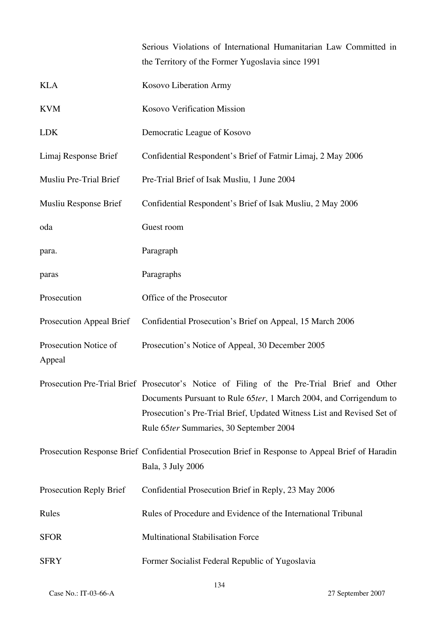Serious Violations of International Humanitarian Law Committed in the Territory of the Former Yugoslavia since 1991

| <b>KLA</b>                      | Kosovo Liberation Army                                                                                                                                                                                                                                                                |
|---------------------------------|---------------------------------------------------------------------------------------------------------------------------------------------------------------------------------------------------------------------------------------------------------------------------------------|
| <b>KVM</b>                      | Kosovo Verification Mission                                                                                                                                                                                                                                                           |
| <b>LDK</b>                      | Democratic League of Kosovo                                                                                                                                                                                                                                                           |
| Limaj Response Brief            | Confidential Respondent's Brief of Fatmir Limaj, 2 May 2006                                                                                                                                                                                                                           |
| Musliu Pre-Trial Brief          | Pre-Trial Brief of Isak Musliu, 1 June 2004                                                                                                                                                                                                                                           |
| Musliu Response Brief           | Confidential Respondent's Brief of Isak Musliu, 2 May 2006                                                                                                                                                                                                                            |
| oda                             | Guest room                                                                                                                                                                                                                                                                            |
| para.                           | Paragraph                                                                                                                                                                                                                                                                             |
| paras                           | Paragraphs                                                                                                                                                                                                                                                                            |
| Prosecution                     | Office of the Prosecutor                                                                                                                                                                                                                                                              |
| Prosecution Appeal Brief        | Confidential Prosecution's Brief on Appeal, 15 March 2006                                                                                                                                                                                                                             |
| Prosecution Notice of<br>Appeal | Prosecution's Notice of Appeal, 30 December 2005                                                                                                                                                                                                                                      |
|                                 | Prosecution Pre-Trial Brief Prosecutor's Notice of Filing of the Pre-Trial Brief and Other<br>Documents Pursuant to Rule 65ter, 1 March 2004, and Corrigendum to<br>Prosecution's Pre-Trial Brief, Updated Witness List and Revised Set of<br>Rule 65ter Summaries, 30 September 2004 |
|                                 | Prosecution Response Brief Confidential Prosecution Brief in Response to Appeal Brief of Haradin<br>Bala, 3 July 2006                                                                                                                                                                 |
| Prosecution Reply Brief         | Confidential Prosecution Brief in Reply, 23 May 2006                                                                                                                                                                                                                                  |
| Rules                           | Rules of Procedure and Evidence of the International Tribunal                                                                                                                                                                                                                         |
| <b>SFOR</b>                     | <b>Multinational Stabilisation Force</b>                                                                                                                                                                                                                                              |
| <b>SFRY</b>                     | Former Socialist Federal Republic of Yugoslavia                                                                                                                                                                                                                                       |